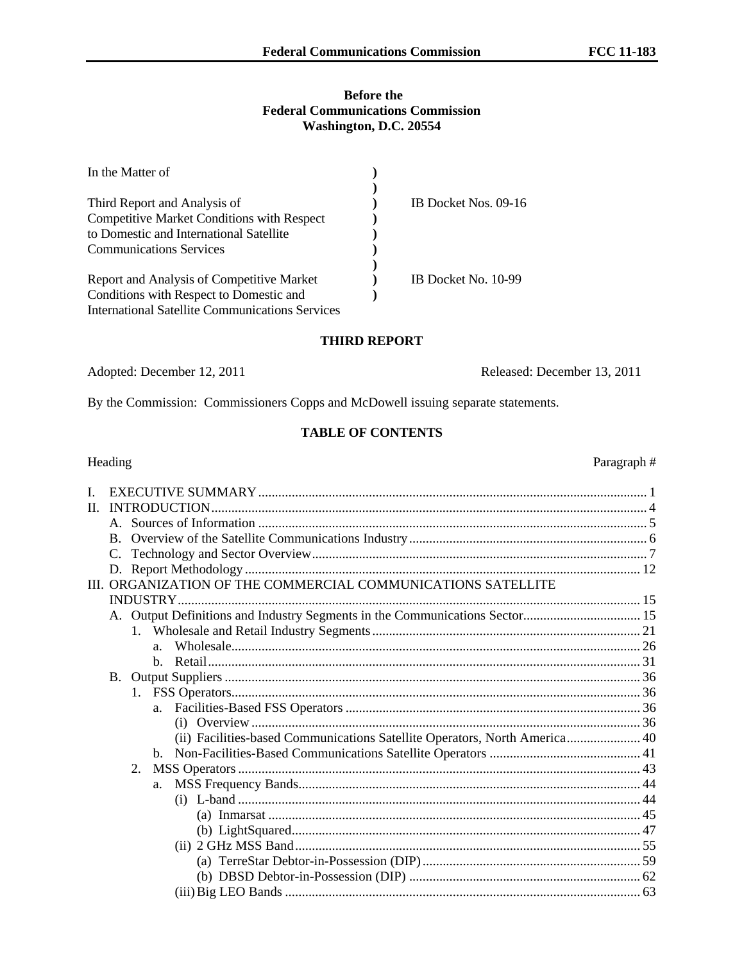# **Before the Federal Communications Commission Washington, D.C. 20554**

| In the Matter of                                  |                      |
|---------------------------------------------------|----------------------|
|                                                   |                      |
| Third Report and Analysis of                      | IB Docket Nos. 09-16 |
| <b>Competitive Market Conditions with Respect</b> |                      |
| to Domestic and International Satellite           |                      |
| <b>Communications Services</b>                    |                      |
|                                                   |                      |
| Report and Analysis of Competitive Market         | IB Docket No. 10-99  |
| Conditions with Respect to Domestic and           |                      |
| International Satellite Communications Services   |                      |

#### **THIRD REPORT**

Adopted: December 12, 2011 Released: December 13, 2011

By the Commission: Commissioners Copps and McDowell issuing separate statements.

#### **TABLE OF CONTENTS**

# Heading Paragraph # I. EXECUTIVE SUMMARY.................................................................................................................... 1 II. INTRODUCTION.................................................................................................................................. 4 A. Sources of Information .................................................................................................................... 5 B. Overview of the Satellite Communications Industry....................................................................... 6 C. Technology and Sector Overview.................................................................................................... 7 D. Report Methodology ...................................................................................................................... 12 III. ORGANIZATION OF THE COMMERCIAL COMMUNICATIONS SATELLITE INDUSTRY.......................................................................................................................................... 15 A. Output Definitions and Industry Segments in the Communications Sector................................... 15 1. Wholesale and Retail Industry Segments................................................................................ 21 a. Wholesale.......................................................................................................................... 26 b. Retail................................................................................................................................. 31 B. Output Suppliers ............................................................................................................................ 36 1. FSS Operators.......................................................................................................................... 36 a. Facilities-Based FSS Operators ........................................................................................ 36 (i) Overview .................................................................................................................... 36 (ii) Facilities-based Communications Satellite Operators, North America...................... 40 b. Non-Facilities-Based Communications Satellite Operators ............................................. 41 2. MSS Operators ........................................................................................................................ 43 a. MSS Frequency Bands...................................................................................................... 44 (i) L-band ........................................................................................................................ 44 (a) Inmarsat ............................................................................................................... 45 (b) LightSquared........................................................................................................ 47 (ii) 2 GHz MSS Band....................................................................................................... 55 (a) TerreStar Debtor-in-Possession (DIP) ................................................................. 59 (b) DBSD Debtor-in-Possession (DIP) ..................................................................... 62 (iii)Big LEO Bands .......................................................................................................... 63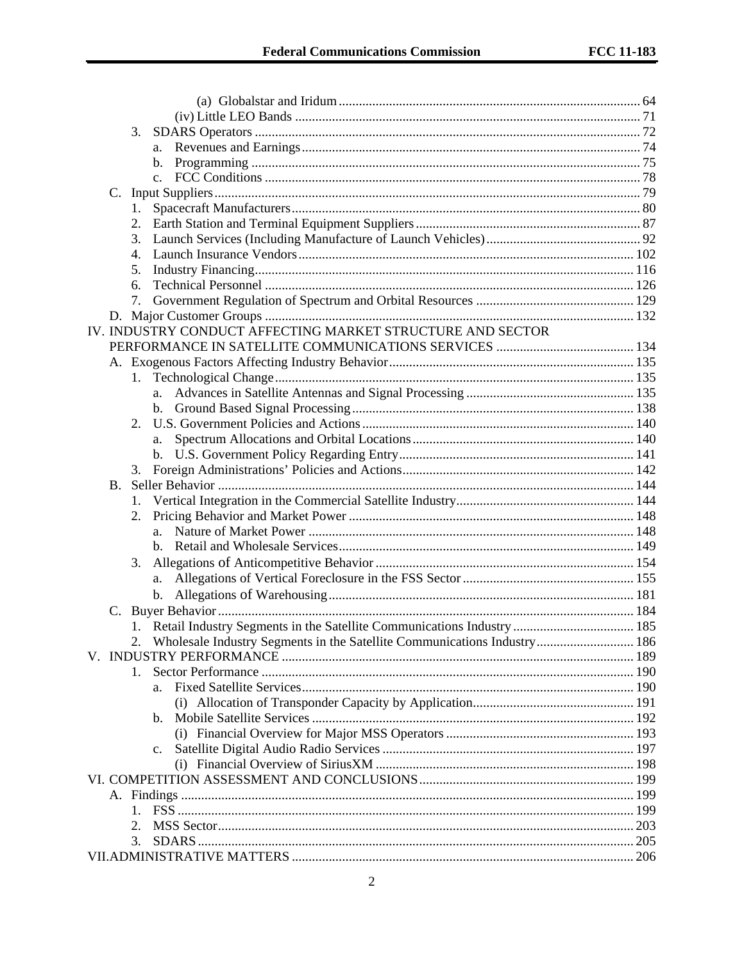|    | 3.                                                                       |     |
|----|--------------------------------------------------------------------------|-----|
|    | a.                                                                       |     |
|    | b.                                                                       |     |
|    | $\mathbf{c}$ .                                                           |     |
|    |                                                                          |     |
|    | 1.                                                                       |     |
|    |                                                                          |     |
|    | 3.                                                                       |     |
|    | 4.                                                                       |     |
|    | 5.                                                                       |     |
|    | 6.                                                                       |     |
|    | 7.                                                                       |     |
|    |                                                                          |     |
|    | IV. INDUSTRY CONDUCT AFFECTING MARKET STRUCTURE AND SECTOR               |     |
|    |                                                                          |     |
|    |                                                                          |     |
|    | 1.                                                                       |     |
|    | a.                                                                       |     |
|    |                                                                          |     |
|    | 2.                                                                       |     |
|    | a.                                                                       |     |
|    |                                                                          |     |
|    | 3.                                                                       |     |
| B. |                                                                          |     |
|    |                                                                          |     |
|    | 2.                                                                       |     |
|    |                                                                          |     |
|    |                                                                          |     |
|    | 3.                                                                       |     |
|    | a.                                                                       |     |
|    |                                                                          |     |
| C. |                                                                          |     |
|    |                                                                          |     |
|    | Wholesale Industry Segments in the Satellite Communications Industry 186 |     |
|    |                                                                          |     |
|    | 1.                                                                       |     |
|    |                                                                          |     |
|    | a.                                                                       |     |
|    |                                                                          |     |
|    | b.                                                                       |     |
|    |                                                                          |     |
|    | c.                                                                       |     |
|    |                                                                          |     |
|    |                                                                          |     |
|    |                                                                          |     |
|    | 1.                                                                       |     |
|    | 2.                                                                       |     |
|    |                                                                          | 205 |
|    |                                                                          |     |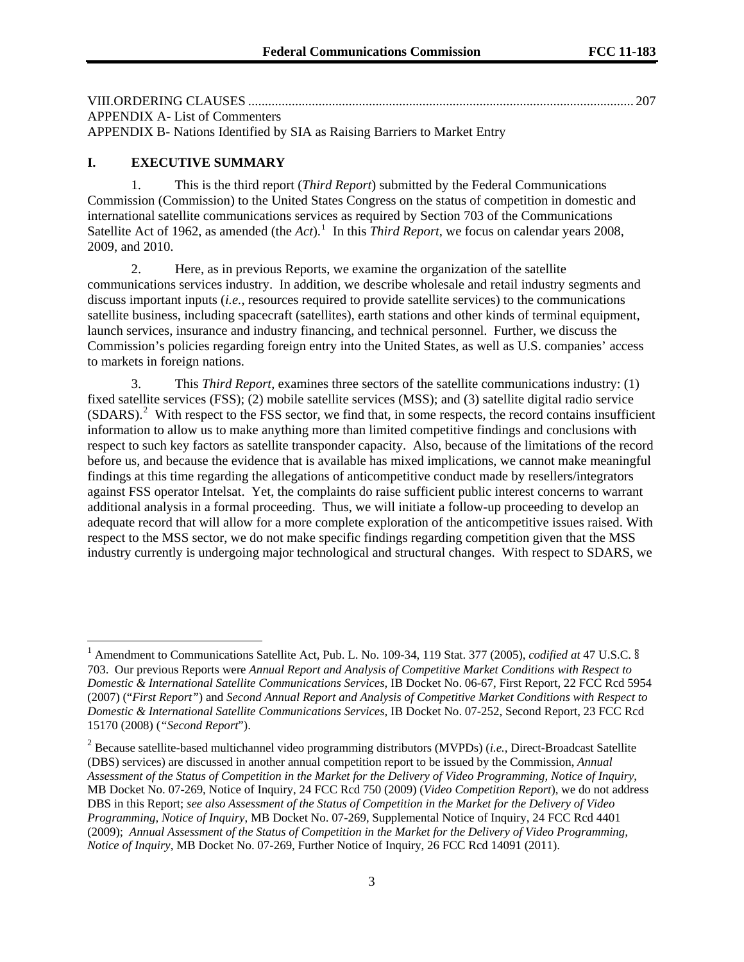| <b>APPENDIX A-List of Commenters</b> |  |
|--------------------------------------|--|

APPENDIX B- Nations Identified by SIA as Raising Barriers to Market Entry

# **I. EXECUTIVE SUMMARY**

l

1. This is the third report (*Third Report*) submitted by the Federal Communications Commission (Commission) to the United States Congress on the status of competition in domestic and international satellite communications services as required by Section 703 of the Communications Satellite Act of [1](#page-2-0)962, as amended (the *Act*).<sup>1</sup> In this *Third Report*, we focus on calendar years 2008, 2009, and 2010.

2. Here, as in previous Reports, we examine the organization of the satellite communications services industry. In addition, we describe wholesale and retail industry segments and discuss important inputs (*i.e.*, resources required to provide satellite services) to the communications satellite business, including spacecraft (satellites), earth stations and other kinds of terminal equipment, launch services, insurance and industry financing, and technical personnel. Further, we discuss the Commission's policies regarding foreign entry into the United States, as well as U.S. companies' access to markets in foreign nations.

3. This *Third Report*, examines three sectors of the satellite communications industry: (1) fixed satellite services (FSS); (2) mobile satellite services (MSS); and (3) satellite digital radio service (SDARS).<sup>[2](#page-2-1)</sup> With respect to the FSS sector, we find that, in some respects, the record contains insufficient information to allow us to make anything more than limited competitive findings and conclusions with respect to such key factors as satellite transponder capacity. Also, because of the limitations of the record before us, and because the evidence that is available has mixed implications, we cannot make meaningful findings at this time regarding the allegations of anticompetitive conduct made by resellers/integrators against FSS operator Intelsat. Yet, the complaints do raise sufficient public interest concerns to warrant additional analysis in a formal proceeding. Thus, we will initiate a follow-up proceeding to develop an adequate record that will allow for a more complete exploration of the anticompetitive issues raised. With respect to the MSS sector, we do not make specific findings regarding competition given that the MSS industry currently is undergoing major technological and structural changes. With respect to SDARS, we

<span id="page-2-0"></span><sup>1</sup> Amendment to Communications Satellite Act, Pub. L. No. 109-34, 119 Stat. 377 (2005), *codified at* 47 U.S.C. § 703. Our previous Reports were *Annual Report and Analysis of Competitive Market Conditions with Respect to Domestic & International Satellite Communications Services,* IB Docket No. 06-67, First Report, 22 FCC Rcd 5954 (2007) ("*First Report"*) and *Second Annual Report and Analysis of Competitive Market Conditions with Respect to Domestic & International Satellite Communications Services,* IB Docket No. 07-252, Second Report, 23 FCC Rcd 15170 (2008) (*"Second Report*").

<span id="page-2-1"></span><sup>2</sup> Because satellite-based multichannel video programming distributors (MVPDs) (*i.e.,* Direct-Broadcast Satellite (DBS) services) are discussed in another annual competition report to be issued by the Commission, *Annual Assessment of the Status of Competition in the Market for the Delivery of Video Programming, Notice of Inquiry*, MB Docket No. 07-269, Notice of Inquiry, 24 FCC Rcd 750 (2009) (*Video Competition Report*), we do not address DBS in this Report; *see also Assessment of the Status of Competition in the Market for the Delivery of Video Programming, Notice of Inquiry*, MB Docket No. 07-269, Supplemental Notice of Inquiry, 24 FCC Rcd 4401 (2009); *Annual Assessment of the Status of Competition in the Market for the Delivery of Video Programming, Notice of Inquiry*, MB Docket No. 07-269, Further Notice of Inquiry, 26 FCC Rcd 14091 (2011).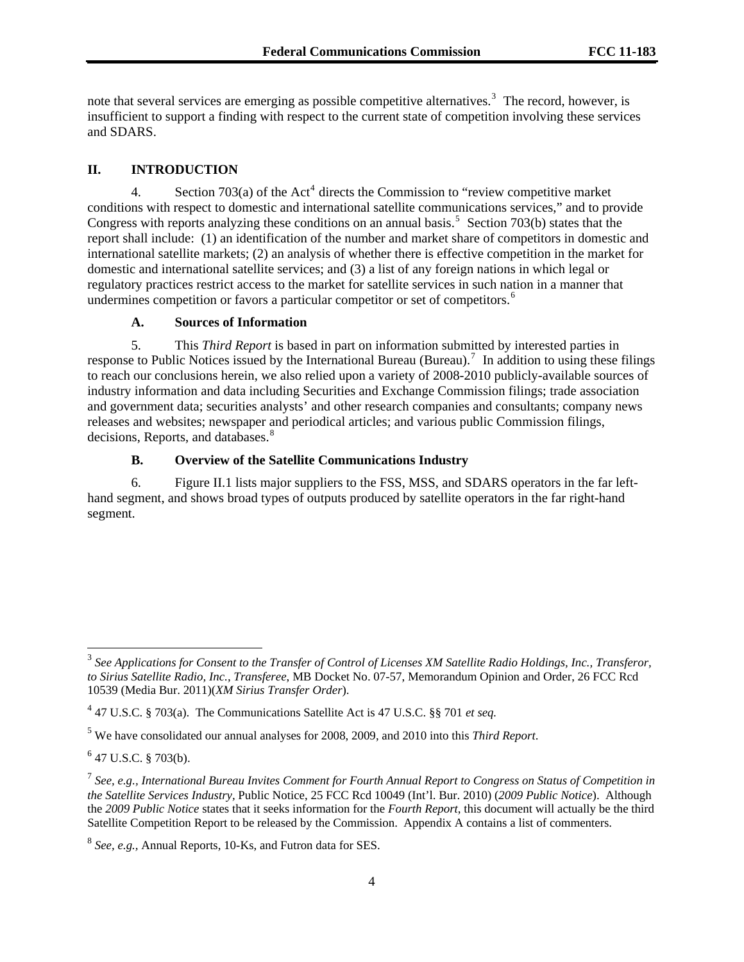note that several services are emerging as possible competitive alternatives.<sup>[3](#page-3-0)</sup> The record, however, is insufficient to support a finding with respect to the current state of competition involving these services and SDARS.

#### **II. INTRODUCTION**

[4](#page-3-1). Section  $703(a)$  of the Act<sup>4</sup> directs the Commission to "review competitive market conditions with respect to domestic and international satellite communications services," and to provide Congress with reports analyzing these conditions on an annual basis.<sup>[5](#page-3-2)</sup> Section 703(b) states that the report shall include: (1) an identification of the number and market share of competitors in domestic and international satellite markets; (2) an analysis of whether there is effective competition in the market for domestic and international satellite services; and (3) a list of any foreign nations in which legal or regulatory practices restrict access to the market for satellite services in such nation in a manner that undermines competition or favors a particular competitor or set of competitors.<sup>[6](#page-3-3)</sup>

# **A. Sources of Information**

5. This *Third Report* is based in part on information submitted by interested parties in response to Public Notices issued by the International Bureau (Bureau).<sup>[7](#page-3-4)</sup> In addition to using these filings to reach our conclusions herein, we also relied upon a variety of 2008-2010 publicly-available sources of industry information and data including Securities and Exchange Commission filings; trade association and government data; securities analysts' and other research companies and consultants; company news releases and websites; newspaper and periodical articles; and various public Commission filings, decisions, Reports, and databases.<sup>[8](#page-3-5)</sup>

# **B. Overview of the Satellite Communications Industry**

6. Figure II.1 lists major suppliers to the FSS, MSS, and SDARS operators in the far lefthand segment, and shows broad types of outputs produced by satellite operators in the far right-hand segment.

<span id="page-3-0"></span><sup>3</sup> *See Applications for Consent to the Transfer of Control of Licenses XM Satellite Radio Holdings, Inc., Transferor, to Sirius Satellite Radio, Inc., Transferee*, MB Docket No. 07-57, Memorandum Opinion and Order, 26 FCC Rcd 10539 (Media Bur. 2011)(*XM Sirius Transfer Order*).

<span id="page-3-1"></span><sup>4</sup> 47 U.S.C. § 703(a). The Communications Satellite Act is 47 U.S.C. §§ 701 *et seq.*

<span id="page-3-2"></span><sup>5</sup> We have consolidated our annual analyses for 2008, 2009, and 2010 into this *Third Report*.

<span id="page-3-3"></span> $6$  47 U.S.C. § 703(b).

<span id="page-3-4"></span><sup>7</sup> *See, e.g., International Bureau Invites Comment for Fourth Annual Report to Congress on Status of Competition in the Satellite Services Industry,* Public Notice, 25 FCC Rcd 10049 (Int'l. Bur. 2010) (*2009 Public Notice*). Although the *2009 Public Notice* states that it seeks information for the *Fourth Report*, this document will actually be the third Satellite Competition Report to be released by the Commission. Appendix A contains a list of commenters.

<span id="page-3-5"></span><sup>8</sup> *See, e.g.,* Annual Reports, 10-Ks, and Futron data for SES.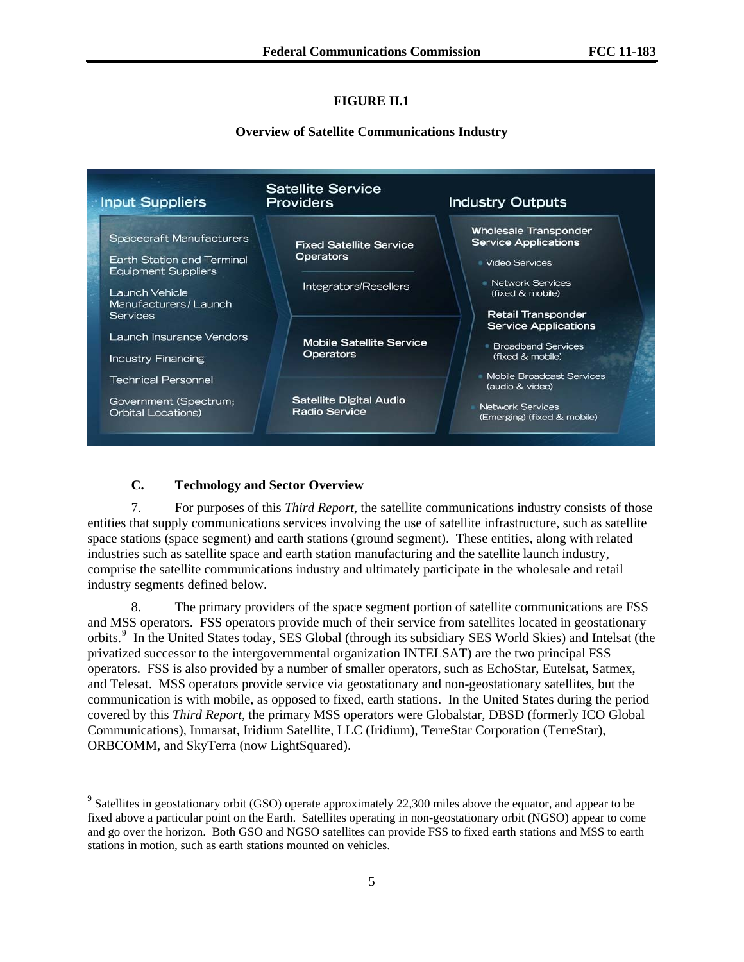# **FIGURE II.1**

### **Overview of Satellite Communications Industry**



# **C. Technology and Sector Overview**

-

7. For purposes of this *Third Report*, the satellite communications industry consists of those entities that supply communications services involving the use of satellite infrastructure, such as satellite space stations (space segment) and earth stations (ground segment). These entities, along with related industries such as satellite space and earth station manufacturing and the satellite launch industry, comprise the satellite communications industry and ultimately participate in the wholesale and retail industry segments defined below.

8. The primary providers of the space segment portion of satellite communications are FSS and MSS operators. FSS operators provide much of their service from satellites located in geostationary orbits.<sup>[9](#page-4-0)</sup> In the United States today, SES Global (through its subsidiary SES World Skies) and Intelsat (the privatized successor to the intergovernmental organization INTELSAT) are the two principal FSS operators. FSS is also provided by a number of smaller operators, such as EchoStar, Eutelsat, Satmex, and Telesat. MSS operators provide service via geostationary and non-geostationary satellites, but the communication is with mobile, as opposed to fixed, earth stations. In the United States during the period covered by this *Third Report*, the primary MSS operators were Globalstar, DBSD (formerly ICO Global Communications), Inmarsat, Iridium Satellite, LLC (Iridium), TerreStar Corporation (TerreStar), ORBCOMM, and SkyTerra (now LightSquared).

<span id="page-4-0"></span><sup>&</sup>lt;sup>9</sup> Satellites in geostationary orbit (GSO) operate approximately 22,300 miles above the equator, and appear to be fixed above a particular point on the Earth. Satellites operating in non-geostationary orbit (NGSO) appear to come and go over the horizon. Both GSO and NGSO satellites can provide FSS to fixed earth stations and MSS to earth stations in motion, such as earth stations mounted on vehicles.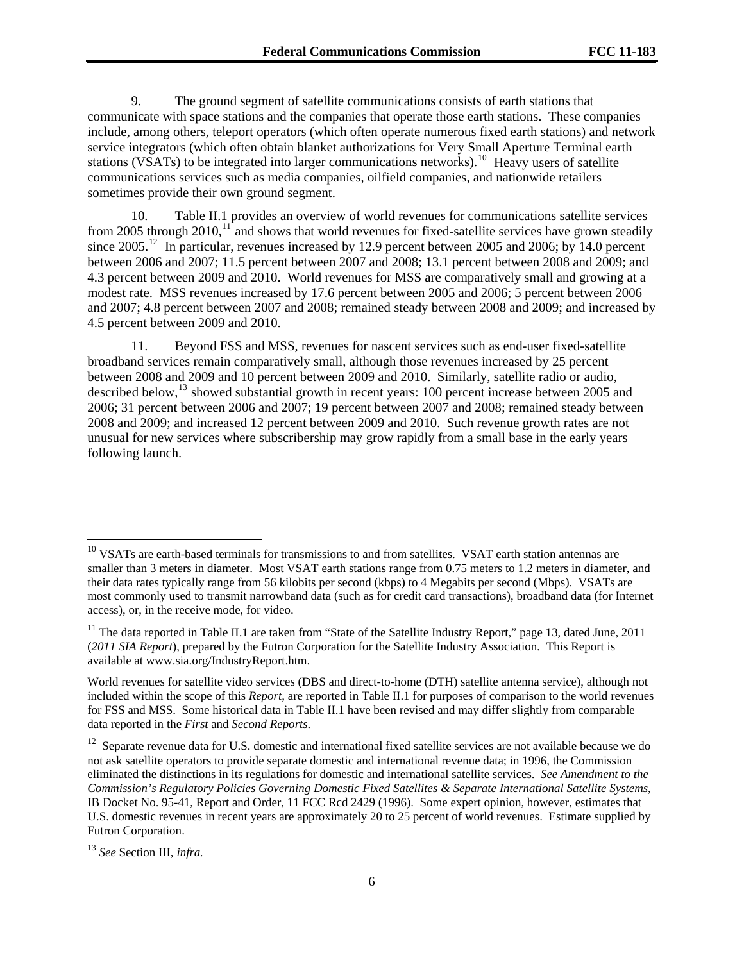9. The ground segment of satellite communications consists of earth stations that communicate with space stations and the companies that operate those earth stations. These companies include, among others, teleport operators (which often operate numerous fixed earth stations) and network service integrators (which often obtain blanket authorizations for Very Small Aperture Terminal earth stations (VSATs) to be integrated into larger communications networks).<sup>[10](#page-5-0)</sup> Heavy users of satellite communications services such as media companies, oilfield companies, and nationwide retailers sometimes provide their own ground segment.

10. Table II.1 provides an overview of world revenues for communications satellite services from 2005 through 2010, $11$  and shows that world revenues for fixed-satellite services have grown steadily since 2005.<sup>[12](#page-5-2)</sup> In particular, revenues increased by 12.9 percent between 2005 and 2006; by 14.0 percent between 2006 and 2007; 11.5 percent between 2007 and 2008; 13.1 percent between 2008 and 2009; and 4.3 percent between 2009 and 2010. World revenues for MSS are comparatively small and growing at a modest rate. MSS revenues increased by 17.6 percent between 2005 and 2006; 5 percent between 2006 and 2007; 4.8 percent between 2007 and 2008; remained steady between 2008 and 2009; and increased by 4.5 percent between 2009 and 2010.

11. Beyond FSS and MSS, revenues for nascent services such as end-user fixed-satellite broadband services remain comparatively small, although those revenues increased by 25 percent between 2008 and 2009 and 10 percent between 2009 and 2010. Similarly, satellite radio or audio, described below,<sup>[13](#page-5-3)</sup> showed substantial growth in recent years: 100 percent increase between 2005 and 2006; 31 percent between 2006 and 2007; 19 percent between 2007 and 2008; remained steady between 2008 and 2009; and increased 12 percent between 2009 and 2010. Such revenue growth rates are not unusual for new services where subscribership may grow rapidly from a small base in the early years following launch.

 $\overline{\phantom{a}}$ 

<span id="page-5-0"></span><sup>&</sup>lt;sup>10</sup> VSATs are earth-based terminals for transmissions to and from satellites. VSAT earth station antennas are smaller than 3 meters in diameter. Most VSAT earth stations range from 0.75 meters to 1.2 meters in diameter, and their data rates typically range from 56 kilobits per second (kbps) to 4 Megabits per second (Mbps). VSATs are most commonly used to transmit narrowband data (such as for credit card transactions), broadband data (for Internet access), or, in the receive mode, for video.

<span id="page-5-1"></span> $11$  The data reported in Table II.1 are taken from "State of the Satellite Industry Report," page 13, dated June, 2011 (*2011 SIA Report*), prepared by the Futron Corporation for the Satellite Industry Association*.* This Report is available at www.sia.org/IndustryReport.htm.

World revenues for satellite video services (DBS and direct-to-home (DTH) satellite antenna service), although not included within the scope of this *Report,* are reported in Table II.1 for purposes of comparison to the world revenues for FSS and MSS. Some historical data in Table II.1 have been revised and may differ slightly from comparable data reported in the *First* and *Second Reports*.

<span id="page-5-2"></span> $12$  Separate revenue data for U.S. domestic and international fixed satellite services are not available because we do not ask satellite operators to provide separate domestic and international revenue data; in 1996, the Commission eliminated the distinctions in its regulations for domestic and international satellite services. *See Amendment to the Commission's Regulatory Policies Governing Domestic Fixed Satellites & Separate International Satellite Systems*, IB Docket No. 95-41, Report and Order, 11 FCC Rcd 2429 (1996). Some expert opinion, however, estimates that U.S. domestic revenues in recent years are approximately 20 to 25 percent of world revenues. Estimate supplied by Futron Corporation.

<span id="page-5-3"></span><sup>13</sup> *See* Section III, *infra.*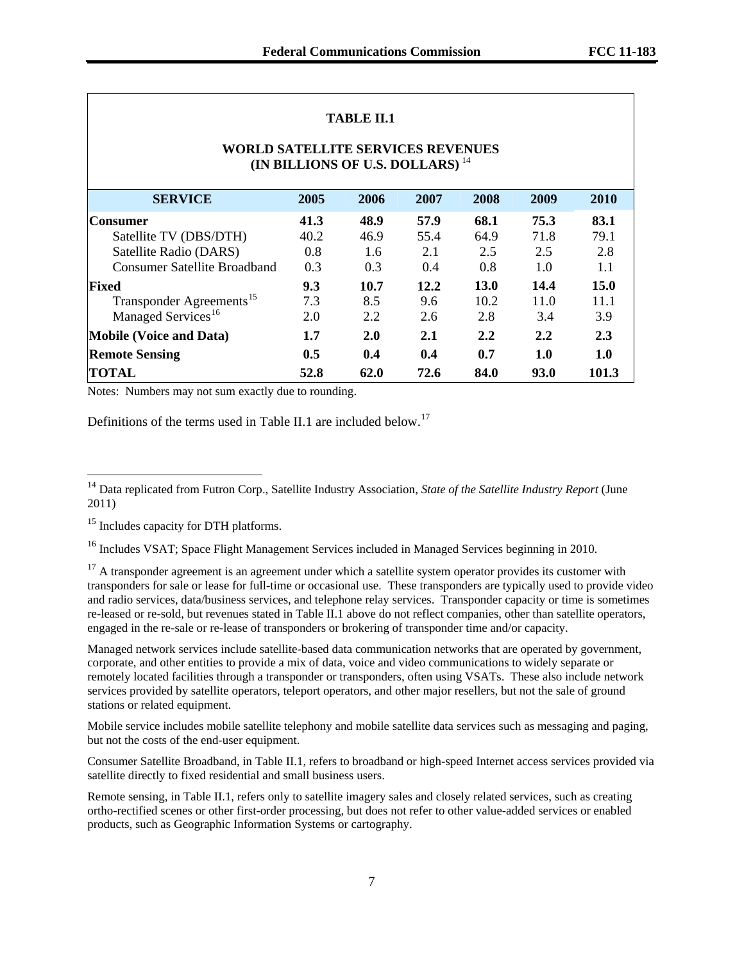| <b>TABLE II.1</b>                                                                       |                                               |               |      |      |      |      |  |
|-----------------------------------------------------------------------------------------|-----------------------------------------------|---------------|------|------|------|------|--|
| <b>WORLD SATELLITE SERVICES REVENUES</b><br>(IN BILLIONS OF U.S. DOLLARS) <sup>14</sup> |                                               |               |      |      |      |      |  |
| <b>SERVICE</b>                                                                          | 2005                                          | 2006          | 2007 | 2008 | 2009 | 2010 |  |
| Consumer                                                                                | 41.3                                          | 48.9          | 57.9 | 68.1 | 75.3 | 83.1 |  |
| Satellite TV (DBS/DTH)                                                                  | 40.2                                          | 46.9          | 55.4 | 64.9 | 71.8 | 79.1 |  |
| Satellite Radio (DARS)                                                                  | 0.8                                           | $1.6^{\circ}$ | 2.1  | 2.5  | 2.5  | 2.8  |  |
| Consumer Satellite Broadband                                                            | 0.3                                           | 0.3           | 0.4  | 0.8  | 1.0  | 1.1  |  |
| Fixed                                                                                   | 9.3                                           | 10.7          | 12.2 | 13.0 | 14.4 | 15.0 |  |
| Transponder Agreements <sup>15</sup>                                                    | 7.3                                           | 8.5           | 9.6  | 10.2 | 11.0 | 11.1 |  |
| Managed Services <sup>16</sup>                                                          | 2.0                                           | 2.2           | 2.6  | 2.8  | 3.4  | 3.9  |  |
| <b>Mobile (Voice and Data)</b><br>2.1<br>1.7<br>2.0<br>2.2<br>2.2                       |                                               |               |      |      | 2.3  |      |  |
| <b>Remote Sensing</b>                                                                   | 0.5                                           | 0.4           | 0.4  | 0.7  | 1.0  | 1.0  |  |
| <b>TOTAL</b>                                                                            | 62.0<br>72.6<br>84.0<br>93.0<br>101.3<br>52.8 |               |      |      |      |      |  |

#### Notes: Numbers may not sum exactly due to rounding.

Definitions of the terms used in Table II.1 are included below.<sup>[17](#page-6-3)</sup>

l

<span id="page-6-2"></span><sup>16</sup> Includes VSAT; Space Flight Management Services included in Managed Services beginning in 2010.

<span id="page-6-3"></span><sup>17</sup> A transponder agreement is an agreement under which a satellite system operator provides its customer with transponders for sale or lease for full-time or occasional use. These transponders are typically used to provide video and radio services, data/business services, and telephone relay services. Transponder capacity or time is sometimes re-leased or re-sold, but revenues stated in Table II.1 above do not reflect companies, other than satellite operators, engaged in the re-sale or re-lease of transponders or brokering of transponder time and/or capacity.

Managed network services include satellite-based data communication networks that are operated by government, corporate, and other entities to provide a mix of data, voice and video communications to widely separate or remotely located facilities through a transponder or transponders, often using VSATs. These also include network services provided by satellite operators, teleport operators, and other major resellers, but not the sale of ground stations or related equipment.

Mobile service includes mobile satellite telephony and mobile satellite data services such as messaging and paging, but not the costs of the end-user equipment.

Consumer Satellite Broadband, in Table II.1, refers to broadband or high-speed Internet access services provided via satellite directly to fixed residential and small business users.

Remote sensing, in Table II.1, refers only to satellite imagery sales and closely related services, such as creating ortho-rectified scenes or other first-order processing, but does not refer to other value-added services or enabled products, such as Geographic Information Systems or cartography.

<span id="page-6-0"></span><sup>14</sup> Data replicated from Futron Corp., Satellite Industry Association, *State of the Satellite Industry Report* (June 2011)

<span id="page-6-1"></span><sup>&</sup>lt;sup>15</sup> Includes capacity for DTH platforms.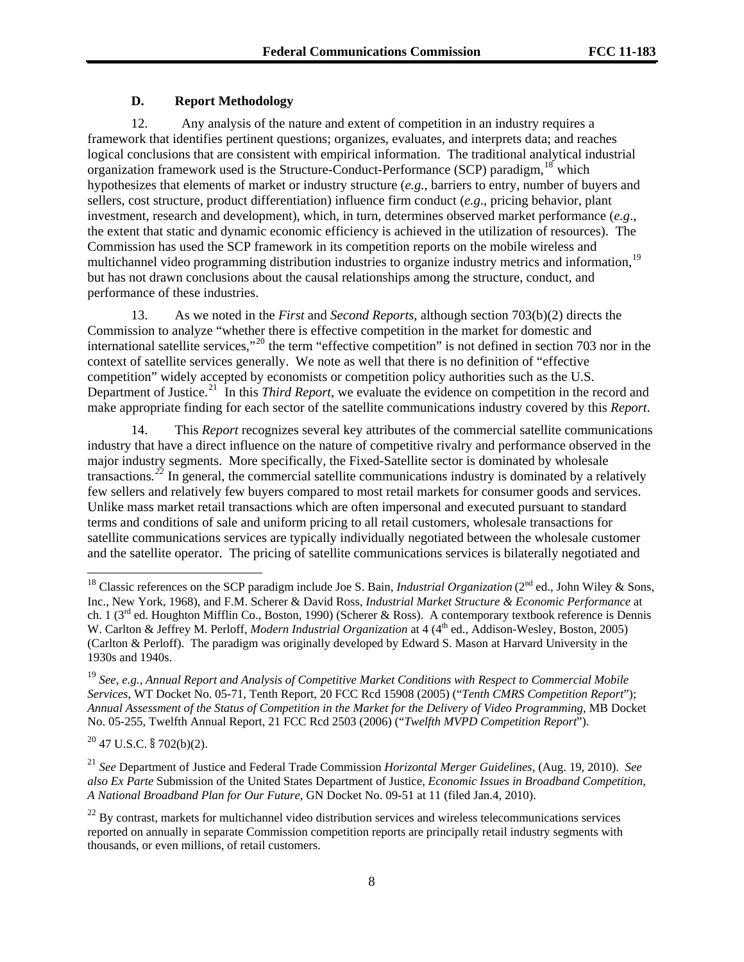# **D. Report Methodology**

12. Any analysis of the nature and extent of competition in an industry requires a framework that identifies pertinent questions; organizes, evaluates, and interprets data; and reaches logical conclusions that are consistent with empirical information. The traditional analytical industrial organization framework used is the Structure-Conduct-Performance (SCP) paradigm, <sup>[18](#page-7-0)</sup> which hypothesizes that elements of market or industry structure (*e.g.*, barriers to entry, number of buyers and sellers, cost structure, product differentiation) influence firm conduct (*e.g*., pricing behavior, plant investment, research and development), which, in turn, determines observed market performance (*e.g*., the extent that static and dynamic economic efficiency is achieved in the utilization of resources). The Commission has used the SCP framework in its competition reports on the mobile wireless and multichannel video programming distribution industries to organize industry metrics and information,<sup>[19](#page-7-1)</sup> but has not drawn conclusions about the causal relationships among the structure, conduct, and performance of these industries.

13. As we noted in the *First* and *Second Reports*, although section 703(b)(2) directs the Commission to analyze "whether there is effective competition in the market for domestic and international satellite services,"[20](#page-7-2) the term "effective competition" is not defined in section 703 nor in the context of satellite services generally. We note as well that there is no definition of "effective competition" widely accepted by economists or competition policy authorities such as the U.S. Department of Justice.<sup>[21](#page-7-3)</sup> In this *Third Report*, we evaluate the evidence on competition in the record and make appropriate finding for each sector of the satellite communications industry covered by this *Report*.

14. This *Report* recognizes several key attributes of the commercial satellite communications industry that have a direct influence on the nature of competitive rivalry and performance observed in the major industry segments. More specifically, the Fixed-Satellite sector is dominated by wholesale transactions*. [22](#page-7-4)* In general, the commercial satellite communications industry is dominated by a relatively few sellers and relatively few buyers compared to most retail markets for consumer goods and services. Unlike mass market retail transactions which are often impersonal and executed pursuant to standard terms and conditions of sale and uniform pricing to all retail customers, wholesale transactions for satellite communications services are typically individually negotiated between the wholesale customer and the satellite operator. The pricing of satellite communications services is bilaterally negotiated and

<span id="page-7-2"></span> $20$  47 U.S.C. § 702(b)(2).

 $\overline{\phantom{a}}$ 

<span id="page-7-0"></span><sup>&</sup>lt;sup>18</sup> Classic references on the SCP paradigm include Joe S. Bain, *Industrial Organization* (2<sup>nd</sup> ed., John Wiley & Sons, Inc., New York, 1968), and F.M. Scherer & David Ross, *Industrial Market Structure & Economic Performance* at ch. 1 (3<sup>rd</sup> ed. Houghton Mifflin Co., Boston, 1990) (Scherer & Ross). A contemporary textbook reference is Dennis W. Carlton & Jeffrey M. Perloff, *Modern Industrial Organization* at 4 (4<sup>th</sup> ed., Addison-Wesley, Boston, 2005) (Carlton & Perloff). The paradigm was originally developed by Edward S. Mason at Harvard University in the 1930s and 1940s.

<span id="page-7-1"></span><sup>19</sup> *See, e.g., Annual Report and Analysis of Competitive Market Conditions with Respect to Commercial Mobile Services*, WT Docket No. 05-71, Tenth Report, 20 FCC Rcd 15908 (2005) ("*Tenth CMRS Competition Report*"); *Annual Assessment of the Status of Competition in the Market for the Delivery of Video Programming*, MB Docket No. 05-255, Twelfth Annual Report, 21 FCC Rcd 2503 (2006) ("*Twelfth MVPD Competition Report*").

<span id="page-7-3"></span><sup>21</sup> *See* Department of Justice and Federal Trade Commission *Horizontal Merger Guidelines*, (Aug. 19, 2010). *See also Ex Parte* Submission of the United States Department of Justice, *Economic Issues in Broadband Competition, A National Broadband Plan for Our Future*, GN Docket No. 09-51 at 11 (filed Jan.4, 2010).

<span id="page-7-4"></span> $^{22}$  By contrast, markets for multichannel video distribution services and wireless telecommunications services reported on annually in separate Commission competition reports are principally retail industry segments with thousands, or even millions, of retail customers.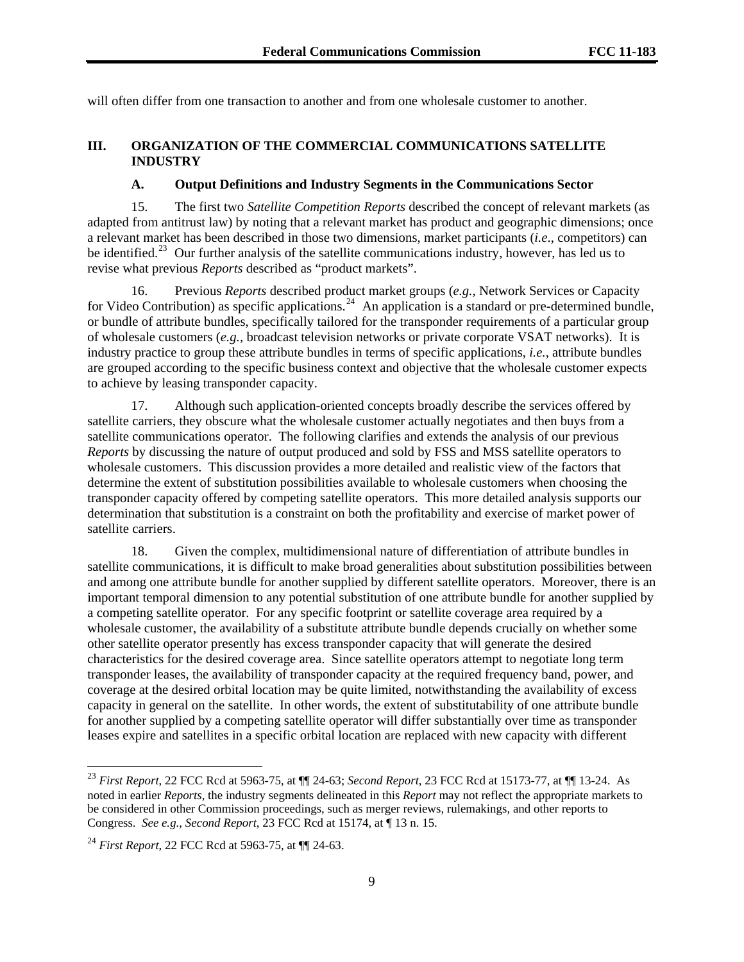will often differ from one transaction to another and from one wholesale customer to another.

# **III. ORGANIZATION OF THE COMMERCIAL COMMUNICATIONS SATELLITE INDUSTRY**

# **A. Output Definitions and Industry Segments in the Communications Sector**

15. The first two *Satellite Competition Reports* described the concept of relevant markets (as adapted from antitrust law) by noting that a relevant market has product and geographic dimensions; once a relevant market has been described in those two dimensions, market participants (*i.e*., competitors) can be identified.<sup>[23](#page-8-0)</sup> Our further analysis of the satellite communications industry, however, has led us to revise what previous *Reports* described as "product markets".

16. Previous *Reports* described product market groups (*e.g.,* Network Services or Capacity for Video Contribution) as specific applications.<sup>[24](#page-8-1)</sup> An application is a standard or pre-determined bundle, or bundle of attribute bundles, specifically tailored for the transponder requirements of a particular group of wholesale customers (*e.g.,* broadcast television networks or private corporate VSAT networks). It is industry practice to group these attribute bundles in terms of specific applications, *i.e.*, attribute bundles are grouped according to the specific business context and objective that the wholesale customer expects to achieve by leasing transponder capacity.

17. Although such application-oriented concepts broadly describe the services offered by satellite carriers, they obscure what the wholesale customer actually negotiates and then buys from a satellite communications operator. The following clarifies and extends the analysis of our previous *Reports* by discussing the nature of output produced and sold by FSS and MSS satellite operators to wholesale customers. This discussion provides a more detailed and realistic view of the factors that determine the extent of substitution possibilities available to wholesale customers when choosing the transponder capacity offered by competing satellite operators. This more detailed analysis supports our determination that substitution is a constraint on both the profitability and exercise of market power of satellite carriers.

18. Given the complex, multidimensional nature of differentiation of attribute bundles in satellite communications, it is difficult to make broad generalities about substitution possibilities between and among one attribute bundle for another supplied by different satellite operators. Moreover, there is an important temporal dimension to any potential substitution of one attribute bundle for another supplied by a competing satellite operator. For any specific footprint or satellite coverage area required by a wholesale customer, the availability of a substitute attribute bundle depends crucially on whether some other satellite operator presently has excess transponder capacity that will generate the desired characteristics for the desired coverage area. Since satellite operators attempt to negotiate long term transponder leases, the availability of transponder capacity at the required frequency band, power, and coverage at the desired orbital location may be quite limited, notwithstanding the availability of excess capacity in general on the satellite. In other words, the extent of substitutability of one attribute bundle for another supplied by a competing satellite operator will differ substantially over time as transponder leases expire and satellites in a specific orbital location are replaced with new capacity with different

<span id="page-8-0"></span><sup>23</sup> *First Report*, 22 FCC Rcd at 5963-75, at ¶¶ 24-63; *Second Report*, 23 FCC Rcd at 15173-77, at ¶¶ 13-24. As noted in earlier *Reports*, the industry segments delineated in this *Report* may not reflect the appropriate markets to be considered in other Commission proceedings, such as merger reviews, rulemakings, and other reports to Congress. *See e.g., Second Report*, 23 FCC Rcd at 15174, at ¶ 13 n. 15.

<span id="page-8-1"></span><sup>24</sup> *First Report*, 22 FCC Rcd at 5963-75, at ¶¶ 24-63.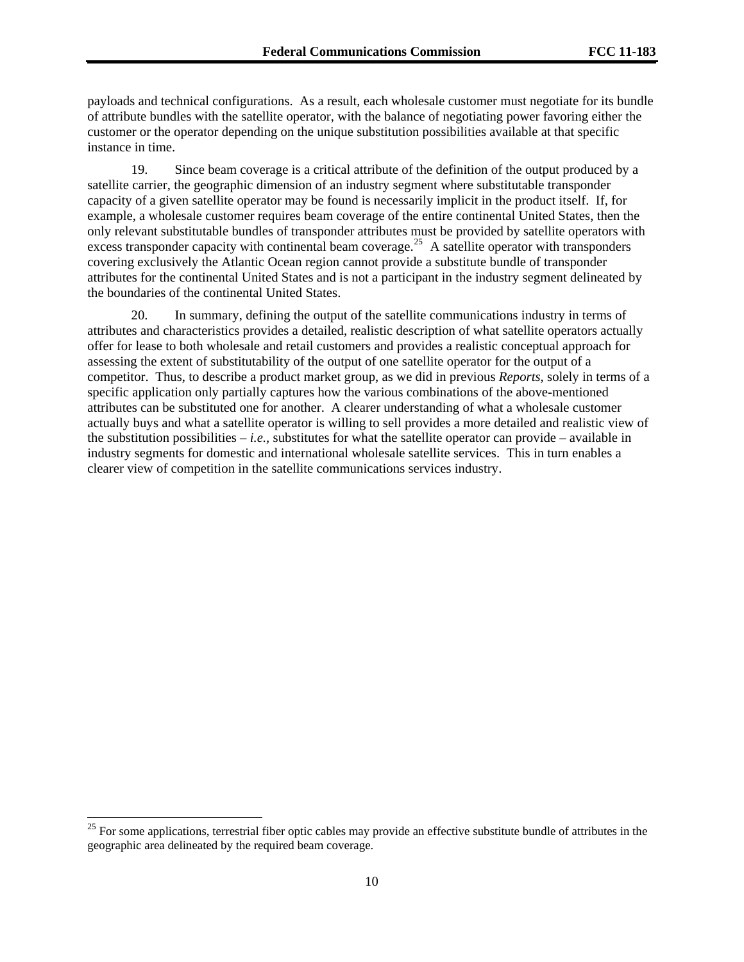payloads and technical configurations. As a result, each wholesale customer must negotiate for its bundle of attribute bundles with the satellite operator, with the balance of negotiating power favoring either the customer or the operator depending on the unique substitution possibilities available at that specific instance in time.

19. Since beam coverage is a critical attribute of the definition of the output produced by a satellite carrier, the geographic dimension of an industry segment where substitutable transponder capacity of a given satellite operator may be found is necessarily implicit in the product itself. If, for example, a wholesale customer requires beam coverage of the entire continental United States, then the only relevant substitutable bundles of transponder attributes must be provided by satellite operators with excess transponder capacity with continental beam coverage.<sup>[25](#page-9-0)</sup> A satellite operator with transponders covering exclusively the Atlantic Ocean region cannot provide a substitute bundle of transponder attributes for the continental United States and is not a participant in the industry segment delineated by the boundaries of the continental United States.

20. In summary, defining the output of the satellite communications industry in terms of attributes and characteristics provides a detailed, realistic description of what satellite operators actually offer for lease to both wholesale and retail customers and provides a realistic conceptual approach for assessing the extent of substitutability of the output of one satellite operator for the output of a competitor. Thus, to describe a product market group, as we did in previous *Reports*, solely in terms of a specific application only partially captures how the various combinations of the above-mentioned attributes can be substituted one for another. A clearer understanding of what a wholesale customer actually buys and what a satellite operator is willing to sell provides a more detailed and realistic view of the substitution possibilities  $-i.e.,$  substitutes for what the satellite operator can provide – available in industry segments for domestic and international wholesale satellite services. This in turn enables a clearer view of competition in the satellite communications services industry.

<span id="page-9-0"></span> $25$  For some applications, terrestrial fiber optic cables may provide an effective substitute bundle of attributes in the geographic area delineated by the required beam coverage.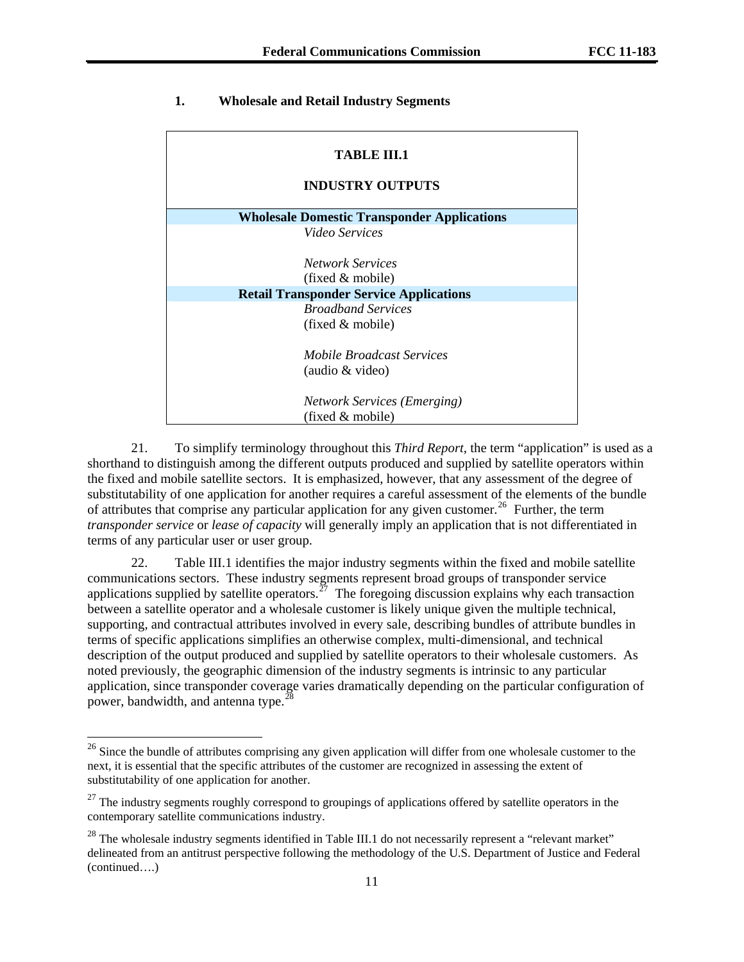# **1. Wholesale and Retail Industry Segments**

| TABLE III.1                                        |  |  |  |  |
|----------------------------------------------------|--|--|--|--|
| <b>INDUSTRY OUTPUTS</b>                            |  |  |  |  |
| <b>Wholesale Domestic Transponder Applications</b> |  |  |  |  |
| <i>Video Services</i>                              |  |  |  |  |
| Network Services                                   |  |  |  |  |
| (fixed & mobile)                                   |  |  |  |  |
| <b>Retail Transponder Service Applications</b>     |  |  |  |  |
| <b>Broadband Services</b>                          |  |  |  |  |
| (fixed & mobile)                                   |  |  |  |  |
| Mobile Broadcast Services                          |  |  |  |  |
| (audio & video)                                    |  |  |  |  |
| <b>Network Services (Emerging)</b>                 |  |  |  |  |
| (fixed & mobile)                                   |  |  |  |  |

21. To simplify terminology throughout this *Third Report*, the term "application" is used as a shorthand to distinguish among the different outputs produced and supplied by satellite operators within the fixed and mobile satellite sectors. It is emphasized, however, that any assessment of the degree of substitutability of one application for another requires a careful assessment of the elements of the bundle of attributes that comprise any particular application for any given customer.<sup>[26](#page-10-0)</sup> Further, the term *transponder service* or *lease of capacity* will generally imply an application that is not differentiated in terms of any particular user or user group.

22. Table III.1 identifies the major industry segments within the fixed and mobile satellite communications sectors. These industry segments represent broad groups of transponder service applications supplied by satellite operators.<sup> $27$ </sup> The foregoing discussion explains why each transaction between a satellite operator and a wholesale customer is likely unique given the multiple technical, supporting, and contractual attributes involved in every sale, describing bundles of attribute bundles in terms of specific applications simplifies an otherwise complex, multi-dimensional, and technical description of the output produced and supplied by satellite operators to their wholesale customers. As noted previously, the geographic dimension of the industry segments is intrinsic to any particular application, since transponder coverage varies dramatically depending on the particular configuration of power, bandwidth, and antenna type.<sup>[28](#page-10-2)</sup>

1

<span id="page-10-0"></span> $26$  Since the bundle of attributes comprising any given application will differ from one wholesale customer to the next, it is essential that the specific attributes of the customer are recognized in assessing the extent of substitutability of one application for another.

<span id="page-10-1"></span><sup>&</sup>lt;sup>27</sup> The industry segments roughly correspond to groupings of applications offered by satellite operators in the contemporary satellite communications industry.

<span id="page-10-2"></span><sup>(</sup>continued….)  $^{28}$  The wholesale industry segments identified in Table III.1 do not necessarily represent a "relevant market" delineated from an antitrust perspective following the methodology of the U.S. Department of Justice and Federal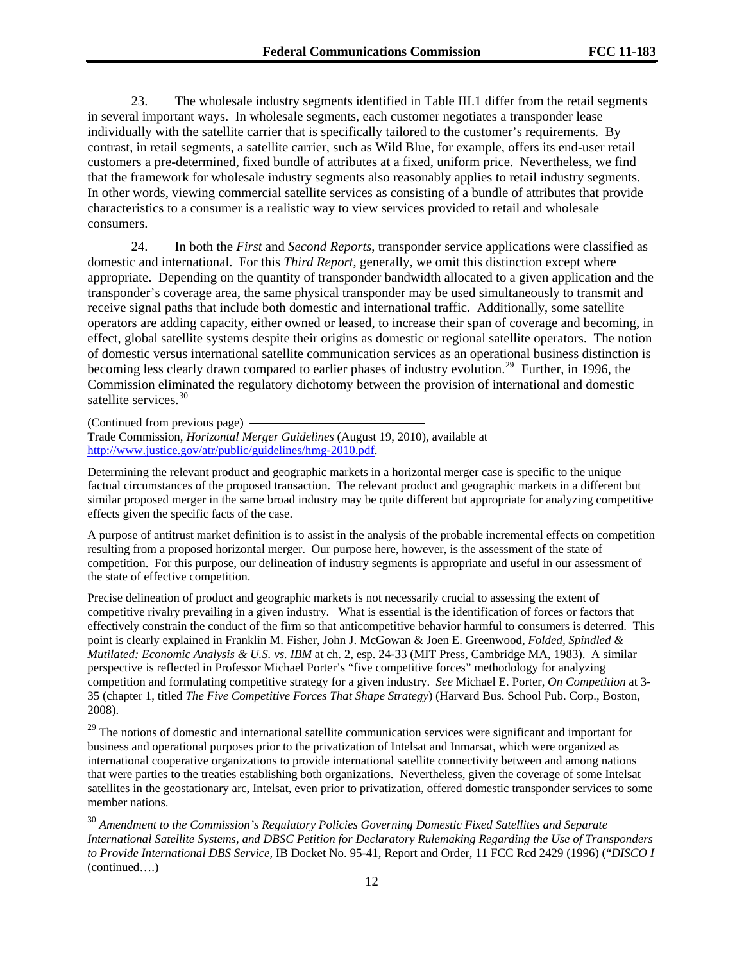23. The wholesale industry segments identified in Table III.1 differ from the retail segments in several important ways. In wholesale segments, each customer negotiates a transponder lease individually with the satellite carrier that is specifically tailored to the customer's requirements. By contrast, in retail segments, a satellite carrier, such as Wild Blue, for example, offers its end-user retail customers a pre-determined, fixed bundle of attributes at a fixed, uniform price. Nevertheless, we find that the framework for wholesale industry segments also reasonably applies to retail industry segments. In other words, viewing commercial satellite services as consisting of a bundle of attributes that provide characteristics to a consumer is a realistic way to view services provided to retail and wholesale consumers.

24. In both the *First* and *Second Reports*, transponder service applications were classified as domestic and international. For this *Third Report*, generally, we omit this distinction except where appropriate. Depending on the quantity of transponder bandwidth allocated to a given application and the transponder's coverage area, the same physical transponder may be used simultaneously to transmit and receive signal paths that include both domestic and international traffic. Additionally, some satellite operators are adding capacity, either owned or leased, to increase their span of coverage and becoming, in effect, global satellite systems despite their origins as domestic or regional satellite operators. The notion of domestic versus international satellite communication services as an operational business distinction is becoming less clearly drawn compared to earlier phases of industry evolution.<sup>[29](#page-11-0)</sup> Further, in 1996, the Commission eliminated the regulatory dichotomy between the provision of international and domestic satellite services.<sup>[30](#page-11-1)</sup>

(Continued from previous page)

Trade Commission, *Horizontal Merger Guidelines* (August 19, 2010), available at <http://www.justice.gov/atr/public/guidelines/hmg-2010.pdf>.

Determining the relevant product and geographic markets in a horizontal merger case is specific to the unique factual circumstances of the proposed transaction. The relevant product and geographic markets in a different but similar proposed merger in the same broad industry may be quite different but appropriate for analyzing competitive effects given the specific facts of the case.

A purpose of antitrust market definition is to assist in the analysis of the probable incremental effects on competition resulting from a proposed horizontal merger. Our purpose here, however, is the assessment of the state of competition. For this purpose, our delineation of industry segments is appropriate and useful in our assessment of the state of effective competition.

Precise delineation of product and geographic markets is not necessarily crucial to assessing the extent of competitive rivalry prevailing in a given industry. What is essential is the identification of forces or factors that effectively constrain the conduct of the firm so that anticompetitive behavior harmful to consumers is deterred. This point is clearly explained in Franklin M. Fisher, John J. McGowan & Joen E. Greenwood, *Folded, Spindled & Mutilated: Economic Analysis & U.S. vs. IBM* at ch. 2, esp. 24-33 (MIT Press, Cambridge MA, 1983). A similar perspective is reflected in Professor Michael Porter's "five competitive forces" methodology for analyzing competition and formulating competitive strategy for a given industry. *See* Michael E. Porter, *On Competition* at 3- 35 (chapter 1, titled *The Five Competitive Forces That Shape Strategy*) (Harvard Bus. School Pub. Corp., Boston, 2008).

<span id="page-11-0"></span><sup>29</sup> The notions of domestic and international satellite communication services were significant and important for business and operational purposes prior to the privatization of Intelsat and Inmarsat, which were organized as international cooperative organizations to provide international satellite connectivity between and among nations that were parties to the treaties establishing both organizations. Nevertheless, given the coverage of some Intelsat satellites in the geostationary arc, Intelsat, even prior to privatization, offered domestic transponder services to some member nations.

<span id="page-11-1"></span><sup>30</sup> *Amendment to the Commission's Regulatory Policies Governing Domestic Fixed Satellites and Separate International Satellite Systems, and DBSC Petition for Declaratory Rulemaking Regarding the Use of Transponders to Provide International DBS Service,* IB Docket No. 95-41, Report and Order, 11 FCC Rcd 2429 (1996) ("*DISCO I*  (continued….)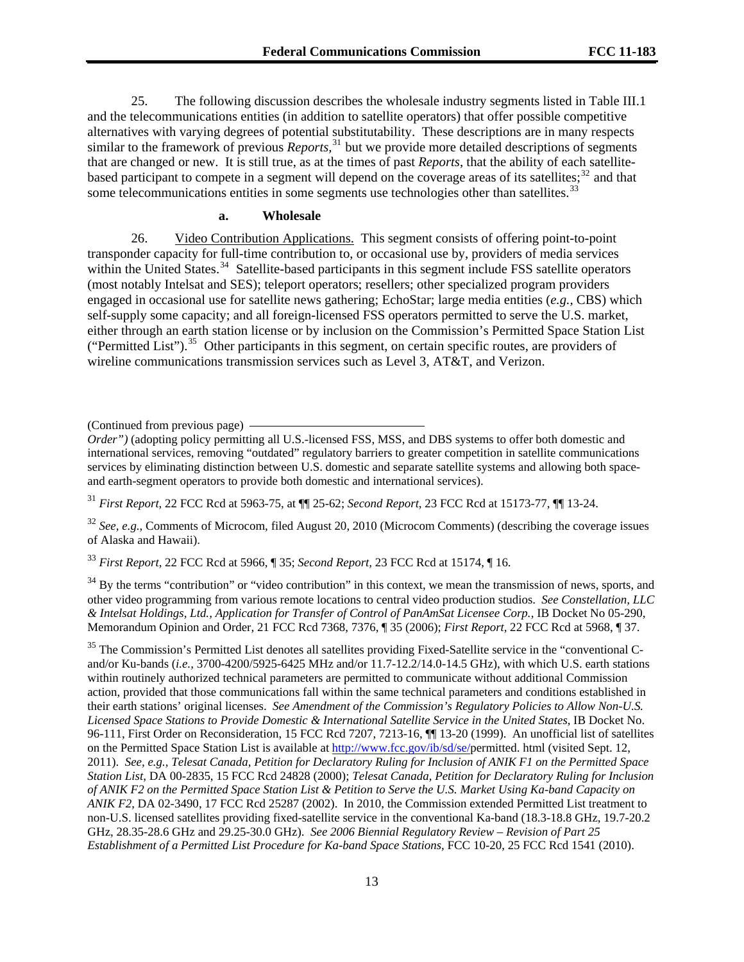25. The following discussion describes the wholesale industry segments listed in Table III.1 and the telecommunications entities (in addition to satellite operators) that offer possible competitive alternatives with varying degrees of potential substitutability. These descriptions are in many respects similar to the framework of previous *Reports*,<sup>[31](#page-12-0)</sup> but we provide more detailed descriptions of segments that are changed or new. It is still true, as at the times of past *Reports*, that the ability of each satellitebased participant to compete in a segment will depend on the coverage areas of its satellites; $32$  and that some telecommunications entities in some segments use technologies other than satellites.<sup>[33](#page-12-2)</sup>

#### **a. Wholesale**

26. Video Contribution Applications. This segment consists of offering point-to-point transponder capacity for full-time contribution to, or occasional use by, providers of media services within the United States.<sup>[34](#page-12-3)</sup> Satellite-based participants in this segment include FSS satellite operators (most notably Intelsat and SES); teleport operators; resellers; other specialized program providers engaged in occasional use for satellite news gathering; EchoStar; large media entities (*e.g.,* CBS) which self-supply some capacity; and all foreign-licensed FSS operators permitted to serve the U.S. market, either through an earth station license or by inclusion on the Commission's Permitted Space Station List ("Permitted List").[35](#page-12-4) Other participants in this segment, on certain specific routes, are providers of wireline communications transmission services such as Level 3, AT&T, and Verizon.

<span id="page-12-0"></span><sup>31</sup> *First Report*, 22 FCC Rcd at 5963-75, at ¶¶ 25-62; *Second Report*, 23 FCC Rcd at 15173-77, ¶¶ 13-24.

<span id="page-12-1"></span><sup>32</sup> *See, e.g.*, Comments of Microcom, filed August 20, 2010 (Microcom Comments) (describing the coverage issues of Alaska and Hawaii).

<span id="page-12-2"></span><sup>33</sup> *First Report,* 22 FCC Rcd at 5966, ¶ 35; *Second Report,* 23 FCC Rcd at 15174, ¶ 16.

<span id="page-12-3"></span> $34$  By the terms "contribution" or "video contribution" in this context, we mean the transmission of news, sports, and other video programming from various remote locations to central video production studios. *See Constellation, LLC & Intelsat Holdings, Ltd., Application for Transfer of Control of PanAmSat Licensee Corp.*, IB Docket No 05-290, Memorandum Opinion and Order*,* 21 FCC Rcd 7368, 7376, ¶ 35 (2006); *First Report,* 22 FCC Rcd at 5968, ¶ 37.

<span id="page-12-4"></span><sup>35</sup> The Commission's Permitted List denotes all satellites providing Fixed-Satellite service in the "conventional Cand/or Ku-bands (*i.e.,* 3700-4200/5925-6425 MHz and/or 11.7-12.2/14.0-14.5 GHz), with which U.S. earth stations within routinely authorized technical parameters are permitted to communicate without additional Commission action, provided that those communications fall within the same technical parameters and conditions established in their earth stations' original licenses. *See Amendment of the Commission's Regulatory Policies to Allow Non-U.S. Licensed Space Stations to Provide Domestic & International Satellite Service in the United States*, IB Docket No. 96-111, First Order on Reconsideration, 15 FCC Rcd 7207, 7213-16, ¶¶ 13-20 (1999). An unofficial list of satellites on the Permitted Space Station List is available at<http://www.fcc.gov/ib/sd/se/>permitted. html (visited Sept. 12, 2011). *See, e.g., Telesat Canada, Petition for Declaratory Ruling for Inclusion of ANIK F1 on the Permitted Space Station List*, DA 00-2835, 15 FCC Rcd 24828 (2000); *Telesat Canada, Petition for Declaratory Ruling for Inclusion of ANIK F2 on the Permitted Space Station List & Petition to Serve the U.S. Market Using Ka-band Capacity on ANIK F2*, DA 02-3490, 17 FCC Rcd 25287 (2002). In 2010, the Commission extended Permitted List treatment to non-U.S. licensed satellites providing fixed-satellite service in the conventional Ka-band (18.3-18.8 GHz, 19.7-20.2 GHz, 28.35-28.6 GHz and 29.25-30.0 GHz). *See 2006 Biennial Regulatory Review – Revision of Part 25 Establishment of a Permitted List Procedure for Ka-band Space Stations, FCC 10-20, 25 FCC Rcd 1541 (2010).* 

<sup>(</sup>Continued from previous page)

*Order")* (adopting policy permitting all U.S.-licensed FSS, MSS, and DBS systems to offer both domestic and international services, removing "outdated" regulatory barriers to greater competition in satellite communications services by eliminating distinction between U.S. domestic and separate satellite systems and allowing both spaceand earth-segment operators to provide both domestic and international services).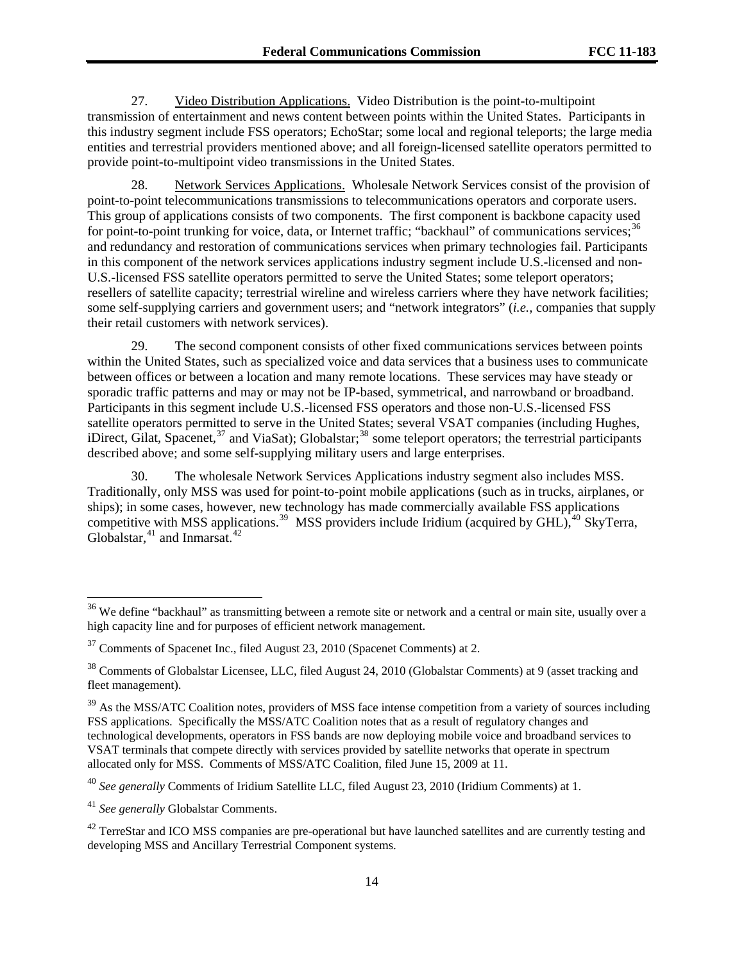27. Video Distribution Applications. Video Distribution is the point-to-multipoint transmission of entertainment and news content between points within the United States. Participants in this industry segment include FSS operators; EchoStar; some local and regional teleports; the large media entities and terrestrial providers mentioned above; and all foreign-licensed satellite operators permitted to provide point-to-multipoint video transmissions in the United States.

28. Network Services Applications. Wholesale Network Services consist of the provision of point-to-point telecommunications transmissions to telecommunications operators and corporate users. This group of applications consists of two components. The first component is backbone capacity used for point-to-point trunking for voice, data, or Internet traffic; "backhaul" of communications services;<sup>[36](#page-13-0)</sup> and redundancy and restoration of communications services when primary technologies fail. Participants in this component of the network services applications industry segment include U.S.-licensed and non-U.S.-licensed FSS satellite operators permitted to serve the United States; some teleport operators; resellers of satellite capacity; terrestrial wireline and wireless carriers where they have network facilities; some self-supplying carriers and government users; and "network integrators" (*i.e.,* companies that supply their retail customers with network services).

29. The second component consists of other fixed communications services between points within the United States, such as specialized voice and data services that a business uses to communicate between offices or between a location and many remote locations. These services may have steady or sporadic traffic patterns and may or may not be IP-based, symmetrical, and narrowband or broadband. Participants in this segment include U.S.-licensed FSS operators and those non-U.S.-licensed FSS satellite operators permitted to serve in the United States; several VSAT companies (including Hughes, iDirect, Gilat, Spacenet,<sup>[37](#page-13-1)</sup> and ViaSat); Globalstar;<sup>[38](#page-13-2)</sup> some teleport operators; the terrestrial participants described above; and some self-supplying military users and large enterprises.

30. The wholesale Network Services Applications industry segment also includes MSS. Traditionally, only MSS was used for point-to-point mobile applications (such as in trucks, airplanes, or ships); in some cases, however, new technology has made commercially available FSS applications competitive with MSS applications.<sup>[39](#page-13-3)</sup> MSS providers include Iridium (acquired by  $\text{GHL}$ ), <sup>[40](#page-13-4)</sup> SkyTerra, Globalstar,  $41$  and Inmarsat.  $42$ 

1

<span id="page-13-0"></span> $36$  We define "backhaul" as transmitting between a remote site or network and a central or main site, usually over a high capacity line and for purposes of efficient network management.

<span id="page-13-1"></span><sup>&</sup>lt;sup>37</sup> Comments of Spacenet Inc., filed August 23, 2010 (Spacenet Comments) at 2.

<span id="page-13-2"></span><sup>38</sup> Comments of Globalstar Licensee, LLC, filed August 24, 2010 (Globalstar Comments) at 9 (asset tracking and fleet management).

<span id="page-13-3"></span> $39$  As the MSS/ATC Coalition notes, providers of MSS face intense competition from a variety of sources including FSS applications. Specifically the MSS/ATC Coalition notes that as a result of regulatory changes and technological developments, operators in FSS bands are now deploying mobile voice and broadband services to VSAT terminals that compete directly with services provided by satellite networks that operate in spectrum allocated only for MSS. Comments of MSS/ATC Coalition, filed June 15, 2009 at 11.

<span id="page-13-4"></span><sup>40</sup> *See generally* Comments of Iridium Satellite LLC, filed August 23, 2010 (Iridium Comments) at 1.

<span id="page-13-5"></span><sup>41</sup> *See generally* Globalstar Comments.

<span id="page-13-6"></span><sup>&</sup>lt;sup>42</sup> TerreStar and ICO MSS companies are pre-operational but have launched satellites and are currently testing and developing MSS and Ancillary Terrestrial Component systems.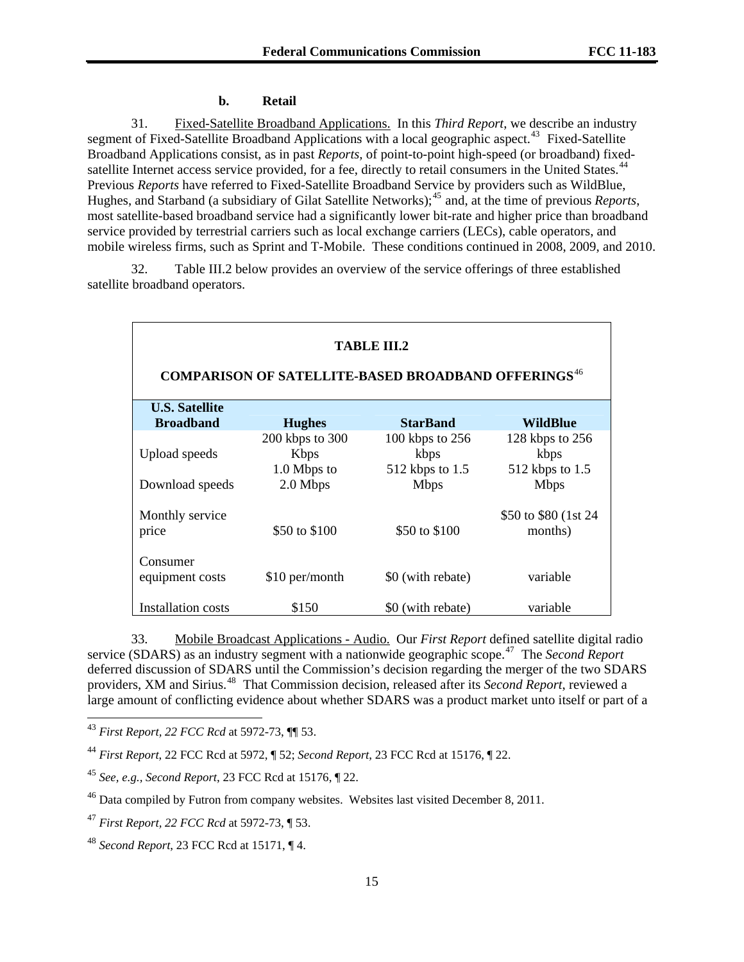#### **b. Retail**

31. Fixed-Satellite Broadband Applications. In this *Third Report*, we describe an industry segment of Fixed-Satellite Broadband Applications with a local geographic aspect.<sup>[43](#page-14-0)</sup> Fixed-Satellite Broadband Applications consist, as in past *Reports,* of point-to-point high-speed (or broadband) fixed-satellite Internet access service provided, for a fee, directly to retail consumers in the United States.<sup>[44](#page-14-1)</sup> Previous *Reports* have referred to Fixed-Satellite Broadband Service by providers such as WildBlue, Hughes, and Starband (a subsidiary of Gilat Satellite Networks);[45](#page-14-2) and, at the time of previous *Reports*, most satellite-based broadband service had a significantly lower bit-rate and higher price than broadband service provided by terrestrial carriers such as local exchange carriers (LECs), cable operators, and mobile wireless firms, such as Sprint and T-Mobile. These conditions continued in 2008, 2009, and 2010.

32. Table III.2 below provides an overview of the service offerings of three established satellite broadband operators.

| <b>TABLE III.2</b><br><b>COMPARISON OF SATELLITE-BASED BROADBAND OFFERINGS<sup>46</sup></b> |                                  |                   |                                  |  |  |
|---------------------------------------------------------------------------------------------|----------------------------------|-------------------|----------------------------------|--|--|
| <b>U.S. Satellite</b><br><b>Broadband</b>                                                   |                                  | <b>StarBand</b>   | WildBlue                         |  |  |
|                                                                                             | <b>Hughes</b><br>200 kbps to 300 | 100 kbps to 256   | 128 kbps to 256                  |  |  |
| Upload speeds                                                                               | <b>K</b> bps                     | kbps              | kbps                             |  |  |
|                                                                                             | 1.0 Mbps to                      | 512 kbps to 1.5   | 512 kbps to 1.5                  |  |  |
| Download speeds                                                                             | 2.0 Mbps                         | <b>Mbps</b>       | <b>Mbps</b>                      |  |  |
| Monthly service<br>price                                                                    | \$50 to \$100                    | \$50 to \$100     | \$50 to \$80 (1st 24)<br>months) |  |  |
| Consumer<br>equipment costs                                                                 | \$10 per/month                   | \$0 (with rebate) | variable                         |  |  |
| Installation costs                                                                          | \$150                            | \$0 (with rebate) | variable                         |  |  |

33. Mobile Broadcast Applications - Audio. Our *First Report* defined satellite digital radio service (SDARS) as an industry segment with a nationwide geographic scope.[47](#page-14-4) The *Second Report* deferred discussion of SDARS until the Commission's decision regarding the merger of the two SDARS providers, XM and Sirius.[48](#page-14-5) That Commission decision, released after its *Second Report*, reviewed a large amount of conflicting evidence about whether SDARS was a product market unto itself or part of a

1

<span id="page-14-0"></span><sup>43</sup> *First Report, 22 FCC Rcd* at 5972-73, ¶¶ 53.

<span id="page-14-1"></span><sup>44</sup> *First Report*, 22 FCC Rcd at 5972, ¶ 52; *Second Report*, 23 FCC Rcd at 15176, ¶ 22.

<span id="page-14-2"></span><sup>45</sup> *See, e.g., Second Report*, 23 FCC Rcd at 15176, ¶ 22.

<span id="page-14-3"></span><sup>&</sup>lt;sup>46</sup> Data compiled by Futron from company websites. Websites last visited December 8, 2011.

<span id="page-14-4"></span><sup>47</sup> *First Report, 22 FCC Rcd* at 5972-73, ¶ 53.

<span id="page-14-5"></span><sup>48</sup> *Second Report*, 23 FCC Rcd at 15171, ¶ 4.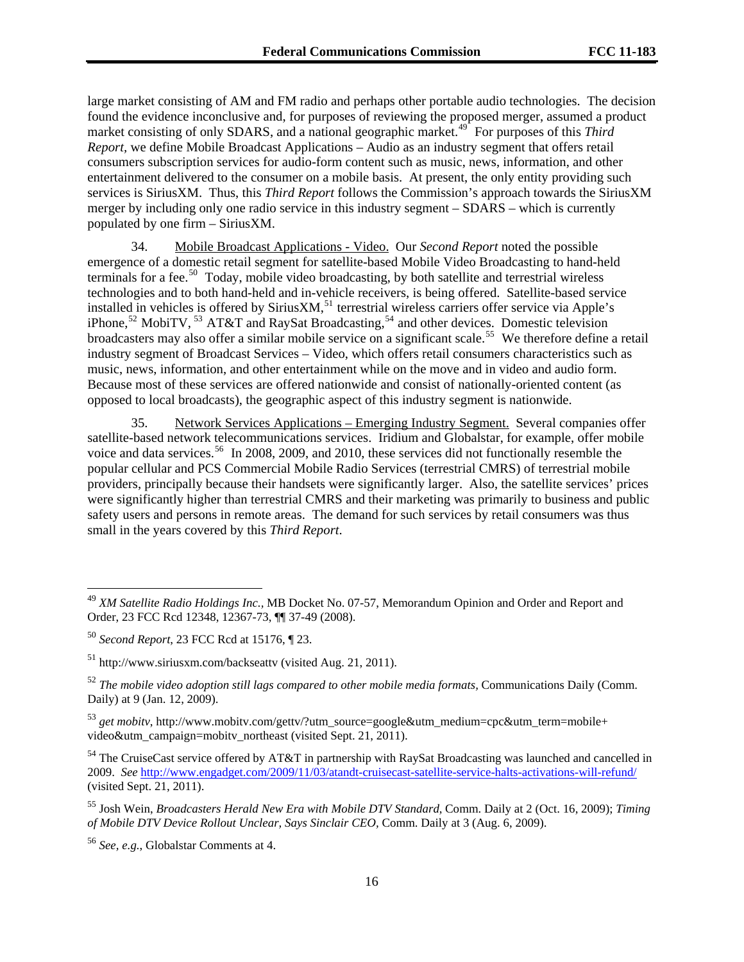large market consisting of AM and FM radio and perhaps other portable audio technologies. The decision found the evidence inconclusive and, for purposes of reviewing the proposed merger, assumed a product market consisting of only SDARS, and a national geographic market.<sup>49</sup> For purposes of this *Third Report,* we define Mobile Broadcast Applications – Audio as an industry segment that offers retail consumers subscription services for audio-form content such as music, news, information, and other entertainment delivered to the consumer on a mobile basis. At present, the only entity providing such services is SiriusXM. Thus, this *Third Report* follows the Commission's approach towards the SiriusXM merger by including only one radio service in this industry segment – SDARS – which is currently populated by one firm – SiriusXM.

34. Mobile Broadcast Applications - Video. Our *Second Report* noted the possible emergence of a domestic retail segment for satellite-based Mobile Video Broadcasting to hand-held terminals for a fee.<sup>[50](#page-15-0)</sup> Today, mobile video broadcasting, by both satellite and terrestrial wireless technologies and to both hand-held and in-vehicle receivers, is being offered. Satellite-based service installed in vehicles is offered by Sirius $XM$ ,  $^{51}$  $^{51}$  $^{51}$  terrestrial wireless carriers offer service via Apple's iPhone,<sup>[52](#page-15-2)</sup> MobiTV,<sup>[53](#page-15-3)</sup> AT&T and RaySat Broadcasting,<sup>[54](#page-15-4)</sup> and other devices. Domestic television broadcasters may also offer a similar mobile service on a significant scale.<sup>[55](#page-15-5)</sup> We therefore define a retail industry segment of Broadcast Services – Video, which offers retail consumers characteristics such as music, news, information, and other entertainment while on the move and in video and audio form. Because most of these services are offered nationwide and consist of nationally-oriented content (as opposed to local broadcasts), the geographic aspect of this industry segment is nationwide.

35. Network Services Applications – Emerging Industry Segment. Several companies offer satellite-based network telecommunications services. Iridium and Globalstar, for example, offer mobile voice and data services.<sup>[56](#page-15-6)</sup> In 2008, 2009, and 2010, these services did not functionally resemble the popular cellular and PCS Commercial Mobile Radio Services (terrestrial CMRS) of terrestrial mobile providers, principally because their handsets were significantly larger. Also, the satellite services' prices were significantly higher than terrestrial CMRS and their marketing was primarily to business and public safety users and persons in remote areas. The demand for such services by retail consumers was thus small in the years covered by this *Third Report*.

<sup>49</sup> *XM Satellite Radio Holdings Inc.,* MB Docket No. 07-57, Memorandum Opinion and Order and Report and Order, 23 FCC Rcd 12348, 12367-73, ¶¶ 37-49 (2008).

<span id="page-15-0"></span><sup>50</sup> *Second Report*, 23 FCC Rcd at 15176, ¶ 23.

<span id="page-15-1"></span><sup>51</sup> http://www.siriusxm.com/backseattv (visited Aug. 21, 2011).

<span id="page-15-2"></span><sup>52</sup> *The mobile video adoption still lags compared to other mobile media formats,* Communications Daily (Comm. Daily) at 9 (Jan. 12, 2009).

<span id="page-15-3"></span><sup>53</sup> *get mobitv*, http://www.mobitv.com/gettv/?utm\_source=google&utm\_medium=cpc&utm\_term=mobile+ video&utm\_campaign=mobitv\_northeast (visited Sept. 21, 2011).

<span id="page-15-4"></span><sup>&</sup>lt;sup>54</sup> The CruiseCast service offered by AT&T in partnership with RaySat Broadcasting was launched and cancelled in 2009. *See* <http://www.engadget.com/2009/11/03/atandt-cruisecast-satellite-service-halts-activations-will-refund/> (visited Sept. 21, 2011).

<span id="page-15-5"></span><sup>55</sup> Josh Wein, *Broadcasters Herald New Era with Mobile DTV Standard*, Comm. Daily at 2 (Oct. 16, 2009); *Timing of Mobile DTV Device Rollout Unclear, Says Sinclair CEO,* Comm. Daily at 3 (Aug. 6, 2009).

<span id="page-15-6"></span><sup>56</sup> *See, e.g.*, Globalstar Comments at 4.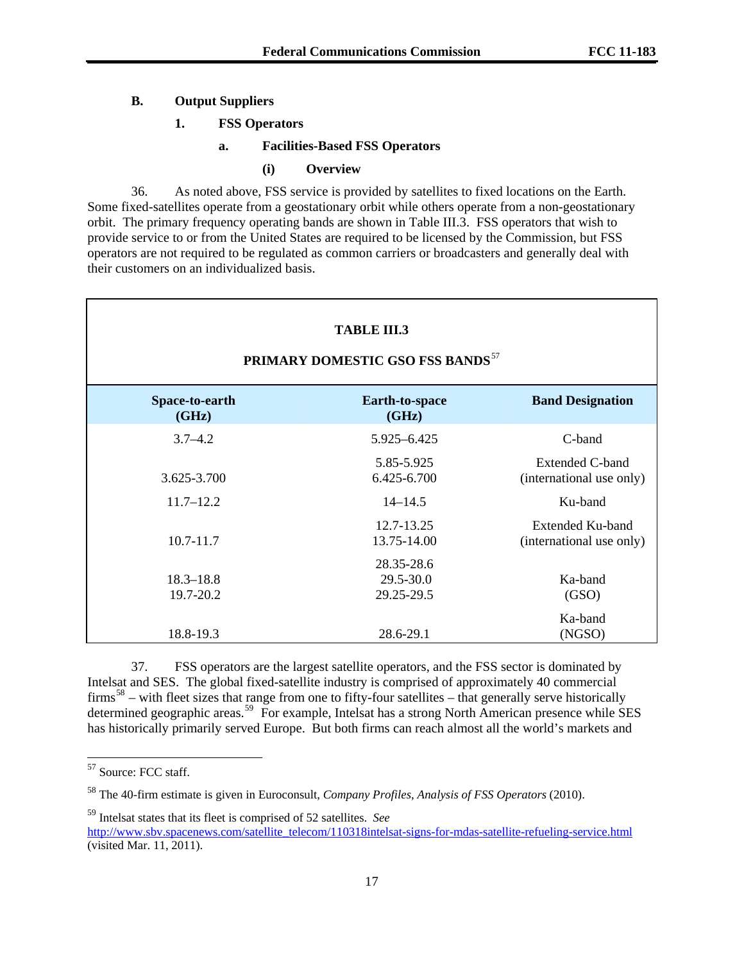# **B. Output Suppliers**

#### **1. FSS Operators**

### **a. Facilities-Based FSS Operators**

#### **(i) Overview**

36. As noted above, FSS service is provided by satellites to fixed locations on the Earth. Some fixed-satellites operate from a geostationary orbit while others operate from a non-geostationary orbit. The primary frequency operating bands are shown in Table III.3. FSS operators that wish to provide service to or from the United States are required to be licensed by the Commission, but FSS operators are not required to be regulated as common carriers or broadcasters and generally deal with their customers on an individualized basis.

| <b>TABLE III.3</b><br>PRIMARY DOMESTIC GSO FSS BANDS <sup>57</sup> |                                       |                                                    |  |  |
|--------------------------------------------------------------------|---------------------------------------|----------------------------------------------------|--|--|
| Space-to-earth<br>(GHz)                                            | Earth-to-space<br>(GHz)               | <b>Band Designation</b>                            |  |  |
| $3.7 - 4.2$                                                        | 5.925-6.425                           | C-band                                             |  |  |
| 3.625-3.700                                                        | 5.85-5.925<br>6.425-6.700             | <b>Extended C-band</b><br>(international use only) |  |  |
| $11.7 - 12.2$                                                      | $14 - 14.5$                           | Ku-band                                            |  |  |
| $10.7 - 11.7$                                                      | 12.7-13.25<br>13.75-14.00             | Extended Ku-band<br>(international use only)       |  |  |
| $18.3 - 18.8$<br>19.7-20.2                                         | 28.35-28.6<br>29.5-30.0<br>29.25-29.5 | Ka-band<br>(GSO)                                   |  |  |
| 18.8-19.3                                                          | 28.6-29.1                             | Ka-band<br>(NGSO)                                  |  |  |

37. FSS operators are the largest satellite operators, and the FSS sector is dominated by Intelsat and SES. The global fixed-satellite industry is comprised of approximately 40 commercial  $firms^{58}$  $firms^{58}$  $firms^{58}$  – with fleet sizes that range from one to fifty-four satellites – that generally serve historically determined geographic areas.<sup>[59](#page-16-2)</sup> For example, Intelsat has a strong North American presence while SES has historically primarily served Europe. But both firms can reach almost all the world's markets and

1

<span id="page-16-2"></span>59 Intelsat states that its fleet is comprised of 52 satellites. *See* [http://www.sbv.spacenews.com/satellite\\_telecom/110318intelsat-signs-for-mdas-satellite-refueling-service.html](http://www.sbv.spacenews.com/satellite_telecom/110318intelsat-signs-for-mdas-satellite-refueling-service.html) (visited Mar. 11, 2011).

<span id="page-16-0"></span><sup>57</sup> Source: FCC staff.

<span id="page-16-1"></span><sup>58</sup> The 40-firm estimate is given in Euroconsult, *Company Profiles, Analysis of FSS Operators* (2010).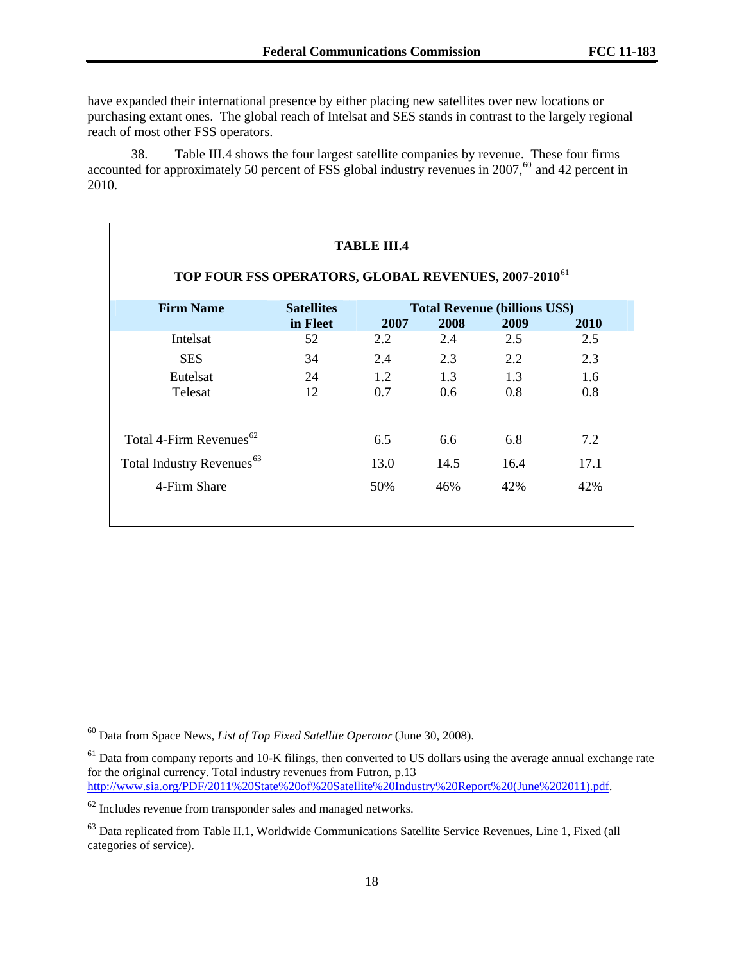have expanded their international presence by either placing new satellites over new locations or purchasing extant ones. The global reach of Intelsat and SES stands in contrast to the largely regional reach of most other FSS operators.

38. Table III.4 shows the four largest satellite companies by revenue. These four firms accounted for approximately 50 percent of FSS global industry revenues in 2007, $^{60}$  $^{60}$  $^{60}$  and 42 percent in 2010.

| <b>TABLE III.4</b><br>TOP FOUR FSS OPERATORS, GLOBAL REVENUES, 2007-2010 <sup>61</sup> |                   |      |      |                                      |      |  |
|----------------------------------------------------------------------------------------|-------------------|------|------|--------------------------------------|------|--|
| <b>Firm Name</b>                                                                       | <b>Satellites</b> |      |      | <b>Total Revenue (billions US\$)</b> |      |  |
|                                                                                        | in Fleet          | 2007 | 2008 | 2009                                 | 2010 |  |
| Intelsat                                                                               | 52                | 2.2  | 2.4  | 2.5                                  | 2.5  |  |
| <b>SES</b>                                                                             | 34                | 2.4  | 2.3  | 2.2                                  | 2.3  |  |
| Eutelsat                                                                               | 24                | 1.2  | 1.3  | 1.3                                  | 1.6  |  |
| Telesat                                                                                | 12                | 0.7  | 0.6  | 0.8                                  | 0.8  |  |
|                                                                                        |                   |      |      |                                      |      |  |
| Total 4-Firm Revenues <sup>62</sup>                                                    |                   | 6.5  | 6.6  | 6.8                                  | 7.2  |  |
| Total Industry Revenues <sup>63</sup>                                                  |                   | 13.0 | 14.5 | 16.4                                 | 17.1 |  |
| 4-Firm Share                                                                           |                   | 50%  | 46%  | 42%                                  | 42%  |  |
|                                                                                        |                   |      |      |                                      |      |  |

1

<span id="page-17-0"></span><sup>60</sup> Data from Space News, *List of Top Fixed Satellite Operator* (June 30, 2008).

<span id="page-17-1"></span><sup>&</sup>lt;sup>61</sup> Data from company reports and 10-K filings, then converted to US dollars using the average annual exchange rate for the original currency. Total industry revenues from Futron, p.13 [http://www.sia.org/PDF/2011%20State%20of%20Satellite%20Industry%20Report%20\(June%202011\).pdf.](http://www.sia.org/PDF/2011%20State%20of%20Satellite%20Industry%20Report%20(June%202011).pdf)

<span id="page-17-2"></span> $62$  Includes revenue from transponder sales and managed networks.

<span id="page-17-3"></span><sup>&</sup>lt;sup>63</sup> Data replicated from Table II.1, Worldwide Communications Satellite Service Revenues, Line 1, Fixed (all categories of service).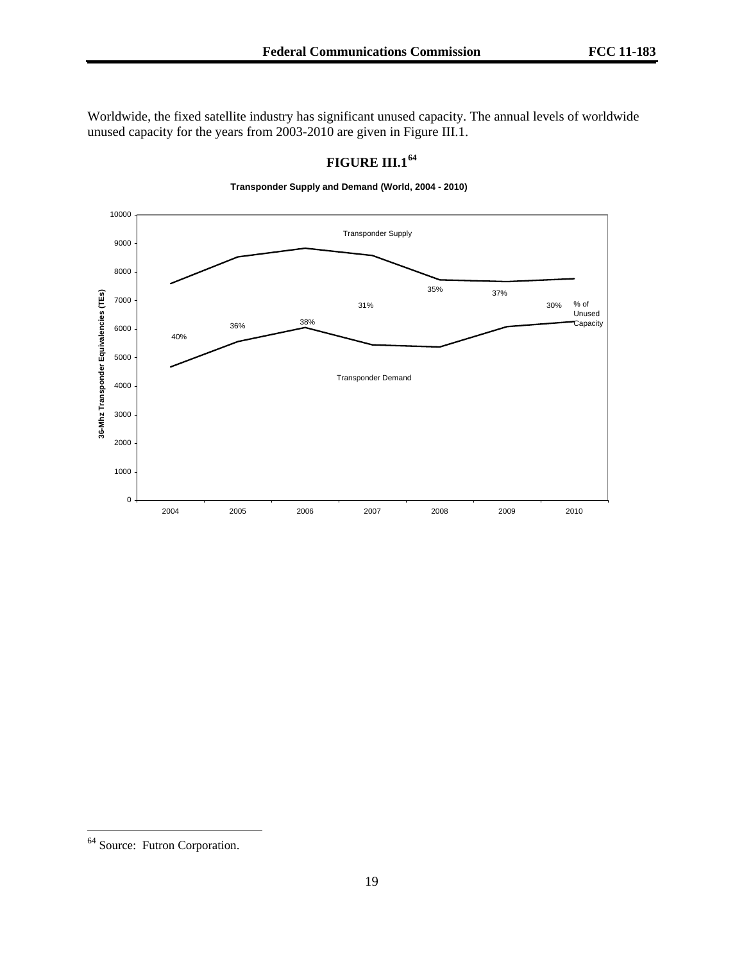Worldwide, the fixed satellite industry has significant unused capacity. The annual levels of worldwide unused capacity for the years from 2003-2010 are given in Figure III.1.



# **FIGURE III.1[64](#page-18-0)**

**Transponder Supply and Demand (World, 2004 - 2010)**

 $\overline{\phantom{a}}$ 

<span id="page-18-0"></span><sup>&</sup>lt;sup>64</sup> Source: Futron Corporation.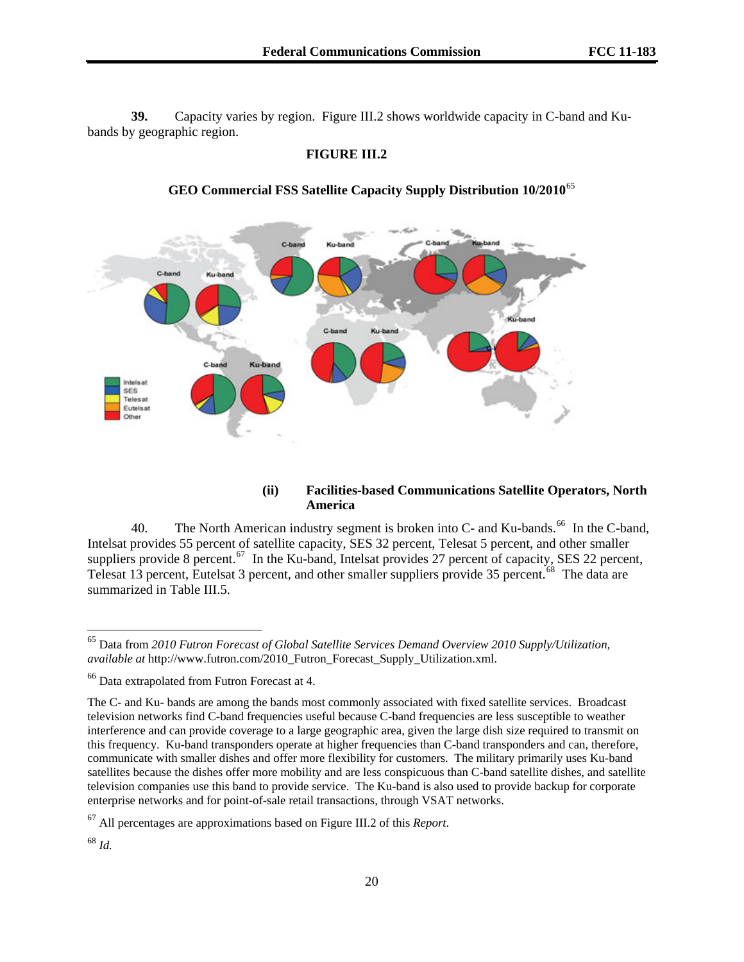**39.** Capacity varies by region. Figure III.2 shows worldwide capacity in C-band and Kubands by geographic region.

# **FIGURE III.2**



# **GEO Commercial FSS Satellite Capacity Supply Distribution 10/2010**[65](#page-19-0)

#### **(ii) Facilities-based Communications Satellite Operators, North America**

40. The North American industry segment is broken into C- and Ku-bands.<sup>[66](#page-19-1)</sup> In the C-band, Intelsat provides 55 percent of satellite capacity, SES 32 percent, Telesat 5 percent, and other smaller suppliers provide 8 percent.<sup>[67](#page-19-2)</sup> In the Ku-band, Intelsat provides 27 percent of capacity, SES 22 percent, Telesat 13 percent, Eutelsat 3 percent, and other smaller suppliers provide 35 percent.<sup>[68](#page-19-3)</sup> The data are summarized in Table III.5.

<span id="page-19-2"></span>67 All percentages are approximations based on Figure III.2 of this *Report*.

<span id="page-19-3"></span><sup>68</sup> *Id.* 

<span id="page-19-0"></span><sup>65</sup> Data from *2010 Futron Forecast of Global Satellite Services Demand Overview 2010 Supply/Utilization, available at* http://www.futron.com/2010\_Futron\_Forecast\_Supply\_Utilization.xml.

<span id="page-19-1"></span><sup>66</sup> Data extrapolated from Futron Forecast at 4.

The C- and Ku- bands are among the bands most commonly associated with fixed satellite services. Broadcast television networks find C-band frequencies useful because C-band frequencies are less susceptible to weather interference and can provide coverage to a large geographic area, given the large dish size required to transmit on this frequency. Ku-band transponders operate at higher frequencies than C-band transponders and can, therefore, communicate with smaller dishes and offer more flexibility for customers. The military primarily uses Ku-band satellites because the dishes offer more mobility and are less conspicuous than C-band satellite dishes, and satellite television companies use this band to provide service. The Ku-band is also used to provide backup for corporate enterprise networks and for point-of-sale retail transactions, through VSAT networks.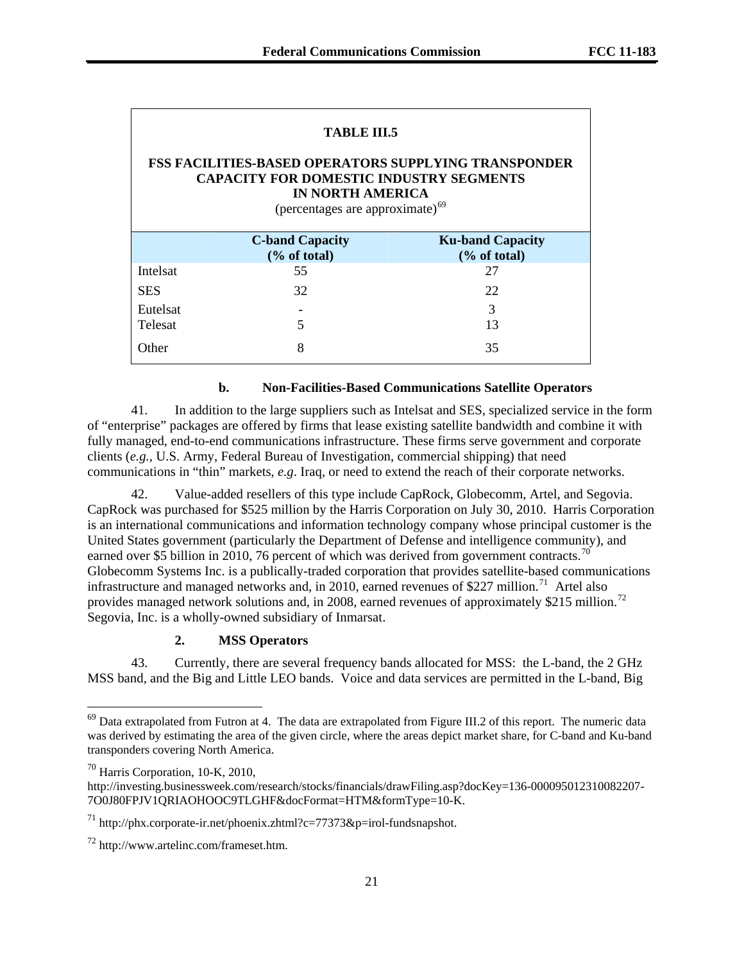| TABLE III.5<br><b>FSS FACILITIES-BASED OPERATORS SUPPLYING TRANSPONDER</b><br><b>CAPACITY FOR DOMESTIC INDUSTRY SEGMENTS</b><br><b>IN NORTH AMERICA</b><br>(percentages are approximate) <sup>69</sup> |                                           |                                       |  |  |
|--------------------------------------------------------------------------------------------------------------------------------------------------------------------------------------------------------|-------------------------------------------|---------------------------------------|--|--|
|                                                                                                                                                                                                        | <b>C-band Capacity</b><br>$(\%$ of total) | <b>Ku-band Capacity</b><br>% of total |  |  |
| Intelsat                                                                                                                                                                                               | 55                                        | 27                                    |  |  |
| <b>SES</b>                                                                                                                                                                                             | 32                                        | 22                                    |  |  |
| Eutelsat                                                                                                                                                                                               |                                           | 3                                     |  |  |
| <b>Telesat</b>                                                                                                                                                                                         |                                           | 13                                    |  |  |
| Other                                                                                                                                                                                                  | 8                                         | 35                                    |  |  |

#### **b. Non-Facilities-Based Communications Satellite Operators**

41. In addition to the large suppliers such as Intelsat and SES, specialized service in the form of "enterprise" packages are offered by firms that lease existing satellite bandwidth and combine it with fully managed, end-to-end communications infrastructure. These firms serve government and corporate clients (*e.g.,* U.S. Army, Federal Bureau of Investigation, commercial shipping) that need communications in "thin" markets, *e.g*. Iraq, or need to extend the reach of their corporate networks.

42. Value-added resellers of this type include CapRock, Globecomm, Artel, and Segovia. CapRock was purchased for \$525 million by the Harris Corporation on July 30, 2010. Harris Corporation is an international communications and information technology company whose principal customer is the United States government (particularly the Department of Defense and intelligence community), and earned over \$5 billion in 2010, 76 percent of which was derived from government contracts.<sup>[70](#page-20-1)</sup> Globecomm Systems Inc. is a publically-traded corporation that provides satellite-based communications infrastructure and managed networks and, in 2010, earned revenues of \$227 million.<sup>[71](#page-20-2)</sup> Artel also provides managed network solutions and, in 2008, earned revenues of approximately \$215 million.<sup>[72](#page-20-3)</sup> Segovia, Inc. is a wholly-owned subsidiary of Inmarsat.

# **2. MSS Operators**

43. Currently, there are several frequency bands allocated for MSS: the L-band, the 2 GHz MSS band, and the Big and Little LEO bands. Voice and data services are permitted in the L-band, Big

 $\overline{\phantom{a}}$ 

<span id="page-20-0"></span> $69$  Data extrapolated from Futron at 4. The data are extrapolated from Figure III.2 of this report. The numeric data was derived by estimating the area of the given circle, where the areas depict market share, for C-band and Ku-band transponders covering North America.

<span id="page-20-1"></span><sup>70</sup> Harris Corporation, 10-K, 2010,

http://investing.businessweek.com/research/stocks/financials/drawFiling.asp?docKey=136-000095012310082207- 7O0J80FPJV1QRIAOHOOC9TLGHF&docFormat=HTM&formType=10-K.

<span id="page-20-2"></span> $^{71}$  http://phx.corporate-ir.net/phoenix.zhtml?c=77373&p=irol-fundsnapshot.

<span id="page-20-3"></span><sup>72</sup> http://www.artelinc.com/frameset.htm.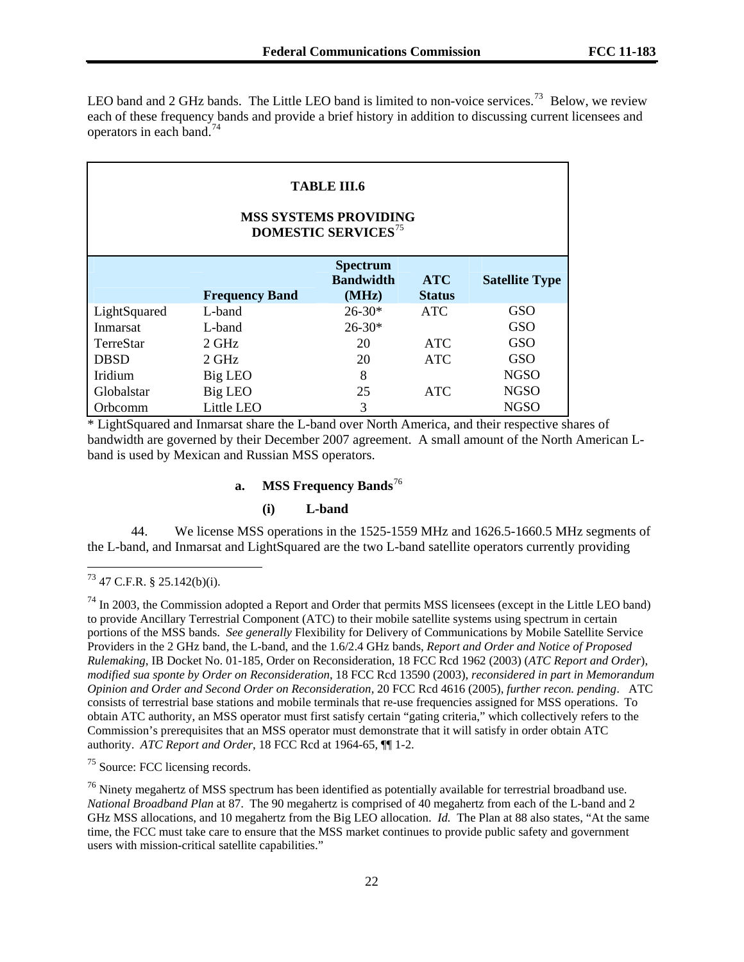LEO band and 2 GHz bands. The Little LEO band is limited to non-voice services.<sup>73</sup> Below, we review each of these frequency bands and provide a brief history in addition to discussing current licensees and operators in each band.<sup>74</sup>

| <b>TABLE III.6</b><br><b>MSS SYSTEMS PROVIDING</b><br><b>DOMESTIC SERVICES<sup>75</sup></b> |                       |                                              |                             |                       |  |
|---------------------------------------------------------------------------------------------|-----------------------|----------------------------------------------|-----------------------------|-----------------------|--|
|                                                                                             | <b>Frequency Band</b> | <b>Spectrum</b><br><b>Bandwidth</b><br>(MHz) | <b>ATC</b><br><b>Status</b> | <b>Satellite Type</b> |  |
| LightSquared                                                                                | L-band                | $26 - 30*$                                   | <b>ATC</b>                  | <b>GSO</b>            |  |
| Inmarsat                                                                                    | L-band                | $26 - 30*$                                   |                             | <b>GSO</b>            |  |
| <b>TerreStar</b>                                                                            | $2 \text{ GHz}$       | 20                                           | <b>ATC</b>                  | GSO                   |  |
| <b>DBSD</b>                                                                                 | $2$ GHz               | 20                                           | <b>ATC</b>                  | <b>GSO</b>            |  |
| Iridium                                                                                     | Big LEO               | 8                                            |                             | <b>NGSO</b>           |  |
| Globalstar                                                                                  | Big LEO               | 25                                           | <b>ATC</b>                  | <b>NGSO</b>           |  |
| Orbcomm                                                                                     | Little LEO            | 3                                            |                             | <b>NGSO</b>           |  |

\* LightSquared and Inmarsat share the L-band over North America, and their respective shares of bandwidth are governed by their December 2007 agreement. A small amount of the North American Lband is used by Mexican and Russian MSS operators.

# **a. MSS Frequency Bands**[76](#page-21-1)

### **(i) L-band**

44. We license MSS operations in the 1525-1559 MHz and 1626.5-1660.5 MHz segments of the L-band, and Inmarsat and LightSquared are the two L-band satellite operators currently providing

1

<span id="page-21-0"></span>75 Source: FCC licensing records.

 $^{73}$  47 C.F.R. § 25.142(b)(i).

 $74$  In 2003, the Commission adopted a Report and Order that permits MSS licensees (except in the Little LEO band) to provide Ancillary Terrestrial Component (ATC) to their mobile satellite systems using spectrum in certain portions of the MSS bands. *See generally* Flexibility for Delivery of Communications by Mobile Satellite Service Providers in the 2 GHz band, the L-band, and the 1.6/2.4 GHz bands, *Report and Order and Notice of Proposed Rulemaking*, IB Docket No. 01-185, Order on Reconsideration, 18 FCC Rcd 1962 (2003) (*ATC Report and Order*), *modified sua sponte by Order on Reconsideration*, 18 FCC Rcd 13590 (2003), *reconsidered in part in Memorandum Opinion and Order and Second Order on Reconsideration*, 20 FCC Rcd 4616 (2005), *further recon. pending*. ATC consists of terrestrial base stations and mobile terminals that re-use frequencies assigned for MSS operations. To obtain ATC authority, an MSS operator must first satisfy certain "gating criteria," which collectively refers to the Commission's prerequisites that an MSS operator must demonstrate that it will satisfy in order obtain ATC authority. *ATC Report and Order*, 18 FCC Rcd at 1964-65, ¶¶ 1-2.

<span id="page-21-1"></span><sup>&</sup>lt;sup>76</sup> Ninety megahertz of MSS spectrum has been identified as potentially available for terrestrial broadband use. *National Broadband Plan* at 87. The 90 megahertz is comprised of 40 megahertz from each of the L-band and 2 GHz MSS allocations, and 10 megahertz from the Big LEO allocation. *Id.* The Plan at 88 also states, "At the same time, the FCC must take care to ensure that the MSS market continues to provide public safety and government users with mission-critical satellite capabilities."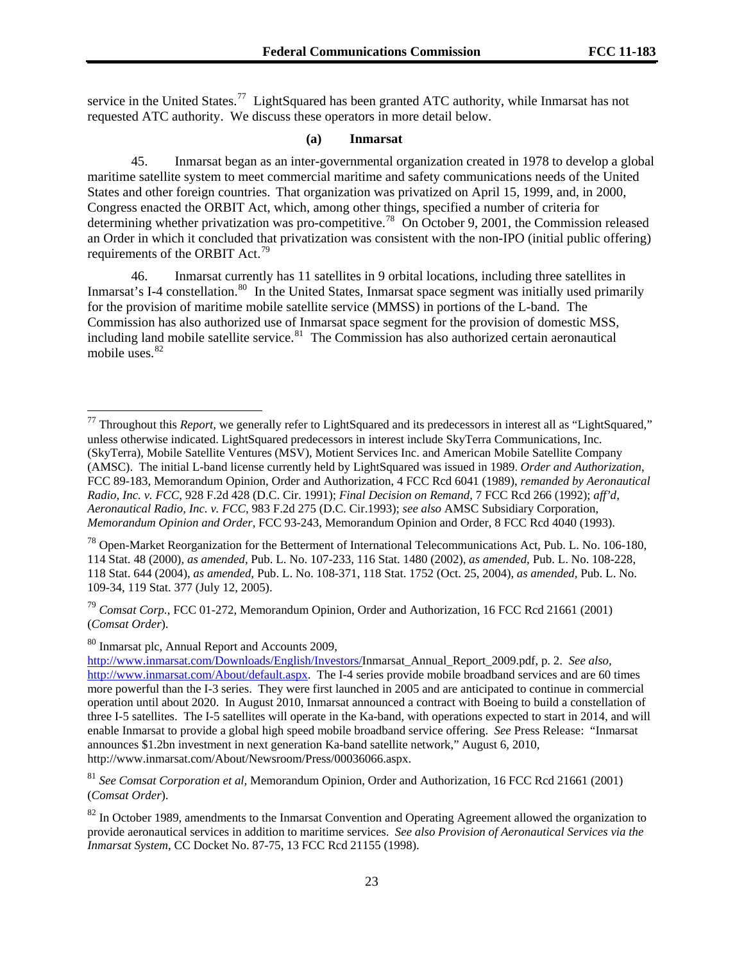service in the United States.<sup>77</sup> LightSquared has been granted ATC authority, while Inmarsat has not requested ATC authority. We discuss these operators in more detail below.

#### **(a) Inmarsat**

45. Inmarsat began as an inter-governmental organization created in 1978 to develop a global maritime satellite system to meet commercial maritime and safety communications needs of the United States and other foreign countries. That organization was privatized on April 15, 1999, and, in 2000, Congress enacted the ORBIT Act, which, among other things, specified a number of criteria for determining whether privatization was pro-competitive.<sup>[78](#page-22-0)</sup> On October 9, 2001, the Commission released an Order in which it concluded that privatization was consistent with the non-IPO (initial public offering) requirements of the ORBIT Act.<sup>[79](#page-22-1)</sup>

mobile uses.<sup>82</sup> 46. Inmarsat currently has 11 satellites in 9 orbital locations, including three satellites in Inmarsat's I-4 constellation.<sup>[80](#page-22-2)</sup> In the United States, Inmarsat space segment was initially used primarily for the provision of maritime mobile satellite service (MMSS) in portions of the L-band. The Commission has also authorized use of Inmarsat space segment for the provision of domestic MSS, including land mobile satellite service.<sup>[81](#page-22-3)</sup> The Commission has also authorized certain aeronautical

<span id="page-22-1"></span><sup>79</sup> *Comsat Corp.*, FCC 01-272, Memorandum Opinion, Order and Authorization, 16 FCC Rcd 21661 (2001) (*Comsat Order*).

<span id="page-22-2"></span>80 Inmarsat plc, Annual Report and Accounts 2009,

1

<sup>77</sup> Throughout this *Report,* we generally refer to LightSquared and its predecessors in interest all as "LightSquared," unless otherwise indicated. LightSquared predecessors in interest include SkyTerra Communications, Inc. (SkyTerra), Mobile Satellite Ventures (MSV), Motient Services Inc. and American Mobile Satellite Company (AMSC). The initial L-band license currently held by LightSquared was issued in 1989. *Order and Authorization*, FCC 89-183, Memorandum Opinion, Order and Authorization, 4 FCC Rcd 6041 (1989), *remanded by Aeronautical Radio, Inc. v. FCC*, 928 F.2d 428 (D.C. Cir. 1991); *Final Decision on Remand*, 7 FCC Rcd 266 (1992); *aff'd, Aeronautical Radio, Inc. v. FCC*, 983 F.2d 275 (D.C. Cir.1993); *see also* AMSC Subsidiary Corporation, *Memorandum Opinion and Order*, FCC 93-243, Memorandum Opinion and Order, 8 FCC Rcd 4040 (1993).

<span id="page-22-0"></span><sup>78</sup> Open-Market Reorganization for the Betterment of International Telecommunications Act, Pub. L. No. 106-180, 114 Stat. 48 (2000), *as amended*, Pub. L. No. 107-233, 116 Stat. 1480 (2002), *as amended,* Pub. L. No. 108-228, 118 Stat. 644 (2004), *as amended,* Pub. L. No. 108-371, 118 Stat. 1752 (Oct. 25, 2004), *as amended,* Pub. L. No. 109-34, 119 Stat. 377 (July 12, 2005).

<http://www.inmarsat.com/Downloads/English/Investors/>Inmarsat\_Annual\_Report\_2009.pdf, p. 2. *See also*, <http://www.inmarsat.com/About/default.aspx>. The I-4 series provide mobile broadband services and are 60 times more powerful than the I-3 series. They were first launched in 2005 and are anticipated to continue in commercial operation until about 2020. In August 2010, Inmarsat announced a contract with Boeing to build a constellation of three I-5 satellites. The I-5 satellites will operate in the Ka-band, with operations expected to start in 2014, and will enable Inmarsat to provide a global high speed mobile broadband service offering. *See* Press Release: "Inmarsat announces \$1.2bn investment in next generation Ka-band satellite network," August 6, 2010, http://www.inmarsat.com/About/Newsroom/Press/00036066.aspx.

<span id="page-22-3"></span><sup>81</sup> *See Comsat Corporation et al,* Memorandum Opinion, Order and Authorization, 16 FCC Rcd 21661 (2001) (*Comsat Order*).

 $82$  In October 1989, amendments to the Inmarsat Convention and Operating Agreement allowed the organization to provide aeronautical services in addition to maritime services. *See also Provision of Aeronautical Services via the Inmarsat System*, CC Docket No. 87-75, 13 FCC Rcd 21155 (1998).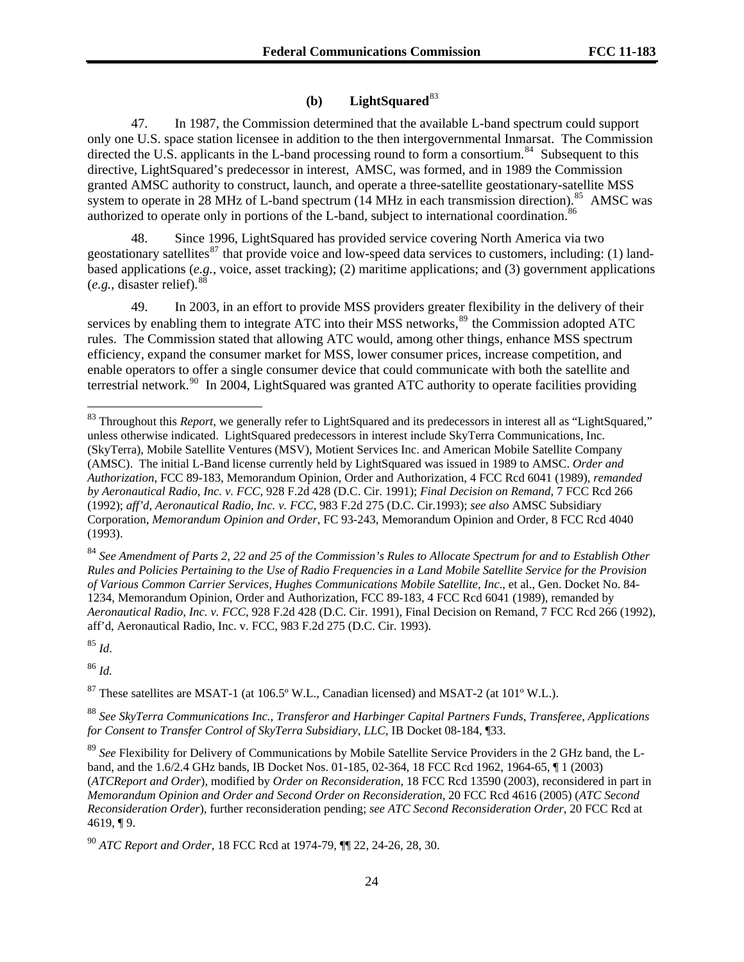# **(b) LightSquared**[83](#page-23-0)

47. In 1987, the Commission determined that the available L-band spectrum could support only one U.S. space station licensee in addition to the then intergovernmental Inmarsat. The Commission directed the U.S. applicants in the L-band processing round to form a consortium.<sup>[84](#page-23-1)</sup> Subsequent to this directive, LightSquared's predecessor in interest, AMSC, was formed, and in 1989 the Commission granted AMSC authority to construct, launch, and operate a three-satellite geostationary-satellite MSS system to operate in 28 MHz of L-band spectrum  $(14 \text{ MHz}$  in each transmission direction).<sup>[85](#page-23-2)</sup> AMSC was authorized to operate only in portions of the L-band, subject to international coordination.<sup>[86](#page-23-3)</sup>

48. Since 1996, LightSquared has provided service covering North America via two geostationary satellites<sup>[87](#page-23-4)</sup> that provide voice and low-speed data services to customers, including: (1) landbased applications (*e.g.*, voice, asset tracking); (2) maritime applications; and (3) government applications (*e.g.*, disaster relief).[88](#page-23-5)

49. In 2003, in an effort to provide MSS providers greater flexibility in the delivery of their services by enabling them to integrate ATC into their MSS networks,  $89$  the Commission adopted ATC rules. The Commission stated that allowing ATC would, among other things, enhance MSS spectrum efficiency, expand the consumer market for MSS, lower consumer prices, increase competition, and enable operators to offer a single consumer device that could communicate with both the satellite and terrestrial network.<sup>[90](#page-23-7)</sup> In 2004, LightSquared was granted ATC authority to operate facilities providing

<span id="page-23-1"></span><sup>84</sup> *See Amendment of Parts 2, 22 and 25 of the Commission's Rules to Allocate Spectrum for and to Establish Other Rules and Policies Pertaining to the Use of Radio Frequencies in a Land Mobile Satellite Service for the Provision of Various Common Carrier Services, Hughes Communications Mobile Satellite, Inc*., et al., Gen. Docket No. 84- 1234, Memorandum Opinion, Order and Authorization, FCC 89-183, 4 FCC Rcd 6041 (1989), remanded by *Aeronautical Radio, Inc. v. FCC*, 928 F.2d 428 (D.C. Cir. 1991), Final Decision on Remand, 7 FCC Rcd 266 (1992), aff'd, Aeronautical Radio, Inc. v. FCC, 983 F.2d 275 (D.C. Cir. 1993).

<span id="page-23-2"></span><sup>85</sup> *Id*.

 $\overline{a}$ 

<span id="page-23-3"></span><sup>86</sup> *Id.*

<span id="page-23-4"></span>87 These satellites are MSAT-1 (at 106.5º W.L., Canadian licensed) and MSAT-2 (at 101º W.L.).

<span id="page-23-5"></span><sup>88</sup> *See SkyTerra Communications Inc., Transferor and Harbinger Capital Partners Funds, Transferee, Applications for Consent to Transfer Control of SkyTerra Subsidiary, LLC,* IB Docket 08-184, ¶33.

<span id="page-23-0"></span><sup>83</sup> Throughout this *Report,* we generally refer to LightSquared and its predecessors in interest all as "LightSquared," unless otherwise indicated. LightSquared predecessors in interest include SkyTerra Communications, Inc. (SkyTerra), Mobile Satellite Ventures (MSV), Motient Services Inc. and American Mobile Satellite Company (AMSC). The initial L-Band license currently held by LightSquared was issued in 1989 to AMSC. *Order and Authorization*, FCC 89-183, Memorandum Opinion, Order and Authorization, 4 FCC Rcd 6041 (1989), *remanded by Aeronautical Radio, Inc. v. FCC*, 928 F.2d 428 (D.C. Cir. 1991); *Final Decision on Remand*, 7 FCC Rcd 266 (1992); *aff'd, Aeronautical Radio, Inc. v. FCC*, 983 F.2d 275 (D.C. Cir.1993); *see also* AMSC Subsidiary Corporation, *Memorandum Opinion and Order*, FC 93-243, Memorandum Opinion and Order, 8 FCC Rcd 4040 (1993).

<span id="page-23-6"></span><sup>89</sup> *See* Flexibility for Delivery of Communications by Mobile Satellite Service Providers in the 2 GHz band, the Lband, and the 1.6/2.4 GHz bands, IB Docket Nos. 01-185, 02-364, 18 FCC Rcd 1962, 1964-65, ¶ 1 (2003) (*ATCReport and Order*), modified by *Order on Reconsideration*, 18 FCC Rcd 13590 (2003), reconsidered in part in *Memorandum Opinion and Order and Second Order on Reconsideration*, 20 FCC Rcd 4616 (2005) (*ATC Second Reconsideration Order*), further reconsideration pending; *see ATC Second Reconsideration Order*, 20 FCC Rcd at 4619, ¶ 9.

<span id="page-23-7"></span><sup>90</sup> *ATC Report and Order*, 18 FCC Rcd at 1974-79, ¶¶ 22, 24-26, 28, 30.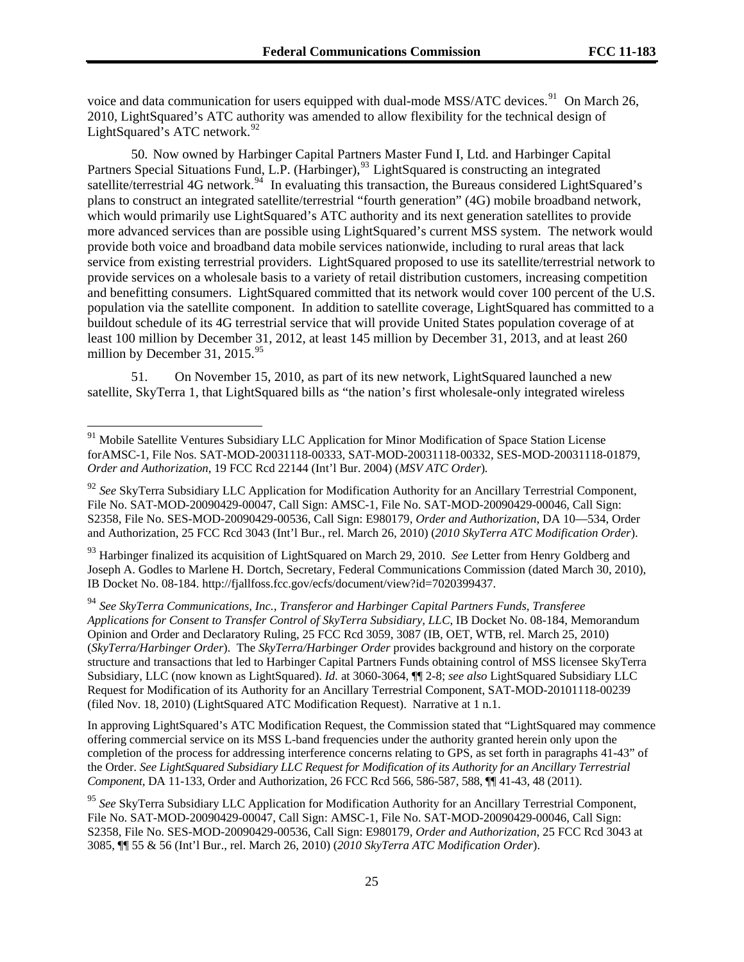voice and data communication for users equipped with dual-mode MSS/ATC devices.<sup>91</sup> On March 26, 2010, LightSquared's ATC authority was amended to allow flexibility for the technical design of LightSquared's ATC network. $92$ 

50. Now owned by Harbinger Capital Partners Master Fund I, Ltd. and Harbinger Capital Partners Special Situations Fund, L.P. (Harbinger),<sup>[93](#page-24-0)</sup> LightSquared is constructing an integrated satellite/terrestrial 4G network.<sup>[94](#page-24-1)</sup> In evaluating this transaction, the Bureaus considered LightSquared's plans to construct an integrated satellite/terrestrial "fourth generation" (4G) mobile broadband network, which would primarily use LightSquared's ATC authority and its next generation satellites to provide more advanced services than are possible using LightSquared's current MSS system. The network would provide both voice and broadband data mobile services nationwide, including to rural areas that lack service from existing terrestrial providers. LightSquared proposed to use its satellite/terrestrial network to provide services on a wholesale basis to a variety of retail distribution customers, increasing competition and benefitting consumers. LightSquared committed that its network would cover 100 percent of the U.S. population via the satellite component. In addition to satellite coverage, LightSquared has committed to a buildout schedule of its 4G terrestrial service that will provide United States population coverage of at least 100 million by December 31, 2012, at least 145 million by December 31, 2013, and at least 260 million by December 31,  $2015.<sup>95</sup>$  $2015.<sup>95</sup>$  $2015.<sup>95</sup>$ 

51. On November 15, 2010, as part of its new network, LightSquared launched a new satellite, SkyTerra 1, that LightSquared bills as "the nation's first wholesale-only integrated wireless

l

<span id="page-24-0"></span><sup>93</sup> Harbinger finalized its acquisition of LightSquared on March 29, 2010. *See* Letter from Henry Goldberg and Joseph A. Godles to Marlene H. Dortch, Secretary, Federal Communications Commission (dated March 30, 2010), IB Docket No. 08-184. http://fjallfoss.fcc.gov/ecfs/document/view?id=7020399437.

<span id="page-24-1"></span><sup>94</sup> *See SkyTerra Communications, Inc., Transferor and Harbinger Capital Partners Funds, Transferee Applications for Consent to Transfer Control of SkyTerra Subsidiary, LLC*, IB Docket No. 08-184, Memorandum Opinion and Order and Declaratory Ruling, 25 FCC Rcd 3059, 3087 (IB, OET, WTB, rel. March 25, 2010) (*SkyTerra/Harbinger Order*). The *SkyTerra/Harbinger Order* provides background and history on the corporate structure and transactions that led to Harbinger Capital Partners Funds obtaining control of MSS licensee SkyTerra Subsidiary, LLC (now known as LightSquared). *Id.* at 3060-3064, ¶¶ 2-8; *see also* LightSquared Subsidiary LLC Request for Modification of its Authority for an Ancillary Terrestrial Component, SAT-MOD-20101118-00239 (filed Nov. 18, 2010) (LightSquared ATC Modification Request). Narrative at 1 n.1.

In approving LightSquared's ATC Modification Request, the Commission stated that "LightSquared may commence offering commercial service on its MSS L-band frequencies under the authority granted herein only upon the completion of the process for addressing interference concerns relating to GPS, as set forth in paragraphs 41-43" of the Order. *See LightSquared Subsidiary LLC Request for Modification of its Authority for an Ancillary Terrestrial Component,* DA 11-133, Order and Authorization, 26 FCC Rcd 566, 586-587, 588, ¶¶ 41-43, 48 (2011).

<sup>&</sup>lt;sup>91</sup> Mobile Satellite Ventures Subsidiary LLC Application for Minor Modification of Space Station License forAMSC-1, File Nos. SAT-MOD-20031118-00333, SAT-MOD-20031118-00332, SES-MOD-20031118-01879, *Order and Authorization*, 19 FCC Rcd 22144 (Int'l Bur. 2004) (*MSV ATC Order*)*.*

<sup>92</sup> *See* SkyTerra Subsidiary LLC Application for Modification Authority for an Ancillary Terrestrial Component, File No. SAT-MOD-20090429-00047, Call Sign: AMSC-1, File No. SAT-MOD-20090429-00046, Call Sign: S2358, File No. SES-MOD-20090429-00536, Call Sign: E980179, *Order and Authorization*, DA 10—534, Order and Authorization, 25 FCC Rcd 3043 (Int'l Bur., rel. March 26, 2010) (*2010 SkyTerra ATC Modification Order*).

<span id="page-24-2"></span><sup>95</sup> *See* SkyTerra Subsidiary LLC Application for Modification Authority for an Ancillary Terrestrial Component, File No. SAT-MOD-20090429-00047, Call Sign: AMSC-1, File No. SAT-MOD-20090429-00046, Call Sign: S2358, File No. SES-MOD-20090429-00536, Call Sign: E980179, *Order and Authorization*, 25 FCC Rcd 3043 at 3085, ¶¶ 55 & 56 (Int'l Bur., rel. March 26, 2010) (*2010 SkyTerra ATC Modification Order*).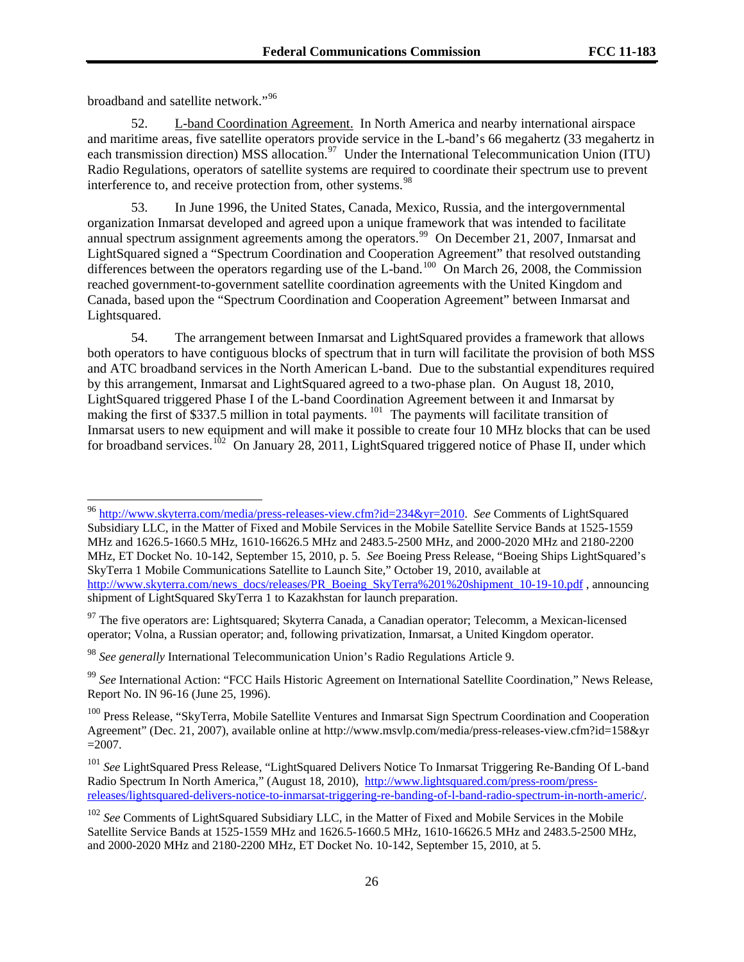broadband and satellite network."96

l

52. L-band Coordination Agreement. In North America and nearby international airspace and maritime areas, five satellite operators provide service in the L-band's 66 megahertz (33 megahertz in each transmission direction) MSS allocation.<sup>[97](#page-25-0)</sup> Under the International Telecommunication Union (ITU) Radio Regulations, operators of satellite systems are required to coordinate their spectrum use to prevent interference to, and receive protection from, other systems.<sup>[98](#page-25-1)</sup>

53. In June 1996, the United States, Canada, Mexico, Russia, and the intergovernmental organization Inmarsat developed and agreed upon a unique framework that was intended to facilitate annual spectrum assignment agreements among the operators.<sup>[99](#page-25-2)</sup> On December 21, 2007, Inmarsat and LightSquared signed a "Spectrum Coordination and Cooperation Agreement" that resolved outstanding differences between the operators regarding use of the L-band.<sup>[100](#page-25-3)</sup> On March 26, 2008, the Commission reached government-to-government satellite coordination agreements with the United Kingdom and Canada, based upon the "Spectrum Coordination and Cooperation Agreement" between Inmarsat and Lightsquared.

54. The arrangement between Inmarsat and LightSquared provides a framework that allows both operators to have contiguous blocks of spectrum that in turn will facilitate the provision of both MSS and ATC broadband services in the North American L-band. Due to the substantial expenditures required by this arrangement, Inmarsat and LightSquared agreed to a two-phase plan. On August 18, 2010, LightSquared triggered Phase I of the L-band Coordination Agreement between it and Inmarsat by making the first of \$337.5 million in total payments.  $^{101}$  $^{101}$  $^{101}$  The payments will facilitate transition of Inmarsat users to new equipment and will make it possible to create four 10 MHz blocks that can be used for broadband services.<sup>[102](#page-25-5)</sup> On January 28, 2011, LightSquared triggered notice of Phase II, under which

<sup>96</sup> [http://www.skyterra.com/media/press-releases-view.cfm?id=234&yr=2010.](http://www.skyterra.com/media/press-releases-view.cfm?id=234&yr=2010) *See* Comments of LightSquared Subsidiary LLC, in the Matter of Fixed and Mobile Services in the Mobile Satellite Service Bands at 1525-1559 MHz and 1626.5-1660.5 MHz, 1610-16626.5 MHz and 2483.5-2500 MHz, and 2000-2020 MHz and 2180-2200 MHz, ET Docket No. 10-142, September 15, 2010, p. 5. *See* Boeing Press Release, "Boeing Ships LightSquared's SkyTerra 1 Mobile Communications Satellite to Launch Site," October 19, 2010, available at [http://www.skyterra.com/news\\_docs/releases/PR\\_Boeing\\_SkyTerra%201%20shipment\\_10-19-10.pdf](http://www.skyterra.com/news_docs/releases/PR_Boeing_SkyTerra%201%20shipment_10-19-10.pdf) , announcing shipment of LightSquared SkyTerra 1 to Kazakhstan for launch preparation.

<span id="page-25-0"></span> $97$  The five operators are: Lightsquared; Skyterra Canada, a Canadian operator; Telecomm, a Mexican-licensed operator; Volna, a Russian operator; and, following privatization, Inmarsat, a United Kingdom operator.

<span id="page-25-1"></span><sup>98</sup> *See generally* International Telecommunication Union's Radio Regulations Article 9.

<span id="page-25-2"></span><sup>99</sup> *See* International Action: "FCC Hails Historic Agreement on International Satellite Coordination," News Release, Report No. IN 96-16 (June 25, 1996).

<span id="page-25-3"></span><sup>&</sup>lt;sup>100</sup> Press Release, "SkyTerra, Mobile Satellite Ventures and Inmarsat Sign Spectrum Coordination and Cooperation Agreement" (Dec. 21, 2007), available online at http://www.msvlp.com/media/press-releases-view.cfm?id=158&yr  $=2007.$ 

<span id="page-25-4"></span><sup>101</sup> *See* LightSquared Press Release, "LightSquared Delivers Notice To Inmarsat Triggering Re-Banding Of L-band Radio Spectrum In North America," (August 18, 2010), [http://www.lightsquared.com/press-room/press](http://www.lightsquared.com/press-room/press-releases/lightsquared-delivers-notice-to-inmarsat-triggering-re-banding-of-l-band-radio-spectrum-in-north-americ/)[releases/lightsquared-delivers-notice-to-inmarsat-triggering-re-banding-of-l-band-radio-spectrum-in-north-americ/](http://www.lightsquared.com/press-room/press-releases/lightsquared-delivers-notice-to-inmarsat-triggering-re-banding-of-l-band-radio-spectrum-in-north-americ/).

<span id="page-25-5"></span><sup>102</sup> *See* Comments of LightSquared Subsidiary LLC, in the Matter of Fixed and Mobile Services in the Mobile Satellite Service Bands at 1525-1559 MHz and 1626.5-1660.5 MHz, 1610-16626.5 MHz and 2483.5-2500 MHz, and 2000-2020 MHz and 2180-2200 MHz, ET Docket No. 10-142, September 15, 2010, at 5.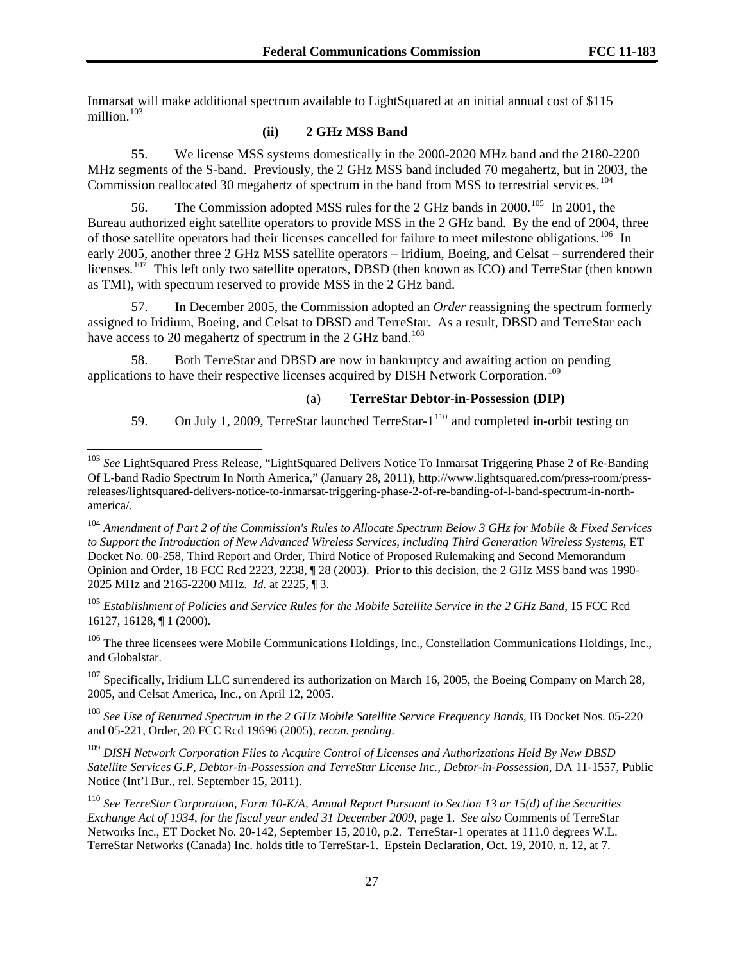Inmarsat will make additional spectrum available to LightSquared at an initial annual cost of \$115 million. $103$ 

# **(ii) 2 GHz MSS Band**

55. We license MSS systems domestically in the 2000-2020 MHz band and the 2180-2200 MHz segments of the S-band. Previously, the 2 GHz MSS band included 70 megahertz, but in 2003, the Commission reallocated 30 megahertz of spectrum in the band from MSS to terrestrial services.<sup>[104](#page-26-1)</sup>

56. The Commission adopted MSS rules for the 2 GHz bands in 2000.<sup>[105](#page-26-2)</sup> In 2001, the Bureau authorized eight satellite operators to provide MSS in the 2 GHz band. By the end of 2004, three of those satellite operators had their licenses cancelled for failure to meet milestone obligations.<sup>[106](#page-26-3)</sup> In early 2005, another three 2 GHz MSS satellite operators – Iridium, Boeing, and Celsat – surrendered their licenses.<sup>[107](#page-26-4)</sup> This left only two satellite operators, DBSD (then known as ICO) and TerreStar (then known as TMI), with spectrum reserved to provide MSS in the 2 GHz band.

57. In December 2005, the Commission adopted an *Order* reassigning the spectrum formerly assigned to Iridium, Boeing, and Celsat to DBSD and TerreStar. As a result, DBSD and TerreStar each have access to 20 megahertz of spectrum in the 2 GHz band.<sup>[108](#page-26-5)</sup>

58. Both TerreStar and DBSD are now in bankruptcy and awaiting action on pending applications to have their respective licenses acquired by DISH Network Corporation.<sup>[109](#page-26-6)</sup>

 $\overline{a}$ 

# (a) **TerreStar Debtor-in-Possession (DIP)**

59. On July 1, 2009, TerreStar launched TerreStar-1<sup>[110](#page-26-7)</sup> and completed in-orbit testing on

<span id="page-26-2"></span><sup>105</sup> *Establishment of Policies and Service Rules for the Mobile Satellite Service in the 2 GHz Band*, 15 FCC Rcd 16127, 16128, ¶ 1 (2000).

<span id="page-26-3"></span><sup>106</sup> The three licensees were Mobile Communications Holdings, Inc., Constellation Communications Holdings, Inc., and Globalstar.

<span id="page-26-4"></span> $107$  Specifically, Iridium LLC surrendered its authorization on March 16, 2005, the Boeing Company on March 28, 2005, and Celsat America, Inc., on April 12, 2005.

<span id="page-26-5"></span><sup>108</sup> *See Use of Returned Spectrum in the 2 GHz Mobile Satellite Service Frequency Bands*, IB Docket Nos. 05-220 and 05-221, Order, 20 FCC Rcd 19696 (2005), *recon. pending*.

<span id="page-26-6"></span><sup>109</sup> *DISH Network Corporation Files to Acquire Control of Licenses and Authorizations Held By New DBSD Satellite Services G.P, Debtor-in-Possession and TerreStar License Inc., Debtor-in-Possession*, DA 11-1557, Public Notice (Int'l Bur., rel. September 15, 2011).

<span id="page-26-7"></span><sup>110</sup> *See TerreStar Corporation, Form 10-K/A, Annual Report Pursuant to Section 13 or 15(d) of the Securities Exchange Act of 1934, for the fiscal year ended 31 December 2009*, page 1. *See also* Comments of TerreStar Networks Inc., ET Docket No. 20-142, September 15, 2010, p.2. TerreStar-1 operates at 111.0 degrees W.L. TerreStar Networks (Canada) Inc. holds title to TerreStar-1. Epstein Declaration, Oct. 19, 2010, n. 12, at 7.

<span id="page-26-0"></span><sup>103</sup> *See* LightSquared Press Release, "LightSquared Delivers Notice To Inmarsat Triggering Phase 2 of Re-Banding Of L-band Radio Spectrum In North America," (January 28, 2011), http://www.lightsquared.com/press-room/pressreleases/lightsquared-delivers-notice-to-inmarsat-triggering-phase-2-of-re-banding-of-l-band-spectrum-in-northamerica/.

<span id="page-26-1"></span><sup>104</sup> *Amendment of Part 2 of the Commission's Rules to Allocate Spectrum Below 3 GHz for Mobile & Fixed Services to Support the Introduction of New Advanced Wireless Services, including Third Generation Wireless Systems*, ET Docket No. 00-258, Third Report and Order, Third Notice of Proposed Rulemaking and Second Memorandum Opinion and Order, 18 FCC Rcd 2223, 2238, ¶ 28 (2003). Prior to this decision, the 2 GHz MSS band was 1990- 2025 MHz and 2165-2200 MHz. *Id.* at 2225, ¶ 3.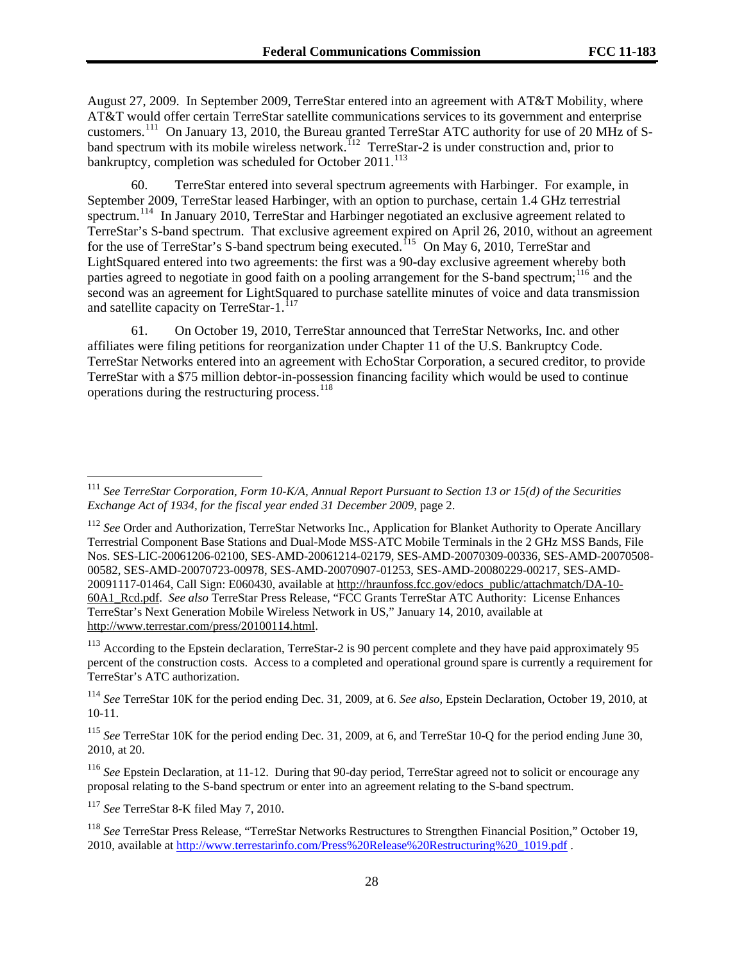August 27, 2009. In September 2009, TerreStar entered into an agreement with AT&T Mobility, where AT&T would offer certain TerreStar satellite communications services to its government and enterprise customers.111 On January 13, 2010, the Bureau granted TerreStar ATC authority for use of 20 MHz of Sband spectrum with its mobile wireless network.<sup>112</sup> TerreStar-2 is under construction and, prior to bankruptcy, completion was scheduled for October 2011.<sup>113</sup>

60. TerreStar entered into several spectrum agreements with Harbinger. For example, in September 2009, TerreStar leased Harbinger, with an option to purchase, certain 1.4 GHz terrestrial spectrum.<sup>[114](#page-27-0)</sup> In January 2010, TerreStar and Harbinger negotiated an exclusive agreement related to TerreStar's S-band spectrum. That exclusive agreement expired on April 26, 2010, without an agreement for the use of TerreStar's S-band spectrum being executed.<sup>[115](#page-27-1)</sup> On May 6, 2010, TerreStar and LightSquared entered into two agreements: the first was a 90-day exclusive agreement whereby both parties agreed to negotiate in good faith on a pooling arrangement for the S-band spectrum;<sup>[116](#page-27-2)</sup> and the second was an agreement for LightSquared to purchase satellite minutes of voice and data transmission and satellite capacity on TerreStar-1.<sup>[117](#page-27-3)</sup>

61. On October 19, 2010, TerreStar announced that TerreStar Networks, Inc. and other affiliates were filing petitions for reorganization under Chapter 11 of the U.S. Bankruptcy Code. TerreStar Networks entered into an agreement with EchoStar Corporation, a secured creditor, to provide TerreStar with a \$75 million debtor-in-possession financing facility which would be used to continue operations during the restructuring process.  $^{118}$  $^{118}$  $^{118}$ 

<sup>113</sup> According to the Epstein declaration, TerreStar-2 is 90 percent complete and they have paid approximately 95 percent of the construction costs. Access to a completed and operational ground spare is currently a requirement for TerreStar's ATC authorization.

<span id="page-27-3"></span><sup>117</sup> *See* TerreStar 8-K filed May 7, 2010.

<sup>111</sup> *See TerreStar Corporation, Form 10-K/A, Annual Report Pursuant to Section 13 or 15(d) of the Securities Exchange Act of 1934, for the fiscal year ended 31 December 2009*, page 2.

<sup>&</sup>lt;sup>112</sup> See Order and Authorization, TerreStar Networks Inc., Application for Blanket Authority to Operate Ancillary Terrestrial Component Base Stations and Dual-Mode MSS-ATC Mobile Terminals in the 2 GHz MSS Bands, File Nos. SES-LIC-20061206-02100, SES-AMD-20061214-02179, SES-AMD-20070309-00336, SES-AMD-20070508- 00582, SES-AMD-20070723-00978, SES-AMD-20070907-01253, SES-AMD-20080229-00217, SES-AMD-20091117-01464, Call Sign: E060430, available at [http://hraunfoss.fcc.gov/edocs\\_public/attachmatch/DA-10-](http://hraunfoss.fcc.gov/edocs_public/attachmatch/DA-10-60A1_Rcd.pdf) [60A1\\_Rcd.pdf](http://hraunfoss.fcc.gov/edocs_public/attachmatch/DA-10-60A1_Rcd.pdf). *See also* TerreStar Press Release, "FCC Grants TerreStar ATC Authority: License Enhances TerreStar's Next Generation Mobile Wireless Network in US," January 14, 2010, available at <http://www.terrestar.com/press/20100114.html>.

<span id="page-27-0"></span><sup>114</sup> *See* TerreStar 10K for the period ending Dec. 31, 2009, at 6. *See also*, Epstein Declaration, October 19, 2010, at 10-11.

<span id="page-27-1"></span><sup>115</sup> *See* TerreStar 10K for the period ending Dec. 31, 2009, at 6, and TerreStar 10-Q for the period ending June 30, 2010, at 20.

<span id="page-27-2"></span><sup>116</sup> *See* Epstein Declaration, at 11-12. During that 90-day period, TerreStar agreed not to solicit or encourage any proposal relating to the S-band spectrum or enter into an agreement relating to the S-band spectrum.

<span id="page-27-4"></span><sup>118</sup> *See* TerreStar Press Release, "TerreStar Networks Restructures to Strengthen Financial Position," October 19, 2010, available at [http://www.terrestarinfo.com/Press%20Release%20Restructuring%20\\_1019.pdf](http://www.terrestarinfo.com/Press%20Release%20Restructuring%20_1019.pdf) .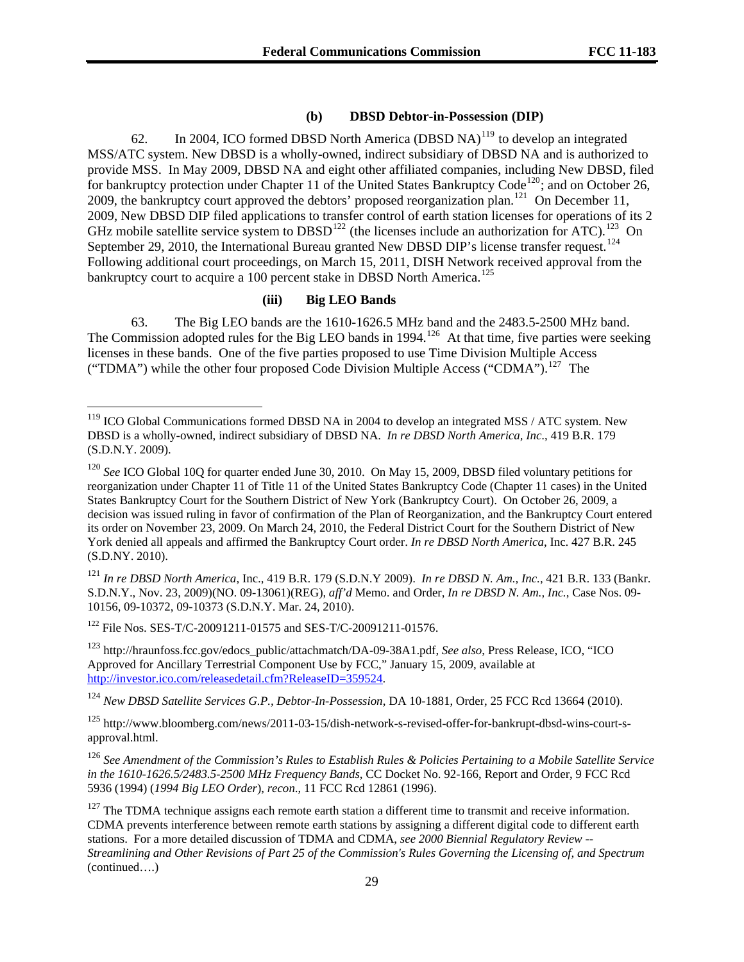# **(b) DBSD Debtor-in-Possession (DIP)**

62. In 2004, ICO formed DBSD North America (DBSD NA)<sup>[119](#page-28-0)</sup> to develop an integrated MSS/ATC system. New DBSD is a wholly-owned, indirect subsidiary of DBSD NA and is authorized to provide MSS. In May 2009, DBSD NA and eight other affiliated companies, including New DBSD, filed for bankruptcy protection under Chapter 11 of the United States Bankruptcy Code<sup>[120](#page-28-1)</sup>; and on October 26, 2009, the bankruptcy court approved the debtors' proposed reorganization plan.<sup>[121](#page-28-2)</sup> On December 11, 2009, New DBSD DIP filed applications to transfer control of earth station licenses for operations of its 2 GHz mobile satellite service system to DBSD<sup>[122](#page-28-3)</sup> (the licenses include an authorization for ATC).<sup>[123](#page-28-4)</sup> On September 29, 2010, the International Bureau granted New DBSD DIP's license transfer request.<sup>[124](#page-28-5)</sup> Following additional court proceedings, on March 15, 2011, DISH Network received approval from the bankruptcy court to acquire a 100 percent stake in DBSD North America.<sup>[125](#page-28-6)</sup>

## **(iii) Big LEO Bands**

63. The Big LEO bands are the 1610-1626.5 MHz band and the 2483.5-2500 MHz band. The Commission adopted rules for the Big LEO bands in 1994.<sup>[126](#page-28-7)</sup> At that time, five parties were seeking licenses in these bands. One of the five parties proposed to use Time Division Multiple Access ("TDMA") while the other four proposed Code Division Multiple Access ("CDMA").<sup>[127](#page-28-8)</sup> The

<span id="page-28-2"></span><sup>121</sup> *In re DBSD North America*, Inc., 419 B.R. 179 (S.D.N.Y 2009). *In re DBSD N. Am., Inc.*, 421 B.R. 133 (Bankr. S.D.N.Y., Nov. 23, 2009)(NO. 09-13061)(REG), *aff'd* Memo. and Order, *In re DBSD N. Am., Inc.*, Case Nos. 09- 10156, 09-10372, 09-10373 (S.D.N.Y. Mar. 24, 2010).

<span id="page-28-3"></span>122 File Nos. SES-T/C-20091211-01575 and SES-T/C-20091211-01576.

 $\overline{a}$ 

<span id="page-28-4"></span>123 http://hraunfoss.fcc.gov/edocs\_public/attachmatch/DA-09-38A1.pdf, *See also*, Press Release, ICO, "ICO Approved for Ancillary Terrestrial Component Use by FCC," January 15, 2009, available at <http://investor.ico.com/releasedetail.cfm?ReleaseID=359524>.

<span id="page-28-5"></span><sup>124</sup> *New DBSD Satellite Services G.P., Debtor-In-Possession*, DA 10-1881, Order, 25 FCC Rcd 13664 (2010).

<span id="page-28-6"></span>125 http://www.bloomberg.com/news/2011-03-15/dish-network-s-revised-offer-for-bankrupt-dbsd-wins-court-sapproval.html.

<span id="page-28-7"></span><sup>126</sup> *See Amendment of the Commission's Rules to Establish Rules & Policies Pertaining to a Mobile Satellite Service in the 1610-1626.5/2483.5-2500 MHz Frequency Bands*, CC Docket No. 92-166, Report and Order, 9 FCC Rcd 5936 (1994) (*1994 Big LEO Order*), *recon*., 11 FCC Rcd 12861 (1996).

<span id="page-28-8"></span> $127$  The TDMA technique assigns each remote earth station a different time to transmit and receive information. CDMA prevents interference between remote earth stations by assigning a different digital code to different earth stations. For a more detailed discussion of TDMA and CDMA, *see 2000 Biennial Regulatory Review -- Streamlining and Other Revisions of Part 25 of the Commission's Rules Governing the Licensing of, and Spectrum*  (continued….)

<span id="page-28-0"></span> $119$  ICO Global Communications formed DBSD NA in 2004 to develop an integrated MSS / ATC system. New DBSD is a wholly-owned, indirect subsidiary of DBSD NA. *In re DBSD North America, Inc*., 419 B.R. 179 (S.D.N.Y. 2009).

<span id="page-28-1"></span><sup>120</sup> *See* ICO Global 10Q for quarter ended June 30, 2010. On May 15, 2009, DBSD filed voluntary petitions for reorganization under Chapter 11 of Title 11 of the United States Bankruptcy Code (Chapter 11 cases) in the United States Bankruptcy Court for the Southern District of New York (Bankruptcy Court). On October 26, 2009, a decision was issued ruling in favor of confirmation of the Plan of Reorganization, and the Bankruptcy Court entered its order on November 23, 2009. On March 24, 2010, the Federal District Court for the Southern District of New York denied all appeals and affirmed the Bankruptcy Court order. *In re DBSD North America*, Inc. 427 B.R. 245 (S.D.NY. 2010).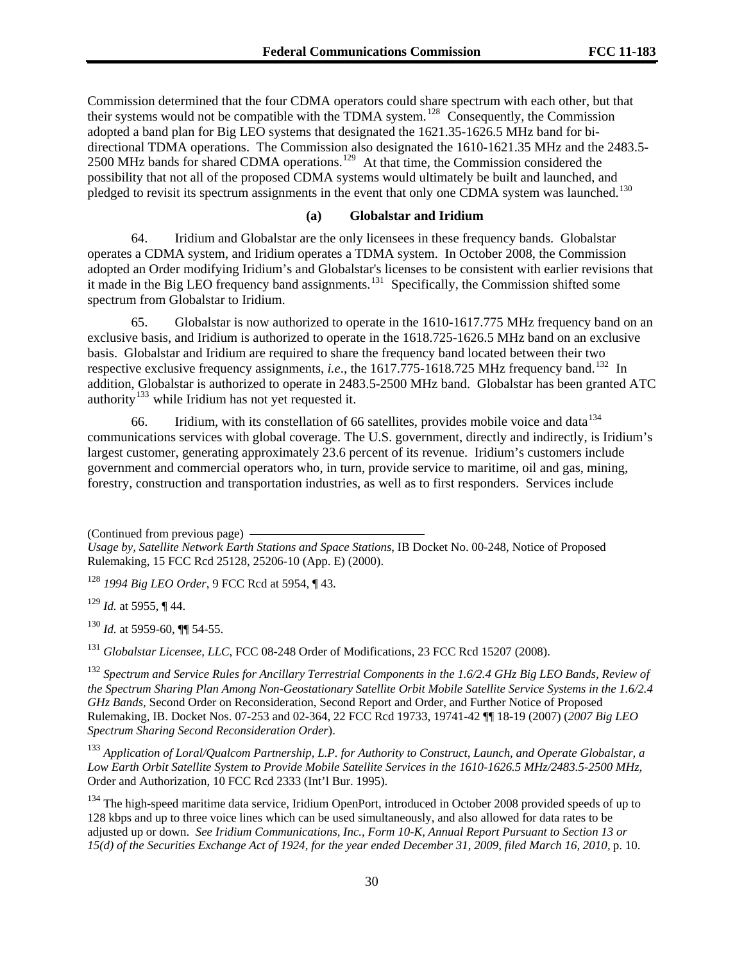Commission determined that the four CDMA operators could share spectrum with each other, but that their systems would not be compatible with the TDMA system.<sup>128</sup> Consequently, the Commission adopted a band plan for Big LEO systems that designated the 1621.35-1626.5 MHz band for bidirectional TDMA operations. The Commission also designated the 1610-1621.35 MHz and the 2483.5- 2500 MHz bands for shared CDMA operations.<sup>129</sup> At that time, the Commission considered the possibility that not all of the proposed CDMA systems would ultimately be built and launched, and pledged to revisit its spectrum assignments in the event that only one CDMA system was launched.<sup>130</sup>

#### **(a) Globalstar and Iridium**

64. Iridium and Globalstar are the only licensees in these frequency bands. Globalstar operates a CDMA system, and Iridium operates a TDMA system. In October 2008, the Commission adopted an Order modifying Iridium's and Globalstar's licenses to be consistent with earlier revisions that it made in the Big LEO frequency band assignments.<sup>[131](#page-29-0)</sup> Specifically, the Commission shifted some spectrum from Globalstar to Iridium.

65. Globalstar is now authorized to operate in the 1610-1617.775 MHz frequency band on an exclusive basis, and Iridium is authorized to operate in the 1618.725-1626.5 MHz band on an exclusive basis. Globalstar and Iridium are required to share the frequency band located between their two respective exclusive frequency assignments, *i.e.*, the 1617.775-1618.725 MHz frequency band.<sup>[132](#page-29-1)</sup> In addition, Globalstar is authorized to operate in 2483.5-2500 MHz band. Globalstar has been granted ATC authority<sup>[133](#page-29-2)</sup> while Iridium has not yet requested it.

66. Iridium, with its constellation of 66 satellites, provides mobile voice and data $134$ communications services with global coverage. The U.S. government, directly and indirectly, is Iridium's largest customer, generating approximately 23.6 percent of its revenue. Iridium's customers include government and commercial operators who, in turn, provide service to maritime, oil and gas, mining, forestry, construction and transportation industries, as well as to first responders. Services include

(Continued from previous page)

*Usage by, Satellite Network Earth Stations and Space Stations*, IB Docket No. 00-248, Notice of Proposed Rulemaking, 15 FCC Rcd 25128, 25206-10 (App. E) (2000).

<sup>128</sup> *1994 Big LEO Order*, 9 FCC Rcd at 5954, ¶ 43.

<sup>129</sup> *Id.* at 5955, ¶ 44.

<sup>130</sup> *Id.* at 5959-60, ¶¶ 54-55.

<span id="page-29-0"></span><sup>131</sup> *Globalstar Licensee, LLC, FCC 08-248 Order of Modifications, 23 FCC Rcd 15207 (2008).* 

<span id="page-29-1"></span><sup>132</sup> *Spectrum and Service Rules for Ancillary Terrestrial Components in the 1.6/2.4 GHz Big LEO Bands, Review of the Spectrum Sharing Plan Among Non-Geostationary Satellite Orbit Mobile Satellite Service Systems in the 1.6/2.4 GHz Bands,* Second Order on Reconsideration, Second Report and Order, and Further Notice of Proposed Rulemaking, IB. Docket Nos. 07-253 and 02-364, 22 FCC Rcd 19733, 19741-42 ¶¶ 18-19 (2007) (*2007 Big LEO Spectrum Sharing Second Reconsideration Order*).

<span id="page-29-2"></span><sup>133</sup> *Application of Loral/Qualcom Partnership, L.P. for Authority to Construct, Launch, and Operate Globalstar, a Low Earth Orbit Satellite System to Provide Mobile Satellite Services in the 1610-1626.5 MHz/2483.5-2500 MHz,* Order and Authorization, 10 FCC Rcd 2333 (Int'l Bur. 1995).

<span id="page-29-3"></span><sup>134</sup> The high-speed maritime data service, Iridium OpenPort, introduced in October 2008 provided speeds of up to 128 kbps and up to three voice lines which can be used simultaneously, and also allowed for data rates to be adjusted up or down. *See Iridium Communications, Inc., Form 10-K, Annual Report Pursuant to Section 13 or 15(d) of the Securities Exchange Act of 1924, for the year ended December 31, 2009, filed March 16, 2010,* p. 10.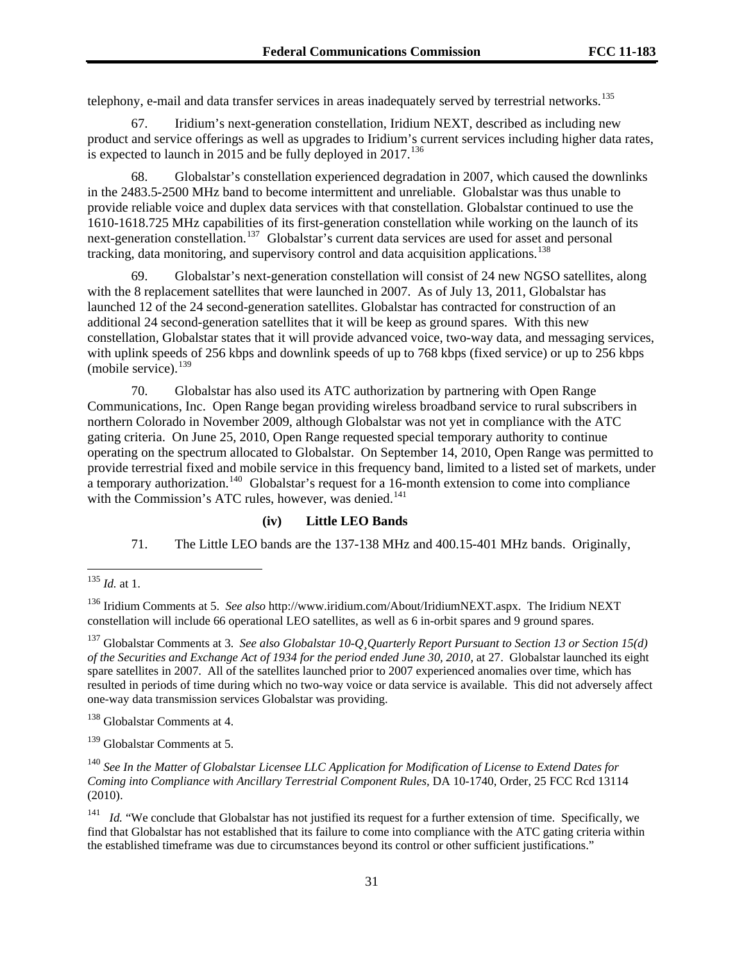telephony, e-mail and data transfer services in areas inadequately served by terrestrial networks.<sup>135</sup>

67. Iridium's next-generation constellation, Iridium NEXT, described as including new product and service offerings as well as upgrades to Iridium's current services including higher data rates, is expected to launch in 2015 and be fully deployed in 2017.<sup>[136](#page-30-0)</sup>

68. Globalstar's constellation experienced degradation in 2007, which caused the downlinks in the 2483.5-2500 MHz band to become intermittent and unreliable. Globalstar was thus unable to provide reliable voice and duplex data services with that constellation. Globalstar continued to use the 1610-1618.725 MHz capabilities of its first-generation constellation while working on the launch of its next-generation constellation.<sup>[137](#page-30-1)</sup> Globalstar's current data services are used for asset and personal tracking, data monitoring, and supervisory control and data acquisition applications.<sup>[138](#page-30-2)</sup>

69. Globalstar's next-generation constellation will consist of 24 new NGSO satellites, along with the 8 replacement satellites that were launched in 2007. As of July 13, 2011, Globalstar has launched 12 of the 24 second-generation satellites. Globalstar has contracted for construction of an additional 24 second-generation satellites that it will be keep as ground spares. With this new constellation, Globalstar states that it will provide advanced voice, two-way data, and messaging services, with uplink speeds of 256 kbps and downlink speeds of up to 768 kbps (fixed service) or up to 256 kbps (mobile service). $139$ 

with the Commission's ATC rules, however, was denied.<sup>141</sup> 70. Globalstar has also used its ATC authorization by partnering with Open Range Communications, Inc. Open Range began providing wireless broadband service to rural subscribers in northern Colorado in November 2009, although Globalstar was not yet in compliance with the ATC gating criteria. On June 25, 2010, Open Range requested special temporary authority to continue operating on the spectrum allocated to Globalstar. On September 14, 2010, Open Range was permitted to provide terrestrial fixed and mobile service in this frequency band, limited to a listed set of markets, under a temporary authorization.<sup>[140](#page-30-4)</sup> Globalstar's request for a 16-month extension to come into compliance

# **(iv) Little LEO Bands**

71. The Little LEO bands are the 137-138 MHz and 400.15-401 MHz bands. Originally,

l

<span id="page-30-1"></span>137 Globalstar Comments at 3. *See also Globalstar 10-Q¸Quarterly Report Pursuant to Section 13 or Section 15(d) of the Securities and Exchange Act of 1934 for the period ended June 30, 2010,* at 27. Globalstar launched its eight spare satellites in 2007. All of the satellites launched prior to 2007 experienced anomalies over time, which has resulted in periods of time during which no two-way voice or data service is available. This did not adversely affect one-way data transmission services Globalstar was providing.

<span id="page-30-2"></span>138 Globalstar Comments at 4.

<span id="page-30-3"></span>139 Globalstar Comments at 5.

<span id="page-30-4"></span><sup>140</sup> *See In the Matter of Globalstar Licensee LLC Application for Modification of License to Extend Dates for Coming into Compliance with Ancillary Terrestrial Component Rules,* DA 10-1740, Order, 25 FCC Rcd 13114 (2010).

<sup>135</sup> *Id.* at 1.

<span id="page-30-0"></span><sup>136</sup> Iridium Comments at 5. *See also* http://www.iridium.com/About/IridiumNEXT.aspx. The Iridium NEXT constellation will include 66 operational LEO satellites, as well as 6 in-orbit spares and 9 ground spares.

<sup>&</sup>lt;sup>141</sup> *Id.* "We conclude that Globalstar has not justified its request for a further extension of time. Specifically, we find that Globalstar has not established that its failure to come into compliance with the ATC gating criteria within the established timeframe was due to circumstances beyond its control or other sufficient justifications."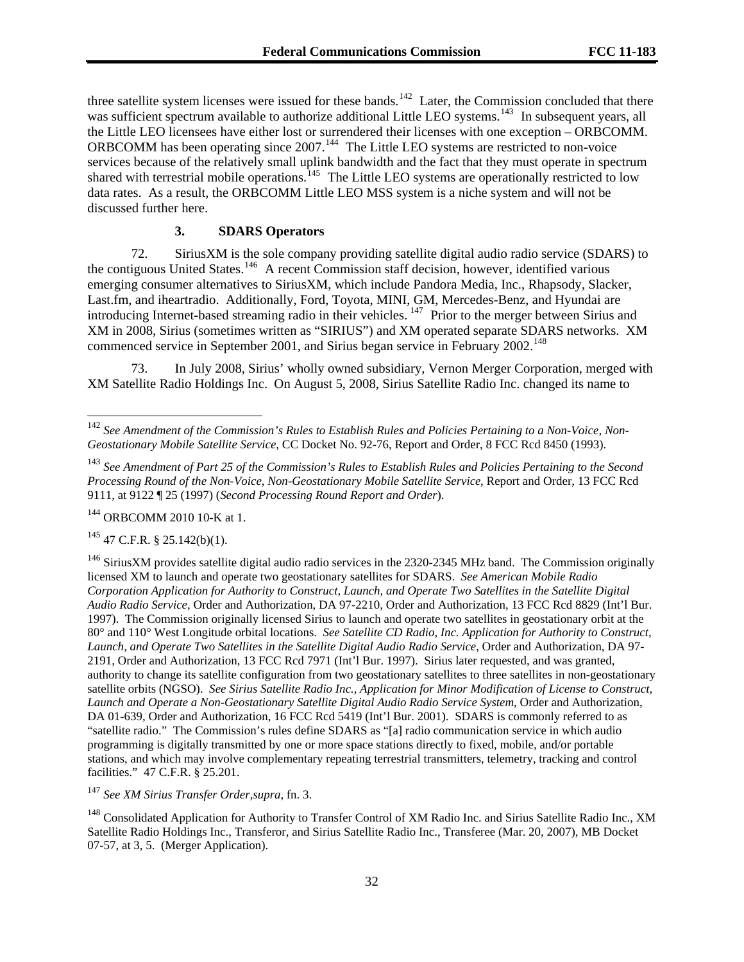three satellite system licenses were issued for these bands.<sup>142</sup> Later, the Commission concluded that there was sufficient spectrum available to authorize additional Little LEO systems.<sup>143</sup> In subsequent years, all the Little LEO licensees have either lost or surrendered their licenses with one exception – ORBCOMM. ORBCOMM has been operating since 2007.<sup>144</sup> The Little LEO systems are restricted to non-voice services because of the relatively small uplink bandwidth and the fact that they must operate in spectrum shared with terrestrial mobile operations.<sup>145</sup> The Little LEO systems are operationally restricted to low data rates. As a result, the ORBCOMM Little LEO MSS system is a niche system and will not be discussed further here.

#### **3. SDARS Operators**

72. SiriusXM is the sole company providing satellite digital audio radio service (SDARS) to the contiguous United States.<sup>[146](#page-31-0)</sup> A recent Commission staff decision, however, identified various emerging consumer alternatives to SiriusXM, which include Pandora Media, Inc., Rhapsody, Slacker, Last.fm, and iheartradio. Additionally, Ford, Toyota, MINI, GM, Mercedes-Benz, and Hyundai are introducing Internet-based streaming radio in their vehicles. <sup>[147](#page-31-1)</sup> Prior to the merger between Sirius and XM in 2008, Sirius (sometimes written as "SIRIUS") and XM operated separate SDARS networks. XM commenced service in September 2001, and Sirius began service in February 2002.<sup>[148](#page-31-2)</sup>

73. In July 2008, Sirius' wholly owned subsidiary, Vernon Merger Corporation, merged with XM Satellite Radio Holdings Inc. On August 5, 2008, Sirius Satellite Radio Inc. changed its name to

 $145$  47 C.F.R. § 25.142(b)(1).

l

<span id="page-31-0"></span> $146$  SiriusXM provides satellite digital audio radio services in the 2320-2345 MHz band. The Commission originally licensed XM to launch and operate two geostationary satellites for SDARS. *See American Mobile Radio Corporation Application for Authority to Construct, Launch, and Operate Two Satellites in the Satellite Digital Audio Radio Service*, Order and Authorization, DA 97-2210, Order and Authorization, 13 FCC Rcd 8829 (Int'l Bur. 1997). The Commission originally licensed Sirius to launch and operate two satellites in geostationary orbit at the 80° and 110° West Longitude orbital locations. *See Satellite CD Radio, Inc. Application for Authority to Construct, Launch, and Operate Two Satellites in the Satellite Digital Audio Radio Service*, Order and Authorization, DA 97- 2191, Order and Authorization, 13 FCC Rcd 7971 (Int'l Bur. 1997). Sirius later requested, and was granted, authority to change its satellite configuration from two geostationary satellites to three satellites in non-geostationary satellite orbits (NGSO). *See Sirius Satellite Radio Inc., Application for Minor Modification of License to Construct, Launch and Operate a Non-Geostationary Satellite Digital Audio Radio Service System*, Order and Authorization, DA 01-639, Order and Authorization, 16 FCC Rcd 5419 (Int'l Bur. 2001). SDARS is commonly referred to as "satellite radio." The Commission's rules define SDARS as "[a] radio communication service in which audio programming is digitally transmitted by one or more space stations directly to fixed, mobile, and/or portable stations, and which may involve complementary repeating terrestrial transmitters, telemetry, tracking and control facilities." 47 C.F.R. § 25.201.

<span id="page-31-1"></span><sup>147</sup> *See XM Sirius Transfer Order,supra,* fn. 3.

<span id="page-31-2"></span><sup>148</sup> Consolidated Application for Authority to Transfer Control of XM Radio Inc. and Sirius Satellite Radio Inc., XM Satellite Radio Holdings Inc., Transferor, and Sirius Satellite Radio Inc., Transferee (Mar. 20, 2007), MB Docket 07-57, at 3, 5. (Merger Application).

<sup>142</sup> *See Amendment of the Commission's Rules to Establish Rules and Policies Pertaining to a Non-Voice, Non-Geostationary Mobile Satellite Service*, CC Docket No. 92-76, Report and Order, 8 FCC Rcd 8450 (1993).

<sup>143</sup> *See Amendment of Part 25 of the Commission's Rules to Establish Rules and Policies Pertaining to the Second Processing Round of the Non-Voice, Non-Geostationary Mobile Satellite Service*, Report and Order, 13 FCC Rcd 9111, at 9122 ¶ 25 (1997) (*Second Processing Round Report and Order*).

<sup>144</sup> ORBCOMM 2010 10-K at 1.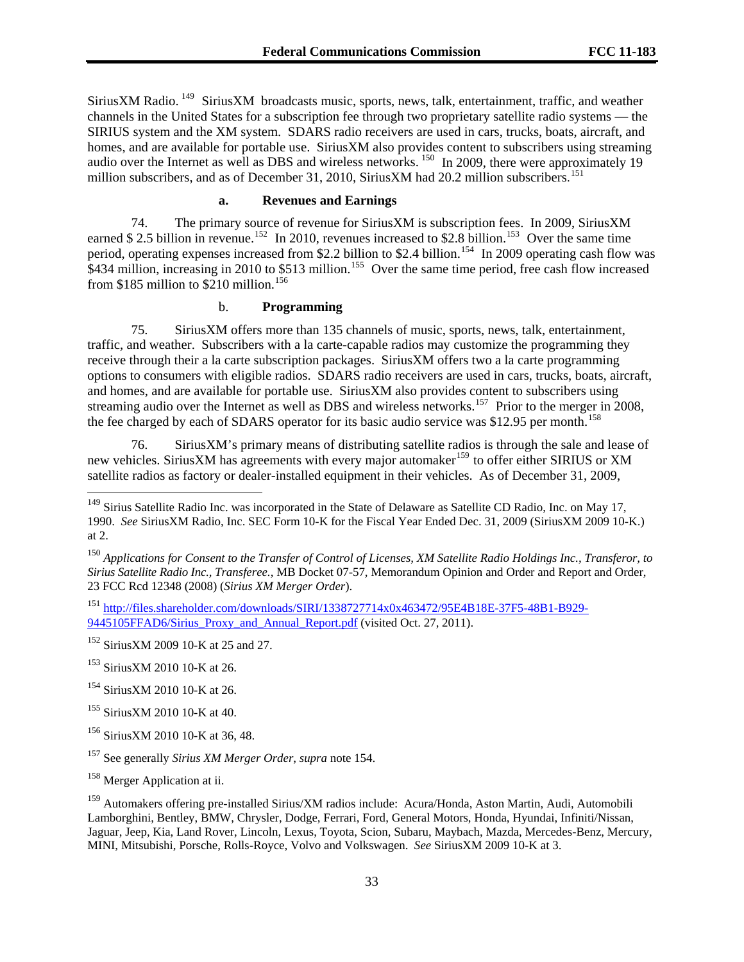SiriusXM Radio. 149 SiriusXM broadcasts music, sports, news, talk, entertainment, traffic, and weather channels in the United States for a subscription fee through two proprietary satellite radio systems — the SIRIUS system and the XM system. SDARS radio receivers are used in cars, trucks, boats, aircraft, and homes, and are available for portable use. SiriusXM also provides content to subscribers using streaming audio over the Internet as well as DBS and wireless networks.<sup>150</sup> In 2009, there were approximately 19 million subscribers, and as of December 31, 2010, SiriusXM had 20.2 million subscribers.<sup>151</sup>

# **a. Revenues and Earnings**

74. The primary source of revenue for SiriusXM is subscription fees. In 2009, SiriusXM earned \$ 2.5 billion in revenue.<sup>[152](#page-32-0)</sup> In 2010, revenues increased to \$2.8 billion.<sup>[153](#page-32-1)</sup> Over the same time period, operating expenses increased from \$2.2 billion to \$2.4 billion.<sup>[154](#page-32-2)</sup> In 2009 operating cash flow was  $\frac{1}{2}$ \$434 million, increasing in 2010 to \$513 million.<sup>[155](#page-32-3)</sup> Over the same time period, free cash flow increased from \$185 million to \$210 million.<sup>[156](#page-32-4)</sup>

# b. **Programming**

75. SiriusXM offers more than 135 channels of music, sports, news, talk, entertainment, traffic, and weather. Subscribers with a la carte-capable radios may customize the programming they receive through their a la carte subscription packages. SiriusXM offers two a la carte programming options to consumers with eligible radios. SDARS radio receivers are used in cars, trucks, boats, aircraft, and homes, and are available for portable use. SiriusXM also provides content to subscribers using streaming audio over the Internet as well as DBS and wireless networks.<sup>[157](#page-32-5)</sup> Prior to the merger in 2008, the fee charged by each of SDARS operator for its basic audio service was \$12.95 per month.<sup>[158](#page-32-6)</sup>

76. SiriusXM's primary means of distributing satellite radios is through the sale and lease of new vehicles. SiriusXM has agreements with every major automaker<sup>[159](#page-32-7)</sup> to offer either SIRIUS or XM satellite radios as factory or dealer-installed equipment in their vehicles. As of December 31, 2009,

<sup>151</sup> [http://files.shareholder.com/downloads/SIRI/1338727714x0x463472/95E4B18E-37F5-48B1-B929-](http://files.shareholder.com/downloads/SIRI/1338727714x0x463472/95E4B18E-37F5-48B1-B929-9445105FFAD6/Sirius_Proxy_and_Annual_Report.pdf) 9445105FFAD6/Sirius Proxy and Annual Report.pdf (visited Oct. 27, 2011).

 $149$  Sirius Satellite Radio Inc. was incorporated in the State of Delaware as Satellite CD Radio, Inc. on May 17, 1990. *See* SiriusXM Radio, Inc. SEC Form 10-K for the Fiscal Year Ended Dec. 31, 2009 (SiriusXM 2009 10-K.) at 2.

<sup>150</sup> *Applications for Consent to the Transfer of Control of Licenses, XM Satellite Radio Holdings Inc., Transferor, to Sirius Satellite Radio Inc., Transferee.*, MB Docket 07-57, Memorandum Opinion and Order and Report and Order, 23 FCC Rcd 12348 (2008) (*Sirius XM Merger Order*).

<span id="page-32-0"></span><sup>152</sup> SiriusXM 2009 10-K at 25 and 27.

<span id="page-32-1"></span><sup>153</sup> SiriusXM 2010 10-K at 26.

<span id="page-32-2"></span><sup>&</sup>lt;sup>154</sup> SiriusXM 2010 10-K at 26.

<span id="page-32-3"></span><sup>&</sup>lt;sup>155</sup> SiriusXM 2010 10-K at 40.

<span id="page-32-4"></span><sup>&</sup>lt;sup>156</sup> SiriusXM 2010 10-K at 36, 48.

<span id="page-32-5"></span><sup>157</sup> See generally *Sirius XM Merger Order*, *supra* note 154.

<span id="page-32-6"></span><sup>&</sup>lt;sup>158</sup> Merger Application at ii.

<span id="page-32-7"></span><sup>&</sup>lt;sup>159</sup> Automakers offering pre-installed Sirius/XM radios include: Acura/Honda, Aston Martin, Audi, Automobili Lamborghini, Bentley, BMW, Chrysler, Dodge, Ferrari, Ford, General Motors, Honda, Hyundai, Infiniti/Nissan, Jaguar, Jeep, Kia, Land Rover, Lincoln, Lexus, Toyota, Scion, Subaru, Maybach, Mazda, Mercedes-Benz, Mercury, MINI, Mitsubishi, Porsche, Rolls-Royce, Volvo and Volkswagen. *See* SiriusXM 2009 10-K at 3.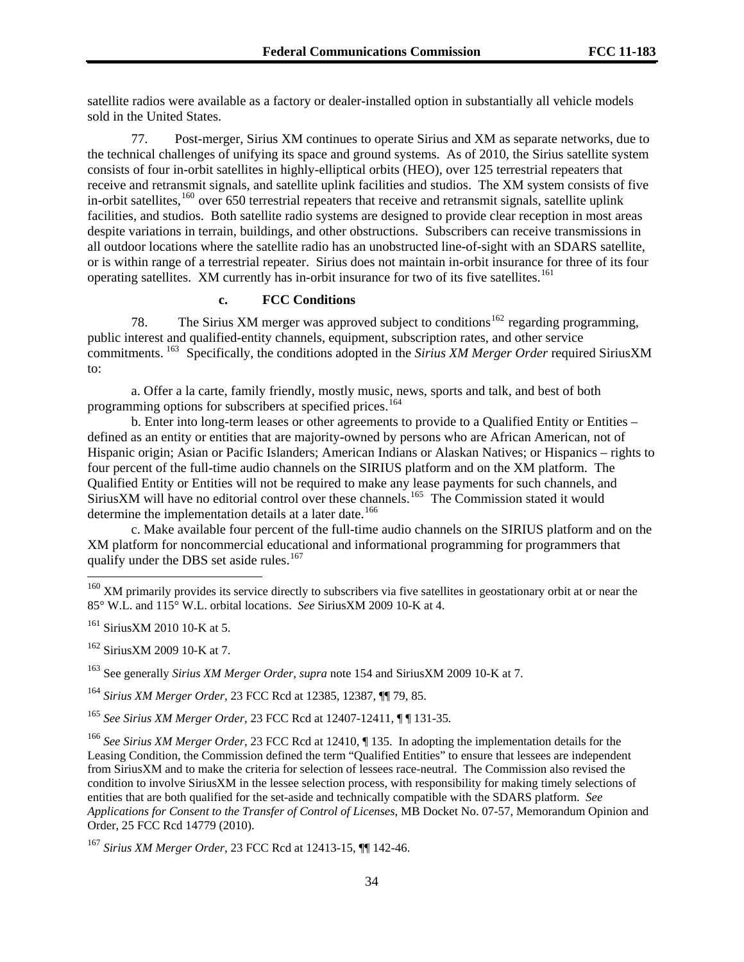satellite radios were available as a factory or dealer-installed option in substantially all vehicle models sold in the United States.

77. Post-merger, Sirius XM continues to operate Sirius and XM as separate networks, due to the technical challenges of unifying its space and ground systems. As of 2010, the Sirius satellite system consists of four in-orbit satellites in highly-elliptical orbits (HEO), over 125 terrestrial repeaters that receive and retransmit signals, and satellite uplink facilities and studios. The XM system consists of five in-orbit satellites,<sup>[160](#page-33-0)</sup> over 650 terrestrial repeaters that receive and retransmit signals, satellite uplink facilities, and studios. Both satellite radio systems are designed to provide clear reception in most areas despite variations in terrain, buildings, and other obstructions. Subscribers can receive transmissions in all outdoor locations where the satellite radio has an unobstructed line-of-sight with an SDARS satellite, or is within range of a terrestrial repeater. Sirius does not maintain in-orbit insurance for three of its four operating satellites. XM currently has in-orbit insurance for two of its five satellites.<sup>[161](#page-33-1)</sup>

# **c. FCC Conditions**

78. The Sirius XM merger was approved subject to conditions<sup>[162](#page-33-2)</sup> regarding programming, public interest and qualified-entity channels, equipment, subscription rates, and other service commitments. [163](#page-33-3) Specifically, the conditions adopted in the *Sirius XM Merger Order* required SiriusXM to:

a. Offer a la carte, family friendly, mostly music, news, sports and talk, and best of both programming options for subscribers at specified prices.<sup>[164](#page-33-4)</sup>

b. Enter into long-term leases or other agreements to provide to a Qualified Entity or Entities – defined as an entity or entities that are majority-owned by persons who are African American, not of Hispanic origin; Asian or Pacific Islanders; American Indians or Alaskan Natives; or Hispanics – rights to four percent of the full-time audio channels on the SIRIUS platform and on the XM platform. The Qualified Entity or Entities will not be required to make any lease payments for such channels, and SiriusXM will have no editorial control over these channels.<sup>[165](#page-33-5)</sup> The Commission stated it would determine the implementation details at a later date.<sup>[166](#page-33-6)</sup>

c. Make available four percent of the full-time audio channels on the SIRIUS platform and on the XM platform for noncommercial educational and informational programming for programmers that qualify under the DBS set aside rules.<sup>[167](#page-33-7)</sup>

<span id="page-33-0"></span> $160$  XM primarily provides its service directly to subscribers via five satellites in geostationary orbit at or near the 85° W.L. and 115° W.L. orbital locations. *See* SiriusXM 2009 10-K at 4.

<span id="page-33-1"></span><sup>&</sup>lt;sup>161</sup> SiriusXM 2010 10-K at 5.

<span id="page-33-2"></span><sup>162</sup> SiriusXM 2009 10-K at 7.

<span id="page-33-3"></span><sup>163</sup> See generally *Sirius XM Merger Order*, *supra* note 154 and SiriusXM 2009 10-K at 7.

<span id="page-33-4"></span><sup>164</sup> *Sirius XM Merger Order*, 23 FCC Rcd at 12385, 12387, ¶¶ 79, 85.

<span id="page-33-5"></span><sup>165</sup> *See Sirius XM Merger Order*, 23 FCC Rcd at 12407-12411, ¶ ¶ 131-35*.*

<span id="page-33-6"></span><sup>166</sup> *See Sirius XM Merger Order*, 23 FCC Rcd at 12410, ¶ 135. In adopting the implementation details for the Leasing Condition, the Commission defined the term "Qualified Entities" to ensure that lessees are independent from SiriusXM and to make the criteria for selection of lessees race-neutral. The Commission also revised the condition to involve SiriusXM in the lessee selection process, with responsibility for making timely selections of entities that are both qualified for the set-aside and technically compatible with the SDARS platform. *See Applications for Consent to the Transfer of Control of Licenses*, MB Docket No. 07-57, Memorandum Opinion and Order, 25 FCC Rcd 14779 (2010).

<span id="page-33-7"></span><sup>167</sup> *Sirius XM Merger Order*, 23 FCC Rcd at 12413-15, ¶¶ 142-46.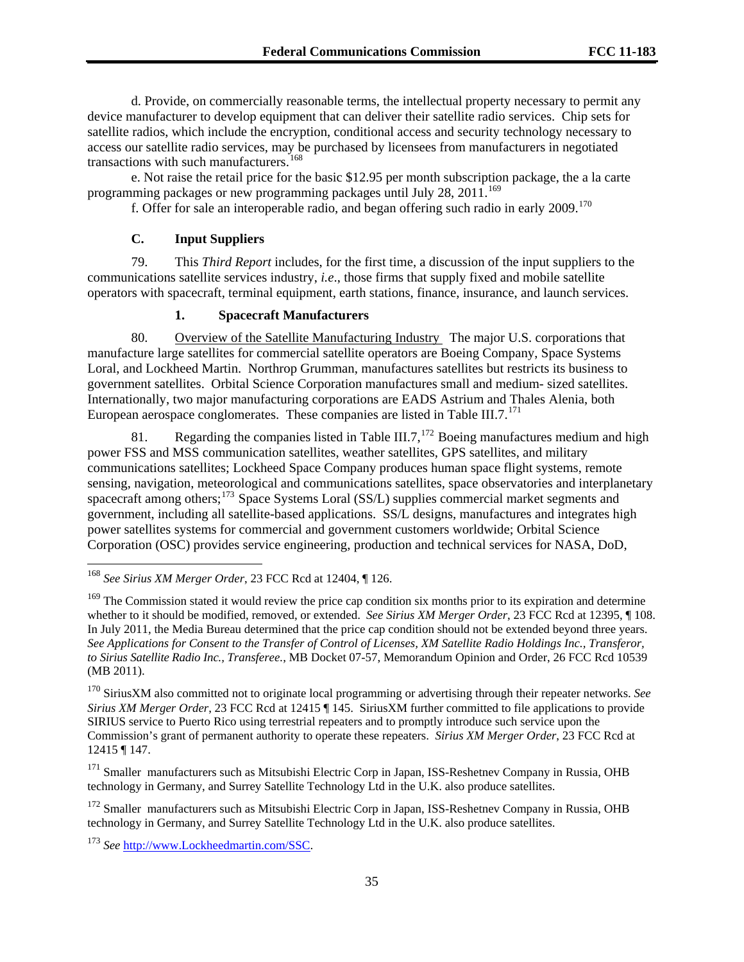d. Provide, on commercially reasonable terms, the intellectual property necessary to permit any device manufacturer to develop equipment that can deliver their satellite radio services. Chip sets for satellite radios, which include the encryption, conditional access and security technology necessary to access our satellite radio services, may be purchased by licensees from manufacturers in negotiated transactions with such manufacturers.<sup>[168](#page-34-0)</sup>

e. Not raise the retail price for the basic \$12.95 per month subscription package, the a la carte programming packages or new programming packages until July  $28$ ,  $2011$ .<sup>[169](#page-34-1)</sup>

f. Offer for sale an interoperable radio, and began offering such radio in early 2009.[170](#page-34-2)

# **C. Input Suppliers**

79. This *Third Report* includes, for the first time, a discussion of the input suppliers to the communications satellite services industry, *i.e*., those firms that supply fixed and mobile satellite operators with spacecraft, terminal equipment, earth stations, finance, insurance, and launch services.

# **1. Spacecraft Manufacturers**

80. Overview of the Satellite Manufacturing Industry The major U.S. corporations that manufacture large satellites for commercial satellite operators are Boeing Company, Space Systems Loral, and Lockheed Martin. Northrop Grumman, manufactures satellites but restricts its business to government satellites. Orbital Science Corporation manufactures small and medium- sized satellites. Internationally, two major manufacturing corporations are EADS Astrium and Thales Alenia, both European aerospace conglomerates. These companies are listed in Table III.7. $^{171}$  $^{171}$  $^{171}$ 

81. Regarding the companies listed in Table III.7,  $^{172}$  $^{172}$  $^{172}$  Boeing manufactures medium and high power FSS and MSS communication satellites, weather satellites, GPS satellites, and military communications satellites; Lockheed Space Company produces human space flight systems, remote sensing, navigation, meteorological and communications satellites, space observatories and interplanetary spacecraft among others;<sup>[173](#page-34-5)</sup> Space Systems Loral (SS/L) supplies commercial market segments and government, including all satellite-based applications. SS/L designs, manufactures and integrates high power satellites systems for commercial and government customers worldwide; Orbital Science Corporation (OSC) provides service engineering, production and technical services for NASA, DoD,

<span id="page-34-0"></span><sup>168</sup> *See Sirius XM Merger Order*, 23 FCC Rcd at 12404, ¶ 126.

<span id="page-34-1"></span><sup>&</sup>lt;sup>169</sup> The Commission stated it would review the price cap condition six months prior to its expiration and determine whether to it should be modified, removed, or extended. *See Sirius XM Merger Order*, 23 FCC Rcd at 12395, 108. In July 2011, the Media Bureau determined that the price cap condition should not be extended beyond three years. *See Applications for Consent to the Transfer of Control of Licenses, XM Satellite Radio Holdings Inc., Transferor, to Sirius Satellite Radio Inc., Transferee.*, MB Docket 07-57, Memorandum Opinion and Order, 26 FCC Rcd 10539 (MB 2011).

<span id="page-34-2"></span><sup>170</sup> SiriusXM also committed not to originate local programming or advertising through their repeater networks. *See Sirius XM Merger Order*, 23 FCC Rcd at 12415 ¶ 145. SiriusXM further committed to file applications to provide SIRIUS service to Puerto Rico using terrestrial repeaters and to promptly introduce such service upon the Commission's grant of permanent authority to operate these repeaters. *Sirius XM Merger Order*, 23 FCC Rcd at 12415 ¶ 147.

<span id="page-34-3"></span><sup>&</sup>lt;sup>171</sup> Smaller manufacturers such as Mitsubishi Electric Corp in Japan, ISS-Reshetnev Company in Russia, OHB technology in Germany, and Surrey Satellite Technology Ltd in the U.K. also produce satellites.

<span id="page-34-4"></span><sup>&</sup>lt;sup>172</sup> Smaller manufacturers such as Mitsubishi Electric Corp in Japan, ISS-Reshetnev Company in Russia, OHB technology in Germany, and Surrey Satellite Technology Ltd in the U.K. also produce satellites.

<span id="page-34-5"></span><sup>173</sup> *See* [http://www.Lockheedmartin.com/SSC](http://www.lockheedmartin.com/SSC).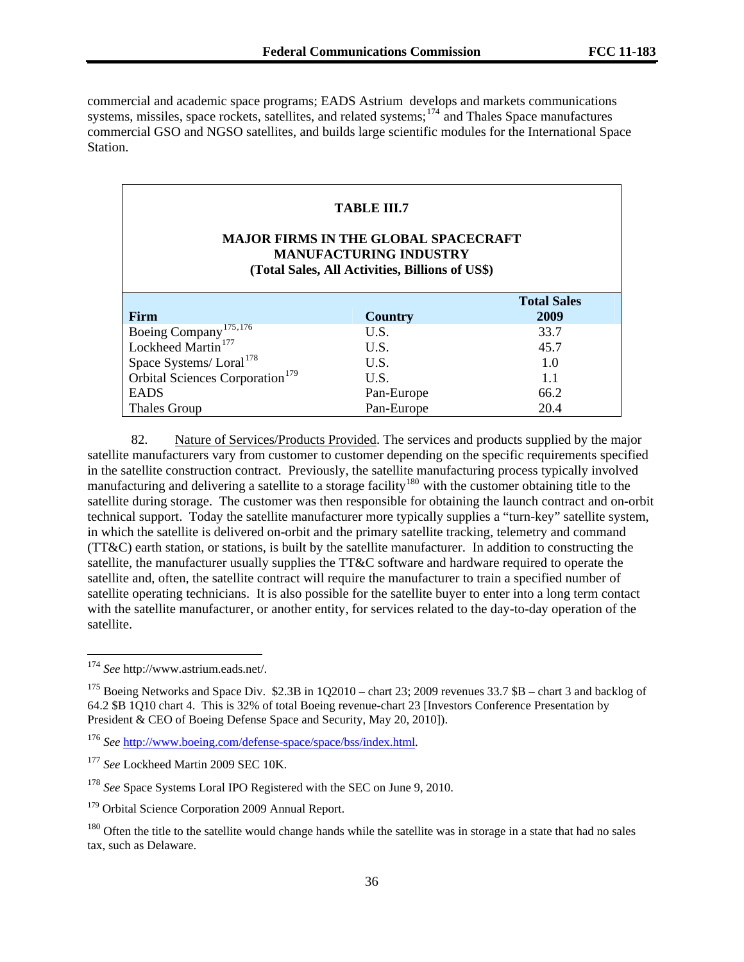commercial and academic space programs; EADS Astrium develops and markets communications systems, missiles, space rockets, satellites, and related systems;<sup>174</sup> and Thales Space manufactures commercial GSO and NGSO satellites, and builds large scientific modules for the International Space Station.

## **TABLE III.7**

# **MAJOR FIRMS IN THE GLOBAL SPACECRAFT MANUFACTURING INDUSTRY (Total Sales, All Activities, Billions of US\$)**

| <b>Firm</b>                                 | Country    | <b>Total Sales</b><br>2009 |
|---------------------------------------------|------------|----------------------------|
| Boeing Company <sup>175,176</sup>           | U.S.       | 33.7                       |
| Lockheed Martin <sup>177</sup>              | U.S.       | 45.7                       |
| Space Systems/Loral <sup>178</sup>          | U.S.       | 1.0                        |
| Orbital Sciences Corporation <sup>179</sup> | U.S.       | 1.1                        |
| <b>EADS</b>                                 | Pan-Europe | 66.2                       |
| Thales Group                                | Pan-Europe | 20.4                       |

82. Nature of Services/Products Provided. The services and products supplied by the major satellite manufacturers vary from customer to customer depending on the specific requirements specified in the satellite construction contract. Previously, the satellite manufacturing process typically involved manufacturing and delivering a satellite to a storage facility<sup>[180](#page-35-5)</sup> with the customer obtaining title to the satellite during storage. The customer was then responsible for obtaining the launch contract and on-orbit technical support. Today the satellite manufacturer more typically supplies a "turn-key" satellite system, in which the satellite is delivered on-orbit and the primary satellite tracking, telemetry and command (TT&C) earth station, or stations, is built by the satellite manufacturer. In addition to constructing the satellite, the manufacturer usually supplies the TT&C software and hardware required to operate the satellite and, often, the satellite contract will require the manufacturer to train a specified number of satellite operating technicians. It is also possible for the satellite buyer to enter into a long term contact with the satellite manufacturer, or another entity, for services related to the day-to-day operation of the satellite.

1

<sup>174</sup> *See* http://www.astrium.eads.net/.

<span id="page-35-0"></span><sup>&</sup>lt;sup>175</sup> Boeing Networks and Space Div. \$2.3B in 1Q2010 – chart 23; 2009 revenues 33.7 \$B – chart 3 and backlog of 64.2 \$B 1Q10 chart 4. This is 32% of total Boeing revenue-chart 23 [Investors Conference Presentation by President & CEO of Boeing Defense Space and Security, May 20, 2010]).

<span id="page-35-1"></span><sup>176</sup> *See* [http://www.boeing.com/defense-space/space/bss/index.html.](http://www.boeing.com/defense-space/space/bss/index.html)

<span id="page-35-2"></span><sup>&</sup>lt;sup>177</sup> See Lockheed Martin 2009 SEC 10K.

<span id="page-35-3"></span><sup>&</sup>lt;sup>178</sup> See Space Systems Loral IPO Registered with the SEC on June 9, 2010.

<span id="page-35-4"></span><sup>&</sup>lt;sup>179</sup> Orbital Science Corporation 2009 Annual Report.

<span id="page-35-5"></span><sup>&</sup>lt;sup>180</sup> Often the title to the satellite would change hands while the satellite was in storage in a state that had no sales tax, such as Delaware.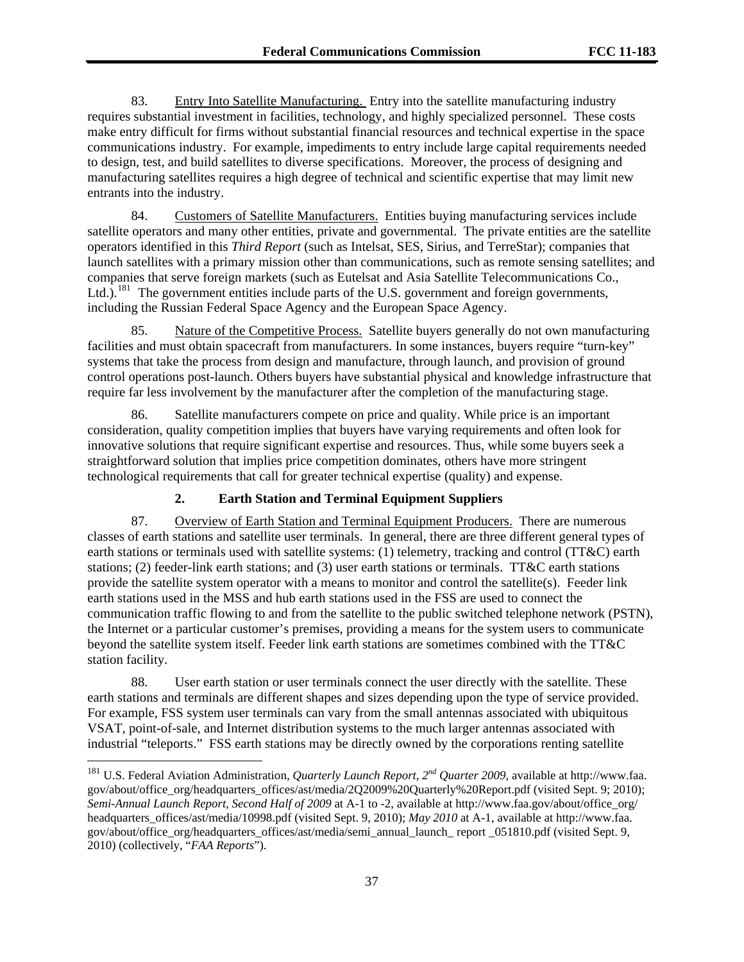83. Entry Into Satellite Manufacturing. Entry into the satellite manufacturing industry requires substantial investment in facilities, technology, and highly specialized personnel. These costs make entry difficult for firms without substantial financial resources and technical expertise in the space communications industry. For example, impediments to entry include large capital requirements needed to design, test, and build satellites to diverse specifications. Moreover, the process of designing and manufacturing satellites requires a high degree of technical and scientific expertise that may limit new entrants into the industry.

84. Customers of Satellite Manufacturers. Entities buying manufacturing services include satellite operators and many other entities, private and governmental. The private entities are the satellite operators identified in this *Third Report* (such as Intelsat, SES, Sirius, and TerreStar); companies that launch satellites with a primary mission other than communications, such as remote sensing satellites; and companies that serve foreign markets (such as Eutelsat and Asia Satellite Telecommunications Co., Ltd.).<sup>[181](#page-36-0)</sup> The government entities include parts of the U.S. government and foreign governments, including the Russian Federal Space Agency and the European Space Agency.

85. Nature of the Competitive Process. Satellite buyers generally do not own manufacturing facilities and must obtain spacecraft from manufacturers. In some instances, buyers require "turn-key" systems that take the process from design and manufacture, through launch, and provision of ground control operations post-launch. Others buyers have substantial physical and knowledge infrastructure that require far less involvement by the manufacturer after the completion of the manufacturing stage.

86. Satellite manufacturers compete on price and quality. While price is an important consideration, quality competition implies that buyers have varying requirements and often look for innovative solutions that require significant expertise and resources. Thus, while some buyers seek a straightforward solution that implies price competition dominates, others have more stringent technological requirements that call for greater technical expertise (quality) and expense.

# **2. Earth Station and Terminal Equipment Suppliers**

87. Overview of Earth Station and Terminal Equipment Producers. There are numerous classes of earth stations and satellite user terminals. In general, there are three different general types of earth stations or terminals used with satellite systems: (1) telemetry, tracking and control (TT&C) earth stations; (2) feeder-link earth stations; and (3) user earth stations or terminals. TT&C earth stations provide the satellite system operator with a means to monitor and control the satellite(s). Feeder link earth stations used in the MSS and hub earth stations used in the FSS are used to connect the communication traffic flowing to and from the satellite to the public switched telephone network (PSTN), the Internet or a particular customer's premises, providing a means for the system users to communicate beyond the satellite system itself. Feeder link earth stations are sometimes combined with the TT&C station facility.

88. User earth station or user terminals connect the user directly with the satellite. These earth stations and terminals are different shapes and sizes depending upon the type of service provided. For example, FSS system user terminals can vary from the small antennas associated with ubiquitous VSAT, point-of-sale, and Internet distribution systems to the much larger antennas associated with industrial "teleports." FSS earth stations may be directly owned by the corporations renting satellite

<span id="page-36-0"></span><sup>181</sup> U.S. Federal Aviation Administration, *Quarterly Launch Report, 2nd Quarter 2009*, available at http://www.faa. gov/about/office\_org/headquarters\_offices/ast/media/2O2009%20Quarterly%20Report.pdf (visited Sept. 9; 2010); *Semi-Annual Launch Report, Second Half of 2009* at A-1 to -2, available at http://www.faa.gov/about/office\_org/ headquarters offices/ast/media/10998.pdf (visited Sept. 9, 2010); *May 2010* at A-1, available at http://www.faa. gov/about/office\_org/headquarters\_offices/ast/media/semi\_annual\_launch\_ report \_051810.pdf (visited Sept. 9, 2010) (collectively, "*FAA Reports*").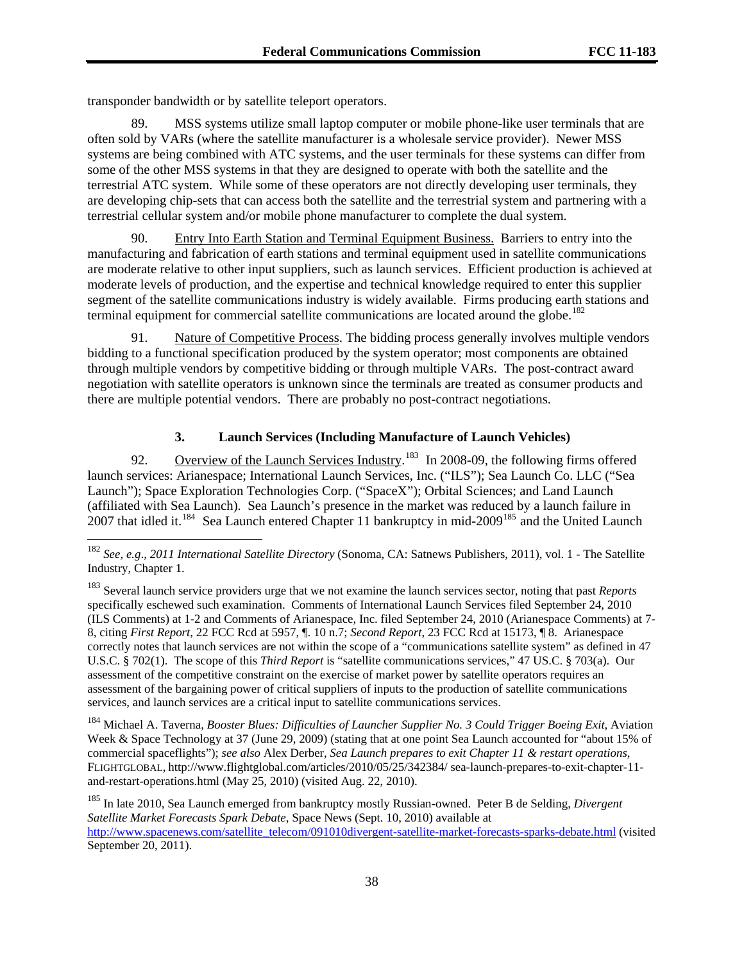transponder bandwidth or by satellite teleport operators.

-

89. MSS systems utilize small laptop computer or mobile phone-like user terminals that are often sold by VARs (where the satellite manufacturer is a wholesale service provider). Newer MSS systems are being combined with ATC systems, and the user terminals for these systems can differ from some of the other MSS systems in that they are designed to operate with both the satellite and the terrestrial ATC system. While some of these operators are not directly developing user terminals, they are developing chip-sets that can access both the satellite and the terrestrial system and partnering with a terrestrial cellular system and/or mobile phone manufacturer to complete the dual system.

90. Entry Into Earth Station and Terminal Equipment Business. Barriers to entry into the manufacturing and fabrication of earth stations and terminal equipment used in satellite communications are moderate relative to other input suppliers, such as launch services. Efficient production is achieved at moderate levels of production, and the expertise and technical knowledge required to enter this supplier segment of the satellite communications industry is widely available. Firms producing earth stations and terminal equipment for commercial satellite communications are located around the globe.<sup>[182](#page-37-0)</sup>

91. Nature of Competitive Process. The bidding process generally involves multiple vendors bidding to a functional specification produced by the system operator; most components are obtained through multiple vendors by competitive bidding or through multiple VARs. The post-contract award negotiation with satellite operators is unknown since the terminals are treated as consumer products and there are multiple potential vendors. There are probably no post-contract negotiations.

## **3. Launch Services (Including Manufacture of Launch Vehicles)**

92. Overview of the Launch Services Industry.<sup>[183](#page-37-1)</sup> In 2008-09, the following firms offered launch services: Arianespace; International Launch Services, Inc. ("ILS"); Sea Launch Co. LLC ("Sea Launch"); Space Exploration Technologies Corp. ("SpaceX"); Orbital Sciences; and Land Launch (affiliated with Sea Launch). Sea Launch's presence in the market was reduced by a launch failure in 2007 that idled it.<sup>[184](#page-37-2)</sup> Sea Launch entered Chapter 11 bankruptcy in mid-2009<sup>[185](#page-37-3)</sup> and the United Launch

<span id="page-37-2"></span>184 Michael A. Taverna, *Booster Blues: Difficulties of Launcher Supplier No. 3 Could Trigger Boeing Exit*, Aviation Week & Space Technology at 37 (June 29, 2009) (stating that at one point Sea Launch accounted for "about 15% of commercial spaceflights"); *see also* Alex Derber, *Sea Launch prepares to exit Chapter 11 & restart operations*, FLIGHTGLOBAL, http://www.flightglobal.com/articles/2010/05/25/342384/ sea-launch-prepares-to-exit-chapter-11 and-restart-operations.html (May 25, 2010) (visited Aug. 22, 2010).

<span id="page-37-3"></span>185 In late 2010, Sea Launch emerged from bankruptcy mostly Russian-owned. Peter B de Selding, *Divergent Satellite Market Forecasts Spark Debate*, Space News (Sept. 10, 2010) available at [http://www.spacenews.com/satellite\\_telecom/091010divergent-satellite-market-forecasts-sparks-debate.html](http://www.spacenews.com/satellite_telecom/091010divergent-satellite-market-forecasts-sparks-debate.html) (visited September 20, 2011).

<span id="page-37-0"></span><sup>182</sup> *See, e.g*., *2011 International Satellite Directory* (Sonoma, CA: Satnews Publishers, 2011), vol. 1 - The Satellite Industry, Chapter 1.

<span id="page-37-1"></span><sup>183</sup> Several launch service providers urge that we not examine the launch services sector, noting that past *Reports* specifically eschewed such examination. Comments of International Launch Services filed September 24, 2010 (ILS Comments) at 1-2 and Comments of Arianespace, Inc. filed September 24, 2010 (Arianespace Comments) at 7- 8, citing *First Report*, 22 FCC Rcd at 5957, ¶. 10 n.7; *Second Report*, 23 FCC Rcd at 15173, ¶ 8. Arianespace correctly notes that launch services are not within the scope of a "communications satellite system" as defined in 47 U.S.C. § 702(1). The scope of this *Third Report* is "satellite communications services," 47 US.C. § 703(a). Our assessment of the competitive constraint on the exercise of market power by satellite operators requires an assessment of the bargaining power of critical suppliers of inputs to the production of satellite communications services, and launch services are a critical input to satellite communications services.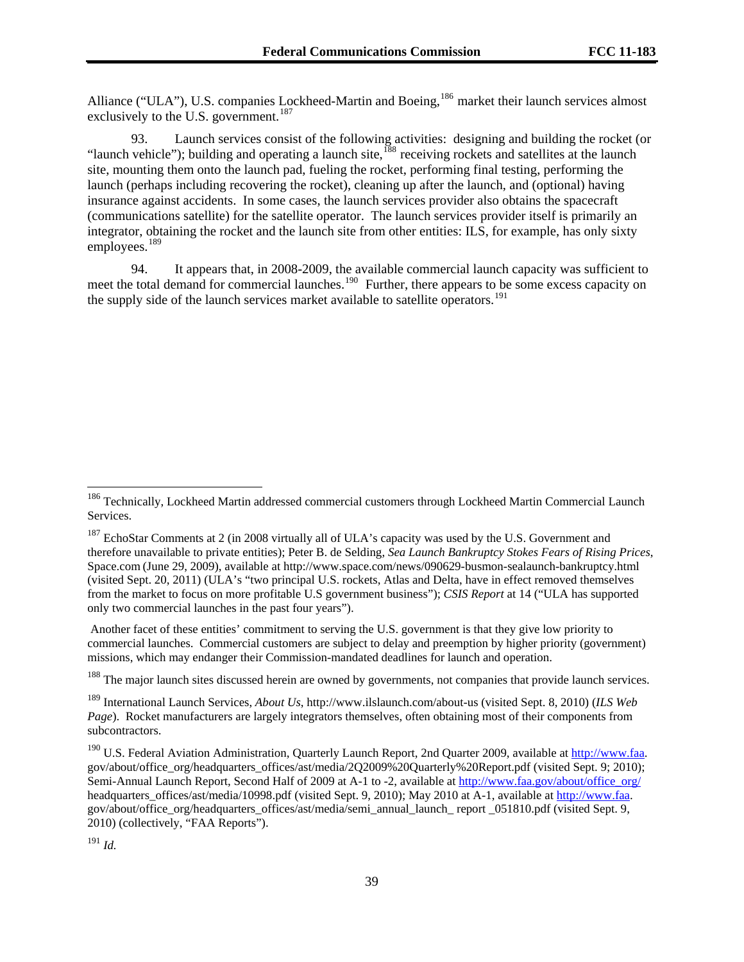Alliance ("ULA"), U.S. companies Lockheed-Martin and Boeing,<sup>186</sup> market their launch services almost exclusively to the U.S. government.<sup>187</sup>

93. Launch services consist of the following activities: designing and building the rocket (or "launch vehicle"); building and operating a launch site,<sup>[188](#page-38-0)</sup> receiving rockets and satellites at the launch site, mounting them onto the launch pad, fueling the rocket, performing final testing, performing the launch (perhaps including recovering the rocket), cleaning up after the launch, and (optional) having insurance against accidents. In some cases, the launch services provider also obtains the spacecraft (communications satellite) for the satellite operator. The launch services provider itself is primarily an integrator, obtaining the rocket and the launch site from other entities: ILS, for example, has only sixty employees.<sup>[189](#page-38-1)</sup>

94. It appears that, in 2008-2009, the available commercial launch capacity was sufficient to meet the total demand for commercial launches.<sup>[190](#page-38-2)</sup> Further, there appears to be some excess capacity on the supply side of the launch services market available to satellite operators.<sup>[191](#page-38-3)</sup>

 Another facet of these entities' commitment to serving the U.S. government is that they give low priority to commercial launches. Commercial customers are subject to delay and preemption by higher priority (government) missions, which may endanger their Commission-mandated deadlines for launch and operation.

<span id="page-38-0"></span><sup>188</sup> The major launch sites discussed herein are owned by governments, not companies that provide launch services.

<span id="page-38-1"></span>189 International Launch Services, *About Us*, http://www.ilslaunch.com/about-us (visited Sept. 8, 2010) (*ILS Web Page*). Rocket manufacturers are largely integrators themselves, often obtaining most of their components from subcontractors.

<sup>&</sup>lt;sup>186</sup> Technically, Lockheed Martin addressed commercial customers through Lockheed Martin Commercial Launch Services.

<sup>&</sup>lt;sup>187</sup> EchoStar Comments at 2 (in 2008 virtually all of ULA's capacity was used by the U.S. Government and therefore unavailable to private entities); Peter B. de Selding, *Sea Launch Bankruptcy Stokes Fears of Rising Prices*, Space.com (June 29, 2009), available at http://www.space.com/news/090629-busmon-sealaunch-bankruptcy.html (visited Sept. 20, 2011) (ULA's "two principal U.S. rockets, Atlas and Delta, have in effect removed themselves from the market to focus on more profitable U.S government business"); *CSIS Report* at 14 ("ULA has supported only two commercial launches in the past four years").

<span id="page-38-2"></span><sup>&</sup>lt;sup>190</sup> U.S. Federal Aviation Administration, Quarterly Launch Report, 2nd Quarter 2009, available at [http://www.faa.](http://www.faa/) gov/about/office\_org/headquarters\_offices/ast/media/2Q2009%20Quarterly%20Report.pdf (visited Sept. 9; 2010); Semi-Annual Launch Report, Second Half of 2009 at A-1 to -2, available at [http://www.faa.gov/about/office\\_org/](http://www.faa.gov/about/office_org/) headquarters\_offices/ast/media/10998.pdf (visited Sept. 9, 2010); May 2010 at A-1, available at [http://www.faa.](http://www.faa/) gov/about/office\_org/headquarters\_offices/ast/media/semi\_annual\_launch\_ report \_051810.pdf (visited Sept. 9, 2010) (collectively, "FAA Reports").

<span id="page-38-3"></span><sup>191</sup> *Id.*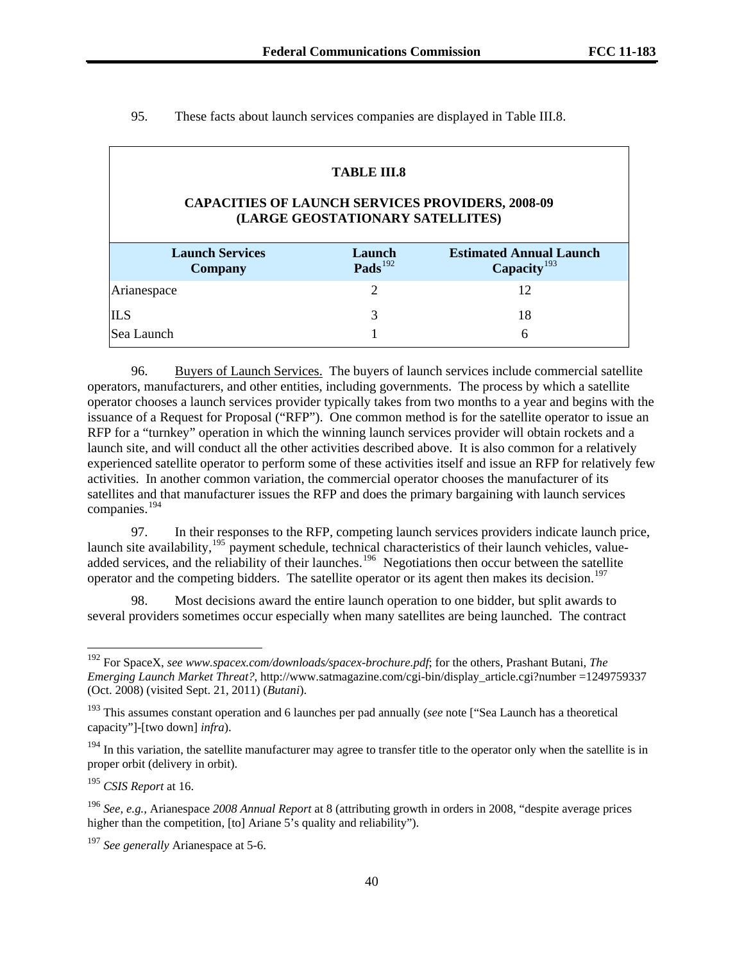| <b>TABLE III.8</b><br><b>CAPACITIES OF LAUNCH SERVICES PROVIDERS, 2008-09</b>                                                                                        |                |    |  |  |  |  |  |
|----------------------------------------------------------------------------------------------------------------------------------------------------------------------|----------------|----|--|--|--|--|--|
| (LARGE GEOSTATIONARY SATELLITES)<br><b>Launch Services</b><br><b>Estimated Annual Launch</b><br>Launch<br>Pads $^{192}$<br>Capacity <sup>193</sup><br><b>Company</b> |                |    |  |  |  |  |  |
| Arianespace                                                                                                                                                          | $\overline{c}$ | 12 |  |  |  |  |  |
| <b>ILS</b>                                                                                                                                                           | 3              | 18 |  |  |  |  |  |
| lSea Launch                                                                                                                                                          |                | 6  |  |  |  |  |  |

95. These facts about launch services companies are displayed in Table III.8.

# 96. Buyers of Launch Services. The buyers of launch services include commercial satellite operators, manufacturers, and other entities, including governments. The process by which a satellite operator chooses a launch services provider typically takes from two months to a year and begins with the issuance of a Request for Proposal ("RFP"). One common method is for the satellite operator to issue an RFP for a "turnkey" operation in which the winning launch services provider will obtain rockets and a launch site, and will conduct all the other activities described above. It is also common for a relatively experienced satellite operator to perform some of these activities itself and issue an RFP for relatively few activities. In another common variation, the commercial operator chooses the manufacturer of its satellites and that manufacturer issues the RFP and does the primary bargaining with launch services companies.[194](#page-39-2)

97. In their responses to the RFP, competing launch services providers indicate launch price, launch site availability,<sup>[195](#page-39-3)</sup> payment schedule, technical characteristics of their launch vehicles, value-added services, and the reliability of their launches.<sup>[196](#page-39-4)</sup> Negotiations then occur between the satellite operator and the competing bidders. The satellite operator or its agent then makes its decision.<sup>[197](#page-39-5)</sup>

98. Most decisions award the entire launch operation to one bidder, but split awards to several providers sometimes occur especially when many satellites are being launched. The contract

-

<span id="page-39-0"></span><sup>192</sup> For SpaceX, *see www.spacex.com/downloads/spacex-brochure.pdf*; for the others, Prashant Butani, *The Emerging Launch Market Threat?*, http://www.satmagazine.com/cgi-bin/display\_article.cgi?number =1249759337 (Oct. 2008) (visited Sept. 21, 2011) (*Butani*).

<span id="page-39-1"></span><sup>193</sup> This assumes constant operation and 6 launches per pad annually (*see* note ["Sea Launch has a theoretical capacity"]-[two down] *infra*).

<span id="page-39-2"></span> $194$  In this variation, the satellite manufacturer may agree to transfer title to the operator only when the satellite is in proper orbit (delivery in orbit).

<span id="page-39-3"></span><sup>195</sup> *CSIS Report* at 16.

<span id="page-39-4"></span><sup>196</sup> *See, e.g.,* Arianespace *2008 Annual Report* at 8 (attributing growth in orders in 2008, "despite average prices higher than the competition, [to] Ariane 5's quality and reliability").

<span id="page-39-5"></span><sup>197</sup> *See generally* Arianespace at 5-6.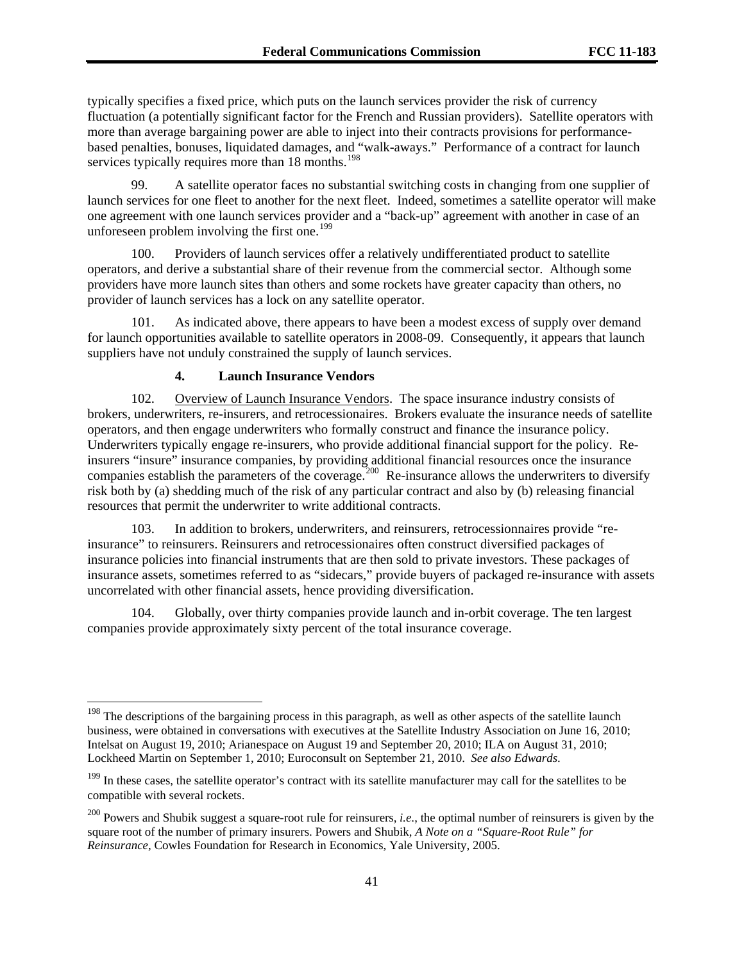typically specifies a fixed price, which puts on the launch services provider the risk of currency fluctuation (a potentially significant factor for the French and Russian providers). Satellite operators with more than average bargaining power are able to inject into their contracts provisions for performancebased penalties, bonuses, liquidated damages, and "walk-aways." Performance of a contract for launch services typically requires more than 18 months.<sup>198</sup>

99. A satellite operator faces no substantial switching costs in changing from one supplier of launch services for one fleet to another for the next fleet. Indeed, sometimes a satellite operator will make one agreement with one launch services provider and a "back-up" agreement with another in case of an unforeseen problem involving the first one.<sup>[199](#page-40-0)</sup>

100. Providers of launch services offer a relatively undifferentiated product to satellite operators, and derive a substantial share of their revenue from the commercial sector. Although some providers have more launch sites than others and some rockets have greater capacity than others, no provider of launch services has a lock on any satellite operator.

101. As indicated above, there appears to have been a modest excess of supply over demand for launch opportunities available to satellite operators in 2008-09. Consequently, it appears that launch suppliers have not unduly constrained the supply of launch services.

# **4. Launch Insurance Vendors**

l

102. Overview of Launch Insurance Vendors. The space insurance industry consists of brokers, underwriters, re-insurers, and retrocessionaires. Brokers evaluate the insurance needs of satellite operators, and then engage underwriters who formally construct and finance the insurance policy. Underwriters typically engage re-insurers, who provide additional financial support for the policy. Reinsurers "insure" insurance companies, by providing additional financial resources once the insurance companies establish the parameters of the coverage.<sup>[200](#page-40-1)</sup> Re-insurance allows the underwriters to diversify risk both by (a) shedding much of the risk of any particular contract and also by (b) releasing financial resources that permit the underwriter to write additional contracts.

103. In addition to brokers, underwriters, and reinsurers, retrocessionnaires provide "reinsurance" to reinsurers. Reinsurers and retrocessionaires often construct diversified packages of insurance policies into financial instruments that are then sold to private investors. These packages of insurance assets, sometimes referred to as "sidecars," provide buyers of packaged re-insurance with assets uncorrelated with other financial assets, hence providing diversification.

104. Globally, over thirty companies provide launch and in-orbit coverage. The ten largest companies provide approximately sixty percent of the total insurance coverage.

 $198$  The descriptions of the bargaining process in this paragraph, as well as other aspects of the satellite launch business, were obtained in conversations with executives at the Satellite Industry Association on June 16, 2010; Intelsat on August 19, 2010; Arianespace on August 19 and September 20, 2010; ILA on August 31, 2010; Lockheed Martin on September 1, 2010; Euroconsult on September 21, 2010. *See also Edwards*.

<span id="page-40-0"></span><sup>&</sup>lt;sup>199</sup> In these cases, the satellite operator's contract with its satellite manufacturer may call for the satellites to be compatible with several rockets.

<span id="page-40-1"></span><sup>&</sup>lt;sup>200</sup> Powers and Shubik suggest a square-root rule for reinsurers, *i.e.*, the optimal number of reinsurers is given by the square root of the number of primary insurers. Powers and Shubik, *A Note on a "Square-Root Rule" for Reinsurance*, Cowles Foundation for Research in Economics, Yale University, 2005.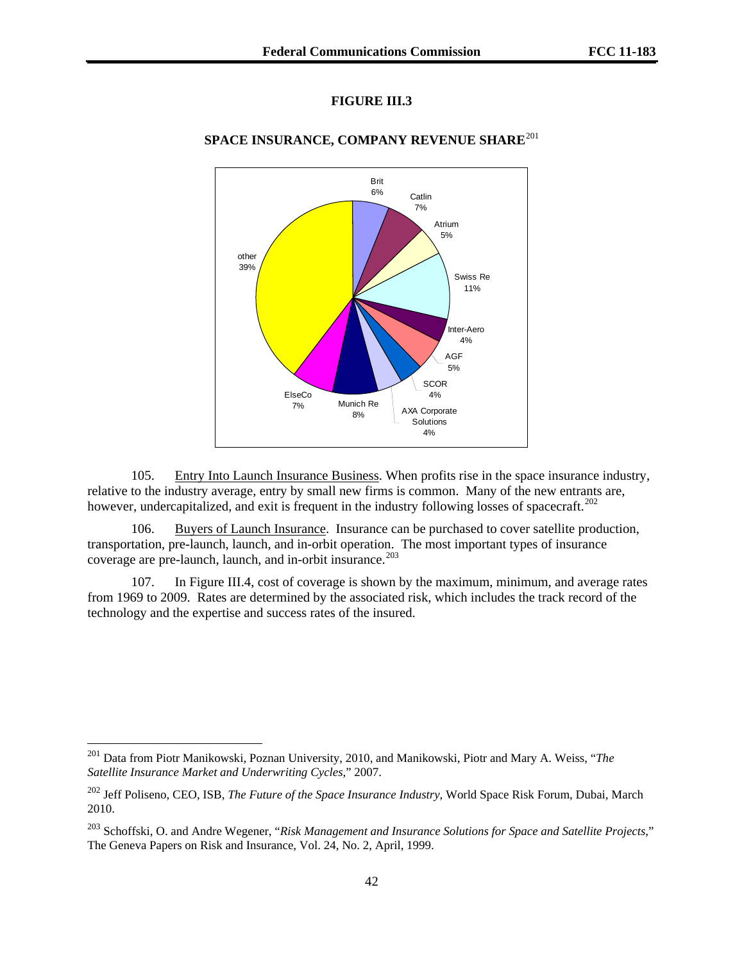# **FIGURE III.3**



# **SPACE INSURANCE, COMPANY REVENUE SHARE**<sup>[201](#page-41-0)</sup>

105. Entry Into Launch Insurance Business. When profits rise in the space insurance industry, relative to the industry average, entry by small new firms is common. Many of the new entrants are, however, undercapitalized, and exit is frequent in the industry following losses of spacecraft.<sup>[202](#page-41-1)</sup>

106. Buyers of Launch Insurance. Insurance can be purchased to cover satellite production, transportation, pre-launch, launch, and in-orbit operation. The most important types of insurance coverage are pre-launch, launch, and in-orbit insurance.<sup>[203](#page-41-2)</sup>

107. In Figure III.4, cost of coverage is shown by the maximum, minimum, and average rates from 1969 to 2009. Rates are determined by the associated risk, which includes the track record of the technology and the expertise and success rates of the insured.

<span id="page-41-0"></span><sup>201</sup> Data from Piotr Manikowski, Poznan University, 2010, and Manikowski, Piotr and Mary A. Weiss, "*The Satellite Insurance Market and Underwriting Cycles*," 2007.

<span id="page-41-1"></span><sup>202</sup> Jeff Poliseno, CEO, ISB, *The Future of the Space Insurance Industry*, World Space Risk Forum, Dubai, March 2010.

<span id="page-41-2"></span><sup>203</sup> Schoffski, O. and Andre Wegener, "*Risk Management and Insurance Solutions for Space and Satellite Projects*," The Geneva Papers on Risk and Insurance, Vol. 24, No. 2, April, 1999.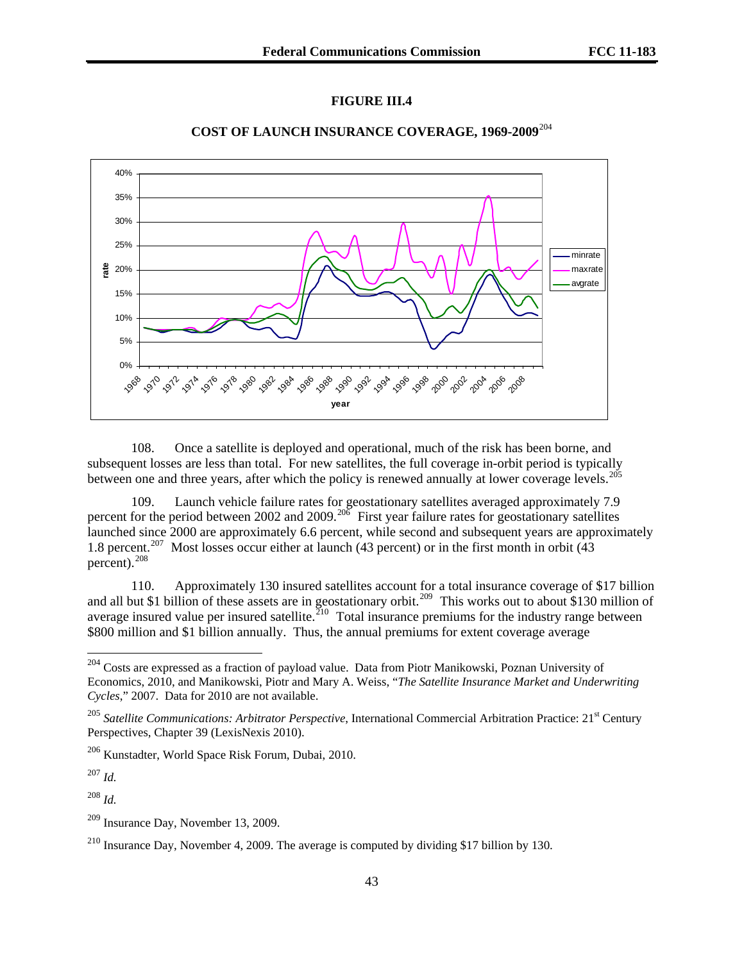# **FIGURE III.4**



## **COST OF LAUNCH INSURANCE COVERAGE, 1969-2009**[204](#page-42-0)

108. Once a satellite is deployed and operational, much of the risk has been borne, and subsequent losses are less than total. For new satellites, the full coverage in-orbit period is typically between one and three years, after which the policy is renewed annually at lower coverage levels.<sup>[205](#page-42-1)</sup>

109. Launch vehicle failure rates for geostationary satellites averaged approximately 7.9 percent for the period between 2002 and 2009.<sup>[206](#page-42-2)</sup> First year failure rates for geostationary satellites launched since 2000 are approximately 6.6 percent, while second and subsequent years are approximately 1.8 percent.<sup>[207](#page-42-3)</sup> Most losses occur either at launch (43 percent) or in the first month in orbit (43 percent).<sup>[208](#page-42-4)</sup>

110. Approximately 130 insured satellites account for a total insurance coverage of \$17 billion and all but \$1 billion of these assets are in geostationary orbit.<sup>[209](#page-42-5)</sup> This works out to about \$130 million of average insured value per insured satellite.<sup>[210](#page-42-6)</sup> Total insurance premiums for the industry range between \$800 million and \$1 billion annually. Thus, the annual premiums for extent coverage average

<span id="page-42-3"></span><sup>207</sup> *Id.*

l

<span id="page-42-4"></span><sup>208</sup> *Id.*

<span id="page-42-0"></span><sup>&</sup>lt;sup>204</sup> Costs are expressed as a fraction of payload value. Data from Piotr Manikowski, Poznan University of Economics, 2010, and Manikowski, Piotr and Mary A. Weiss, "*The Satellite Insurance Market and Underwriting Cycles*," 2007. Data for 2010 are not available.

<span id="page-42-1"></span><sup>&</sup>lt;sup>205</sup> Satellite Communications: Arbitrator Perspective, International Commercial Arbitration Practice: 21<sup>st</sup> Century Perspectives, Chapter 39 (LexisNexis 2010).

<span id="page-42-2"></span><sup>206</sup> Kunstadter, World Space Risk Forum, Dubai, 2010.

<span id="page-42-5"></span><sup>209</sup> Insurance Day, November 13, 2009.

<span id="page-42-6"></span><sup>210</sup> Insurance Day, November 4, 2009. The average is computed by dividing \$17 billion by 130.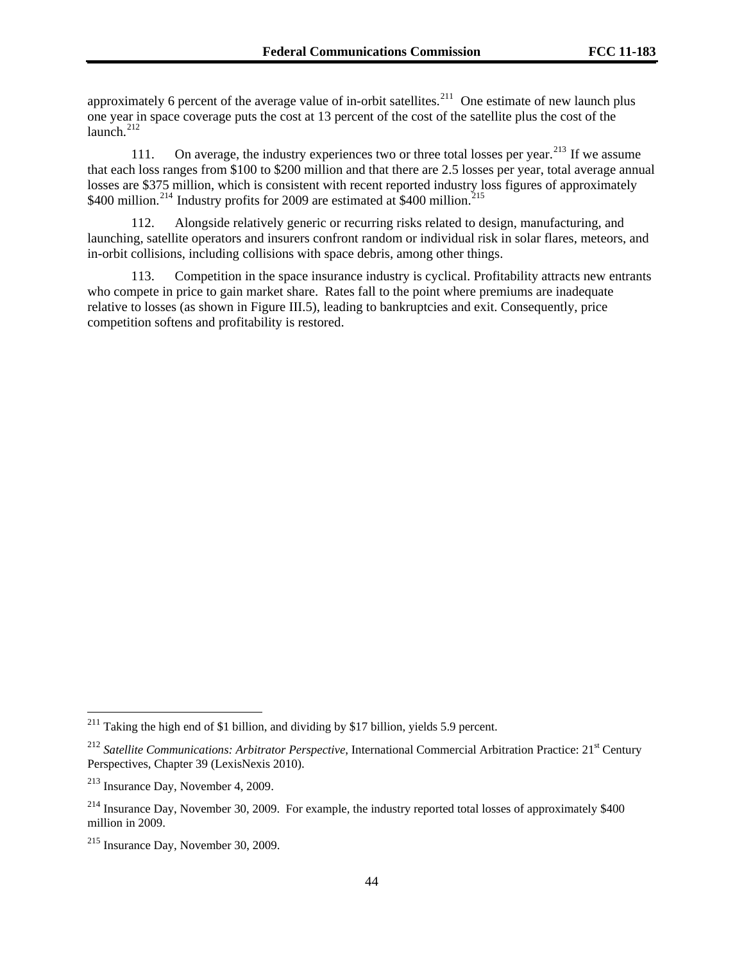approximately 6 percent of the average value of in-orbit satellites.<sup>211</sup> One estimate of new launch plus one year in space coverage puts the cost at 13 percent of the cost of the satellite plus the cost of the  $l$ aunch $l$ <sup>212</sup>

111. On average, the industry experiences two or three total losses per year.<sup>[213](#page-43-0)</sup> If we assume that each loss ranges from \$100 to \$200 million and that there are 2.5 losses per year, total average annual losses are \$375 million, which is consistent with recent reported industry loss figures of approximately \$400 million.<sup>[214](#page-43-1)</sup> Industry profits for 2009 are estimated at \$400 million.<sup>214</sup>

112. Alongside relatively generic or recurring risks related to design, manufacturing, and launching, satellite operators and insurers confront random or individual risk in solar flares, meteors, and in-orbit collisions, including collisions with space debris, among other things.

113. Competition in the space insurance industry is cyclical. Profitability attracts new entrants who compete in price to gain market share. Rates fall to the point where premiums are inadequate relative to losses (as shown in Figure III.5), leading to bankruptcies and exit. Consequently, price competition softens and profitability is restored.

<sup>&</sup>lt;sup>211</sup> Taking the high end of \$1 billion, and dividing by \$17 billion, yields 5.9 percent.

<sup>&</sup>lt;sup>212</sup> Satellite Communications: Arbitrator Perspective, International Commercial Arbitration Practice: 21<sup>st</sup> Century Perspectives, Chapter 39 (LexisNexis 2010).

<span id="page-43-0"></span><sup>213</sup> Insurance Day, November 4, 2009.

<span id="page-43-1"></span> $^{214}$  Insurance Day, November 30, 2009. For example, the industry reported total losses of approximately \$400 million in 2009.

<span id="page-43-2"></span><sup>215</sup> Insurance Day, November 30, 2009.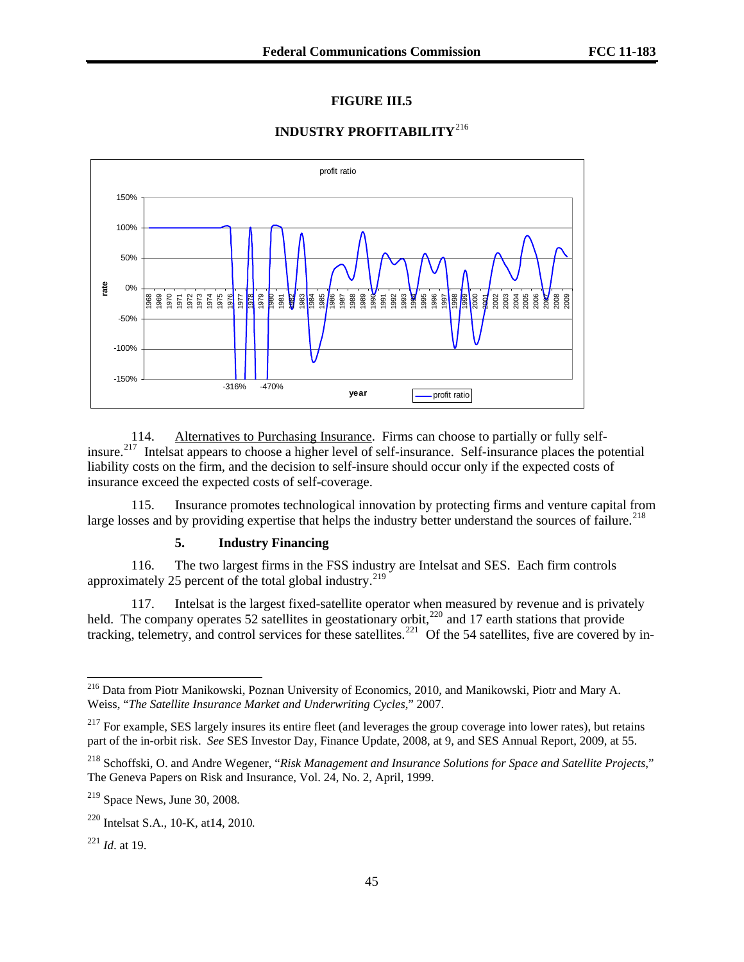## **FIGURE III.5**

### **INDUSTRY PROFITABILITY**[216](#page-44-0)



114. Alternatives to Purchasing Insurance. Firms can choose to partially or fully selfinsure.[217](#page-44-1) Intelsat appears to choose a higher level of self-insurance. Self-insurance places the potential liability costs on the firm, and the decision to self-insure should occur only if the expected costs of insurance exceed the expected costs of self-coverage.

115. Insurance promotes technological innovation by protecting firms and venture capital from large losses and by providing expertise that helps the industry better understand the sources of failure.<sup>[218](#page-44-2)</sup>

### **5. Industry Financing**

116. The two largest firms in the FSS industry are Intelsat and SES. Each firm controls approximately 25 percent of the total global industry.<sup>[219](#page-44-3)</sup>

117. Intelsat is the largest fixed-satellite operator when measured by revenue and is privately held. The company operates 52 satellites in geostationary orbit,<sup>[220](#page-44-4)</sup> and 17 earth stations that provide tracking, telemetry, and control services for these satellites.<sup>[221](#page-44-5)</sup> Of the 54 satellites, five are covered by in-

1

<span id="page-44-0"></span><sup>&</sup>lt;sup>216</sup> Data from Piotr Manikowski, Poznan University of Economics, 2010, and Manikowski, Piotr and Mary A. Weiss, "*The Satellite Insurance Market and Underwriting Cycles*," 2007.

<span id="page-44-1"></span> $217$  For example, SES largely insures its entire fleet (and leverages the group coverage into lower rates), but retains part of the in-orbit risk. *See* SES Investor Day, Finance Update, 2008, at 9, and SES Annual Report, 2009, at 55.

<span id="page-44-2"></span><sup>218</sup> Schoffski, O. and Andre Wegener, "*Risk Management and Insurance Solutions for Space and Satellite Projects*," The Geneva Papers on Risk and Insurance, Vol. 24, No. 2, April, 1999.

<span id="page-44-3"></span> $219$  Space News, June 30, 2008.

<span id="page-44-4"></span><sup>220</sup> Intelsat S.A., 10-K, at14, 2010.

<span id="page-44-5"></span><sup>221</sup> *Id*. at 19.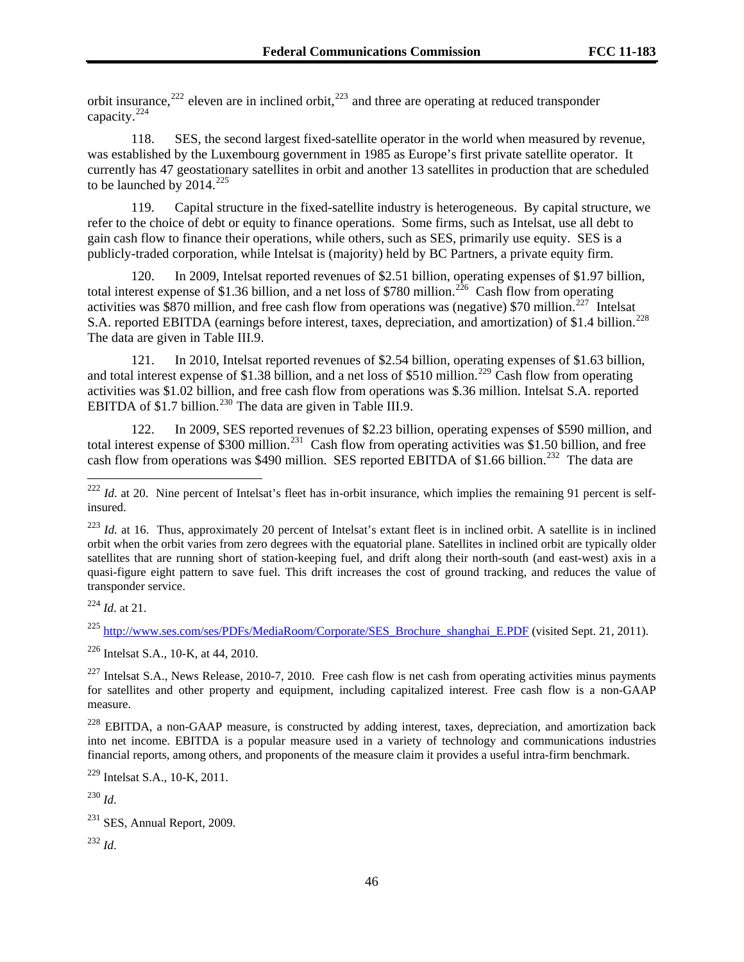orbit insurance,  $222$  eleven are in inclined orbit,  $223$  and three are operating at reduced transponder capacity.224

118. SES, the second largest fixed-satellite operator in the world when measured by revenue, was established by the Luxembourg government in 1985 as Europe's first private satellite operator. It currently has 47 geostationary satellites in orbit and another 13 satellites in production that are scheduled to be launched by  $2014.<sup>225</sup>$  $2014.<sup>225</sup>$  $2014.<sup>225</sup>$ 

119. Capital structure in the fixed-satellite industry is heterogeneous. By capital structure, we refer to the choice of debt or equity to finance operations. Some firms, such as Intelsat, use all debt to gain cash flow to finance their operations, while others, such as SES, primarily use equity. SES is a publicly-traded corporation, while Intelsat is (majority) held by BC Partners, a private equity firm.

120. In 2009, Intelsat reported revenues of \$2.51 billion, operating expenses of \$1.97 billion, total interest expense of \$1.36 billion, and a net loss of \$780 million.<sup>[226](#page-45-1)</sup> Cash flow from operating activities was \$870 million, and free cash flow from operations was (negative) \$70 million.<sup>[227](#page-45-2)</sup> Intelsat S.A. reported EBITDA (earnings before interest, taxes, depreciation, and amortization) of \$1.4 billion.<sup>[228](#page-45-3)</sup> The data are given in Table III.9.

121. In 2010, Intelsat reported revenues of \$2.54 billion, operating expenses of \$1.63 billion, and total interest expense of \$1.38 billion, and a net loss of \$510 million.<sup>[229](#page-45-4)</sup> Cash flow from operating activities was \$1.02 billion, and free cash flow from operations was \$.36 million. Intelsat S.A. reported EBITDA of  $$1.7$  billion.<sup>[230](#page-45-5)</sup> The data are given in Table III.9.

122. In 2009, SES reported revenues of \$2.23 billion, operating expenses of \$590 million, and total interest expense of \$300 million.<sup>[231](#page-45-6)</sup> Cash flow from operating activities was \$1.50 billion, and free cash flow from operations was \$490 million. SES reported EBITDA of \$1.66 billion.<sup>[232](#page-45-7)</sup> The data are

<sup>223</sup> *Id.* at 16. Thus, approximately 20 percent of Intelsat's extant fleet is in inclined orbit. A satellite is in inclined orbit when the orbit varies from zero degrees with the equatorial plane. Satellites in inclined orbit are typically older satellites that are running short of station-keeping fuel, and drift along their north-south (and east-west) axis in a quasi-figure eight pattern to save fuel. This drift increases the cost of ground tracking, and reduces the value of transponder service.

<sup>224</sup> *Id*. at 21.

l

<span id="page-45-0"></span><sup>225</sup> [http://www.ses.com/ses/PDFs/MediaRoom/Corporate/SES\\_Brochure\\_shanghai\\_E.PDF](http://www.ses.com/ses/PDFs/MediaRoom/Corporate/SES_Brochure_shanghai_E.PDF) (visited Sept. 21, 2011).

<span id="page-45-1"></span>226 Intelsat S.A., 10-K, at 44, 2010.

<span id="page-45-2"></span> $^{227}$  Intelsat S.A., News Release, 2010-7, 2010. Free cash flow is net cash from operating activities minus payments for satellites and other property and equipment, including capitalized interest. Free cash flow is a non-GAAP measure.

<span id="page-45-3"></span><sup>228</sup> EBITDA, a non-GAAP measure, is constructed by adding interest, taxes, depreciation, and amortization back into net income. EBITDA is a popular measure used in a variety of technology and communications industries financial reports, among others, and proponents of the measure claim it provides a useful intra-firm benchmark.

<span id="page-45-4"></span>229 Intelsat S.A., 10-K, 2011.

<span id="page-45-5"></span><sup>230</sup> *Id*.

<span id="page-45-7"></span><sup>232</sup> *Id*.

 $^{222}$  *Id.* at 20. Nine percent of Intelsat's fleet has in-orbit insurance, which implies the remaining 91 percent is selfinsured.

<span id="page-45-6"></span> $231$  SES, Annual Report, 2009.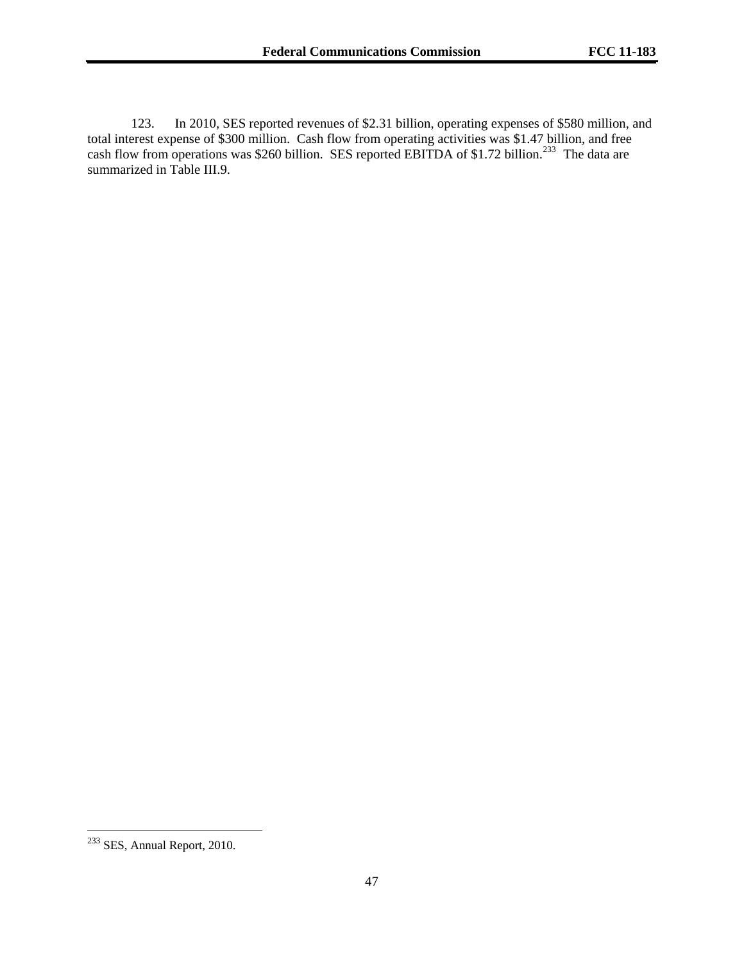123. In 2010, SES reported revenues of \$2.31 billion, operating expenses of \$580 million, and total interest expense of \$300 million. Cash flow from operating activities was \$1.47 billion, and free cash flow from operations was \$260 billion. SES reported EBITDA of \$1.72 billion.<sup>[233](#page-46-0)</sup> The data are summarized in Table III.9.

 $\overline{a}$ 

<span id="page-46-0"></span> $233$  SES, Annual Report, 2010.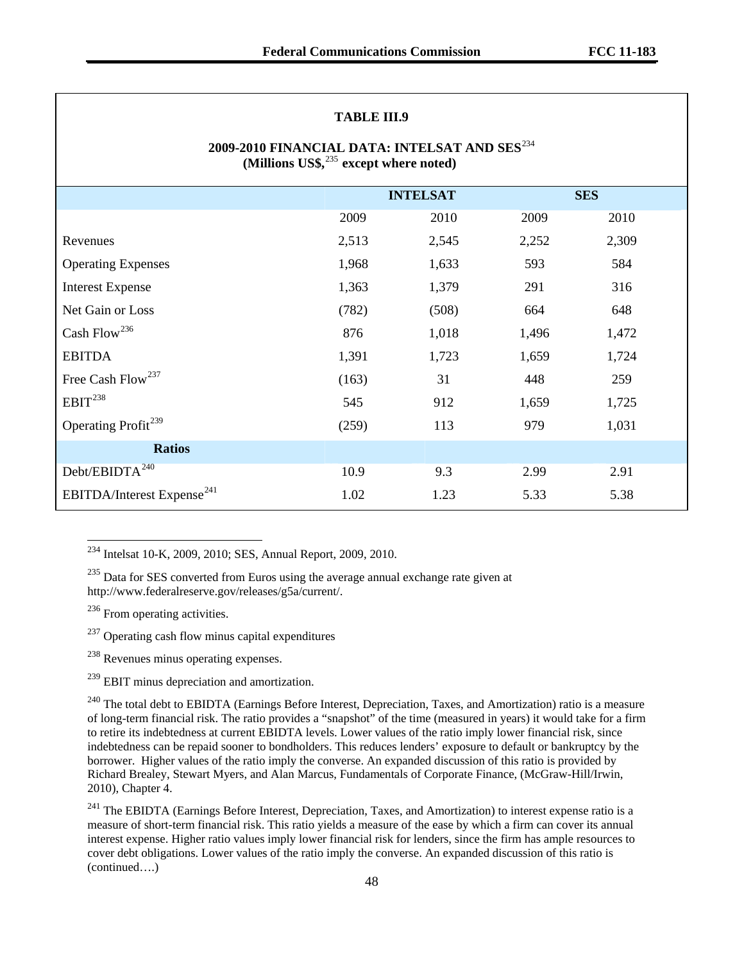### **TABLE III.9**

# **2009-2010 FINANCIAL DATA: INTELSAT AND SES**[234](#page-47-0) **(Millions US\$,**[235](#page-47-1) **except where noted)**

|                                        | <b>INTELSAT</b> |       |       | <b>SES</b> |
|----------------------------------------|-----------------|-------|-------|------------|
|                                        | 2009            | 2010  | 2009  | 2010       |
| Revenues                               | 2,513           | 2,545 | 2,252 | 2,309      |
| <b>Operating Expenses</b>              | 1,968           | 1,633 | 593   | 584        |
| <b>Interest Expense</b>                | 1,363           | 1,379 | 291   | 316        |
| Net Gain or Loss                       | (782)           | (508) | 664   | 648        |
| Cash Flow <sup>236</sup>               | 876             | 1,018 | 1,496 | 1,472      |
| <b>EBITDA</b>                          | 1,391           | 1,723 | 1,659 | 1,724      |
| Free Cash Flow <sup>237</sup>          | (163)           | 31    | 448   | 259        |
| EBIT <sup>238</sup>                    | 545             | 912   | 1,659 | 1,725      |
| Operating Profit <sup>239</sup>        | (259)           | 113   | 979   | 1,031      |
| <b>Ratios</b>                          |                 |       |       |            |
| Debt/EBIDTA <sup>240</sup>             | 10.9            | 9.3   | 2.99  | 2.91       |
| EBITDA/Interest Expense <sup>241</sup> | 1.02            | 1.23  | 5.33  | 5.38       |

<span id="page-47-0"></span> $2^{234}$  Intelsat 10-K, 2009, 2010; SES, Annual Report, 2009, 2010.

<span id="page-47-1"></span><sup>235</sup> Data for SES converted from Euros using the average annual exchange rate given at http://www.federalreserve.gov/releases/g5a/current/.

<span id="page-47-2"></span> $236$  From operating activities.

 $\overline{\phantom{a}}$ 

<span id="page-47-3"></span> $237$  Operating cash flow minus capital expenditures

<span id="page-47-4"></span><sup>238</sup> Revenues minus operating expenses.

<span id="page-47-5"></span><sup>239</sup> EBIT minus depreciation and amortization.

<span id="page-47-6"></span><sup>240</sup> The total debt to EBIDTA (Earnings Before Interest, Depreciation, Taxes, and Amortization) ratio is a measure of long-term financial risk. The ratio provides a "snapshot" of the time (measured in years) it would take for a firm to retire its indebtedness at current EBIDTA levels. Lower values of the ratio imply lower financial risk, since indebtedness can be repaid sooner to bondholders. This reduces lenders' exposure to default or bankruptcy by the borrower. Higher values of the ratio imply the converse. An expanded discussion of this ratio is provided by Richard Brealey, Stewart Myers, and Alan Marcus, Fundamentals of Corporate Finance, (McGraw-Hill/Irwin, 2010), Chapter 4.

<span id="page-47-7"></span>(continued….) <sup>241</sup> The EBIDTA (Earnings Before Interest, Depreciation, Taxes, and Amortization) to interest expense ratio is a measure of short-term financial risk. This ratio yields a measure of the ease by which a firm can cover its annual interest expense. Higher ratio values imply lower financial risk for lenders, since the firm has ample resources to cover debt obligations. Lower values of the ratio imply the converse. An expanded discussion of this ratio is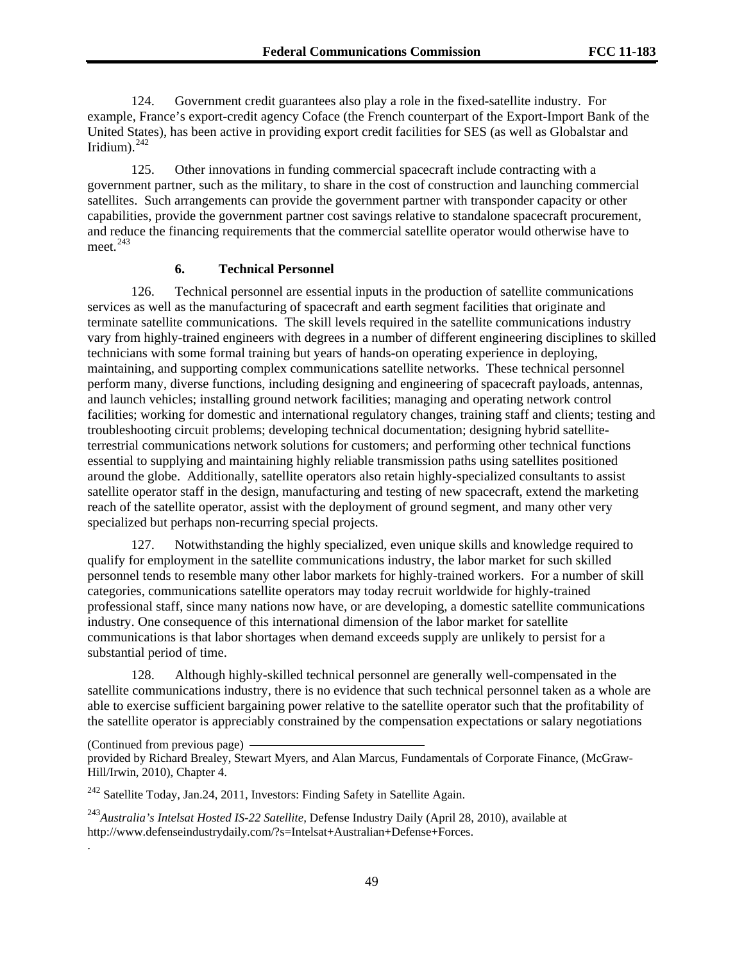124. Government credit guarantees also play a role in the fixed-satellite industry. For example, France's export-credit agency Coface (the French counterpart of the Export-Import Bank of the United States), has been active in providing export credit facilities for SES (as well as Globalstar and Iridium). $^{242}$  $^{242}$  $^{242}$ 

125. Other innovations in funding commercial spacecraft include contracting with a government partner, such as the military, to share in the cost of construction and launching commercial satellites. Such arrangements can provide the government partner with transponder capacity or other capabilities, provide the government partner cost savings relative to standalone spacecraft procurement, and reduce the financing requirements that the commercial satellite operator would otherwise have to meet. $^{243}$  $^{243}$  $^{243}$ 

# **6. Technical Personnel**

126. Technical personnel are essential inputs in the production of satellite communications services as well as the manufacturing of spacecraft and earth segment facilities that originate and terminate satellite communications. The skill levels required in the satellite communications industry vary from highly-trained engineers with degrees in a number of different engineering disciplines to skilled technicians with some formal training but years of hands-on operating experience in deploying, maintaining, and supporting complex communications satellite networks. These technical personnel perform many, diverse functions, including designing and engineering of spacecraft payloads, antennas, and launch vehicles; installing ground network facilities; managing and operating network control facilities; working for domestic and international regulatory changes, training staff and clients; testing and troubleshooting circuit problems; developing technical documentation; designing hybrid satelliteterrestrial communications network solutions for customers; and performing other technical functions essential to supplying and maintaining highly reliable transmission paths using satellites positioned around the globe. Additionally, satellite operators also retain highly-specialized consultants to assist satellite operator staff in the design, manufacturing and testing of new spacecraft, extend the marketing reach of the satellite operator, assist with the deployment of ground segment, and many other very specialized but perhaps non-recurring special projects.

127. Notwithstanding the highly specialized, even unique skills and knowledge required to qualify for employment in the satellite communications industry, the labor market for such skilled personnel tends to resemble many other labor markets for highly-trained workers. For a number of skill categories, communications satellite operators may today recruit worldwide for highly-trained professional staff, since many nations now have, or are developing, a domestic satellite communications industry. One consequence of this international dimension of the labor market for satellite communications is that labor shortages when demand exceeds supply are unlikely to persist for a substantial period of time.

128. Although highly-skilled technical personnel are generally well-compensated in the satellite communications industry, there is no evidence that such technical personnel taken as a whole are able to exercise sufficient bargaining power relative to the satellite operator such that the profitability of the satellite operator is appreciably constrained by the compensation expectations or salary negotiations

(Continued from previous page)

.

provided by Richard Brealey, Stewart Myers, and Alan Marcus, Fundamentals of Corporate Finance, (McGraw-Hill/Irwin, 2010), Chapter 4.

<span id="page-48-0"></span><sup>242</sup> Satellite Today, Jan.24, 2011, Investors: Finding Safety in Satellite Again.

<span id="page-48-1"></span><sup>243</sup>*Australia's Intelsat Hosted IS-22 Satellite,* Defense Industry Daily (April 28, 2010), available at http://www.defenseindustrydaily.com/?s=Intelsat+Australian+Defense+Forces.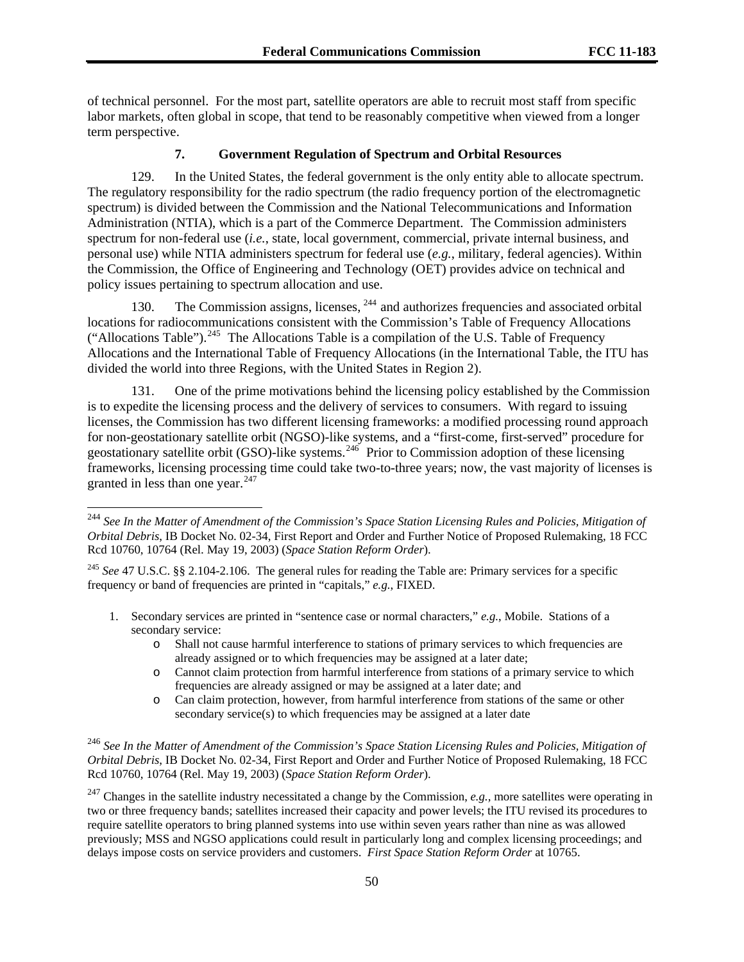of technical personnel. For the most part, satellite operators are able to recruit most staff from specific labor markets, often global in scope, that tend to be reasonably competitive when viewed from a longer term perspective.

## **7. Government Regulation of Spectrum and Orbital Resources**

129. In the United States, the federal government is the only entity able to allocate spectrum. The regulatory responsibility for the radio spectrum (the radio frequency portion of the electromagnetic spectrum) is divided between the Commission and the National Telecommunications and Information Administration (NTIA), which is a part of the Commerce Department. The Commission administers spectrum for non-federal use (*i.e.*, state, local government, commercial, private internal business, and personal use) while NTIA administers spectrum for federal use (*e.g.*, military, federal agencies). Within the Commission, the Office of Engineering and Technology (OET) provides advice on technical and policy issues pertaining to spectrum allocation and use.

130. The Commission assigns, licenses, <sup>[244](#page-49-0)</sup> and authorizes frequencies and associated orbital locations for radiocommunications consistent with the Commission's Table of Frequency Allocations ("Allocations Table").<sup>[245](#page-49-1)</sup> The Allocations Table is a compilation of the U.S. Table of Frequency Allocations and the International Table of Frequency Allocations (in the International Table, the ITU has divided the world into three Regions, with the United States in Region 2).

131. One of the prime motivations behind the licensing policy established by the Commission is to expedite the licensing process and the delivery of services to consumers. With regard to issuing licenses, the Commission has two different licensing frameworks: a modified processing round approach for non-geostationary satellite orbit (NGSO)-like systems, and a "first-come, first-served" procedure for geostationary satellite orbit (GSO)-like systems.<sup>[246](#page-49-2)</sup> Prior to Commission adoption of these licensing frameworks, licensing processing time could take two-to-three years; now, the vast majority of licenses is granted in less than one year. $247$ 

- 1. Secondary services are printed in "sentence case or normal characters," *e.g.*, Mobile. Stations of a secondary service:
	- o Shall not cause harmful interference to stations of primary services to which frequencies are already assigned or to which frequencies may be assigned at a later date;
	- o Cannot claim protection from harmful interference from stations of a primary service to which frequencies are already assigned or may be assigned at a later date; and
	- o Can claim protection, however, from harmful interference from stations of the same or other secondary service(s) to which frequencies may be assigned at a later date

<span id="page-49-0"></span><sup>&</sup>lt;sup>244</sup> See In the Matter of Amendment of the Commission's Space Station Licensing Rules and Policies, Mitigation of *Orbital Debris*, IB Docket No. 02-34, First Report and Order and Further Notice of Proposed Rulemaking, 18 FCC Rcd 10760, 10764 (Rel. May 19, 2003) (*Space Station Reform Order*).

<span id="page-49-1"></span><sup>&</sup>lt;sup>245</sup> *See* 47 U.S.C. §§ 2.104-2.106. The general rules for reading the Table are: Primary services for a specific frequency or band of frequencies are printed in "capitals," *e.g.*, FIXED.

<span id="page-49-2"></span><sup>246</sup> *See In the Matter of Amendment of the Commission's Space Station Licensing Rules and Policies, Mitigation of Orbital Debris*, IB Docket No. 02-34, First Report and Order and Further Notice of Proposed Rulemaking, 18 FCC Rcd 10760, 10764 (Rel. May 19, 2003) (*Space Station Reform Order*).

<span id="page-49-3"></span><sup>247</sup> Changes in the satellite industry necessitated a change by the Commission, *e.g.,* more satellites were operating in two or three frequency bands; satellites increased their capacity and power levels; the ITU revised its procedures to require satellite operators to bring planned systems into use within seven years rather than nine as was allowed previously; MSS and NGSO applications could result in particularly long and complex licensing proceedings; and delays impose costs on service providers and customers. *First Space Station Reform Order* at 10765.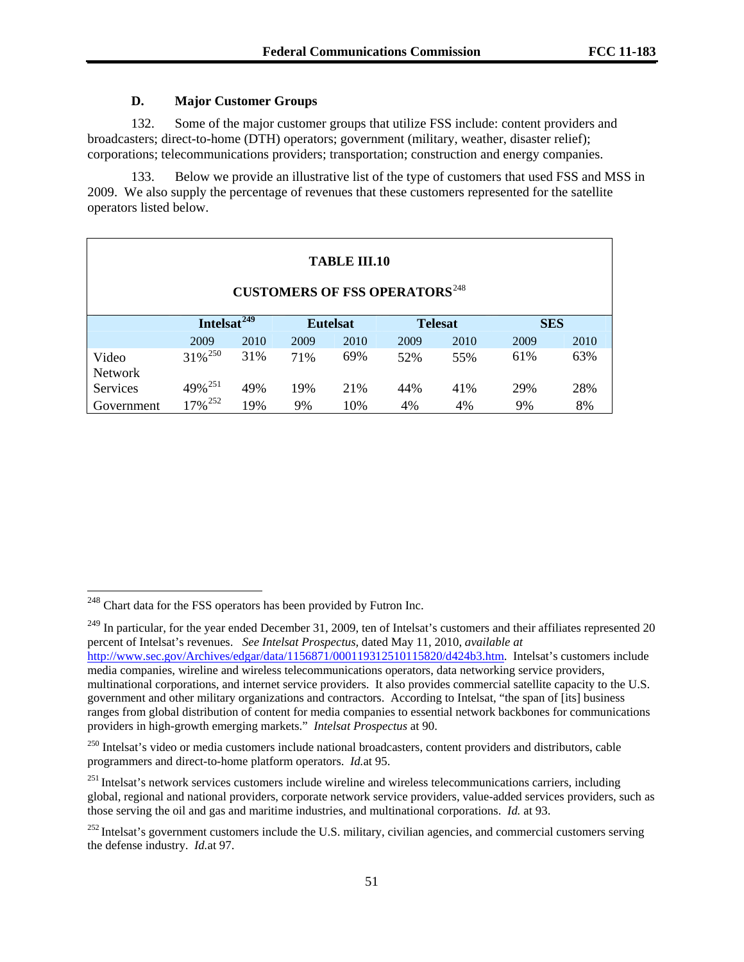# **D. Major Customer Groups**

132. Some of the major customer groups that utilize FSS include: content providers and broadcasters; direct-to-home (DTH) operators; government (military, weather, disaster relief); corporations; telecommunications providers; transportation; construction and energy companies.

133. Below we provide an illustrative list of the type of customers that used FSS and MSS in 2009. We also supply the percentage of revenues that these customers represented for the satellite operators listed below.

| <b>TABLE III.10</b><br><b>CUSTOMERS OF FSS OPERATORS</b> <sup>248</sup> |                         |      |                 |      |                |      |            |      |
|-------------------------------------------------------------------------|-------------------------|------|-----------------|------|----------------|------|------------|------|
|                                                                         | Intelsat <sup>249</sup> |      | <b>Eutelsat</b> |      | <b>Telesat</b> |      | <b>SES</b> |      |
|                                                                         | 2009                    | 2010 | 2009            | 2010 | 2009           | 2010 | 2009       | 2010 |
| Video<br><b>Network</b>                                                 | $31\%$ <sup>250</sup>   | 31%  | 71%             | 69%  | 52%            | 55%  | 61%        | 63%  |
| <b>Services</b>                                                         | 49% <sup>251</sup>      | 49%  | 19%             | 21%  | 44%            | 41%  | 29%        | 28%  |
| Government                                                              | 17% <sup>252</sup>      | 19%  | 9%              | 10%  | 4%             | 4%   | 9%         | 8%   |

 $\overline{\phantom{a}}$ 

<span id="page-50-0"></span> $248$  Chart data for the FSS operators has been provided by Futron Inc.

<span id="page-50-1"></span> $^{249}$  In particular, for the year ended December 31, 2009, ten of Intelsat's customers and their affiliates represented 20 percent of Intelsat's revenues. *See Intelsat Prospectus,* dated May 11, 2010, *available at*  [http://www.sec.gov/Archives/edgar/data/1156871/000119312510115820/d424b3.htm.](http://www.sec.gov/Archives/edgar/data/1156871/000119312510115820/d424b3.htm) Intelsat's customers include media companies, wireline and wireless telecommunications operators, data networking service providers, multinational corporations, and internet service providers. It also provides commercial satellite capacity to the U.S. government and other military organizations and contractors. According to Intelsat, "the span of [its] business ranges from global distribution of content for media companies to essential network backbones for communications providers in high-growth emerging markets." *Intelsat Prospectus* at 90.

<span id="page-50-2"></span><sup>&</sup>lt;sup>250</sup> Intelsat's video or media customers include national broadcasters, content providers and distributors, cable programmers and direct-to-home platform operators. *Id.*at 95.

<span id="page-50-3"></span><sup>&</sup>lt;sup>251</sup> Intelsat's network services customers include wireline and wireless telecommunications carriers, including global, regional and national providers, corporate network service providers, value-added services providers, such as those serving the oil and gas and maritime industries, and multinational corporations. *Id.* at 93.

<span id="page-50-4"></span> $^{252}$  Intelsat's government customers include the U.S. military, civilian agencies, and commercial customers serving the defense industry. *Id.*at 97.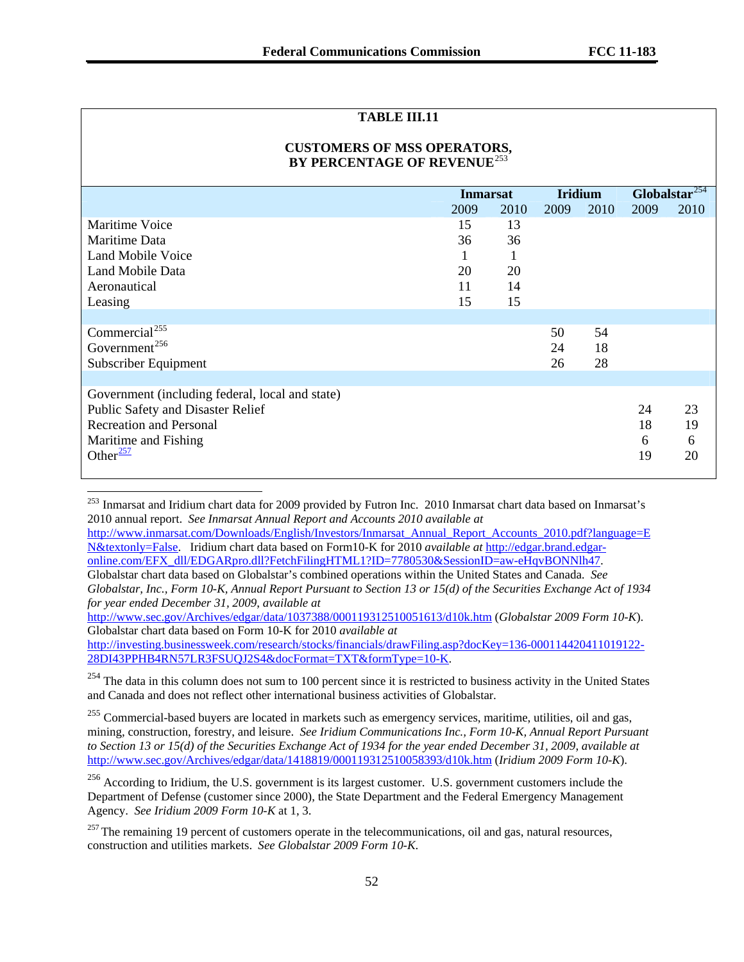## **TABLE III.11**

# **CUSTOMERS OF MSS OPERATORS, BY PERCENTAGE OF REVENUE**[253](#page-51-0)

|                                                 | <b>Inmarsat</b> |      | <b>Iridium</b> |      | Globalstar $254$ |      |
|-------------------------------------------------|-----------------|------|----------------|------|------------------|------|
|                                                 | 2009            | 2010 | 2009           | 2010 | 2009             | 2010 |
| Maritime Voice                                  | 15              | 13   |                |      |                  |      |
| Maritime Data                                   | 36              | 36   |                |      |                  |      |
| Land Mobile Voice                               | 1               | 1    |                |      |                  |      |
| Land Mobile Data                                | 20              | 20   |                |      |                  |      |
| Aeronautical                                    | 11              | 14   |                |      |                  |      |
| Leasing                                         | 15              | 15   |                |      |                  |      |
|                                                 |                 |      |                |      |                  |      |
| Commercial <sup>255</sup>                       |                 |      | 50             | 54   |                  |      |
| Government <sup>256</sup>                       |                 |      | 24             | 18   |                  |      |
| Subscriber Equipment                            |                 |      | 26             | 28   |                  |      |
|                                                 |                 |      |                |      |                  |      |
| Government (including federal, local and state) |                 |      |                |      |                  |      |
| Public Safety and Disaster Relief               |                 |      |                |      | 24               | 23   |
| <b>Recreation and Personal</b>                  |                 |      |                |      | 18               | 19   |
| Maritime and Fishing                            |                 |      |                |      | 6                | 6    |
| Other $\frac{257}{257}$                         |                 |      |                |      | 19               | 20   |
|                                                 |                 |      |                |      |                  |      |

<span id="page-51-0"></span><sup>253</sup> Inmarsat and Iridium chart data for 2009 provided by Futron Inc. 2010 Inmarsat chart data based on Inmarsat's 2010 annual report. *See Inmarsat Annual Report and Accounts 2010 available at* 

 $\overline{\phantom{a}}$ 

[http://www.inmarsat.com/Downloads/English/Investors/Inmarsat\\_Annual\\_Report\\_Accounts\\_2010.pdf?language=E](http://www.inmarsat.com/Downloads/English/Investors/Inmarsat_Annual_Report_Accounts_2010.pdf?language=EN&textonly=False) [N&textonly=False.](http://www.inmarsat.com/Downloads/English/Investors/Inmarsat_Annual_Report_Accounts_2010.pdf?language=EN&textonly=False) Iridium chart data based on Form10-K for 2010 *available at* [http://edgar.brand.edgar](http://edgar.brand.edgar-online.com/EFX_dll/EDGARpro.dll?FetchFilingHTML1?ID=7780530&SessionID=aw-eHqvBONNlh47)[online.com/EFX\\_dll/EDGARpro.dll?FetchFilingHTML1?ID=7780530&SessionID=aw-eHqvBONNlh47](http://edgar.brand.edgar-online.com/EFX_dll/EDGARpro.dll?FetchFilingHTML1?ID=7780530&SessionID=aw-eHqvBONNlh47).

Globalstar chart data based on Globalstar's combined operations within the United States and Canada. *See Globalstar, Inc., Form 10-K, Annual Report Pursuant to Section 13 or 15(d) of the Securities Exchange Act of 1934 for year ended December 31, 2009*, *available at* 

<http://www.sec.gov/Archives/edgar/data/1037388/000119312510051613/d10k.htm>(*Globalstar 2009 Form 10-K*). Globalstar chart data based on Form 10-K for 2010 *available at* 

[http://investing.businessweek.com/research/stocks/financials/drawFiling.asp?docKey=136-000114420411019122-](http://investing.businessweek.com/research/stocks/financials/drawFiling.asp?docKey=136-000114420411019122-28DI43PPHB4RN57LR3FSUQJ2S4&docFormat=TXT&formType=10-K) [28DI43PPHB4RN57LR3FSUQJ2S4&docFormat=TXT&formType=10-K](http://investing.businessweek.com/research/stocks/financials/drawFiling.asp?docKey=136-000114420411019122-28DI43PPHB4RN57LR3FSUQJ2S4&docFormat=TXT&formType=10-K).

<span id="page-51-1"></span> $254$  The data in this column does not sum to 100 percent since it is restricted to business activity in the United States and Canada and does not reflect other international business activities of Globalstar.

<span id="page-51-2"></span><sup>255</sup> Commercial-based buyers are located in markets such as emergency services, maritime, utilities, oil and gas, mining, construction, forestry, and leisure. *See Iridium Communications Inc., Form 10-K, Annual Report Pursuant to Section 13 or 15(d) of the Securities Exchange Act of 1934 for the year ended December 31, 2009*, *available at*  <http://www.sec.gov/Archives/edgar/data/1418819/000119312510058393/d10k.htm>(*Iridium 2009 Form 10-K*).

<span id="page-51-3"></span><sup>256</sup> According to Iridium, the U.S. government is its largest customer. U.S. government customers include the Department of Defense (customer since 2000), the State Department and the Federal Emergency Management Agency. *See Iridium 2009 Form 10-K* at 1, 3.

<span id="page-51-4"></span> $257$  The remaining 19 percent of customers operate in the telecommunications, oil and gas, natural resources, construction and utilities markets. *See Globalstar 2009 Form 10-K*.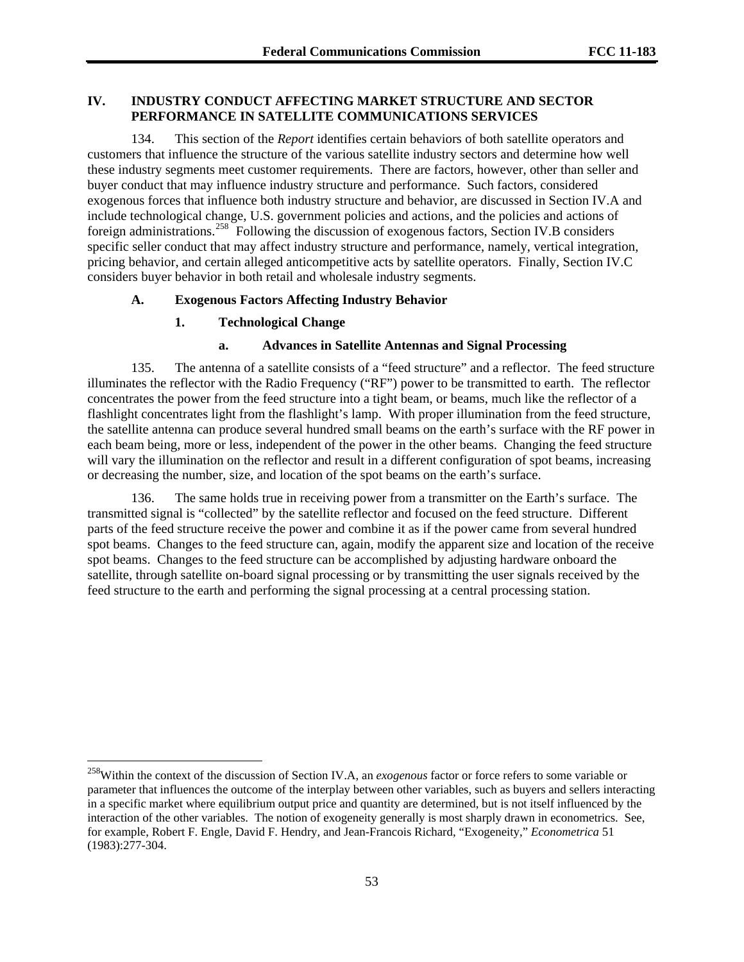## **IV. INDUSTRY CONDUCT AFFECTING MARKET STRUCTURE AND SECTOR PERFORMANCE IN SATELLITE COMMUNICATIONS SERVICES**

134. This section of the *Report* identifies certain behaviors of both satellite operators and customers that influence the structure of the various satellite industry sectors and determine how well these industry segments meet customer requirements. There are factors, however, other than seller and buyer conduct that may influence industry structure and performance. Such factors, considered exogenous forces that influence both industry structure and behavior, are discussed in Section IV.A and include technological change, U.S. government policies and actions, and the policies and actions of foreign administrations.<sup>[258](#page-52-0)</sup> Following the discussion of exogenous factors, Section IV.B considers specific seller conduct that may affect industry structure and performance, namely, vertical integration, pricing behavior, and certain alleged anticompetitive acts by satellite operators. Finally, Section IV.C considers buyer behavior in both retail and wholesale industry segments.

## **A. Exogenous Factors Affecting Industry Behavior**

#### **1. Technological Change**

l

### **a. Advances in Satellite Antennas and Signal Processing**

135. The antenna of a satellite consists of a "feed structure" and a reflector. The feed structure illuminates the reflector with the Radio Frequency ("RF") power to be transmitted to earth. The reflector concentrates the power from the feed structure into a tight beam, or beams, much like the reflector of a flashlight concentrates light from the flashlight's lamp. With proper illumination from the feed structure, the satellite antenna can produce several hundred small beams on the earth's surface with the RF power in each beam being, more or less, independent of the power in the other beams. Changing the feed structure will vary the illumination on the reflector and result in a different configuration of spot beams, increasing or decreasing the number, size, and location of the spot beams on the earth's surface.

136. The same holds true in receiving power from a transmitter on the Earth's surface. The transmitted signal is "collected" by the satellite reflector and focused on the feed structure. Different parts of the feed structure receive the power and combine it as if the power came from several hundred spot beams. Changes to the feed structure can, again, modify the apparent size and location of the receive spot beams. Changes to the feed structure can be accomplished by adjusting hardware onboard the satellite, through satellite on-board signal processing or by transmitting the user signals received by the feed structure to the earth and performing the signal processing at a central processing station.

<span id="page-52-0"></span><sup>258</sup>Within the context of the discussion of Section IV.A, an *exogenous* factor or force refers to some variable or parameter that influences the outcome of the interplay between other variables, such as buyers and sellers interacting in a specific market where equilibrium output price and quantity are determined, but is not itself influenced by the interaction of the other variables. The notion of exogeneity generally is most sharply drawn in econometrics. See, for example, Robert F. Engle, David F. Hendry, and Jean-Francois Richard, "Exogeneity," *Econometrica* 51 (1983):277-304.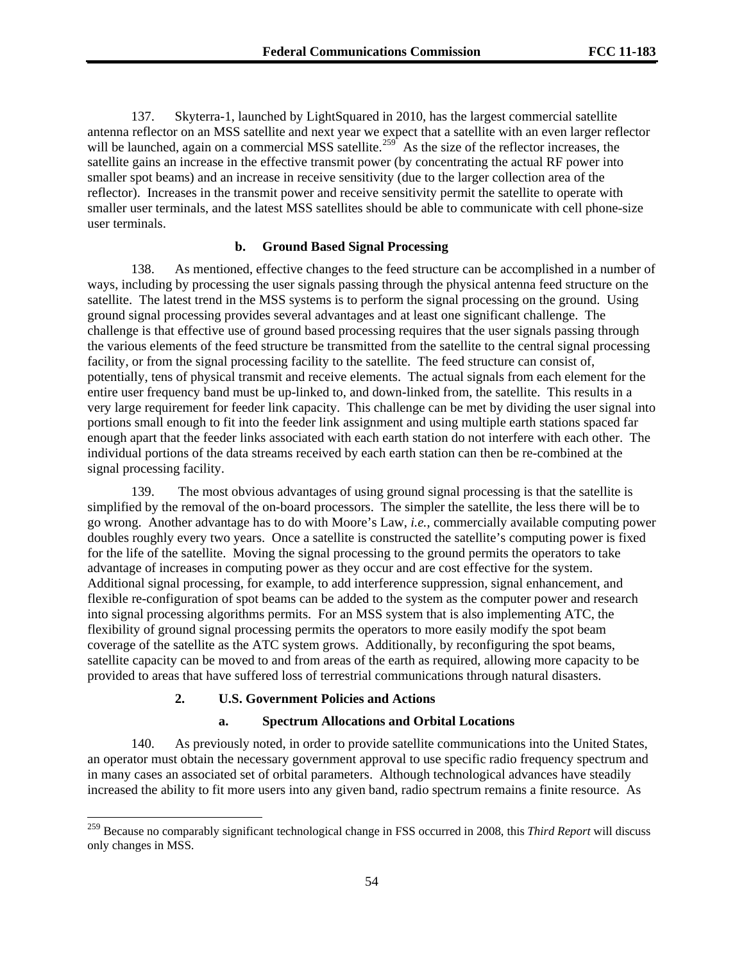137. Skyterra-1, launched by LightSquared in 2010, has the largest commercial satellite antenna reflector on an MSS satellite and next year we expect that a satellite with an even larger reflector will be launched, again on a commercial MSS satellite.<sup>[259](#page-53-0)</sup> As the size of the reflector increases, the satellite gains an increase in the effective transmit power (by concentrating the actual RF power into smaller spot beams) and an increase in receive sensitivity (due to the larger collection area of the reflector). Increases in the transmit power and receive sensitivity permit the satellite to operate with smaller user terminals, and the latest MSS satellites should be able to communicate with cell phone-size user terminals.

### **b. Ground Based Signal Processing**

138. As mentioned, effective changes to the feed structure can be accomplished in a number of ways, including by processing the user signals passing through the physical antenna feed structure on the satellite. The latest trend in the MSS systems is to perform the signal processing on the ground. Using ground signal processing provides several advantages and at least one significant challenge. The challenge is that effective use of ground based processing requires that the user signals passing through the various elements of the feed structure be transmitted from the satellite to the central signal processing facility, or from the signal processing facility to the satellite. The feed structure can consist of, potentially, tens of physical transmit and receive elements. The actual signals from each element for the entire user frequency band must be up-linked to, and down-linked from, the satellite. This results in a very large requirement for feeder link capacity. This challenge can be met by dividing the user signal into portions small enough to fit into the feeder link assignment and using multiple earth stations spaced far enough apart that the feeder links associated with each earth station do not interfere with each other. The individual portions of the data streams received by each earth station can then be re-combined at the signal processing facility.

139. The most obvious advantages of using ground signal processing is that the satellite is simplified by the removal of the on-board processors. The simpler the satellite, the less there will be to go wrong. Another advantage has to do with Moore's Law, *i.e.*, commercially available computing power doubles roughly every two years. Once a satellite is constructed the satellite's computing power is fixed for the life of the satellite. Moving the signal processing to the ground permits the operators to take advantage of increases in computing power as they occur and are cost effective for the system. Additional signal processing, for example, to add interference suppression, signal enhancement, and flexible re-configuration of spot beams can be added to the system as the computer power and research into signal processing algorithms permits. For an MSS system that is also implementing ATC, the flexibility of ground signal processing permits the operators to more easily modify the spot beam coverage of the satellite as the ATC system grows. Additionally, by reconfiguring the spot beams, satellite capacity can be moved to and from areas of the earth as required, allowing more capacity to be provided to areas that have suffered loss of terrestrial communications through natural disasters.

#### **2. U.S. Government Policies and Actions**

l

#### **a. Spectrum Allocations and Orbital Locations**

140. As previously noted, in order to provide satellite communications into the United States, an operator must obtain the necessary government approval to use specific radio frequency spectrum and in many cases an associated set of orbital parameters. Although technological advances have steadily increased the ability to fit more users into any given band, radio spectrum remains a finite resource. As

<span id="page-53-0"></span><sup>259</sup> Because no comparably significant technological change in FSS occurred in 2008, this *Third Report* will discuss only changes in MSS.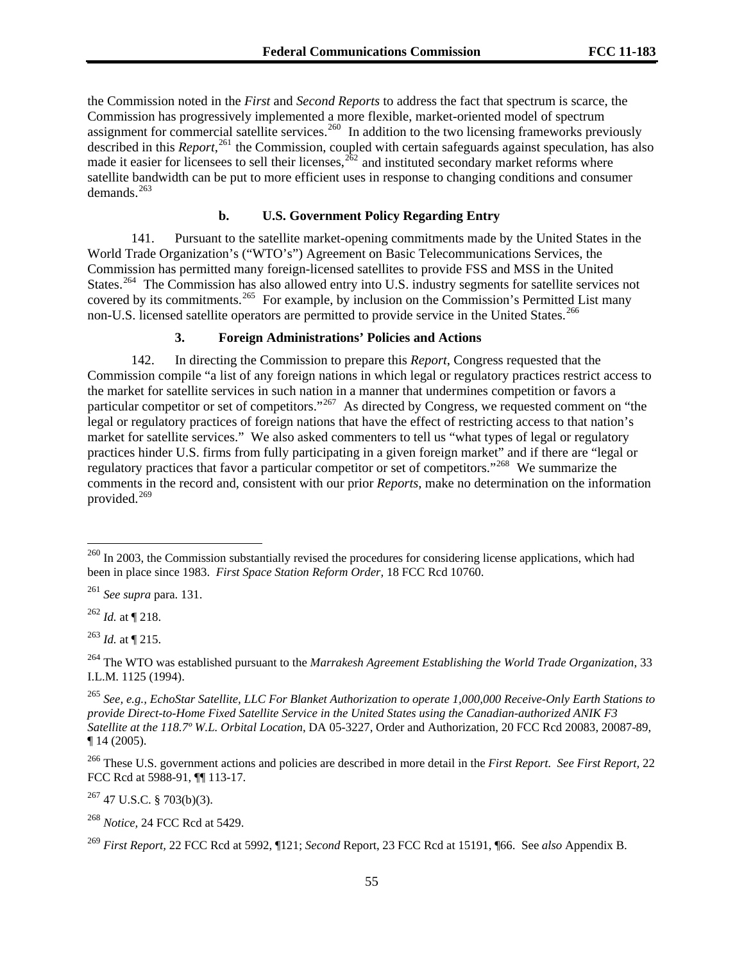the Commission noted in the *First* and *Second Reports* to address the fact that spectrum is scarce, the Commission has progressively implemented a more flexible, market-oriented model of spectrum assignment for commercial satellite services.<sup>260</sup> In addition to the two licensing frameworks previously described in this *Report*,<sup>261</sup> the Commission, coupled with certain safeguards against speculation, has also made it easier for licensees to sell their licenses,  $262$  and instituted secondary market reforms where satellite bandwidth can be put to more efficient uses in response to changing conditions and consumer demands. $^{263}$ 

## **b. U.S. Government Policy Regarding Entry**

141. Pursuant to the satellite market-opening commitments made by the United States in the World Trade Organization's ("WTO's") Agreement on Basic Telecommunications Services, the Commission has permitted many foreign-licensed satellites to provide FSS and MSS in the United States.<sup>[264](#page-54-0)</sup> The Commission has also allowed entry into U.S. industry segments for satellite services not covered by its commitments.<sup>[265](#page-54-1)</sup> For example, by inclusion on the Commission's Permitted List many non-U.S. licensed satellite operators are permitted to provide service in the United States.<sup>[266](#page-54-2)</sup>

## **3. Foreign Administrations' Policies and Actions**

142. In directing the Commission to prepare this *Report*, Congress requested that the Commission compile "a list of any foreign nations in which legal or regulatory practices restrict access to the market for satellite services in such nation in a manner that undermines competition or favors a particular competitor or set of competitors."<sup>[267](#page-54-3)</sup> As directed by Congress, we requested comment on "the legal or regulatory practices of foreign nations that have the effect of restricting access to that nation's market for satellite services." We also asked commenters to tell us "what types of legal or regulatory practices hinder U.S. firms from fully participating in a given foreign market" and if there are "legal or regulatory practices that favor a particular competitor or set of competitors."<sup>[268](#page-54-4)</sup> We summarize the comments in the record and, consistent with our prior *Reports*, make no determination on the information provided.<sup>[269](#page-54-5)</sup>

 $^{262}$  *Id.* at ¶ 218.

l

<sup>263</sup> *Id.* at ¶ 215.

<span id="page-54-2"></span>266 These U.S. government actions and policies are described in more detail in the *First Report*. *See First Report,* 22 FCC Rcd at 5988-91, ¶¶ 113-17.

<span id="page-54-3"></span> $267$  47 U.S.C. § 703(b)(3).

<span id="page-54-4"></span><sup>268</sup> *Notice,* 24 FCC Rcd at 5429.

 $^{260}$  In 2003, the Commission substantially revised the procedures for considering license applications, which had been in place since 1983. *First Space Station Reform Order,* 18 FCC Rcd 10760.

<sup>261</sup> *See supra* para. 131.

<span id="page-54-0"></span><sup>264</sup> The WTO was established pursuant to the *Marrakesh Agreement Establishing the World Trade Organization*, 33 I.L.M. 1125 (1994).

<span id="page-54-1"></span><sup>265</sup> *See, e.g., EchoStar Satellite, LLC For Blanket Authorization to operate 1,000,000 Receive-Only Earth Stations to provide Direct-to-Home Fixed Satellite Service in the United States using the Canadian-authorized ANIK F3 Satellite at the 118.7º W.L. Orbital Location*, DA 05-3227, Order and Authorization, 20 FCC Rcd 20083, 20087-89, ¶ 14 (2005).

<span id="page-54-5"></span><sup>269</sup> *First Report,* 22 FCC Rcd at 5992, ¶121; *Second* Report, 23 FCC Rcd at 15191, ¶66. See *also* Appendix B.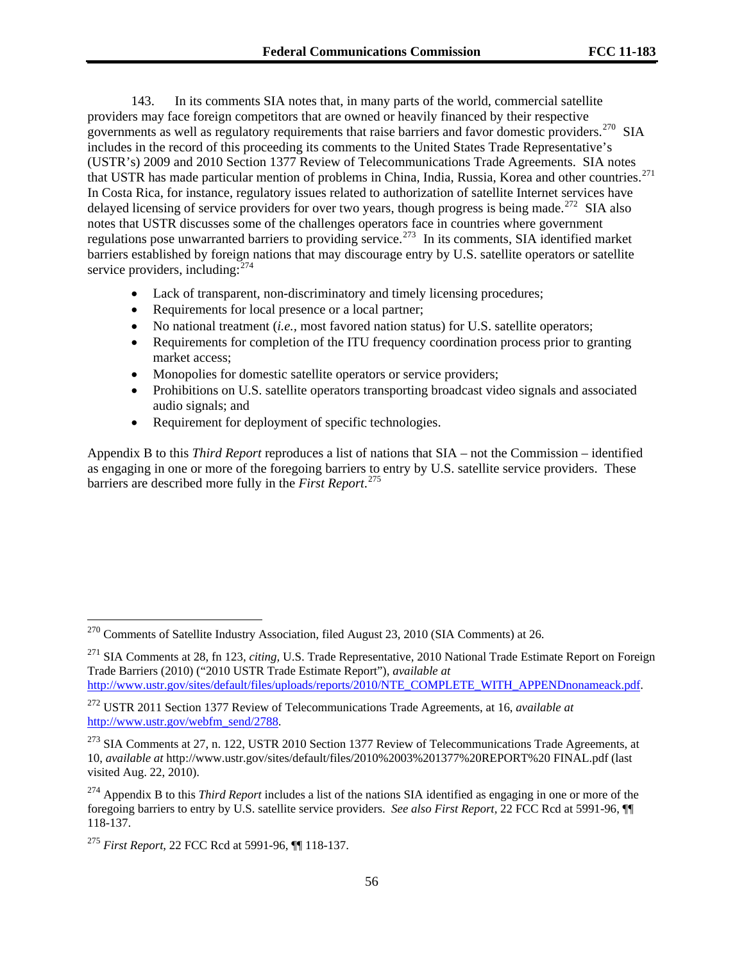143. In its comments SIA notes that, in many parts of the world, commercial satellite providers may face foreign competitors that are owned or heavily financed by their respective governments as well as regulatory requirements that raise barriers and favor domestic providers.<sup>[270](#page-55-0)</sup> SIA includes in the record of this proceeding its comments to the United States Trade Representative's (USTR's) 2009 and 2010 Section 1377 Review of Telecommunications Trade Agreements. SIA notes that USTR has made particular mention of problems in China, India, Russia, Korea and other countries.[271](#page-55-1) In Costa Rica, for instance, regulatory issues related to authorization of satellite Internet services have delayed licensing of service providers for over two years, though progress is being made.<sup>[272](#page-55-2)</sup> SIA also notes that USTR discusses some of the challenges operators face in countries where government regulations pose unwarranted barriers to providing service.<sup>[273](#page-55-3)</sup> In its comments, SIA identified market barriers established by foreign nations that may discourage entry by U.S. satellite operators or satellite service providers, including: $^{274}$  $^{274}$  $^{274}$ 

- Lack of transparent, non-discriminatory and timely licensing procedures;
- Requirements for local presence or a local partner;
- No national treatment (*i.e.,* most favored nation status) for U.S. satellite operators;
- Requirements for completion of the ITU frequency coordination process prior to granting market access;
- Monopolies for domestic satellite operators or service providers;
- Prohibitions on U.S. satellite operators transporting broadcast video signals and associated audio signals; and
- Requirement for deployment of specific technologies.

Appendix B to this *Third Report* reproduces a list of nations that SIA – not the Commission – identified as engaging in one or more of the foregoing barriers to entry by U.S. satellite service providers. These barriers are described more fully in the *First Report*. [275](#page-55-5)

<span id="page-55-0"></span> $270$  Comments of Satellite Industry Association, filed August 23, 2010 (SIA Comments) at 26.

<span id="page-55-1"></span><sup>271</sup> SIA Comments at 28, fn 123, *citing,* U.S. Trade Representative, 2010 National Trade Estimate Report on Foreign Trade Barriers (2010) ("2010 USTR Trade Estimate Report"), *available at*  [http://www.ustr.gov/sites/default/files/uploads/reports/2010/NTE\\_COMPLETE\\_WITH\\_APPENDnonameack.pdf](http://www.ustr.gov/sites/default/files/uploads/reports/2010/NTE_COMPLETE_WITH_APPENDnonameack.pdf).

<span id="page-55-2"></span><sup>272</sup> USTR 2011 Section 1377 Review of Telecommunications Trade Agreements, at 16, *available at* [http://www.ustr.gov/webfm\\_send/2788](http://www.ustr.gov/webfm_send/2788).

<span id="page-55-3"></span> $273$  SIA Comments at 27, n. 122, USTR 2010 Section 1377 Review of Telecommunications Trade Agreements, at 10, *available at* http://www.ustr.gov/sites/default/files/2010%2003%201377%20REPORT%20 FINAL.pdf (last visited Aug. 22, 2010).

<span id="page-55-4"></span><sup>274</sup> Appendix B to this *Third Report* includes a list of the nations SIA identified as engaging in one or more of the foregoing barriers to entry by U.S. satellite service providers. *See also First Report,* 22 FCC Rcd at 5991-96, ¶¶ 118-137.

<span id="page-55-5"></span><sup>275</sup> *First Report*, 22 FCC Rcd at 5991-96, ¶¶ 118-137.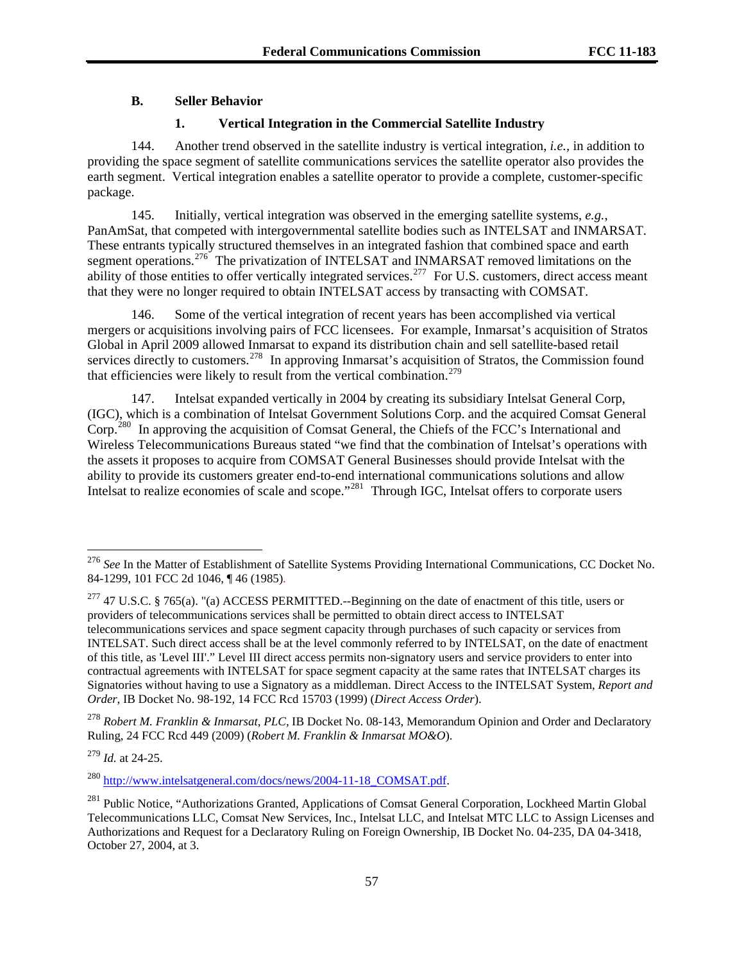# **B. Seller Behavior**

## **1. Vertical Integration in the Commercial Satellite Industry**

144. Another trend observed in the satellite industry is vertical integration, *i.e.,* in addition to providing the space segment of satellite communications services the satellite operator also provides the earth segment. Vertical integration enables a satellite operator to provide a complete, customer-specific package.

145. Initially, vertical integration was observed in the emerging satellite systems, *e.g.*, PanAmSat, that competed with intergovernmental satellite bodies such as INTELSAT and INMARSAT. These entrants typically structured themselves in an integrated fashion that combined space and earth segment operations.<sup>[276](#page-56-0)</sup> The privatization of INTELSAT and INMARSAT removed limitations on the ability of those entities to offer vertically integrated services.<sup>[277](#page-56-1)</sup> For U.S. customers, direct access meant that they were no longer required to obtain INTELSAT access by transacting with COMSAT.

146. Some of the vertical integration of recent years has been accomplished via vertical mergers or acquisitions involving pairs of FCC licensees. For example, Inmarsat's acquisition of Stratos Global in April 2009 allowed Inmarsat to expand its distribution chain and sell satellite-based retail services directly to customers.<sup>[278](#page-56-2)</sup> In approving Inmarsat's acquisition of Stratos, the Commission found that efficiencies were likely to result from the vertical combination.<sup>[279](#page-56-3)</sup>

147. Intelsat expanded vertically in 2004 by creating its subsidiary Intelsat General Corp, (IGC), which is a combination of Intelsat Government Solutions Corp. and the acquired Comsat General Corp.[280](#page-56-4) In approving the acquisition of Comsat General, the Chiefs of the FCC's International and Wireless Telecommunications Bureaus stated "we find that the combination of Intelsat's operations with the assets it proposes to acquire from COMSAT General Businesses should provide Intelsat with the ability to provide its customers greater end-to-end international communications solutions and allow Intelsat to realize economies of scale and scope."<sup>[281](#page-56-5)</sup> Through IGC, Intelsat offers to corporate users

<span id="page-56-2"></span><sup>278</sup> *Robert M. Franklin & Inmarsat, PLC,* IB Docket No. 08-143, Memorandum Opinion and Order and Declaratory Ruling, 24 FCC Rcd 449 (2009) (*Robert M. Franklin & Inmarsat MO&O*).

<span id="page-56-3"></span><sup>279</sup> *Id.* at 24-25.

l

<span id="page-56-4"></span><sup>280</sup> [http://www.intelsatgeneral.com/docs/news/2004-11-18\\_COMSAT.pdf.](http://www.intelsatgeneral.com/docs/news/2004-11-18_COMSAT.pdf)

<span id="page-56-0"></span><sup>276</sup> *See* In the Matter of Establishment of Satellite Systems Providing International Communications, CC Docket No. 84-1299, 101 FCC 2d 1046, ¶ 46 (1985).

<span id="page-56-1"></span> $277$  47 U.S.C. § 765(a). "(a) ACCESS PERMITTED.--Beginning on the date of enactment of this title, users or providers of telecommunications services shall be permitted to obtain direct access to INTELSAT telecommunications services and space segment capacity through purchases of such capacity or services from INTELSAT. Such direct access shall be at the level commonly referred to by INTELSAT, on the date of enactment of this title, as 'Level III'." Level III direct access permits non-signatory users and service providers to enter into contractual agreements with INTELSAT for space segment capacity at the same rates that INTELSAT charges its Signatories without having to use a Signatory as a middleman. Direct Access to the INTELSAT System, *Report and Order*, IB Docket No. 98-192, 14 FCC Rcd 15703 (1999) (*Direct Access Order*).

<span id="page-56-5"></span><sup>&</sup>lt;sup>281</sup> Public Notice, "Authorizations Granted, Applications of Comsat General Corporation, Lockheed Martin Global Telecommunications LLC, Comsat New Services, Inc., Intelsat LLC, and Intelsat MTC LLC to Assign Licenses and Authorizations and Request for a Declaratory Ruling on Foreign Ownership, IB Docket No. 04-235, DA 04-3418, October 27, 2004, at 3.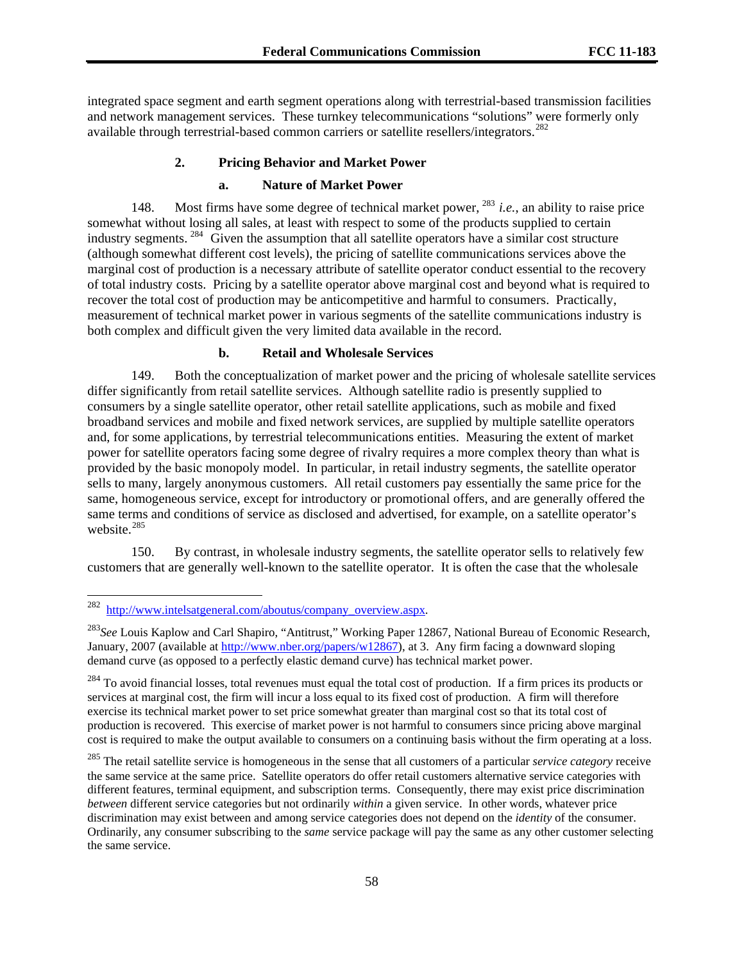integrated space segment and earth segment operations along with terrestrial-based transmission facilities and network management services. These turnkey telecommunications "solutions" were formerly only available through terrestrial-based common carriers or satellite resellers/integrators.<sup>[282](#page-57-0)</sup>

## **2. Pricing Behavior and Market Power**

#### **a. Nature of Market Power**

148. Most firms have some degree of technical market power, [283](#page-57-1) *i.e.*, an ability to raise price somewhat without losing all sales, at least with respect to some of the products supplied to certain industry segments. [284](#page-57-2) Given the assumption that all satellite operators have a similar cost structure (although somewhat different cost levels), the pricing of satellite communications services above the marginal cost of production is a necessary attribute of satellite operator conduct essential to the recovery of total industry costs. Pricing by a satellite operator above marginal cost and beyond what is required to recover the total cost of production may be anticompetitive and harmful to consumers. Practically, measurement of technical market power in various segments of the satellite communications industry is both complex and difficult given the very limited data available in the record.

## **b. Retail and Wholesale Services**

149. Both the conceptualization of market power and the pricing of wholesale satellite services differ significantly from retail satellite services. Although satellite radio is presently supplied to consumers by a single satellite operator, other retail satellite applications, such as mobile and fixed broadband services and mobile and fixed network services, are supplied by multiple satellite operators and, for some applications, by terrestrial telecommunications entities. Measuring the extent of market power for satellite operators facing some degree of rivalry requires a more complex theory than what is provided by the basic monopoly model. In particular, in retail industry segments, the satellite operator sells to many, largely anonymous customers. All retail customers pay essentially the same price for the same, homogeneous service, except for introductory or promotional offers, and are generally offered the same terms and conditions of service as disclosed and advertised, for example, on a satellite operator's website.<sup>[285](#page-57-3)</sup>

150. By contrast, in wholesale industry segments, the satellite operator sells to relatively few customers that are generally well-known to the satellite operator. It is often the case that the wholesale

<span id="page-57-0"></span><sup>&</sup>lt;sup>282</sup> [http://www.intelsatgeneral.com/aboutus/company\\_overview.aspx](http://www.intelsatgeneral.com/aboutus/company_overview.aspx).

<span id="page-57-1"></span><sup>283</sup>*See* Louis Kaplow and Carl Shapiro, "Antitrust," Working Paper 12867, National Bureau of Economic Research, January, 2007 (available at [http://www.nber.org/papers/w12867\)](http://www.nber.org/papers/w12867), at 3. Any firm facing a downward sloping demand curve (as opposed to a perfectly elastic demand curve) has technical market power.

<span id="page-57-2"></span><sup>&</sup>lt;sup>284</sup> To avoid financial losses, total revenues must equal the total cost of production. If a firm prices its products or services at marginal cost, the firm will incur a loss equal to its fixed cost of production. A firm will therefore exercise its technical market power to set price somewhat greater than marginal cost so that its total cost of production is recovered. This exercise of market power is not harmful to consumers since pricing above marginal cost is required to make the output available to consumers on a continuing basis without the firm operating at a loss.

<span id="page-57-3"></span><sup>285</sup> The retail satellite service is homogeneous in the sense that all customers of a particular *service category* receive the same service at the same price. Satellite operators do offer retail customers alternative service categories with different features, terminal equipment, and subscription terms. Consequently, there may exist price discrimination *between* different service categories but not ordinarily *within* a given service. In other words, whatever price discrimination may exist between and among service categories does not depend on the *identity* of the consumer. Ordinarily, any consumer subscribing to the *same* service package will pay the same as any other customer selecting the same service.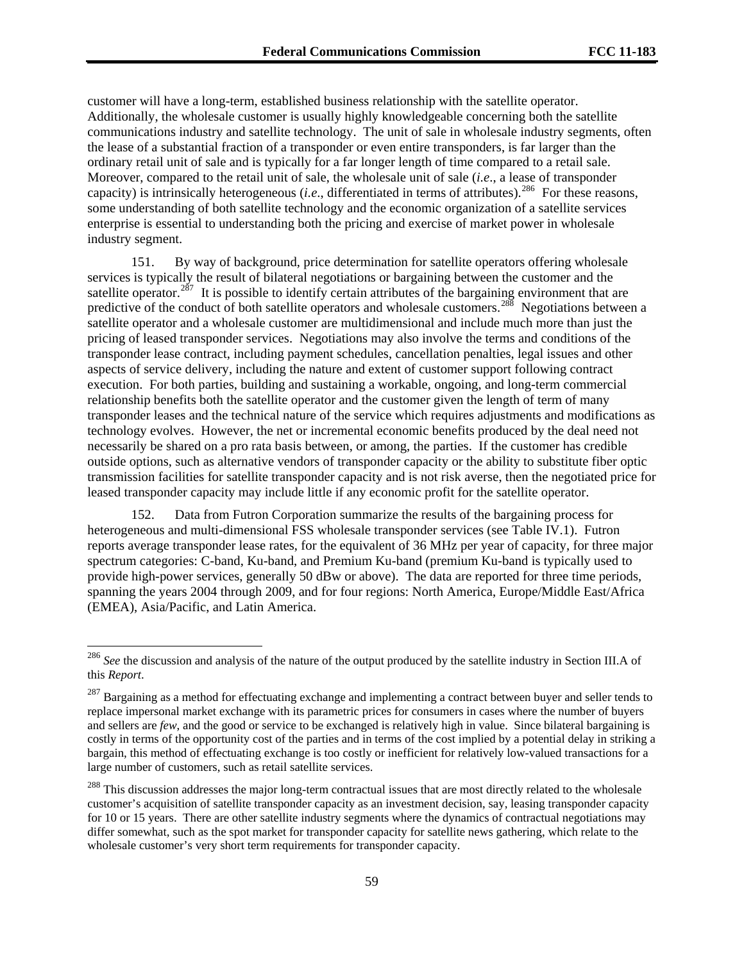customer will have a long-term, established business relationship with the satellite operator. Additionally, the wholesale customer is usually highly knowledgeable concerning both the satellite communications industry and satellite technology. The unit of sale in wholesale industry segments, often the lease of a substantial fraction of a transponder or even entire transponders, is far larger than the ordinary retail unit of sale and is typically for a far longer length of time compared to a retail sale. Moreover, compared to the retail unit of sale, the wholesale unit of sale (*i.e*., a lease of transponder capacity) is intrinsically heterogeneous *(i.e.*, differentiated in terms of attributes).<sup>286</sup> For these reasons, some understanding of both satellite technology and the economic organization of a satellite services enterprise is essential to understanding both the pricing and exercise of market power in wholesale industry segment.

151. By way of background, price determination for satellite operators offering wholesale services is typically the result of bilateral negotiations or bargaining between the customer and the satellite operator.<sup>[287](#page-58-0)</sup> It is possible to identify certain attributes of the bargaining environment that are predictive of the conduct of both satellite operators and wholesale customers.<sup>[288](#page-58-1)</sup> Negotiations between a satellite operator and a wholesale customer are multidimensional and include much more than just the pricing of leased transponder services. Negotiations may also involve the terms and conditions of the transponder lease contract, including payment schedules, cancellation penalties, legal issues and other aspects of service delivery, including the nature and extent of customer support following contract execution. For both parties, building and sustaining a workable, ongoing, and long-term commercial relationship benefits both the satellite operator and the customer given the length of term of many transponder leases and the technical nature of the service which requires adjustments and modifications as technology evolves. However, the net or incremental economic benefits produced by the deal need not necessarily be shared on a pro rata basis between, or among, the parties. If the customer has credible outside options, such as alternative vendors of transponder capacity or the ability to substitute fiber optic transmission facilities for satellite transponder capacity and is not risk averse, then the negotiated price for leased transponder capacity may include little if any economic profit for the satellite operator.

152. Data from Futron Corporation summarize the results of the bargaining process for heterogeneous and multi-dimensional FSS wholesale transponder services (see Table IV.1). Futron reports average transponder lease rates, for the equivalent of 36 MHz per year of capacity, for three major spectrum categories: C-band, Ku-band, and Premium Ku-band (premium Ku-band is typically used to provide high-power services, generally 50 dBw or above). The data are reported for three time periods, spanning the years 2004 through 2009, and for four regions: North America, Europe/Middle East/Africa (EMEA), Asia/Pacific, and Latin America.

<sup>&</sup>lt;sup>286</sup> See the discussion and analysis of the nature of the output produced by the satellite industry in Section III.A of this *Report*.

<span id="page-58-0"></span> $287$  Bargaining as a method for effectuating exchange and implementing a contract between buyer and seller tends to replace impersonal market exchange with its parametric prices for consumers in cases where the number of buyers and sellers are *few*, and the good or service to be exchanged is relatively high in value. Since bilateral bargaining is costly in terms of the opportunity cost of the parties and in terms of the cost implied by a potential delay in striking a bargain, this method of effectuating exchange is too costly or inefficient for relatively low-valued transactions for a large number of customers, such as retail satellite services.

<span id="page-58-1"></span><sup>&</sup>lt;sup>288</sup> This discussion addresses the major long-term contractual issues that are most directly related to the wholesale customer's acquisition of satellite transponder capacity as an investment decision, say, leasing transponder capacity for 10 or 15 years. There are other satellite industry segments where the dynamics of contractual negotiations may differ somewhat, such as the spot market for transponder capacity for satellite news gathering, which relate to the wholesale customer's very short term requirements for transponder capacity.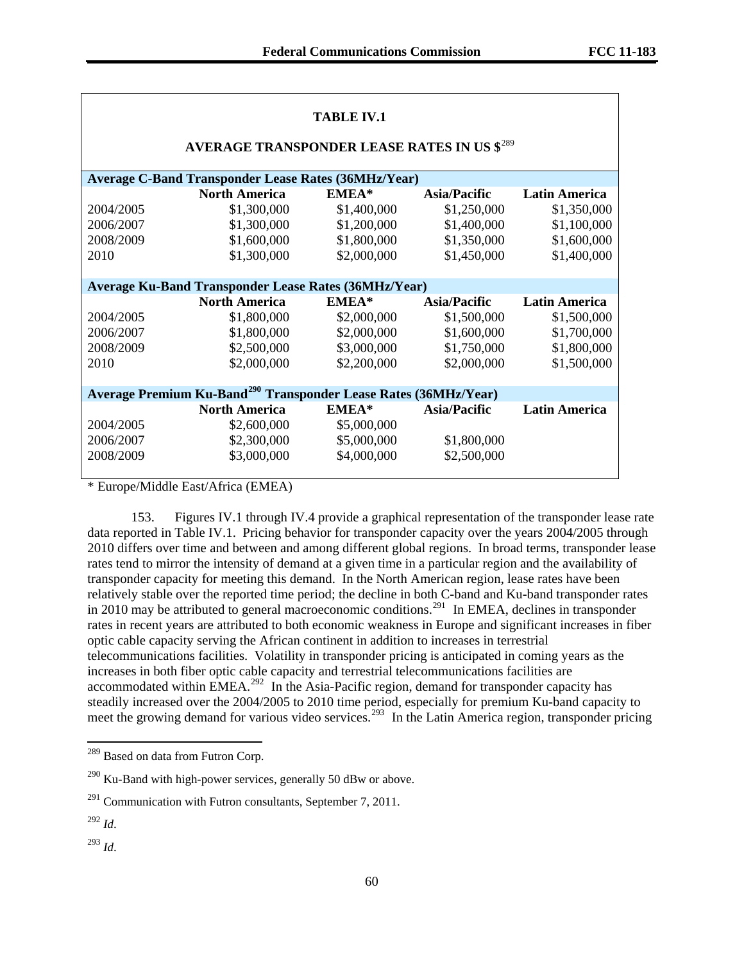| <b>TABLE IV.1</b>                                                           |                                                             |             |                     |                      |  |  |  |
|-----------------------------------------------------------------------------|-------------------------------------------------------------|-------------|---------------------|----------------------|--|--|--|
| AVERAGE TRANSPONDER LEASE RATES IN US \$289                                 |                                                             |             |                     |                      |  |  |  |
| <b>Average C-Band Transponder Lease Rates (36MHz/Year)</b>                  |                                                             |             |                     |                      |  |  |  |
|                                                                             | <b>North America</b>                                        | EMEA*       | <b>Asia/Pacific</b> | <b>Latin America</b> |  |  |  |
| 2004/2005                                                                   | \$1,300,000                                                 | \$1,400,000 | \$1,250,000         | \$1,350,000          |  |  |  |
| 2006/2007                                                                   | \$1,300,000                                                 | \$1,200,000 | \$1,400,000         | \$1,100,000          |  |  |  |
| 2008/2009                                                                   | \$1,600,000                                                 | \$1,800,000 | \$1,350,000         | \$1,600,000          |  |  |  |
| 2010                                                                        | \$1,300,000                                                 | \$2,000,000 | \$1,450,000         | \$1,400,000          |  |  |  |
|                                                                             |                                                             |             |                     |                      |  |  |  |
|                                                                             | <b>Average Ku-Band Transponder Lease Rates (36MHz/Year)</b> |             |                     |                      |  |  |  |
|                                                                             | <b>North America</b>                                        | EMEA*       | <b>Asia/Pacific</b> | <b>Latin America</b> |  |  |  |
| 2004/2005                                                                   | \$1,800,000                                                 | \$2,000,000 | \$1,500,000         | \$1,500,000          |  |  |  |
| 2006/2007                                                                   | \$1,800,000                                                 | \$2,000,000 | \$1,600,000         | \$1,700,000          |  |  |  |
| 2008/2009                                                                   | \$2,500,000                                                 | \$3,000,000 | \$1,750,000         | \$1,800,000          |  |  |  |
| 2010                                                                        | \$2,000,000                                                 | \$2,200,000 | \$2,000,000         | \$1,500,000          |  |  |  |
|                                                                             |                                                             |             |                     |                      |  |  |  |
| Average Premium Ku-Band <sup>290</sup> Transponder Lease Rates (36MHz/Year) |                                                             |             |                     |                      |  |  |  |
|                                                                             | <b>North America</b>                                        | EMEA*       | Asia/Pacific        | <b>Latin America</b> |  |  |  |
| 2004/2005                                                                   | \$2,600,000                                                 | \$5,000,000 |                     |                      |  |  |  |
| 2006/2007                                                                   | \$2,300,000                                                 | \$5,000,000 | \$1,800,000         |                      |  |  |  |
| 2008/2009                                                                   | \$3,000,000                                                 | \$4,000,000 | \$2,500,000         |                      |  |  |  |
|                                                                             |                                                             |             |                     |                      |  |  |  |

\* Europe/Middle East/Africa (EMEA)

153. Figures IV.1 through IV.4 provide a graphical representation of the transponder lease rate data reported in Table IV.1. Pricing behavior for transponder capacity over the years 2004/2005 through 2010 differs over time and between and among different global regions. In broad terms, transponder lease rates tend to mirror the intensity of demand at a given time in a particular region and the availability of transponder capacity for meeting this demand. In the North American region, lease rates have been relatively stable over the reported time period; the decline in both C-band and Ku-band transponder rates in 2010 may be attributed to general macroeconomic conditions.<sup>[291](#page-59-2)</sup> In EMEA, declines in transponder rates in recent years are attributed to both economic weakness in Europe and significant increases in fiber optic cable capacity serving the African continent in addition to increases in terrestrial telecommunications facilities. Volatility in transponder pricing is anticipated in coming years as the increases in both fiber optic cable capacity and terrestrial telecommunications facilities are accommodated within EMEA.<sup>[292](#page-59-3)</sup> In the Asia-Pacific region, demand for transponder capacity has steadily increased over the 2004/2005 to 2010 time period, especially for premium Ku-band capacity to meet the growing demand for various video services.<sup>[293](#page-59-4)</sup> In the Latin America region, transponder pricing

1

<span id="page-59-4"></span><sup>293</sup> *Id*.

<span id="page-59-0"></span><sup>&</sup>lt;sup>289</sup> Based on data from Futron Corp.

<span id="page-59-1"></span> $290$  Ku-Band with high-power services, generally 50 dBw or above.

<span id="page-59-2"></span> $^{291}$  Communication with Futron consultants, September 7, 2011.

<span id="page-59-3"></span><sup>292</sup> *Id*.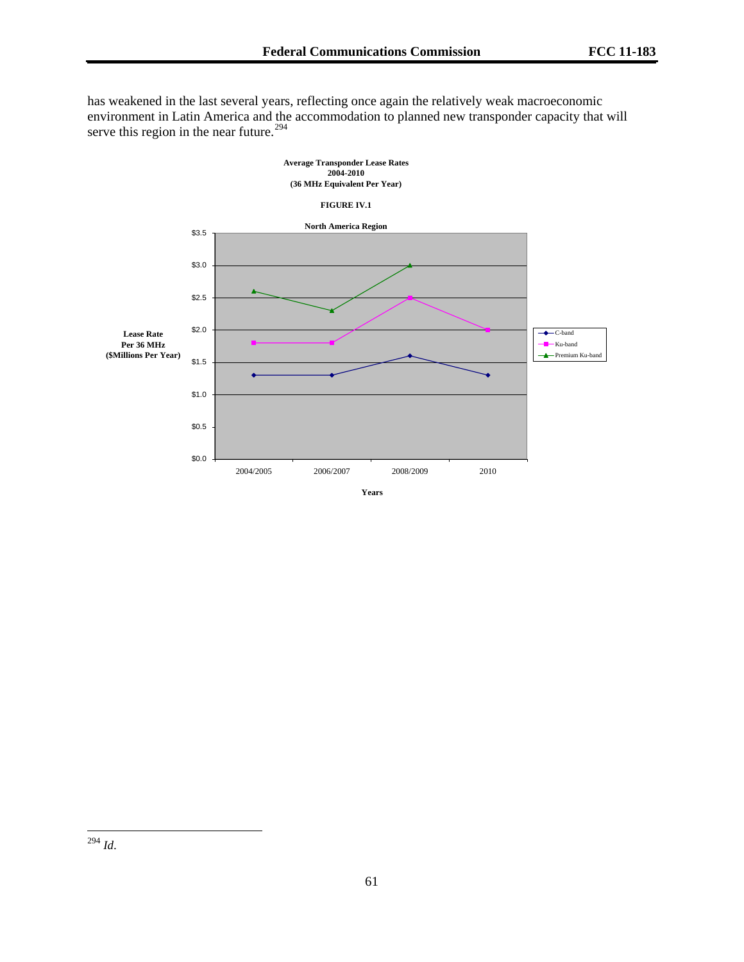serve this region in the near future.<sup>294</sup> has weakened in the last several years, reflecting once again the relatively weak macroeconomic environment in Latin America and the accommodation to planned new transponder capacity that will



 $\overline{\phantom{a}}$ <sup>294</sup> *Id*.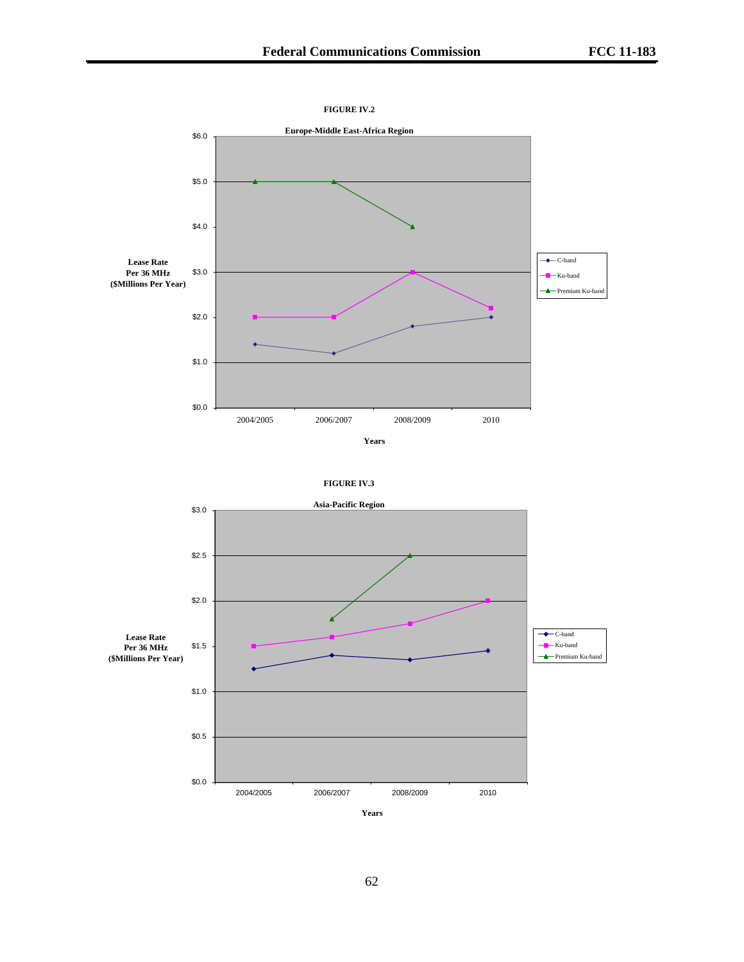



62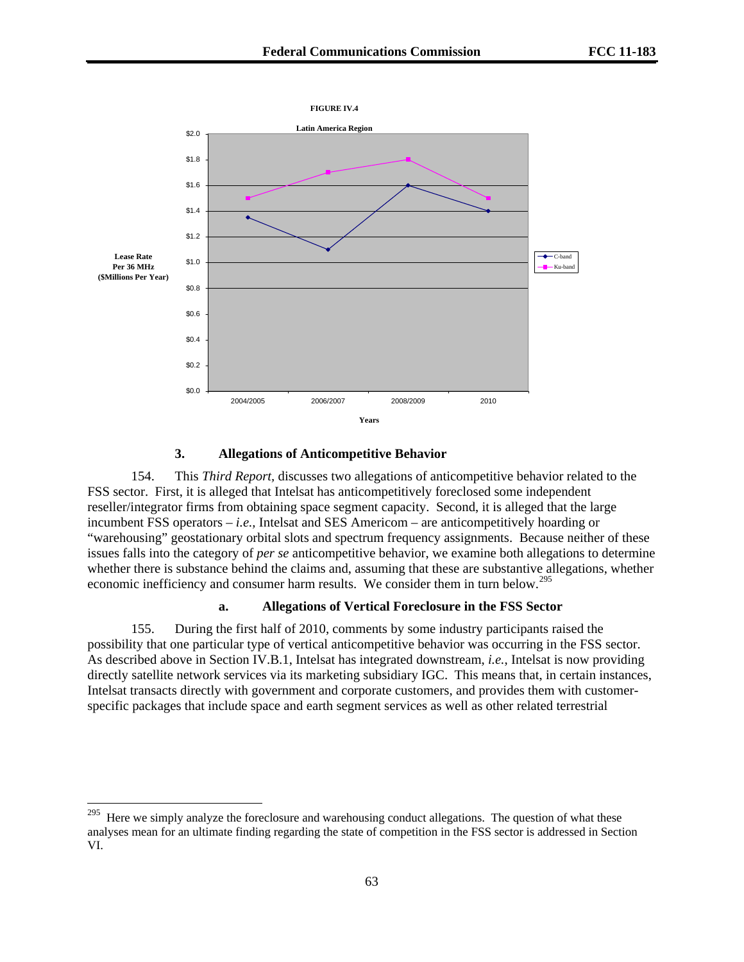

## **3. Allegations of Anticompetitive Behavior**

154. This *Third Report,* discusses two allegations of anticompetitive behavior related to the FSS sector. First, it is alleged that Intelsat has anticompetitively foreclosed some independent reseller/integrator firms from obtaining space segment capacity. Second, it is alleged that the large incumbent FSS operators – *i.e.,* Intelsat and SES Americom – are anticompetitively hoarding or "warehousing" geostationary orbital slots and spectrum frequency assignments. Because neither of these issues falls into the category of *per se* anticompetitive behavior, we examine both allegations to determine whether there is substance behind the claims and, assuming that these are substantive allegations, whether economic inefficiency and consumer harm results. We consider them in turn below.<sup>[295](#page-62-0)</sup>

#### **a. Allegations of Vertical Foreclosure in the FSS Sector**

155. During the first half of 2010, comments by some industry participants raised the possibility that one particular type of vertical anticompetitive behavior was occurring in the FSS sector. As described above in Section IV.B.1, Intelsat has integrated downstream, *i.e.*, Intelsat is now providing directly satellite network services via its marketing subsidiary IGC. This means that, in certain instances, Intelsat transacts directly with government and corporate customers, and provides them with customerspecific packages that include space and earth segment services as well as other related terrestrial

<span id="page-62-0"></span> $295\,$ Here we simply analyze the foreclosure and warehousing conduct allegations. The question of what these analyses mean for an ultimate finding regarding the state of competition in the FSS sector is addressed in Section VI.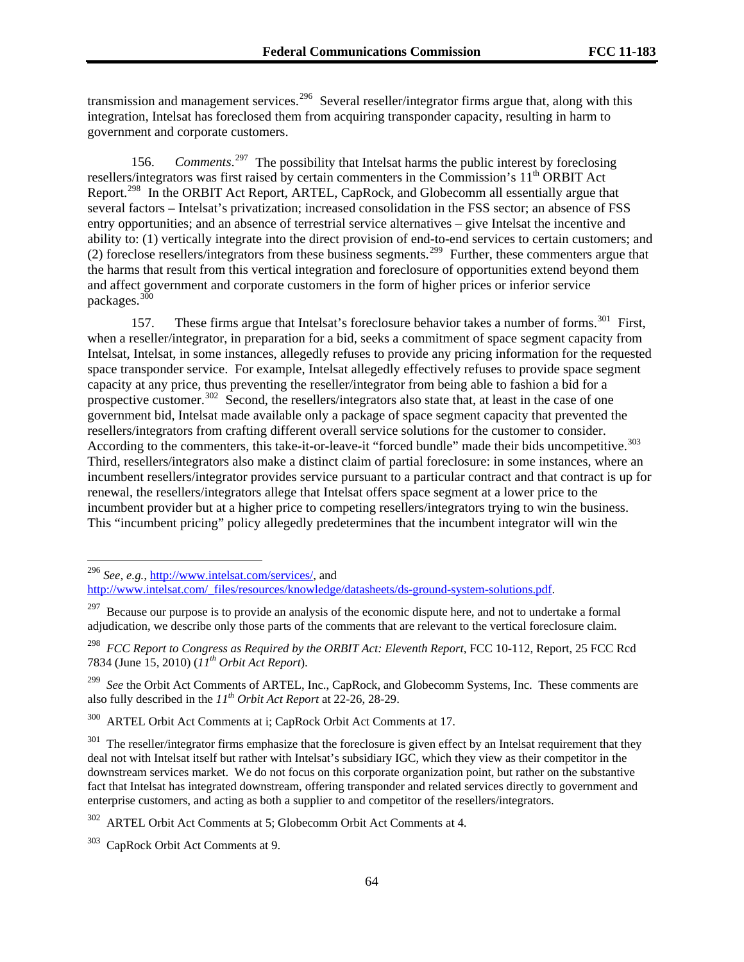transmission and management services.<sup>[296](#page-63-0)</sup> Several reseller/integrator firms argue that, along with this integration, Intelsat has foreclosed them from acquiring transponder capacity, resulting in harm to government and corporate customers.

156. *Comments.*<sup>[297](#page-63-1)</sup> The possibility that Intelsat harms the public interest by foreclosing resellers/integrators was first raised by certain commenters in the Commission's 11<sup>th</sup> ORBIT Act Report.<sup>[298](#page-63-2)</sup> In the ORBIT Act Report, ARTEL, CapRock, and Globecomm all essentially argue that several factors – Intelsat's privatization; increased consolidation in the FSS sector; an absence of FSS entry opportunities; and an absence of terrestrial service alternatives – give Intelsat the incentive and ability to: (1) vertically integrate into the direct provision of end-to-end services to certain customers; and (2) foreclose resellers/integrators from these business segments.<sup>[299](#page-63-3)</sup> Further, these commenters argue that the harms that result from this vertical integration and foreclosure of opportunities extend beyond them and affect government and corporate customers in the form of higher prices or inferior service packages.[300](#page-63-4)

157. These firms argue that Intelsat's foreclosure behavior takes a number of forms.<sup>[301](#page-63-5)</sup> First, when a reseller/integrator, in preparation for a bid, seeks a commitment of space segment capacity from Intelsat, Intelsat, in some instances, allegedly refuses to provide any pricing information for the requested space transponder service. For example, Intelsat allegedly effectively refuses to provide space segment capacity at any price, thus preventing the reseller/integrator from being able to fashion a bid for a prospective customer.<sup>[302](#page-63-6)</sup> Second, the resellers/integrators also state that, at least in the case of one government bid, Intelsat made available only a package of space segment capacity that prevented the resellers/integrators from crafting different overall service solutions for the customer to consider. According to the commenters, this take-it-or-leave-it "forced bundle" made their bids uncompetitive.<sup>[303](#page-63-7)</sup> Third, resellers/integrators also make a distinct claim of partial foreclosure: in some instances, where an incumbent resellers/integrator provides service pursuant to a particular contract and that contract is up for renewal, the resellers/integrators allege that Intelsat offers space segment at a lower price to the incumbent provider but at a higher price to competing resellers/integrators trying to win the business. This "incumbent pricing" policy allegedly predetermines that the incumbent integrator will win the

l

<span id="page-63-4"></span>300 ARTEL Orbit Act Comments at i; CapRock Orbit Act Comments at 17.

<sup>296</sup> *See, e.g.,* [http://www.intelsat.com/services/,](http://www.intelsat.com/services/) and

<span id="page-63-0"></span>[http://www.intelsat.com/\\_files/resources/knowledge/datasheets/ds-ground-system-solutions.pdf](http://www.intelsat.com/_files/resources/knowledge/datasheets/ds-ground-system-solutions.pdf).

<span id="page-63-1"></span>Because our purpose is to provide an analysis of the economic dispute here, and not to undertake a formal adjudication, we describe only those parts of the comments that are relevant to the vertical foreclosure claim.

<span id="page-63-2"></span><sup>&</sup>lt;sup>298</sup> *FCC Report to Congress as Required by the ORBIT Act: Eleventh Report*, FCC 10-112, Report, 25 FCC Rcd 7834 (June 15, 2010) (*11th Orbit Act Report*).

<span id="page-63-3"></span><sup>&</sup>lt;sup>299</sup> See the Orbit Act Comments of ARTEL, Inc., CapRock, and Globecomm Systems, Inc. These comments are also fully described in the *11th Orbit Act Report* at 22-26, 28-29.

<span id="page-63-5"></span> $301$  The reseller/integrator firms emphasize that the foreclosure is given effect by an Intelsat requirement that they deal not with Intelsat itself but rather with Intelsat's subsidiary IGC, which they view as their competitor in the downstream services market. We do not focus on this corporate organization point, but rather on the substantive fact that Intelsat has integrated downstream, offering transponder and related services directly to government and enterprise customers, and acting as both a supplier to and competitor of the resellers/integrators.

<span id="page-63-6"></span><sup>302</sup> ARTEL Orbit Act Comments at 5; Globecomm Orbit Act Comments at 4.

<span id="page-63-7"></span><sup>303</sup> CapRock Orbit Act Comments at 9.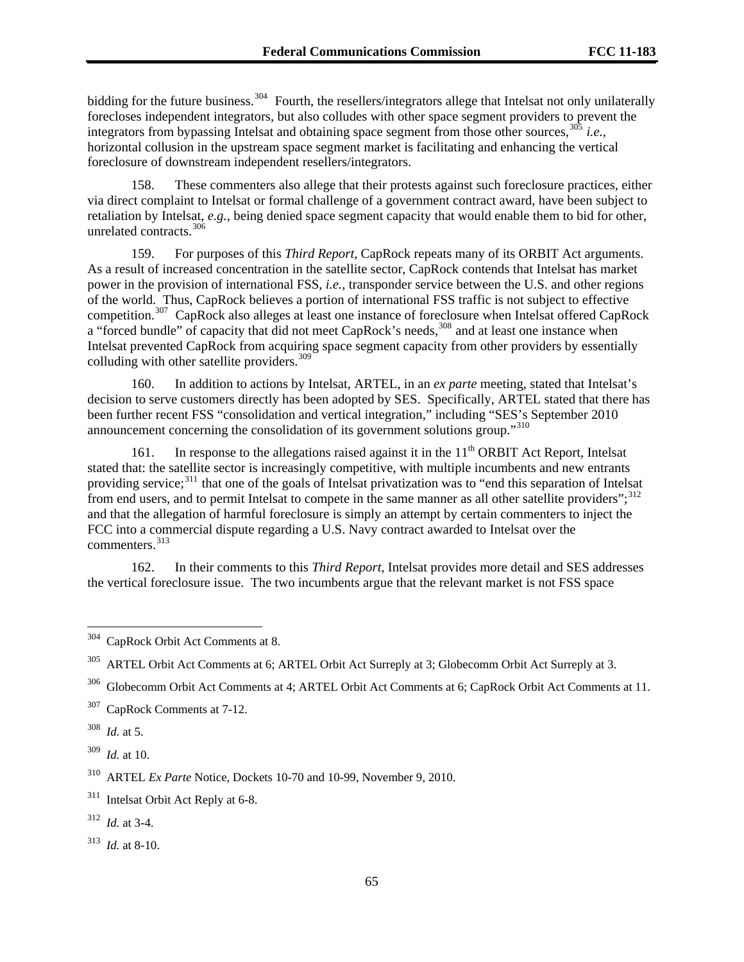bidding for the future business.<sup>304</sup> Fourth, the resellers/integrators allege that Intelsat not only unilaterally forecloses independent integrators, but also colludes with other space segment providers to prevent the integrators from bypassing Intelsat and obtaining space segment from those other sources, <sup>305</sup> *i.e.*, horizontal collusion in the upstream space segment market is facilitating and enhancing the vertical foreclosure of downstream independent resellers/integrators.

158. These commenters also allege that their protests against such foreclosure practices, either via direct complaint to Intelsat or formal challenge of a government contract award, have been subject to retaliation by Intelsat, *e.g.,* being denied space segment capacity that would enable them to bid for other, unrelated contracts.<sup>[306](#page-64-0)</sup>

159. For purposes of this *Third Report,* CapRock repeats many of its ORBIT Act arguments. As a result of increased concentration in the satellite sector, CapRock contends that Intelsat has market power in the provision of international FSS, *i.e.,* transponder service between the U.S. and other regions of the world. Thus, CapRock believes a portion of international FSS traffic is not subject to effective competition.<sup>[307](#page-64-1)</sup> CapRock also alleges at least one instance of foreclosure when Intelsat offered CapRock a "forced bundle" of capacity that did not meet CapRock's needs,<sup>[308](#page-64-2)</sup> and at least one instance when Intelsat prevented CapRock from acquiring space segment capacity from other providers by essentially colluding with other satellite providers.<sup>[309](#page-64-3)</sup>

160. In addition to actions by Intelsat, ARTEL, in an *ex parte* meeting, stated that Intelsat's decision to serve customers directly has been adopted by SES. Specifically, ARTEL stated that there has been further recent FSS "consolidation and vertical integration," including "SES's September 2010 announcement concerning the consolidation of its government solutions group."[310](#page-64-4)

161. In response to the allegations raised against it in the  $11<sup>th</sup> ORBIT$  Act Report, Intelsat stated that: the satellite sector is increasingly competitive, with multiple incumbents and new entrants providing service;[311](#page-64-5) that one of the goals of Intelsat privatization was to "end this separation of Intelsat from end users, and to permit Intelsat to compete in the same manner as all other satellite providers";<sup>[312](#page-64-6)</sup> and that the allegation of harmful foreclosure is simply an attempt by certain commenters to inject the FCC into a commercial dispute regarding a U.S. Navy contract awarded to Intelsat over the commenters.[313](#page-64-7)

162. In their comments to this *Third Report,* Intelsat provides more detail and SES addresses the vertical foreclosure issue. The two incumbents argue that the relevant market is not FSS space

<span id="page-64-1"></span>307 CapRock Comments at 7-12.

<span id="page-64-2"></span>308 *Id.* at 5.

<span id="page-64-3"></span>309 *Id.* at 10.

<span id="page-64-4"></span>310 ARTEL *Ex Parte* Notice, Dockets 10-70 and 10-99, November 9, 2010.

<span id="page-64-5"></span><sup>311</sup> Intelsat Orbit Act Reply at 6-8.

<span id="page-64-6"></span>312 *Id.* at 3-4.

<span id="page-64-7"></span>313 *Id.* at 8-10.

 $304\,$ CapRock Orbit Act Comments at 8.

<sup>305</sup> ARTEL Orbit Act Comments at 6; ARTEL Orbit Act Surreply at 3; Globecomm Orbit Act Surreply at 3.

<span id="page-64-0"></span><sup>306</sup> Globecomm Orbit Act Comments at 4; ARTEL Orbit Act Comments at 6; CapRock Orbit Act Comments at 11.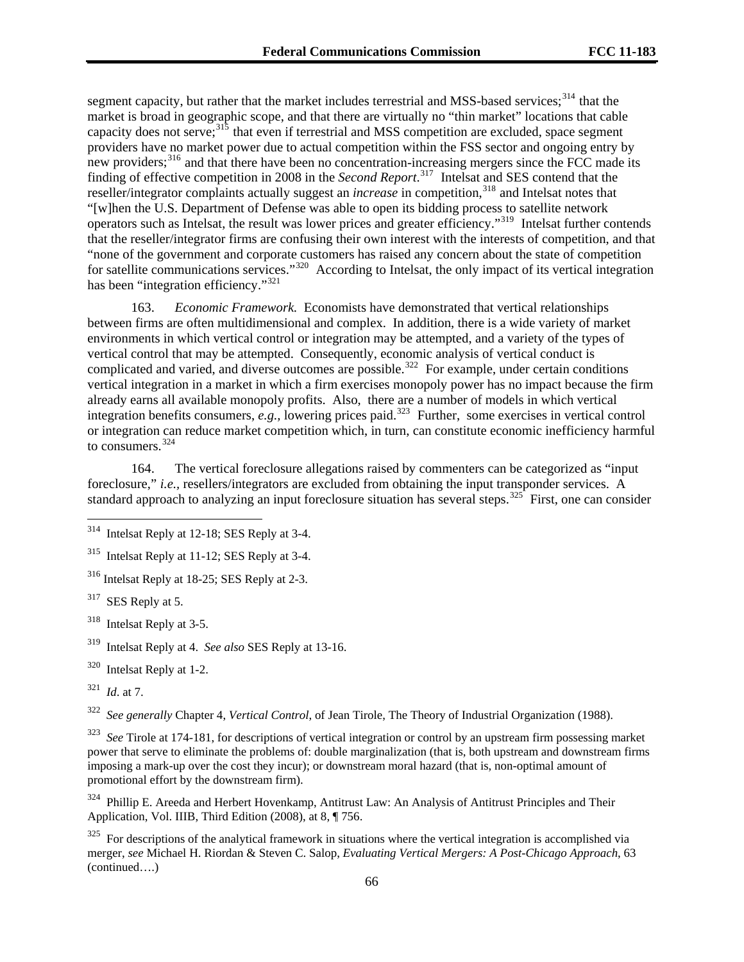segment capacity, but rather that the market includes terrestrial and MSS-based services;<sup>314</sup> that the market is broad in geographic scope, and that there are virtually no "thin market" locations that cable capacity does not serve;<sup>315</sup> that even if terrestrial and MSS competition are excluded, space segment providers have no market power due to actual competition within the FSS sector and ongoing entry by new providers;<sup>316</sup> and that there have been no concentration-increasing mergers since the FCC made its finding of effective competition in 2008 in the *Second Report*. 317 Intelsat and SES contend that the reseller/integrator complaints actually suggest an *increase* in competition,<sup>318</sup> and Intelsat notes that "[w]hen the U.S. Department of Defense was able to open its bidding process to satellite network operators such as Intelsat, the result was lower prices and greater efficiency."319 Intelsat further contends that the reseller/integrator firms are confusing their own interest with the interests of competition, and that "none of the government and corporate customers has raised any concern about the state of competition for satellite communications services."<sup>320</sup> According to Intelsat, the only impact of its vertical integration has been "integration efficiency."<sup>321</sup>

163. *Economic Framework.* Economists have demonstrated that vertical relationships between firms are often multidimensional and complex. In addition, there is a wide variety of market environments in which vertical control or integration may be attempted, and a variety of the types of vertical control that may be attempted. Consequently, economic analysis of vertical conduct is complicated and varied, and diverse outcomes are possible.<sup>[322](#page-65-0)</sup> For example, under certain conditions vertical integration in a market in which a firm exercises monopoly power has no impact because the firm already earns all available monopoly profits. Also, there are a number of models in which vertical integration benefits consumers, *e.g.*, lowering prices paid.<sup>[323](#page-65-1)</sup> Further, some exercises in vertical control or integration can reduce market competition which, in turn, can constitute economic inefficiency harmful to consumers.[324](#page-65-2)

164. The vertical foreclosure allegations raised by commenters can be categorized as "input foreclosure," *i.e.*, resellers/integrators are excluded from obtaining the input transponder services. A standard approach to analyzing an input foreclosure situation has several steps.<sup>[325](#page-65-3)</sup> First, one can consider

315 Intelsat Reply at 11-12; SES Reply at 3-4.

316 Intelsat Reply at 18-25; SES Reply at 2-3.

<sup>317</sup> SES Reply at 5.

318 Intelsat Reply at 3-5.

320 Intelsat Reply at 1-2.

l

<span id="page-65-0"></span>322 *See generally* Chapter 4, *Vertical Control*, of Jean Tirole, The Theory of Industrial Organization (1988).

<span id="page-65-1"></span>See Tirole at 174-181, for descriptions of vertical integration or control by an upstream firm possessing market power that serve to eliminate the problems of: double marginalization (that is, both upstream and downstream firms imposing a mark-up over the cost they incur); or downstream moral hazard (that is, non-optimal amount of promotional effort by the downstream firm).

<span id="page-65-2"></span><sup>324</sup> Phillip E. Areeda and Herbert Hovenkamp, Antitrust Law: An Analysis of Antitrust Principles and Their Application, Vol. IIIB, Third Edition (2008), at 8, ¶ 756.

<span id="page-65-3"></span>(continued….)  $325$  For descriptions of the analytical framework in situations where the vertical integration is accomplished via merger, *see* Michael H. Riordan & Steven C. Salop, *Evaluating Vertical Mergers: A Post-Chicago Approach*, 63

 $314$  Intelsat Reply at 12-18; SES Reply at 3-4.

<sup>319</sup> Intelsat Reply at 4. *See also* SES Reply at 13-16.

<sup>321</sup> *Id*. at 7.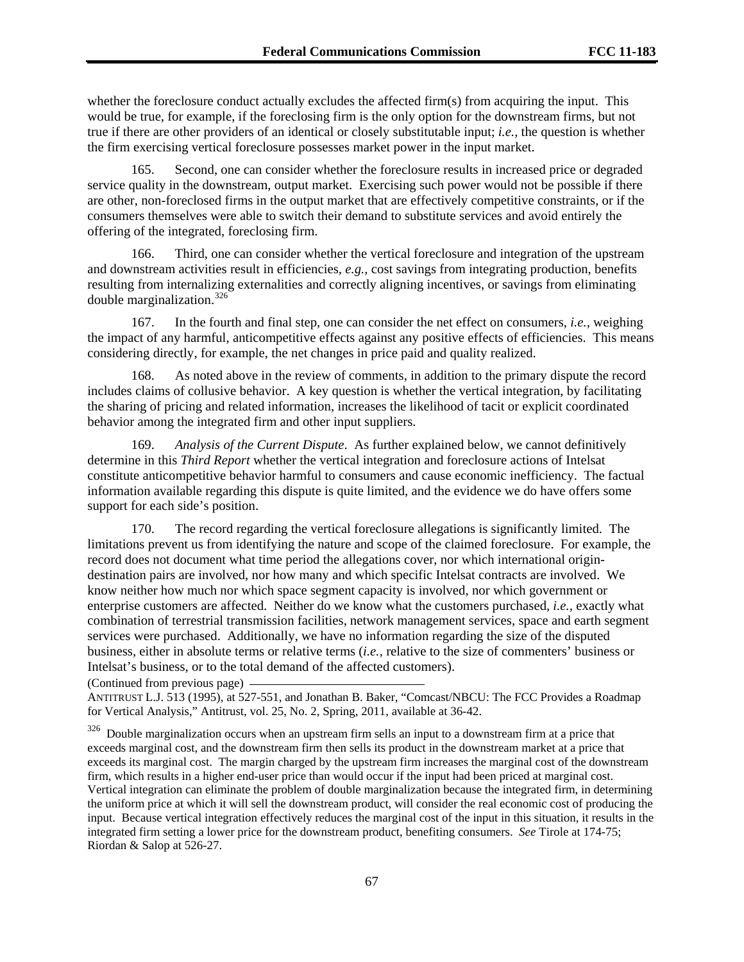whether the foreclosure conduct actually excludes the affected firm(s) from acquiring the input. This would be true, for example, if the foreclosing firm is the only option for the downstream firms, but not true if there are other providers of an identical or closely substitutable input; *i.e.,* the question is whether the firm exercising vertical foreclosure possesses market power in the input market.

165. Second, one can consider whether the foreclosure results in increased price or degraded service quality in the downstream, output market. Exercising such power would not be possible if there are other, non-foreclosed firms in the output market that are effectively competitive constraints, or if the consumers themselves were able to switch their demand to substitute services and avoid entirely the offering of the integrated, foreclosing firm.

166. Third, one can consider whether the vertical foreclosure and integration of the upstream and downstream activities result in efficiencies, *e.g.,* cost savings from integrating production, benefits resulting from internalizing externalities and correctly aligning incentives, or savings from eliminating double marginalization.[326](#page-66-0)

167. In the fourth and final step, one can consider the net effect on consumers, *i.e.,* weighing the impact of any harmful, anticompetitive effects against any positive effects of efficiencies. This means considering directly, for example, the net changes in price paid and quality realized.

168. As noted above in the review of comments, in addition to the primary dispute the record includes claims of collusive behavior. A key question is whether the vertical integration, by facilitating the sharing of pricing and related information, increases the likelihood of tacit or explicit coordinated behavior among the integrated firm and other input suppliers.

169. *Analysis of the Current Dispute*. As further explained below, we cannot definitively determine in this *Third Report* whether the vertical integration and foreclosure actions of Intelsat constitute anticompetitive behavior harmful to consumers and cause economic inefficiency. The factual information available regarding this dispute is quite limited, and the evidence we do have offers some support for each side's position.

170. The record regarding the vertical foreclosure allegations is significantly limited. The limitations prevent us from identifying the nature and scope of the claimed foreclosure. For example, the record does not document what time period the allegations cover, nor which international origindestination pairs are involved, nor how many and which specific Intelsat contracts are involved. We know neither how much nor which space segment capacity is involved, nor which government or enterprise customers are affected. Neither do we know what the customers purchased, *i.e.,* exactly what combination of terrestrial transmission facilities, network management services, space and earth segment services were purchased. Additionally, we have no information regarding the size of the disputed business, either in absolute terms or relative terms (*i.e.,* relative to the size of commenters' business or Intelsat's business, or to the total demand of the affected customers).

(Continued from previous page)

ANTITRUST L.J. 513 (1995), at 527-551, and Jonathan B. Baker, "Comcast/NBCU: The FCC Provides a Roadmap for Vertical Analysis," Antitrust, vol. 25, No. 2, Spring, 2011, available at 36-42.

<span id="page-66-0"></span> $326$  Double marginalization occurs when an upstream firm sells an input to a downstream firm at a price that exceeds marginal cost, and the downstream firm then sells its product in the downstream market at a price that exceeds its marginal cost. The margin charged by the upstream firm increases the marginal cost of the downstream firm, which results in a higher end-user price than would occur if the input had been priced at marginal cost. Vertical integration can eliminate the problem of double marginalization because the integrated firm, in determining the uniform price at which it will sell the downstream product, will consider the real economic cost of producing the input. Because vertical integration effectively reduces the marginal cost of the input in this situation, it results in the integrated firm setting a lower price for the downstream product, benefiting consumers. *See* Tirole at 174-75; Riordan & Salop at 526-27.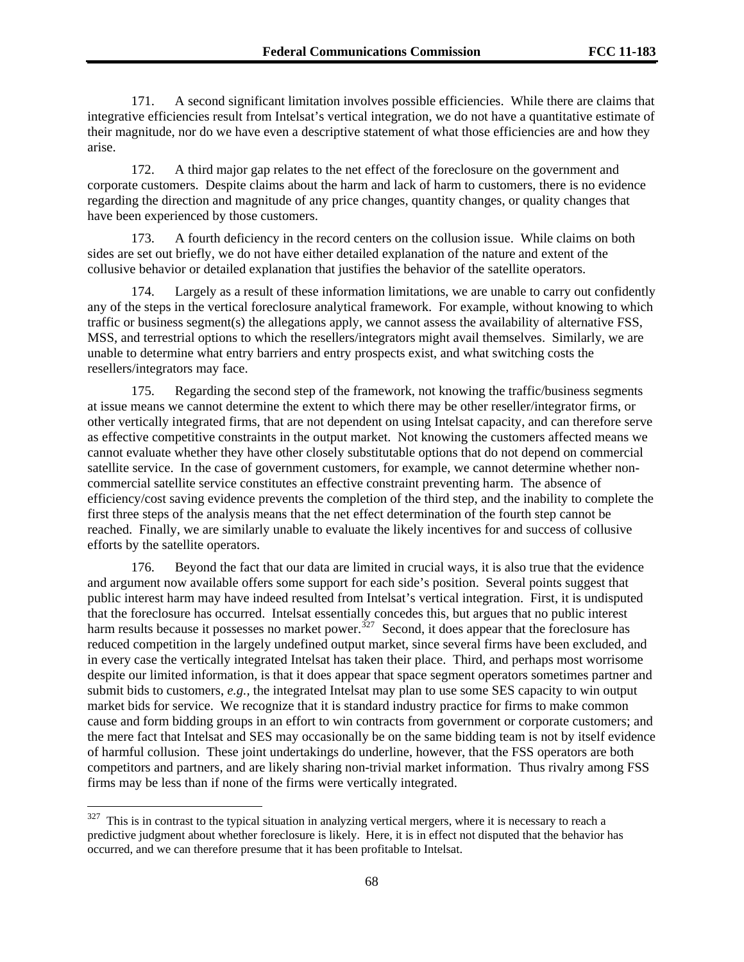171. A second significant limitation involves possible efficiencies. While there are claims that integrative efficiencies result from Intelsat's vertical integration, we do not have a quantitative estimate of their magnitude, nor do we have even a descriptive statement of what those efficiencies are and how they arise.

172. A third major gap relates to the net effect of the foreclosure on the government and corporate customers. Despite claims about the harm and lack of harm to customers, there is no evidence regarding the direction and magnitude of any price changes, quantity changes, or quality changes that have been experienced by those customers.

173. A fourth deficiency in the record centers on the collusion issue. While claims on both sides are set out briefly, we do not have either detailed explanation of the nature and extent of the collusive behavior or detailed explanation that justifies the behavior of the satellite operators.

174. Largely as a result of these information limitations, we are unable to carry out confidently any of the steps in the vertical foreclosure analytical framework. For example, without knowing to which traffic or business segment(s) the allegations apply, we cannot assess the availability of alternative FSS, MSS, and terrestrial options to which the resellers/integrators might avail themselves. Similarly, we are unable to determine what entry barriers and entry prospects exist, and what switching costs the resellers/integrators may face.

175. Regarding the second step of the framework, not knowing the traffic/business segments at issue means we cannot determine the extent to which there may be other reseller/integrator firms, or other vertically integrated firms, that are not dependent on using Intelsat capacity, and can therefore serve as effective competitive constraints in the output market. Not knowing the customers affected means we cannot evaluate whether they have other closely substitutable options that do not depend on commercial satellite service. In the case of government customers, for example, we cannot determine whether noncommercial satellite service constitutes an effective constraint preventing harm. The absence of efficiency/cost saving evidence prevents the completion of the third step, and the inability to complete the first three steps of the analysis means that the net effect determination of the fourth step cannot be reached. Finally, we are similarly unable to evaluate the likely incentives for and success of collusive efforts by the satellite operators.

176. Beyond the fact that our data are limited in crucial ways, it is also true that the evidence and argument now available offers some support for each side's position. Several points suggest that public interest harm may have indeed resulted from Intelsat's vertical integration. First, it is undisputed that the foreclosure has occurred. Intelsat essentially concedes this, but argues that no public interest harm results because it possesses no market power.<sup>[327](#page-67-0)</sup> Second, it does appear that the foreclosure has reduced competition in the largely undefined output market, since several firms have been excluded, and in every case the vertically integrated Intelsat has taken their place. Third, and perhaps most worrisome despite our limited information, is that it does appear that space segment operators sometimes partner and submit bids to customers, *e.g.,* the integrated Intelsat may plan to use some SES capacity to win output market bids for service. We recognize that it is standard industry practice for firms to make common cause and form bidding groups in an effort to win contracts from government or corporate customers; and the mere fact that Intelsat and SES may occasionally be on the same bidding team is not by itself evidence of harmful collusion. These joint undertakings do underline, however, that the FSS operators are both competitors and partners, and are likely sharing non-trivial market information. Thus rivalry among FSS firms may be less than if none of the firms were vertically integrated.

<span id="page-67-0"></span> $327$  This is in contrast to the typical situation in analyzing vertical mergers, where it is necessary to reach a predictive judgment about whether foreclosure is likely. Here, it is in effect not disputed that the behavior has occurred, and we can therefore presume that it has been profitable to Intelsat.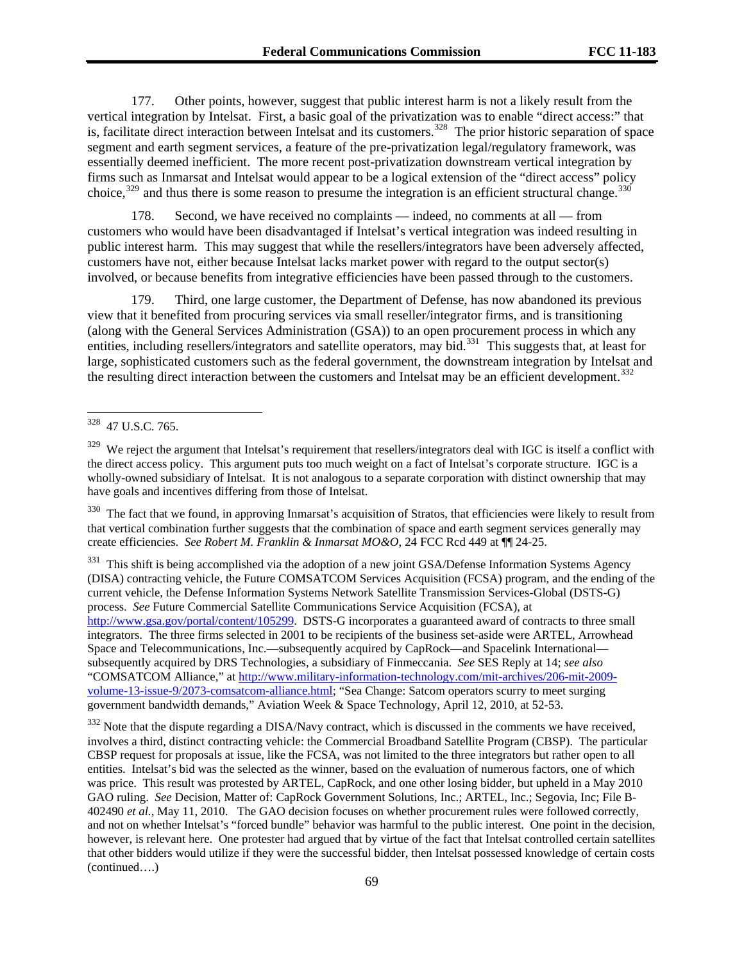177. Other points, however, suggest that public interest harm is not a likely result from the vertical integration by Intelsat. First, a basic goal of the privatization was to enable "direct access:" that is, facilitate direct interaction between Intelsat and its customers.<sup>[328](#page-68-0)</sup> The prior historic separation of space segment and earth segment services, a feature of the pre-privatization legal/regulatory framework, was essentially deemed inefficient. The more recent post-privatization downstream vertical integration by firms such as Inmarsat and Intelsat would appear to be a logical extension of the "direct access" policy choice,  $329$  and thus there is some reason to presume the integration is an efficient structural change.  $330$ 

178. Second, we have received no complaints — indeed, no comments at all — from customers who would have been disadvantaged if Intelsat's vertical integration was indeed resulting in public interest harm. This may suggest that while the resellers/integrators have been adversely affected, customers have not, either because Intelsat lacks market power with regard to the output sector(s) involved, or because benefits from integrative efficiencies have been passed through to the customers.

179. Third, one large customer, the Department of Defense, has now abandoned its previous view that it benefited from procuring services via small reseller/integrator firms, and is transitioning (along with the General Services Administration (GSA)) to an open procurement process in which any entities, including resellers/integrators and satellite operators, may bid.<sup>[331](#page-68-3)</sup> This suggests that, at least for large, sophisticated customers such as the federal government, the downstream integration by Intelsat and the resulting direct interaction between the customers and Intelsat may be an efficient development.<sup>[332](#page-68-4)</sup>

<span id="page-68-2"></span> $330$  The fact that we found, in approving Inmarsat's acquisition of Stratos, that efficiencies were likely to result from that vertical combination further suggests that the combination of space and earth segment services generally may create efficiencies. *See Robert M. Franklin & Inmarsat MO&O*, 24 FCC Rcd 449 at ¶¶ 24-25.

<span id="page-68-3"></span><sup>331</sup> This shift is being accomplished via the adoption of a new joint GSA/Defense Information Systems Agency (DISA) contracting vehicle, the Future COMSATCOM Services Acquisition (FCSA) program, and the ending of the current vehicle, the Defense Information Systems Network Satellite Transmission Services-Global (DSTS-G) process. *See* Future Commercial Satellite Communications Service Acquisition (FCSA), at [http://www.gsa.gov/portal/content/105299.](http://www.gsa.gov/portal/content/105299) DSTS-G incorporates a guaranteed award of contracts to three small integrators. The three firms selected in 2001 to be recipients of the business set-aside were ARTEL, Arrowhead Space and Telecommunications, Inc.—subsequently acquired by CapRock—and Spacelink International subsequently acquired by DRS Technologies, a subsidiary of Finmeccania. *See* SES Reply at 14; *see also* "COMSATCOM Alliance," at [http://www.military-information-technology.com/mit-archives/206-mit-2009](http://www.military-information-technology.com/mit-archives/206-mit-2009-volume-13-issue-9/2073-comsatcom-alliance.html) [volume-13-issue-9/2073-comsatcom-alliance.html;](http://www.military-information-technology.com/mit-archives/206-mit-2009-volume-13-issue-9/2073-comsatcom-alliance.html) "Sea Change: Satcom operators scurry to meet surging government bandwidth demands," Aviation Week & Space Technology, April 12, 2010, at 52-53.

<span id="page-68-4"></span><sup>332</sup> Note that the dispute regarding a DISA/Navy contract, which is discussed in the comments we have received, involves a third, distinct contracting vehicle: the Commercial Broadband Satellite Program (CBSP). The particular CBSP request for proposals at issue, like the FCSA, was not limited to the three integrators but rather open to all entities. Intelsat's bid was the selected as the winner, based on the evaluation of numerous factors, one of which was price. This result was protested by ARTEL, CapRock, and one other losing bidder, but upheld in a May 2010 GAO ruling. *See* Decision, Matter of: CapRock Government Solutions, Inc.; ARTEL, Inc.; Segovia, Inc; File B-402490 *et al.*, May 11, 2010. The GAO decision focuses on whether procurement rules were followed correctly, and not on whether Intelsat's "forced bundle" behavior was harmful to the public interest. One point in the decision, however, is relevant here. One protester had argued that by virtue of the fact that Intelsat controlled certain satellites that other bidders would utilize if they were the successful bidder, then Intelsat possessed knowledge of certain costs (continued….)

<span id="page-68-0"></span><sup>328</sup> 47 U.S.C. 765.

<span id="page-68-1"></span><sup>&</sup>lt;sup>329</sup> We reject the argument that Intelsat's requirement that resellers/integrators deal with IGC is itself a conflict with the direct access policy. This argument puts too much weight on a fact of Intelsat's corporate structure. IGC is a wholly-owned subsidiary of Intelsat. It is not analogous to a separate corporation with distinct ownership that may have goals and incentives differing from those of Intelsat.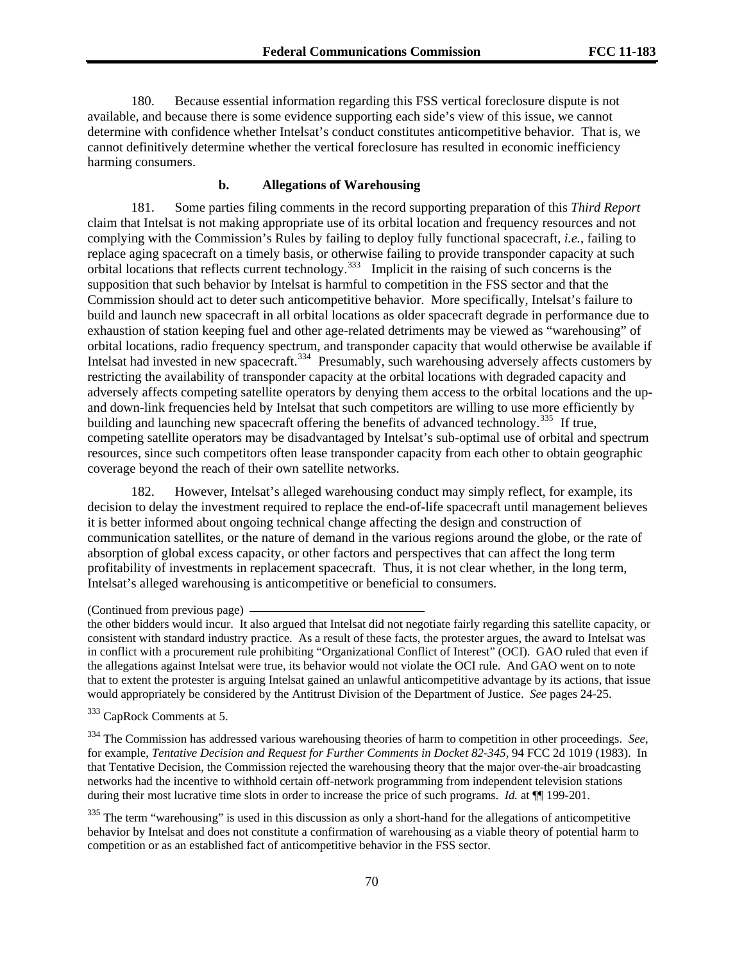180. Because essential information regarding this FSS vertical foreclosure dispute is not available, and because there is some evidence supporting each side's view of this issue, we cannot determine with confidence whether Intelsat's conduct constitutes anticompetitive behavior. That is, we cannot definitively determine whether the vertical foreclosure has resulted in economic inefficiency harming consumers.

### **b. Allegations of Warehousing**

coverage beyond the reach of their own satellite networks. 181. Some parties filing comments in the record supporting preparation of this *Third Report* claim that Intelsat is not making appropriate use of its orbital location and frequency resources and not complying with the Commission's Rules by failing to deploy fully functional spacecraft, *i.e.*, failing to replace aging spacecraft on a timely basis, or otherwise failing to provide transponder capacity at such orbital locations that reflects current technology.[333](#page-69-0) Implicit in the raising of such concerns is the supposition that such behavior by Intelsat is harmful to competition in the FSS sector and that the Commission should act to deter such anticompetitive behavior. More specifically, Intelsat's failure to build and launch new spacecraft in all orbital locations as older spacecraft degrade in performance due to exhaustion of station keeping fuel and other age-related detriments may be viewed as "warehousing" of orbital locations, radio frequency spectrum, and transponder capacity that would otherwise be available if Intelsat had invested in new spacecraft.<sup>[334](#page-69-1)</sup> Presumably, such warehousing adversely affects customers by restricting the availability of transponder capacity at the orbital locations with degraded capacity and adversely affects competing satellite operators by denying them access to the orbital locations and the upand down-link frequencies held by Intelsat that such competitors are willing to use more efficiently by building and launching new spacecraft offering the benefits of advanced technology.<sup>[335](#page-69-2)</sup> If true, competing satellite operators may be disadvantaged by Intelsat's sub-optimal use of orbital and spectrum resources, since such competitors often lease transponder capacity from each other to obtain geographic

182. However, Intelsat's alleged warehousing conduct may simply reflect, for example, its decision to delay the investment required to replace the end-of-life spacecraft until management believes it is better informed about ongoing technical change affecting the design and construction of communication satellites, or the nature of demand in the various regions around the globe, or the rate of absorption of global excess capacity, or other factors and perspectives that can affect the long term profitability of investments in replacement spacecraft. Thus, it is not clear whether, in the long term, Intelsat's alleged warehousing is anticompetitive or beneficial to consumers.

the other bidders would incur. It also argued that Intelsat did not negotiate fairly regarding this satellite capacity, or consistent with standard industry practice. As a result of these facts, the protester argues, the award to Intelsat was in conflict with a procurement rule prohibiting "Organizational Conflict of Interest" (OCI). GAO ruled that even if the allegations against Intelsat were true, its behavior would not violate the OCI rule. And GAO went on to note that to extent the protester is arguing Intelsat gained an unlawful anticompetitive advantage by its actions, that issue would appropriately be considered by the Antitrust Division of the Department of Justice. *See* pages 24-25.

<span id="page-69-0"></span>333 CapRock Comments at 5.

<span id="page-69-1"></span>334 The Commission has addressed various warehousing theories of harm to competition in other proceedings. *See*, for example, *Tentative Decision and Request for Further Comments in Docket 82-345,* 94 FCC 2d 1019 (1983). In that Tentative Decision, the Commission rejected the warehousing theory that the major over-the-air broadcasting networks had the incentive to withhold certain off-network programming from independent television stations during their most lucrative time slots in order to increase the price of such programs. *Id.* at ¶¶ 199-201.

<span id="page-69-2"></span> $335$  The term "warehousing" is used in this discussion as only a short-hand for the allegations of anticompetitive behavior by Intelsat and does not constitute a confirmation of warehousing as a viable theory of potential harm to competition or as an established fact of anticompetitive behavior in the FSS sector.

<sup>(</sup>Continued from previous page)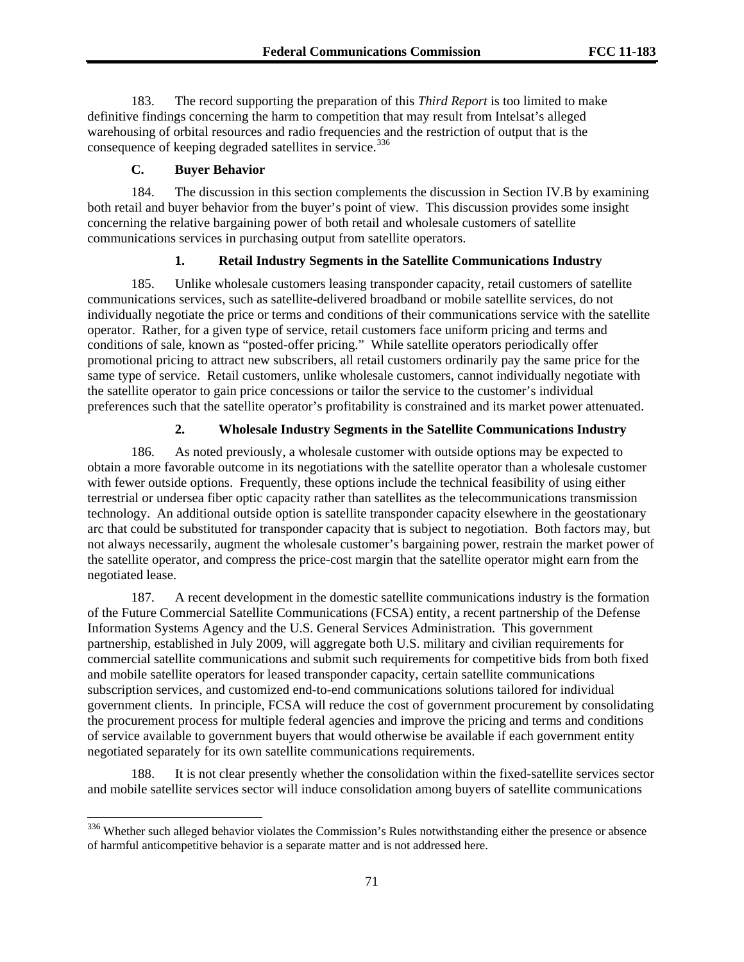183. The record supporting the preparation of this *Third Report* is too limited to make definitive findings concerning the harm to competition that may result from Intelsat's alleged warehousing of orbital resources and radio frequencies and the restriction of output that is the consequence of keeping degraded satellites in service.<sup>[336](#page-70-0)</sup>

### **C. Buyer Behavior**

l

184. The discussion in this section complements the discussion in Section IV.B by examining both retail and buyer behavior from the buyer's point of view. This discussion provides some insight concerning the relative bargaining power of both retail and wholesale customers of satellite communications services in purchasing output from satellite operators.

## **1. Retail Industry Segments in the Satellite Communications Industry**

185. Unlike wholesale customers leasing transponder capacity, retail customers of satellite communications services, such as satellite-delivered broadband or mobile satellite services, do not individually negotiate the price or terms and conditions of their communications service with the satellite operator. Rather, for a given type of service, retail customers face uniform pricing and terms and conditions of sale, known as "posted-offer pricing." While satellite operators periodically offer promotional pricing to attract new subscribers, all retail customers ordinarily pay the same price for the same type of service. Retail customers, unlike wholesale customers, cannot individually negotiate with the satellite operator to gain price concessions or tailor the service to the customer's individual preferences such that the satellite operator's profitability is constrained and its market power attenuated.

### **2. Wholesale Industry Segments in the Satellite Communications Industry**

186. As noted previously, a wholesale customer with outside options may be expected to obtain a more favorable outcome in its negotiations with the satellite operator than a wholesale customer with fewer outside options. Frequently, these options include the technical feasibility of using either terrestrial or undersea fiber optic capacity rather than satellites as the telecommunications transmission technology. An additional outside option is satellite transponder capacity elsewhere in the geostationary arc that could be substituted for transponder capacity that is subject to negotiation. Both factors may, but not always necessarily, augment the wholesale customer's bargaining power, restrain the market power of the satellite operator, and compress the price-cost margin that the satellite operator might earn from the negotiated lease.

187. A recent development in the domestic satellite communications industry is the formation of the Future Commercial Satellite Communications (FCSA) entity, a recent partnership of the Defense Information Systems Agency and the U.S. General Services Administration. This government partnership, established in July 2009, will aggregate both U.S. military and civilian requirements for commercial satellite communications and submit such requirements for competitive bids from both fixed and mobile satellite operators for leased transponder capacity, certain satellite communications subscription services, and customized end-to-end communications solutions tailored for individual government clients. In principle, FCSA will reduce the cost of government procurement by consolidating the procurement process for multiple federal agencies and improve the pricing and terms and conditions of service available to government buyers that would otherwise be available if each government entity negotiated separately for its own satellite communications requirements.

188. It is not clear presently whether the consolidation within the fixed-satellite services sector and mobile satellite services sector will induce consolidation among buyers of satellite communications

<span id="page-70-0"></span><sup>336</sup> Whether such alleged behavior violates the Commission's Rules notwithstanding either the presence or absence of harmful anticompetitive behavior is a separate matter and is not addressed here.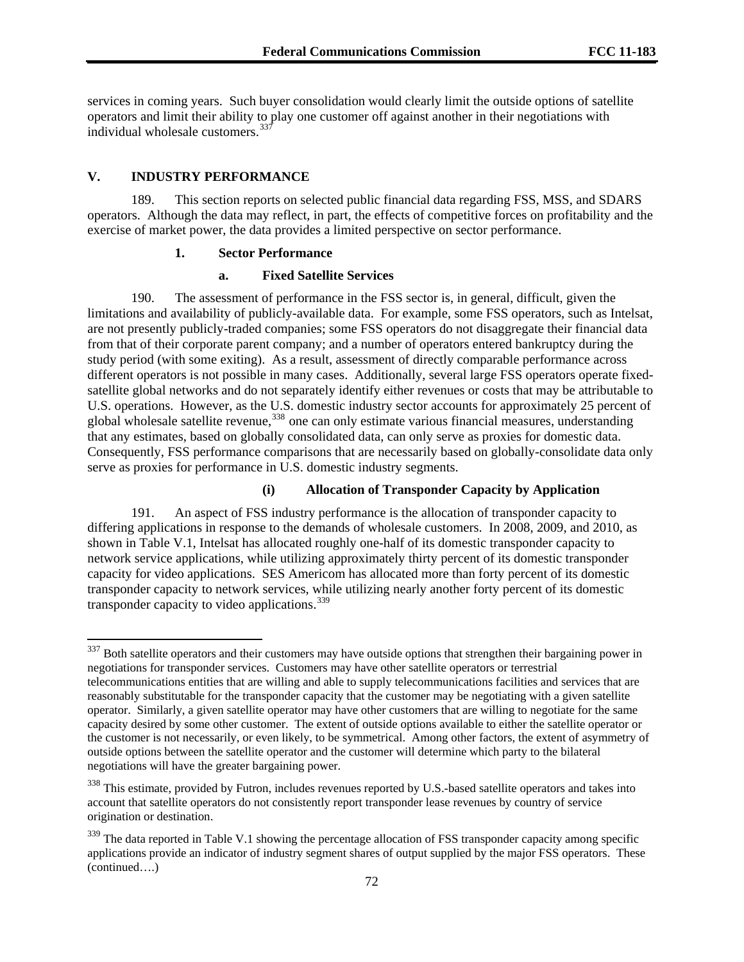services in coming years. Such buyer consolidation would clearly limit the outside options of satellite operators and limit their ability to play one customer off against another in their negotiations with individual wholesale customers.  $337$ 

### **V. INDUSTRY PERFORMANCE**

l

189. This section reports on selected public financial data regarding FSS, MSS, and SDARS operators. Although the data may reflect, in part, the effects of competitive forces on profitability and the exercise of market power, the data provides a limited perspective on sector performance.

## **1. Sector Performance**

#### **a. Fixed Satellite Services**

that any estimates, based on globally consolidated data, can only serve as proxies for domestic data. 190. The assessment of performance in the FSS sector is, in general, difficult, given the limitations and availability of publicly-available data. For example, some FSS operators, such as Intelsat, are not presently publicly-traded companies; some FSS operators do not disaggregate their financial data from that of their corporate parent company; and a number of operators entered bankruptcy during the study period (with some exiting). As a result, assessment of directly comparable performance across different operators is not possible in many cases. Additionally, several large FSS operators operate fixedsatellite global networks and do not separately identify either revenues or costs that may be attributable to U.S. operations. However, as the U.S. domestic industry sector accounts for approximately 25 percent of global wholesale satellite revenue,<sup>[338](#page-71-0)</sup> one can only estimate various financial measures, understanding global Consequently, FSS performance comparisons that are necessarily based on globally-consolidate data only serve as proxies for performance in U.S. domestic industry segments.

#### **(i) Allocation of Transponder Capacity by Application**

191. An aspect of FSS industry performance is the allocation of transponder capacity to differing applications in response to the demands of wholesale customers. In 2008, 2009, and 2010, as shown in Table V.1, Intelsat has allocated roughly one-half of its domestic transponder capacity to network service applications, while utilizing approximately thirty percent of its domestic transponder capacity for video applications. SES Americom has allocated more than forty percent of its domestic transponder capacity to network services, while utilizing nearly another forty percent of its domestic transponder capacity to video applications.<sup>[339](#page-71-1)</sup>

<sup>&</sup>lt;sup>337</sup> Both satellite operators and their customers may have outside options that strengthen their bargaining power in negotiations for transponder services. Customers may have other satellite operators or terrestrial telecommunications entities that are willing and able to supply telecommunications facilities and services that are reasonably substitutable for the transponder capacity that the customer may be negotiating with a given satellite operator. Similarly, a given satellite operator may have other customers that are willing to negotiate for the same capacity desired by some other customer. The extent of outside options available to either the satellite operator or the customer is not necessarily, or even likely, to be symmetrical. Among other factors, the extent of asymmetry of outside options between the satellite operator and the customer will determine which party to the bilateral negotiations will have the greater bargaining power.

<span id="page-71-0"></span><sup>&</sup>lt;sup>338</sup> This estimate, provided by Futron, includes revenues reported by U.S.-based satellite operators and takes into account that satellite operators do not consistently report transponder lease revenues by country of service origination or destination.

<span id="page-71-1"></span><sup>(</sup>continued….) <sup>339</sup> The data reported in Table V.1 showing the percentage allocation of FSS transponder capacity among specific applications provide an indicator of industry segment shares of output supplied by the major FSS operators. These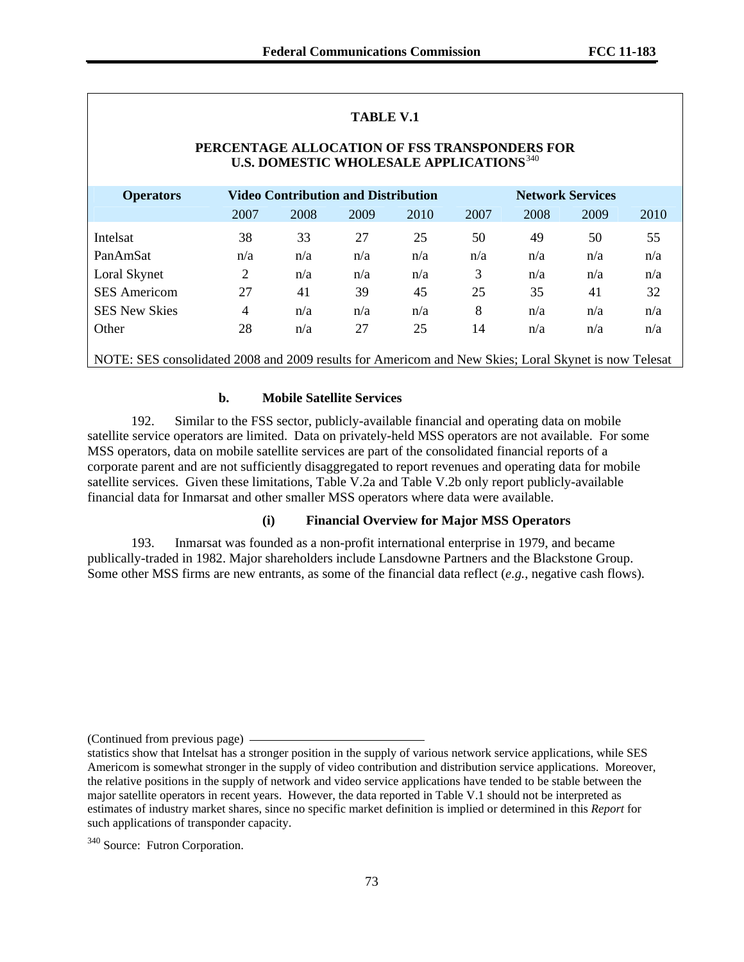| <b>TABLE V.1</b>                                                                                            |      |                                     |      |      |                         |      |      |      |
|-------------------------------------------------------------------------------------------------------------|------|-------------------------------------|------|------|-------------------------|------|------|------|
| PERCENTAGE ALLOCATION OF FSS TRANSPONDERS FOR<br><b>U.S. DOMESTIC WHOLESALE APPLICATIONS</b> <sup>340</sup> |      |                                     |      |      |                         |      |      |      |
| <b>Operators</b>                                                                                            |      | Video Contribution and Distribution |      |      | <b>Network Services</b> |      |      |      |
|                                                                                                             | 2007 | 2008                                | 2009 | 2010 | 2007                    | 2008 | 2009 | 2010 |
| Intelsat                                                                                                    | 38   | 33                                  | 27   | 25   | 50                      | 49   | 50   | 55   |
| PanAmSat                                                                                                    | n/a  | n/a                                 | n/a  | n/a  | n/a                     | n/a  | n/a  | n/a  |
| Loral Skynet                                                                                                | 2    | n/a                                 | n/a  | n/a  | 3                       | n/a  | n/a  | n/a  |
| <b>SES</b> Americom                                                                                         | 27   | 41                                  | 39   | 45   | 25                      | 35   | 41   | 32   |
| <b>SES New Skies</b>                                                                                        | 4    | n/a                                 | n/a  | n/a  | 8                       | n/a  | n/a  | n/a  |
| Other                                                                                                       | 28   | n/a                                 | 27   | 25   | 14                      | n/a  | n/a  | n/a  |
| NOTE: SES consolidated 2008 and 2009 results for Americom and New Skies; Loral Skynet is now Telesat        |      |                                     |      |      |                         |      |      |      |

#### **b. Mobile Satellite Services**

192. Similar to the FSS sector, publicly-available financial and operating data on mobile satellite service operators are limited. Data on privately-held MSS operators are not available. For some MSS operators, data on mobile satellite services are part of the consolidated financial reports of a corporate parent and are not sufficiently disaggregated to report revenues and operating data for mobile satellite services. Given these limitations, Table V.2a and Table V.2b only report publicly-available financial data for Inmarsat and other smaller MSS operators where data were available.

### **(i) Financial Overview for Major MSS Operators**

193. Inmarsat was founded as a non-profit international enterprise in 1979, and became publically-traded in 1982. Major shareholders include Lansdowne Partners and the Blackstone Group. Some other MSS firms are new entrants, as some of the financial data reflect (*e.g.*, negative cash flows).

<sup>(</sup>Continued from previous page)

statistics show that Intelsat has a stronger position in the supply of various network service applications, while SES Americom is somewhat stronger in the supply of video contribution and distribution service applications. Moreover, the relative positions in the supply of network and video service applications have tended to be stable between the major satellite operators in recent years. However, the data reported in Table V.1 should not be interpreted as estimates of industry market shares, since no specific market definition is implied or determined in this *Report* for such applications of transponder capacity.

<span id="page-72-0"></span><sup>&</sup>lt;sup>340</sup> Source: Futron Corporation.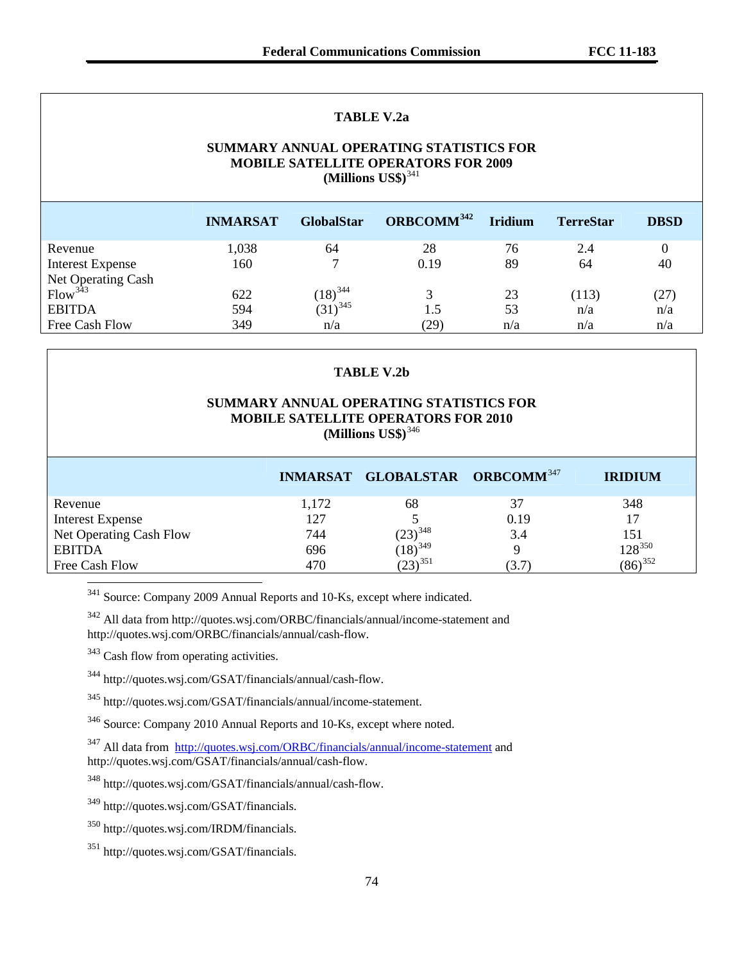### **TABLE V.2a**

### **SUMMARY ANNUAL OPERATING STATISTICS FOR MOBILE SATELLITE OPERATORS FOR 2009 (Millions US\$)**[341](#page-73-0)

|                                           | <b>INMARSAT</b> | <b>GlobalStar</b> | ORBCOMM <sup>342</sup> | <b>Iridium</b> | <b>TerreStar</b> | <b>DBSD</b> |
|-------------------------------------------|-----------------|-------------------|------------------------|----------------|------------------|-------------|
| Revenue                                   | 1,038           | 64                | 28                     | 76             | 2.4              |             |
| <b>Interest Expense</b>                   | 160             |                   | 0.19                   | 89             | 64               | 40          |
| Net Operating Cash<br>Flow <sup>343</sup> |                 |                   |                        |                |                  |             |
|                                           | 622             | $(18)^{344}$      | 3                      | 23             | (113)            | (27)        |
| <b>EBITDA</b>                             | 594             | $(31)^{345}$      | 1.5                    | 53             | n/a              | n/a         |
| Free Cash Flow                            | 349             | n/a               | (29)                   | n/a            | n/a              | n/a         |

#### **TABLE V.2b**

### **SUMMARY ANNUAL OPERATING STATISTICS FOR MOBILE SATELLITE OPERATORS FOR 2010 (Millions US\$)**[346](#page-73-5)

|                         |       | INMARSAT GLOBALSTAR ORBCOMM <sup>347</sup> |       | <b>IRIDIUM</b> |
|-------------------------|-------|--------------------------------------------|-------|----------------|
| Revenue                 | 1,172 | 68                                         | 37    | 348            |
| <b>Interest Expense</b> | 127   |                                            | 0.19  | 17             |
| Net Operating Cash Flow | 744   | $(23)^{348}$                               | 3.4   | 151            |
| <b>EBITDA</b>           | 696   | $(18)^{349}$                               |       | $128^{350}$    |
| Free Cash Flow          | 470   | $(23)^{351}$                               | (3.7) | $(86)^{352}$   |

<span id="page-73-0"></span><sup>341</sup> Source: Company 2009 Annual Reports and 10-Ks, except where indicated.

<span id="page-73-1"></span> $342$  All data from http://quotes.wsj.com/ORBC/financials/annual/income-statement and http://quotes.wsj.com/ORBC/financials/annual/cash-flow.

<span id="page-73-2"></span><sup>343</sup> Cash flow from operating activities.

l

<span id="page-73-3"></span>344 http://quotes.wsj.com/GSAT/financials/annual/cash-flow.

<span id="page-73-4"></span>345 http://quotes.wsj.com/GSAT/financials/annual/income-statement.

<span id="page-73-5"></span>346 Source: Company 2010 Annual Reports and 10-Ks, except where noted.

<span id="page-73-6"></span><sup>347</sup> All data from <http://quotes.wsj.com/ORBC/financials/annual/income-statement> and http://quotes.wsj.com/GSAT/financials/annual/cash-flow.

<span id="page-73-7"></span>348 http://quotes.wsj.com/GSAT/financials/annual/cash-flow.

<span id="page-73-11"></span><span id="page-73-8"></span>349 http://quotes.wsj.com/GSAT/financials.

<span id="page-73-9"></span>350 http://quotes.wsj.com/IRDM/financials.

<span id="page-73-10"></span>351 http://quotes.wsj.com/GSAT/financials.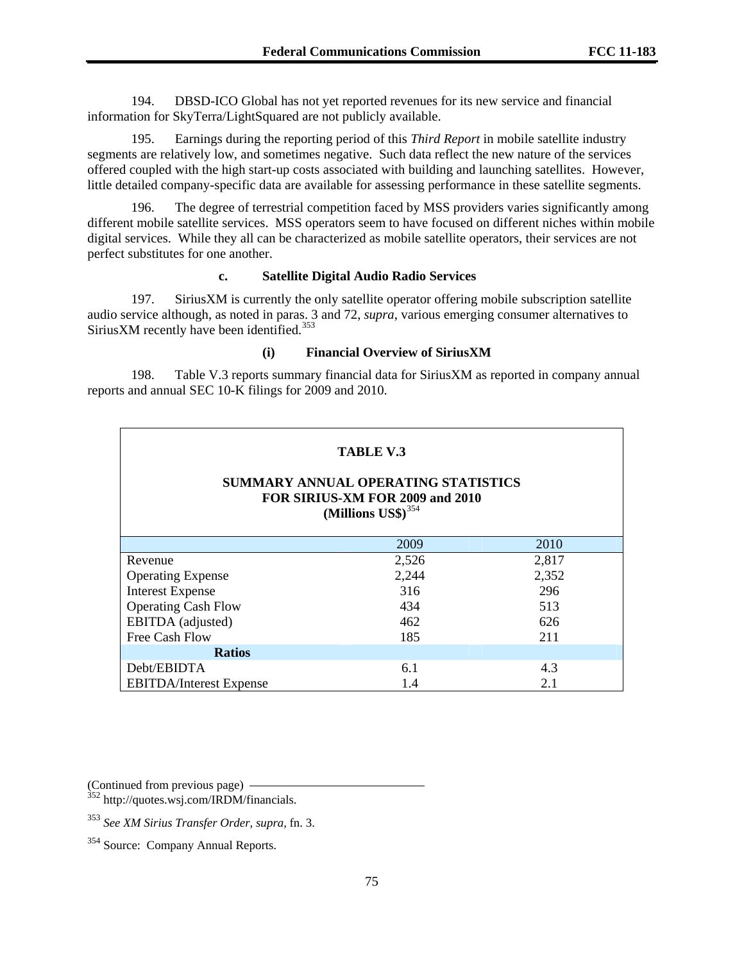194. DBSD-ICO Global has not yet reported revenues for its new service and financial information for SkyTerra/LightSquared are not publicly available.

195. Earnings during the reporting period of this *Third Report* in mobile satellite industry segments are relatively low, and sometimes negative. Such data reflect the new nature of the services offered coupled with the high start-up costs associated with building and launching satellites. However, little detailed company-specific data are available for assessing performance in these satellite segments.

196. The degree of terrestrial competition faced by MSS providers varies significantly among different mobile satellite services. MSS operators seem to have focused on different niches within mobile digital services. While they all can be characterized as mobile satellite operators, their services are not perfect substitutes for one another.

### **c. Satellite Digital Audio Radio Services**

197. SiriusXM is currently the only satellite operator offering mobile subscription satellite audio service although, as noted in paras. 3 and 72, *supra*, various emerging consumer alternatives to SiriusXM recently have been identified.<sup>[353](#page-74-0)</sup>

#### **(i) Financial Overview of SiriusXM**

198. Table V.3 reports summary financial data for SiriusXM as reported in company annual reports and annual SEC 10-K filings for 2009 and 2010.

### **TABLE V.3**

### **SUMMARY ANNUAL OPERATING STATISTICS FOR SIRIUS-XM FOR 2009 and 2010 (Millions US\$)**[354](#page-74-1)

|                                | 2009  | 2010  |
|--------------------------------|-------|-------|
| Revenue                        | 2,526 | 2,817 |
| <b>Operating Expense</b>       | 2,244 | 2,352 |
| <b>Interest Expense</b>        | 316   | 296   |
| <b>Operating Cash Flow</b>     | 434   | 513   |
| EBITDA (adjusted)              | 462   | 626   |
| Free Cash Flow                 | 185   | 211   |
| <b>Ratios</b>                  |       |       |
| Debt/EBIDTA                    | 6.1   | 4.3   |
| <b>EBITDA/Interest Expense</b> | 1.4   | 2.1   |

(Continued from previous page) ——<br><sup>352</sup> http://quotes.wsj.com/IRDM/financials.

<span id="page-74-0"></span><sup>353</sup> *See XM Sirius Transfer Order, supra,* fn. 3.

<span id="page-74-1"></span><sup>354</sup> Source: Company Annual Reports.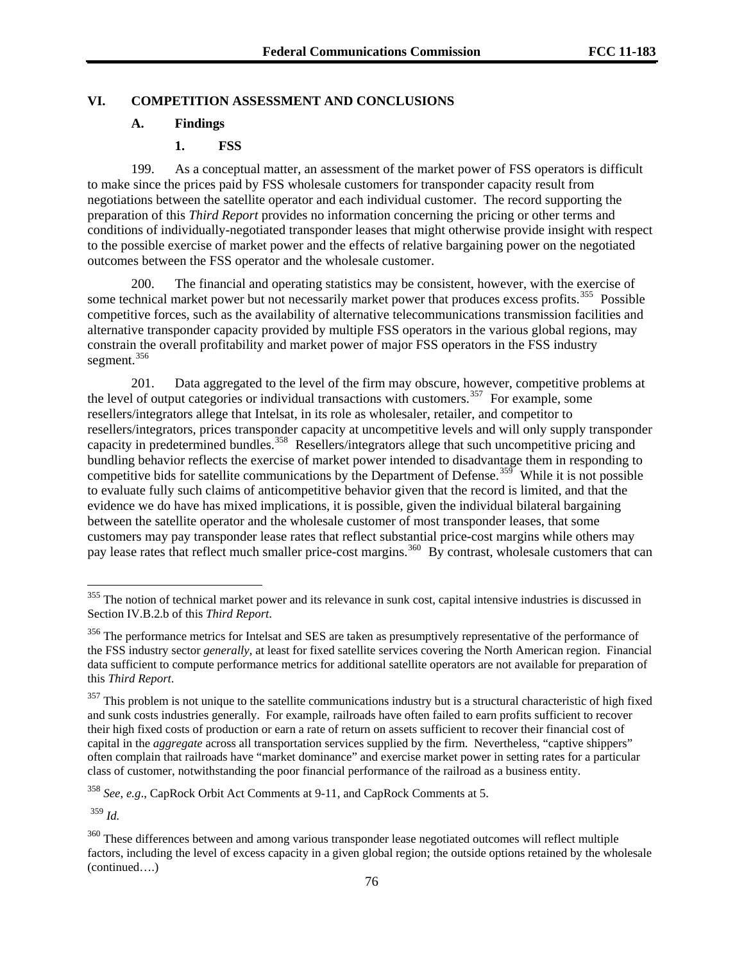### **VI. COMPETITION ASSESSMENT AND CONCLUSIONS**

#### **A. Findings**

### **1. FSS**

199. As a conceptual matter, an assessment of the market power of FSS operators is difficult to make since the prices paid by FSS wholesale customers for transponder capacity result from negotiations between the satellite operator and each individual customer. The record supporting the preparation of this *Third Report* provides no information concerning the pricing or other terms and conditions of individually-negotiated transponder leases that might otherwise provide insight with respect to the possible exercise of market power and the effects of relative bargaining power on the negotiated outcomes between the FSS operator and the wholesale customer.

200. The financial and operating statistics may be consistent, however, with the exercise of some technical market power but not necessarily market power that produces excess profits.<sup>[355](#page-75-0)</sup> Possible competitive forces, such as the availability of alternative telecommunications transmission facilities and alternative transponder capacity provided by multiple FSS operators in the various global regions, may constrain the overall profitability and market power of major FSS operators in the FSS industry segment.<sup>[356](#page-75-1)</sup>

to evaluate fully such claims of anticompetitive behavior given that the record is limited, and that the 201. Data aggregated to the level of the firm may obscure, however, competitive problems at the level of output categories or individual transactions with customers.<sup>[357](#page-75-2)</sup> For example, some resellers/integrators allege that Intelsat, in its role as wholesaler, retailer, and competitor to resellers/integrators, prices transponder capacity at uncompetitive levels and will only supply transponder capacity in predetermined bundles.<sup>[358](#page-75-3)</sup> Resellers/integrators allege that such uncompetitive pricing and bundling behavior reflects the exercise of market power intended to disadvantage them in responding to competitive bids for satellite communications by the Department of Defense.<sup>[359](#page-75-4)</sup> While it is not possible evidence we do have has mixed implications, it is possible, given the individual bilateral bargaining between the satellite operator and the wholesale customer of most transponder leases, that some customers may pay transponder lease rates that reflect substantial price-cost margins while others may pay lease rates that reflect much smaller price-cost margins.<sup>[360](#page-75-5)</sup> By contrast, wholesale customers that can

<span id="page-75-3"></span><sup>358</sup> *See*, *e.g*., CapRock Orbit Act Comments at 9-11, and CapRock Comments at 5.

<span id="page-75-4"></span><sup>359</sup> *Id.*

l

<span id="page-75-0"></span> $355$  The notion of technical market power and its relevance in sunk cost, capital intensive industries is discussed in Section IV.B.2.b of this *Third Report*.

<span id="page-75-1"></span><sup>&</sup>lt;sup>356</sup> The performance metrics for Intelsat and SES are taken as presumptively representative of the performance of the FSS industry sector *generally*, at least for fixed satellite services covering the North American region. Financial data sufficient to compute performance metrics for additional satellite operators are not available for preparation of this *Third Report*.

<span id="page-75-2"></span> $357$  This problem is not unique to the satellite communications industry but is a structural characteristic of high fixed and sunk costs industries generally. For example, railroads have often failed to earn profits sufficient to recover their high fixed costs of production or earn a rate of return on assets sufficient to recover their financial cost of capital in the *aggregate* across all transportation services supplied by the firm. Nevertheless, "captive shippers" often complain that railroads have "market dominance" and exercise market power in setting rates for a particular class of customer, notwithstanding the poor financial performance of the railroad as a business entity.

<span id="page-75-5"></span><sup>(</sup>continued….) <sup>360</sup> These differences between and among various transponder lease negotiated outcomes will reflect multiple factors, including the level of excess capacity in a given global region; the outside options retained by the wholesale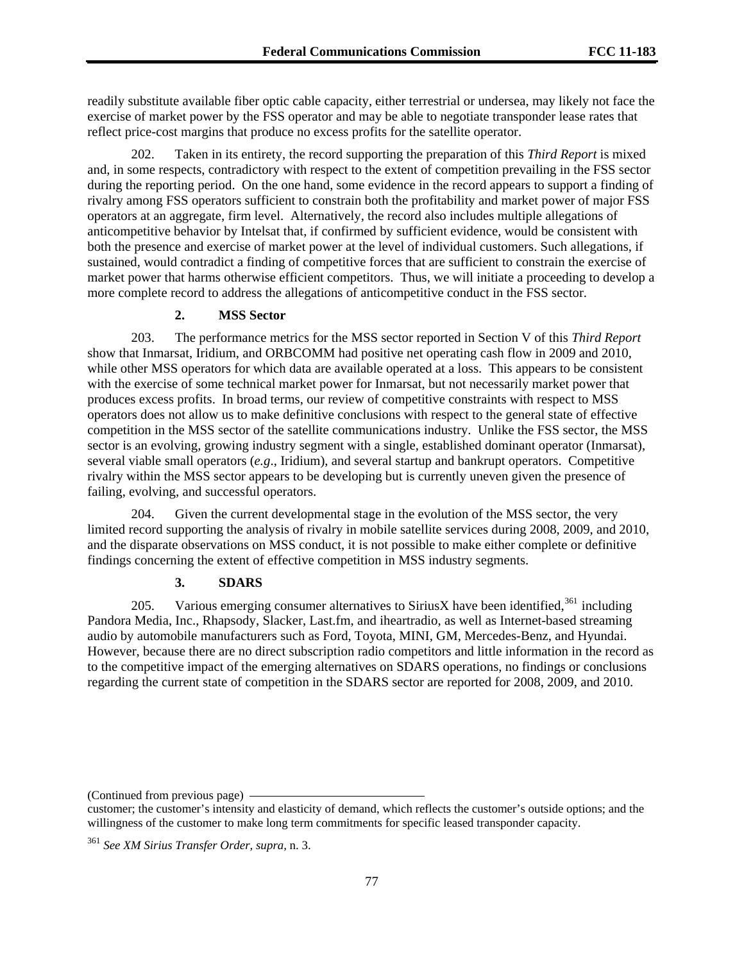readily substitute available fiber optic cable capacity, either terrestrial or undersea, may likely not face the exercise of market power by the FSS operator and may be able to negotiate transponder lease rates that reflect price-cost margins that produce no excess profits for the satellite operator.

202. Taken in its entirety, the record supporting the preparation of this *Third Report* is mixed and, in some respects, contradictory with respect to the extent of competition prevailing in the FSS sector during the reporting period. On the one hand, some evidence in the record appears to support a finding of rivalry among FSS operators sufficient to constrain both the profitability and market power of major FSS operators at an aggregate, firm level. Alternatively, the record also includes multiple allegations of anticompetitive behavior by Intelsat that, if confirmed by sufficient evidence, would be consistent with both the presence and exercise of market power at the level of individual customers. Such allegations, if sustained, would contradict a finding of competitive forces that are sufficient to constrain the exercise of market power that harms otherwise efficient competitors. Thus, we will initiate a proceeding to develop a more complete record to address the allegations of anticompetitive conduct in the FSS sector.

### **2. MSS Sector**

203. The performance metrics for the MSS sector reported in Section V of this *Third Report* show that Inmarsat, Iridium, and ORBCOMM had positive net operating cash flow in 2009 and 2010, while other MSS operators for which data are available operated at a loss. This appears to be consistent with the exercise of some technical market power for Inmarsat, but not necessarily market power that produces excess profits. In broad terms, our review of competitive constraints with respect to MSS operators does not allow us to make definitive conclusions with respect to the general state of effective competition in the MSS sector of the satellite communications industry. Unlike the FSS sector, the MSS sector is an evolving, growing industry segment with a single, established dominant operator (Inmarsat), several viable small operators (*e.g*., Iridium), and several startup and bankrupt operators. Competitive rivalry within the MSS sector appears to be developing but is currently uneven given the presence of failing, evolving, and successful operators.

204. Given the current developmental stage in the evolution of the MSS sector, the very limited record supporting the analysis of rivalry in mobile satellite services during 2008, 2009, and 2010, and the disparate observations on MSS conduct, it is not possible to make either complete or definitive findings concerning the extent of effective competition in MSS industry segments.

#### **3. SDARS**

205. Various emerging consumer alternatives to SiriusX have been identified,  $361$  including Pandora Media, Inc., Rhapsody, Slacker, Last.fm, and iheartradio, as well as Internet-based streaming audio by automobile manufacturers such as Ford, Toyota, MINI, GM, Mercedes-Benz, and Hyundai. However, because there are no direct subscription radio competitors and little information in the record as to the competitive impact of the emerging alternatives on SDARS operations, no findings or conclusions regarding the current state of competition in the SDARS sector are reported for 2008, 2009, and 2010.

<sup>(</sup>Continued from previous page)

customer; the customer's intensity and elasticity of demand, which reflects the customer's outside options; and the willingness of the customer to make long term commitments for specific leased transponder capacity.

<span id="page-76-0"></span><sup>361</sup> *See XM Sirius Transfer Order, supra,* n. 3.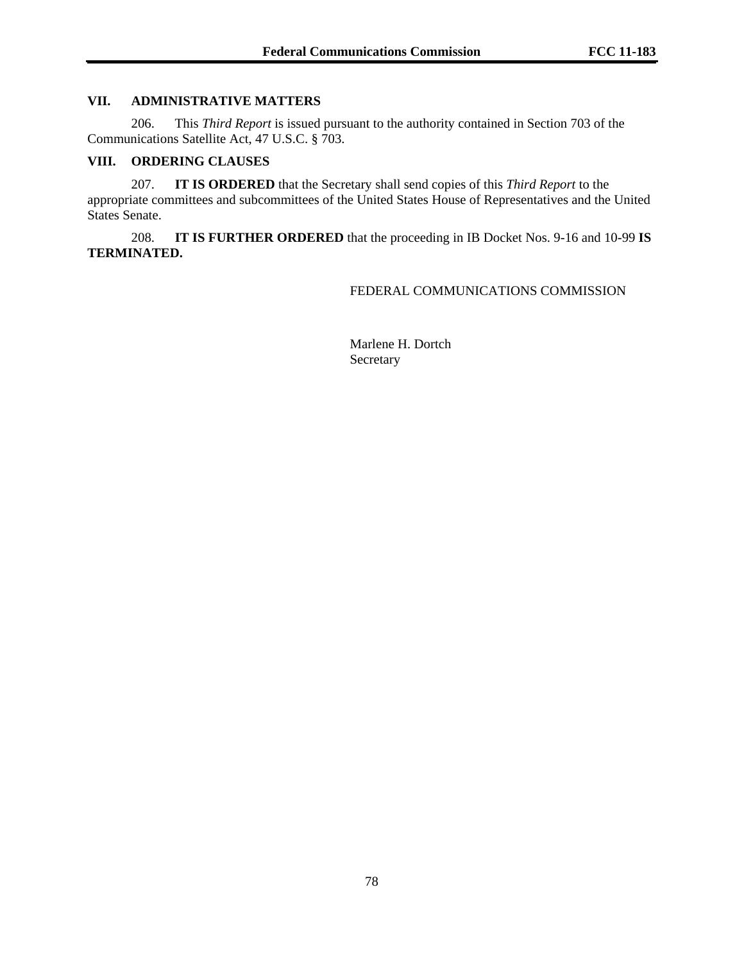# **VII. ADMINISTRATIVE MATTERS**

206. This *Third Report* is issued pursuant to the authority contained in Section 703 of the Communications Satellite Act, 47 U.S.C. § 703.

#### **VIII. ORDERING CLAUSES**

207. **IT IS ORDERED** that the Secretary shall send copies of this *Third Report* to the appropriate committees and subcommittees of the United States House of Representatives and the United States Senate.

208. **IT IS FURTHER ORDERED** that the proceeding in IB Docket Nos. 9-16 and 10-99 **IS TERMINATED.**

FEDERAL COMMUNICATIONS COMMISSION

 Marlene H. Dortch Secretary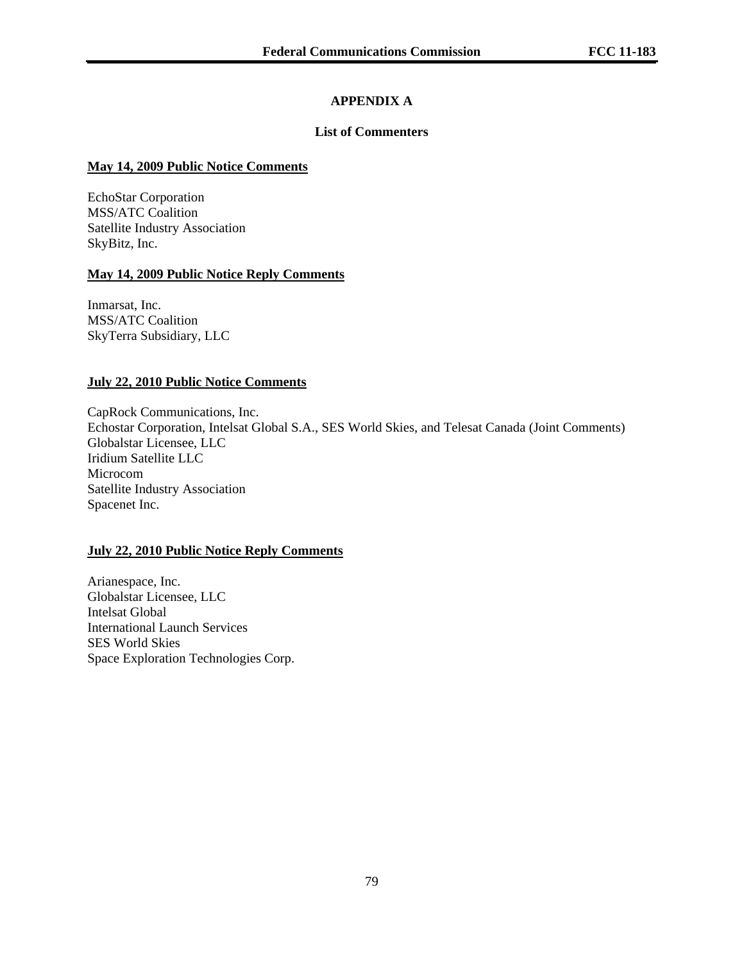# **APPENDIX A**

# **List of Commenters**

### **May 14, 2009 Public Notice Comments**

EchoStar Corporation MSS/ATC Coalition Satellite Industry Association SkyBitz, Inc.

### **May 14, 2009 Public Notice Reply Comments**

Inmarsat, Inc. MSS/ATC Coalition SkyTerra Subsidiary, LLC

### **July 22, 2010 Public Notice Comments**

CapRock Communications, Inc. Echostar Corporation, Intelsat Global S.A., SES World Skies, and Telesat Canada (Joint Comments) Globalstar Licensee, LLC Iridium Satellite LLC Microcom Satellite Industry Association Spacenet Inc.

### **July 22, 2010 Public Notice Reply Comments**

Arianespace, Inc. Globalstar Licensee, LLC Intelsat Global International Launch Services SES World Skies Space Exploration Technologies Corp.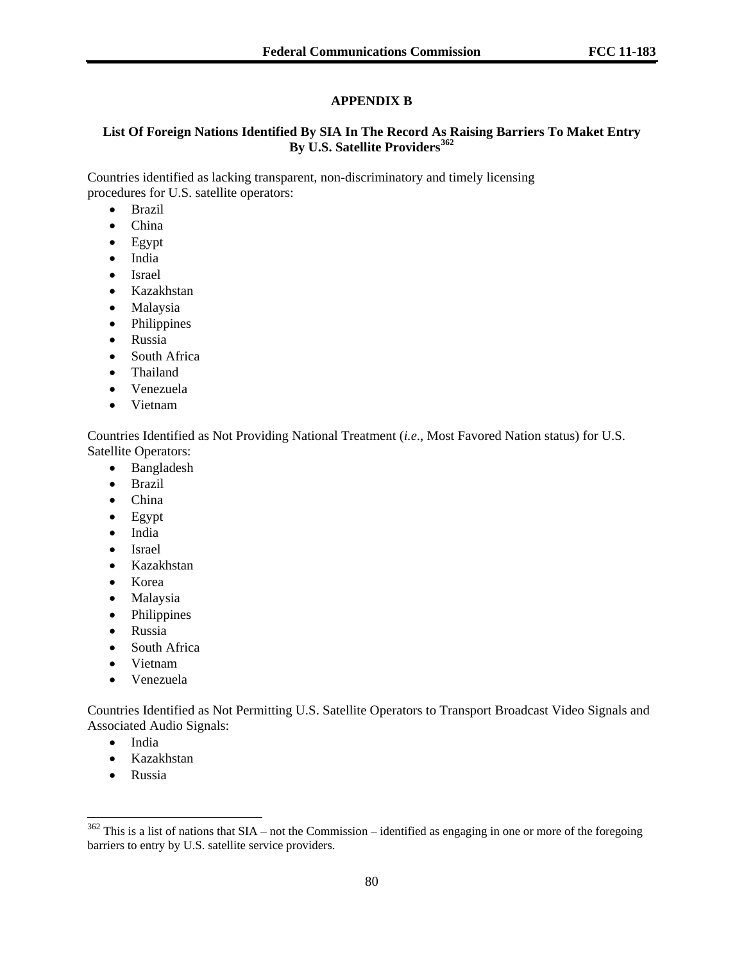# **APPENDIX B**

# **List Of Foreign Nations Identified By SIA In The Record As Raising Barriers To Maket Entry By U.S. Satellite Providers[362](#page-79-0)**

Countries identified as lacking transparent, non-discriminatory and timely licensing procedures for U.S. satellite operators:

- Brazil
- China
- Egypt
- India
- Israel
- Kazakhstan
- Malaysia
- Philippines
- Russia
- South Africa
- Thailand
- Venezuela
- Vietnam

Countries Identified as Not Providing National Treatment (*i.e*., Most Favored Nation status) for U.S. Satellite Operators:

- Bangladesh
- Brazil
- China
- Egypt
- India
- Israel
- Kazakhstan
- Korea
- Malaysia
- Philippines
- Russia
- South Africa
- Vietnam
- Venezuela

Countries Identified as Not Permitting U.S. Satellite Operators to Transport Broadcast Video Signals and Associated Audio Signals:

- India
- Kazakhstan
- Russia

l

<span id="page-79-0"></span> $362$  This is a list of nations that SIA – not the Commission – identified as engaging in one or more of the foregoing barriers to entry by U.S. satellite service providers.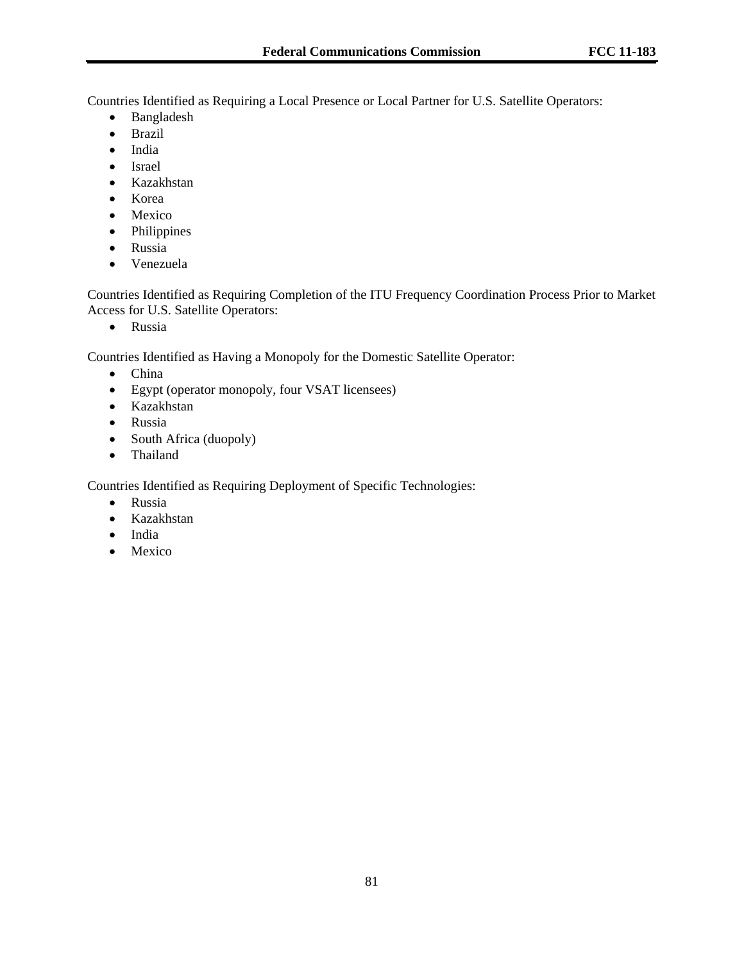Countries Identified as Requiring a Local Presence or Local Partner for U.S. Satellite Operators:

- Bangladesh
- Brazil
- India
- Israel
- Kazakhstan
- Korea
- Mexico
- Philippines
- Russia
- Venezuela

Countries Identified as Requiring Completion of the ITU Frequency Coordination Process Prior to Market Access for U.S. Satellite Operators:

• Russia

Countries Identified as Having a Monopoly for the Domestic Satellite Operator:

- China
- Egypt (operator monopoly, four VSAT licensees)
- Kazakhstan
- Russia
- South Africa (duopoly)
- Thailand

Countries Identified as Requiring Deployment of Specific Technologies:

- Russia
- Kazakhstan
- India
- Mexico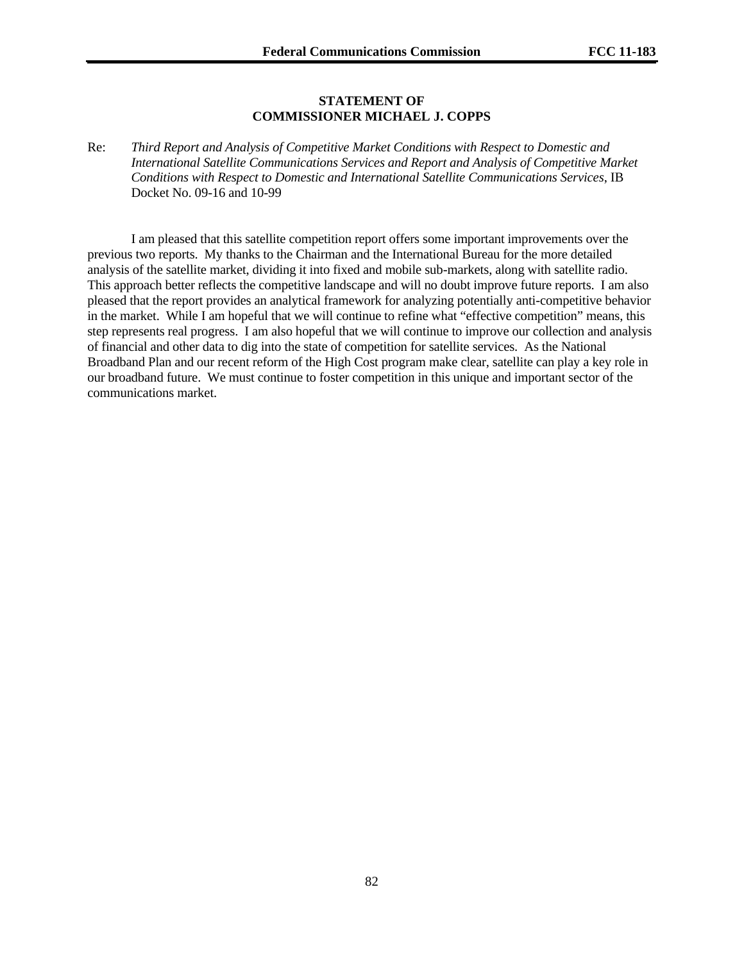#### **STATEMENT OF COMMISSIONER MICHAEL J. COPPS**

Re: *Third Report and Analysis of Competitive Market Conditions with Respect to Domestic and International Satellite Communications Services and Report and Analysis of Competitive Market Conditions with Respect to Domestic and International Satellite Communications Services*, IB Docket No. 09-16 and 10-99

 I am pleased that this satellite competition report offers some important improvements over the previous two reports. My thanks to the Chairman and the International Bureau for the more detailed analysis of the satellite market, dividing it into fixed and mobile sub-markets, along with satellite radio. This approach better reflects the competitive landscape and will no doubt improve future reports. I am also pleased that the report provides an analytical framework for analyzing potentially anti-competitive behavior in the market. While I am hopeful that we will continue to refine what "effective competition" means, this step represents real progress. I am also hopeful that we will continue to improve our collection and analysis of financial and other data to dig into the state of competition for satellite services. As the National Broadband Plan and our recent reform of the High Cost program make clear, satellite can play a key role in our broadband future. We must continue to foster competition in this unique and important sector of the communications market.